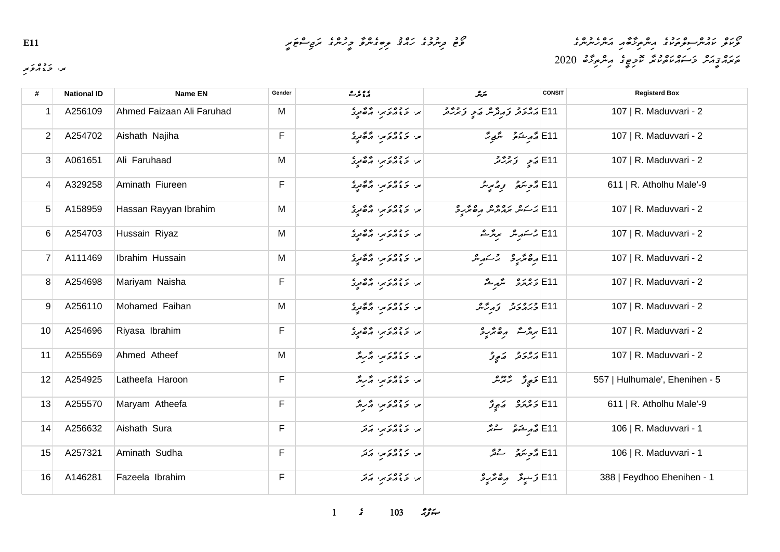*sCw7q7s5w7m< o<n9nOoAw7o< sCq;mAwBoEw7q<m; wBm;vB* م من المرة المرة المرة المرة المرة المرة العربية 2020<br>مجم*د المريض المريض المربع المربع المربع المراجع المراجع ال* 

|                    | , , , , |  |
|--------------------|---------|--|
| ىر. جەم <i>جىر</i> |         |  |
|                    |         |  |

| #               | <b>National ID</b> | <b>Name EN</b>            | Gender      | ړی پرے                    | سرير                                        | <b>CONSIT</b> | <b>Registerd Box</b>           |
|-----------------|--------------------|---------------------------|-------------|---------------------------|---------------------------------------------|---------------|--------------------------------|
|                 | A256109            | Ahmed Faizaan Ali Faruhad | M           | ر ده ده ده ده دره         | E11 كەركەتىر تەمەنگەش كەي تەمەرگەر          |               | 107   R. Maduvvari - 2         |
| $\overline{2}$  | A254702            | Aishath Najiha            | F           | بر دوه در په ده ک         | E11 أَهُ مِرْ يَسُومُ مُسْتَدِيمٌ           |               | 107   R. Maduvvari - 2         |
| 3               | A061651            | Ali Faruhaad              | M           | بر دوه در وه در           | E11  كەي     ق تررىمتر                      |               | 107   R. Maduvvari - 2         |
| 4               | A329258            | Aminath Fiureen           | F           | بر كودوبر، مەھىرى         | E11 أُمَّ حِسَمَ <sub>ة وم</sub> ِمْرِيْتَر |               | 611   R. Atholhu Male'-9       |
| 5               | A158959            | Hassan Rayyan Ibrahim     | M           | ر ده ده ده ده در          | E11 ئەسەمىر <i>مەمەمىر مەھەردى</i>          |               | 107   R. Maduvvari - 2         |
| 6               | A254703            | Hussain Riyaz             | M           | ر ده دره ده ور            | E11 پر شمېرىنىش مېرتمىشو                    |               | 107   R. Maduvvari - 2         |
|                 | A111469            | Ibrahim Hussain           | M           | بر ووه در وه در           | E11 مەھەر بەر بەر بەر بىر                   |               | 107   R. Maduvvari - 2         |
| 8               | A254698            | Mariyam Naisha            | F           | بر كودوبر، مەھىرى         | E11 دَيْرْتَرْ سَمْدِيَّةَ                  |               | 107   R. Maduvvari - 2         |
| 9               | A256110            | Mohamed Faihan            | M           | بر دوه در په ده ک         | E11 <i>5523 ق</i> رنمبر                     |               | 107   R. Maduvvari - 2         |
| 10 <sup>1</sup> | A254696            | Riyasa Ibrahim            | F           | بر کے مرد براہ مرکبات     | E11 برمَرْتُ مِنْ مِرْبِرْ                  |               | 107   R. Maduvvari - 2         |
| 11              | A255569            | Ahmed Atheef              | M           | بر ووه د برگر             | E11  پَرْدُوَنْزَ کَمَ بِوَرْ               |               | 107   R. Maduvvari - 2         |
| 12              | A254925            | Latheefa Haroon           | $\mathsf F$ | بر ووه در ورد             | E11 كر <sub>ەپ</sub> ۇ ئەترىر               |               | 557   Hulhumale', Ehenihen - 5 |
| 13              | A255570            | Maryam Atheefa            | F           | بن وءووب أرباش            | E11 <i>5 پروژ</i> په <sub>م</sub> ېږگ       |               | 611   R. Atholhu Male'-9       |
| 14              | A256632            | Aishath Sura              | F           | برا كالمحفظ كالمركبة      | E11 <i>مەمبەشقى</i> ش <i>ى</i> تىر          |               | 106   R. Maduvvari - 1         |
| 15              | A257321            | Aminath Sudha             | F           | برا كالمحفظ كالمركبة      | E11 مُ <i>جِسْعَة</i> شَعَّرَ               |               | 106   R. Maduvvari - 1         |
| 16              | A146281            | Fazeela Ibrahim           | F           | برا المروه كالمركز المركز | E11 كۆسىر ھەر يەھ بۇر بىر ئا                |               | 388   Feydhoo Ehenihen - 1     |

 $1$  *s*  $103$  *fg*  $\rightarrow$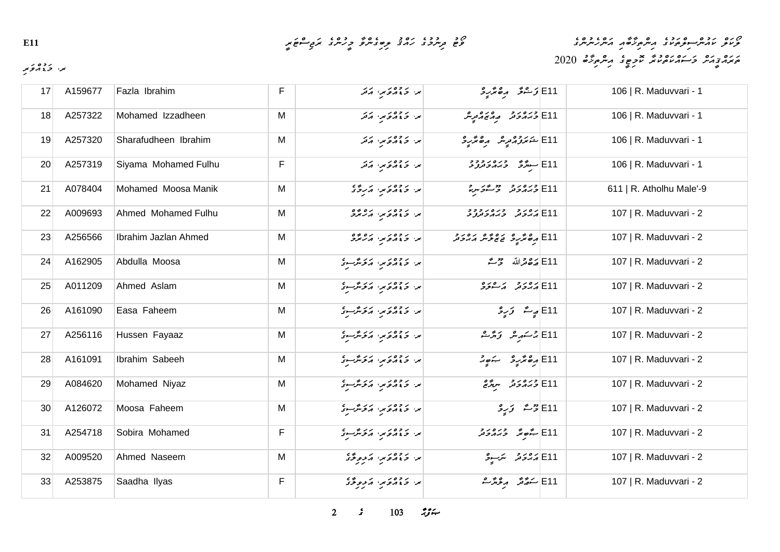*sCw7q7s5w7m< o<n9nOoAw7o< sCq;mAwBoEw7q<m; wBm;vB* م من المسجد المسجد المسجد المسجد المسجد العام 2020<br>مجم*د المسجد المسجد المستجد المسجد المسجد المسجد المسجد المسجد المسجد المسجد المسجد المسجد المسجد المسجد المسجد* 

| 17 | A159677 | Fazla Ibrahim        | $\mathsf F$ | برا وده و د کار                          | E11 كۆشىمى بەھەتگەر <i>3</i>                                                         | 106   R. Maduvvari - 1   |
|----|---------|----------------------|-------------|------------------------------------------|--------------------------------------------------------------------------------------|--------------------------|
| 18 | A257322 | Mohamed Izzadheen    | M           | برا المرده و المحمد المركز               | E11 <i>وُبَهُ وَفَرَّ مِهُمَّ وُبِهِ مَ</i>                                          | 106   R. Maduvvari - 1   |
| 19 | A257320 | Sharafudheen Ibrahim | M           | بن تروه دين اړتن                         | E11 ڪمرو مريش م <i>ڻ مڙي</i> رو                                                      | 106   R. Maduvvari - 1   |
| 20 | A257319 | Siyama Mohamed Fulhu | $\mathsf F$ | بن تروه دين اړتو                         | E11 سەرىج دىرەردىرىر                                                                 | 106   R. Maduvvari - 1   |
| 21 | A078404 | Mohamed Moosa Manik  | M           | بر دوه در کرده                           | E11 در در در در در در                                                                | 611   R. Atholhu Male'-9 |
| 22 | A009693 | Ahmed Mohamed Fulhu  | M           | برا وودي أروءه                           | E11 كەبۇب كەن ئەرەپ ئورى                                                             | 107   R. Maduvvari - 2   |
| 23 | A256566 | Ibrahim Jazlan Ahmed | M           | بر ده در بره ده و د<br>  بر از در در برد | E11 مەھەر بەلىم ئەھەر كەبىرە ئەر                                                     | 107   R. Maduvvari - 2   |
| 24 | A162905 | Abdulla Moosa        | M           | أبرا والملاحي أركاش والمحاسبة            | E11 رَحْمَةُ اللّهِ مَعْ شَ                                                          | 107   R. Maduvvari - 2   |
| 25 | A011209 | Ahmed Aslam          | M           | أمرا كالمكافر مركا المكافر المحاشر       | E11 كەبرى كەرەكتىنى كەنتىرى ئىستەر ئالىيەت بىر ئالىيەت بىر ئالىيەت كەنتەر ئىستىر كىل | 107   R. Maduvvari - 2   |
| 26 | A161090 | Easa Faheem          | M           | ىن ئەدەمى، ئەئەشرىنى                     | E11 مړين ترکي <sup>5</sup>                                                           | 107   R. Maduvvari - 2   |
| 27 | A256116 | Hussen Fayaaz        | M           | أأترا والملاحق المالوسوسي                | E11 برسكىرىش ئەتەشە                                                                  | 107   R. Maduvvari - 2   |
| 28 | A161091 | Ibrahim Sabeeh       | M           | أمرا وكالمروس المائوس وكالمراء           | E11 رەئزېر <sup>و</sup> جۇم                                                          | 107   R. Maduvvari - 2   |
| 29 | A084620 | Mohamed Niyaz        | M           | ىن ئەجەم ئەر ئەكەنگەسى                   | E11 دېرورو سرگړي                                                                     | 107   R. Maduvvari - 2   |
| 30 | A126072 | Moosa Faheem         | M           | أمرا وكالمروس المائوس وكالمراء           | E11 فخرج قريرة                                                                       | 107   R. Maduvvari - 2   |
| 31 | A254718 | Sobira Mohamed       | $\mathsf F$ | أمرا وكالمروس المائوس وكالمراء           | E11 بەھ بىر دىمەدىر                                                                  | 107   R. Maduvvari - 2   |
| 32 | A009520 | Ahmed Naseem         | M           | برا وَءَمُوَسٍ مَرْوِوِوَّى              | E11 كەبرى بىر سىرسونى                                                                | 107   R. Maduvvari - 2   |
| 33 | A253875 | Saadha Ilyas         | F           | برا كالمقوس كمولوكى                      | E11 سَرَرْتَرَ بِرَعْرَتْ ِ                                                          | 107   R. Maduvvari - 2   |

 $2$  *s*  $103$  *z***<sub>f</sub>** $\div$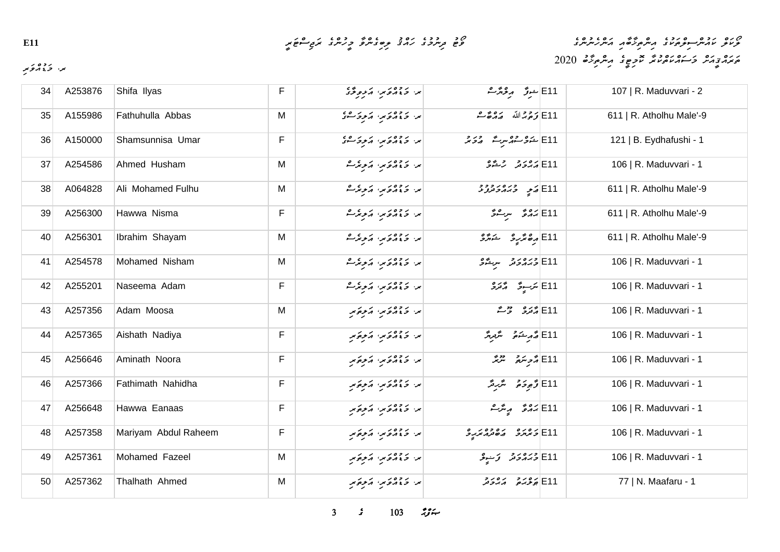*sCw7q7s5w7m< o<n9nOoAw7o< sCq;mAwBoEw7q<m; wBm;vB* م من المسجد المسجد المسجد المسجد المسجد العام 2020<br>مجم*د المسجد المسجد المستجد المسجد المسجد المسجد المسجد المسجد المسجد المسجد المسجد المسجد المسجد المسجد المسجد* 

| 34 | A253876 | Shifa Ilyas          | F | ىن ئۇقمۇمىز، مەرەپچە       | E11  شوتر    روٹر شہ                  | 107   R. Maduvvari - 2   |
|----|---------|----------------------|---|----------------------------|---------------------------------------|--------------------------|
| 35 | A155986 | Fathuhulla Abbas     | M | برا وده در در ده           | E11 كَرْمْ بْرَاللّه      مَدْرَهْ بْ | 611   R. Atholhu Male'-9 |
| 36 | A150000 | Shamsunnisa Umar     | F | برا وده و ده در ده و       | E11 شۇر مەھرىرىشە بەر بر              | 121   B. Eydhafushi - 1  |
| 37 | A254586 | Ahmed Husham         | M | أين وعلاه كالمعرض المرتجات | E11 كەبۇر كىرى ئىستەن                 | 106   R. Maduvvari - 1   |
| 38 | A064828 | Ali Mohamed Fulhu    | M | أين الحادوس الكريمات       | E11 كەي بەر دەرىجە دەرىجە ئەرەر ئىس   | 611   R. Atholhu Male'-9 |
| 39 | A256300 | Hawwa Nisma          | F | أين الحادوس الكريمات       | E11 كَرْدُوَّ سِرْسْرَةً              | 611   R. Atholhu Male'-9 |
| 40 | A256301 | Ibrahim Shayam       | M | أين والمعقومين أرولات      | E11 رەئزىرى شە <i>ئ</i> رى            | 611   R. Atholhu Male'-9 |
| 41 | A254578 | Mohamed Nisham       | M | أين الحادوس الكريميث       | E11 <i>وَبَرْدُوَ</i> تْرَ سِرْشُوْرَ | 106   R. Maduvvari - 1   |
| 42 | A255201 | Naseema Adam         | F | أأرا والملحص المولات       | E11 سَرَسِرةً مُحَمَّدةً              | 106   R. Maduvvari - 1   |
| 43 | A257356 | Adam Moosa           | M | برا كالمكاتب الموكوب       | $23$ $32$ $5$ $511$                   | 106   R. Maduvvari - 1   |
| 44 | A257365 | Aishath Nadiya       | F | برا كالمقرب المركوب        | E11 مَدْمِ شَمَعٌ مَدَّمِيرَةً ـ      | 106   R. Maduvvari - 1   |
| 45 | A256646 | Aminath Noora        | F | برا كالمقرار المركوب       | E11 أُمُّ مِ مَعْهُمْ مَسْتَمَّدَّ    | 106   R. Maduvvari - 1   |
| 46 | A257366 | Fathimath Nahidha    | F | برا ودور الموادير          | E11 وَّجِرَة حَمَّ سَرْبِرَّدَ        | 106   R. Maduvvari - 1   |
| 47 | A256648 | Hawwa Eanaas         | F | بر دوه در موځیر            | E11 كەمگە ھەمگەشە                     | 106   R. Maduvvari - 1   |
| 48 | A257358 | Mariyam Abdul Raheem | F | برا ودووس مزدوس            | E11 كرىرى ھەممە كرىم                  | 106   R. Maduvvari - 1   |
| 49 | A257361 | Mohamed Fazeel       | M | بر دوه در مرده بر          | E11 <i>\$ پر\$ى تى ق نىدى</i>         | 106   R. Maduvvari - 1   |
| 50 | A257362 | Thalhath Ahmed       | M | برا ودوري مروءير           | E11 يومرد بره دين                     | 77   N. Maafaru - 1      |

**3** *3* **103** *<i>f f*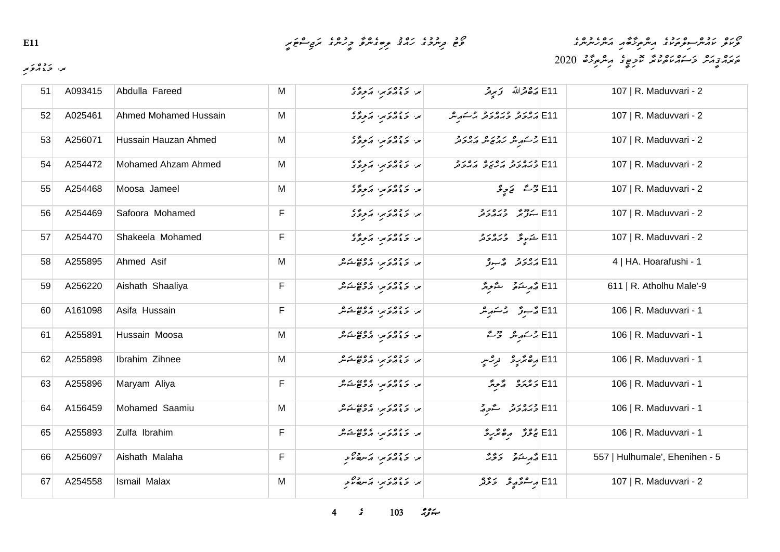*sCw7q7s5w7m< o<n9nOoAw7o< sCq;mAwBoEw7q<m; wBm;vB* م من المرة المرة المرة المرجع المرجع في المركبة 2020<br>مجم*د المريض المربوط المربع المرجع في المراجع المركبة* 

| 51 | A093415 | Abdulla Fareed               | M            | برا ويوه د بروژه           | E11 كەھەراللە   ترىمىقر                                                                              | 107   R. Maduvvari - 2         |
|----|---------|------------------------------|--------------|----------------------------|------------------------------------------------------------------------------------------------------|--------------------------------|
| 52 | A025461 | <b>Ahmed Mohamed Hussain</b> | M            | برا وده دوم المتوفر        | E11 كەبروگە مەكەر ئەرگەر ئىسكەر بىر                                                                  | 107   R. Maduvvari - 2         |
| 53 | A256071 | Hussain Hauzan Ahmed         | M            | ر دوه در کرده              | E11 ير سَمبر بل رَ تَرَبِّع مل مَرْرُومْر                                                            | 107   R. Maduvvari - 2         |
| 54 | A254472 | Mohamed Ahzam Ahmed          | M            | ر دوه در کرده              | E11 درور و دوره دورد                                                                                 | 107   R. Maduvvari - 2         |
| 55 | A254468 | Moosa Jameel                 | M            | برا ودور المولاد           | E11 جي ڇ <i>چ</i> و                                                                                  | 107   R. Maduvvari - 2         |
| 56 | A254469 | Safoora Mohamed              | $\mathsf{F}$ | بر ووه در کرده             | E11 يەدەبە جەم دەر                                                                                   | 107   R. Maduvvari - 2         |
| 57 | A254470 | Shakeela Mohamed             | F            | بر ووه در مورد             | E11 ڪري تي <i>1955</i>                                                                               | 107   R. Maduvvari - 2         |
| 58 | A255895 | Ahmed Asif                   | M            | بر دوه در ده ده ده کند کار | E11 كەندى تەرىپى تەرەپىيە ئە                                                                         | 4   HA. Hoarafushi - 1         |
| 59 | A256220 | Aishath Shaaliya             | F            | $x^2 - 2x + 3x + 5 = 0$    | E11 مَدْرِسْنَعْرِ مُسْتَوِيْرَ                                                                      | 611   R. Atholhu Male'-9       |
| 60 | A161098 | Asifa Hussain                | $\mathsf{F}$ | بر دوه در ده ده ده کند کار | E11 ۾ سبورج پر جيڪو پير                                                                              | 106   R. Maduvvari - 1         |
| 61 | A255891 | Hussain Moosa                | M            | بر وه در در ۵۵۵ شکل        | E11 پر شهر شده می شد.<br>سیاسته میرسد                                                                | 106   R. Maduvvari - 1         |
| 62 | A255898 | Ibrahim Zihnee               | M            | بر دوه در ۵۵۵۰۰۰۰۰۰        | E11 م <i>وڭ مگرى</i> ئو <i>ر</i> گىير                                                                | 106   R. Maduvvari - 1         |
| 63 | A255896 | Maryam Aliya                 | F            | بر وور وه ده ده ورا        | E11 كابر برو محمد محمد المحدد محمد السيار السيار السيار السيار السيار السيار السيار السيار السيار ال | 106   R. Maduvvari - 1         |
| 64 | A156459 | Mohamed Saamiu               | M            |                            | E11 وَبَرْدُونَرْ سُنَّجْرَ                                                                          | 106   R. Maduvvari - 1         |
| 65 | A255893 | Zulfa Ibrahim                | $\mathsf F$  | بر وور وه ده ده کم         | E11 ىج بحرثو مەھەر بى                                                                                | 106   R. Maduvvari - 1         |
| 66 | A256097 | Aishath Malaha               | F            | אי בזתפאי האיישית          | E11 مَگْرِسْتَمْ وَقَرْبَرُ                                                                          | 557   Hulhumale', Ehenihen - 5 |
| 67 | A254558 | Ismail Malax                 | M            | بر ووه د مستقل             | E11 <sub>م</sub> رشۇ <sub>م</sub> و كۇنر                                                             | 107   R. Maduvvari - 2         |

*4 s* 103 *i*<sub>s</sub> $\rightarrow$ </sub>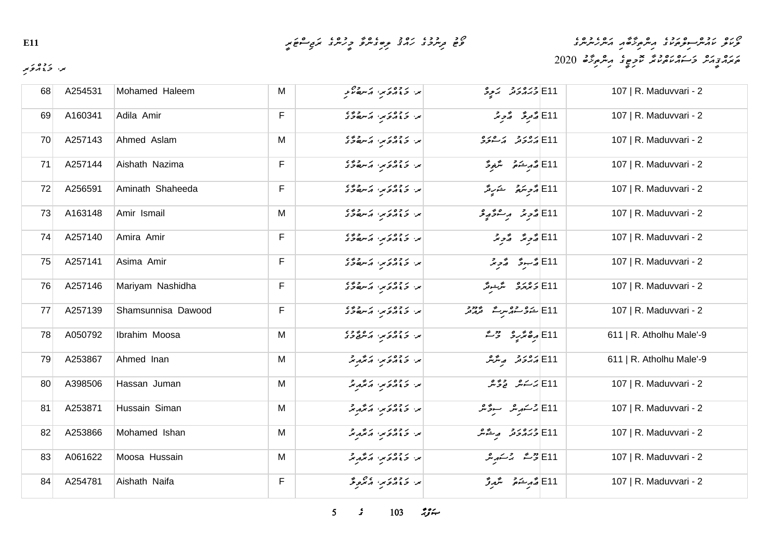*sCw7q7s5w7m< o<n9nOoAw7o< sCq;mAwBoEw7q<m; wBm;vB* م من المرة المرة المرة المرجع المرجع في المركبة 2020<br>مجم*د المريض المربوط المربع المرجع في المراجع المركبة* 

| ر د ه ر    |  |
|------------|--|
| ىر. جەمۇبر |  |
| ╭          |  |

| 68 | A254531 | Mohamed Haleem     | M           | من كوم وكار من المستقام المر | E11 <i>وَبَرْدُوَنَرْ بَرْدِ</i> وْ         | 107   R. Maduvvari - 2   |
|----|---------|--------------------|-------------|------------------------------|---------------------------------------------|--------------------------|
| 69 | A160341 | Adila Amir         | F           | بر کرده در در دره د          | E11 مَّ مِرَّدَ مَّ مِرْ                    | 107   R. Maduvvari - 2   |
| 70 | A257143 | Ahmed Aslam        | M           | אי כזהפאי היישכל             | E11 كەبروتر كەسىۋى                          | 107   R. Maduvvari - 2   |
| 71 | A257144 | Aishath Nazima     | F           | אי כזופאי ג'יינסכל           | E11 مَەمەشىق مىڭجۇ                          | 107   R. Maduvvari - 2   |
| 72 | A256591 | Aminath Shaheeda   | F           | من كروه ر مرد دوره           | E11 مُرْحِ سَمَعَ حَسَبِ مَّدْ              | 107   R. Maduvvari - 2   |
| 73 | A163148 | Amir Ismail        | M           | بمز كالمركب المستصرى         | E11 مۇمەر بەر مۇم <sub>ۇ</sub> بۇ           | 107   R. Maduvvari - 2   |
| 74 | A257140 | Amira Amir         | F           | תי בזתפתי ה' יישבב           | E11 مَّ مِتَر مَّ مِرْ                      | 107   R. Maduvvari - 2   |
| 75 | A257141 | Asima Amir         | $\mathsf F$ | תי בזתפתי ה' יישבב           | E11 مُحبور مُحور                            | 107   R. Maduvvari - 2   |
| 76 | A257146 | Mariyam Nashidha   | F           | אי כזופאי ג'יינסכל           | E11 كەبىر كەرگە ئىگە ئىشرىتىگە              | 107   R. Maduvvari - 2   |
| 77 | A257139 | Shamsunnisa Dawood | F           | תי בזתפתי ה' יישבב           | E11 خۇرخەم سەھىر ئىردىر                     | 107   R. Maduvvari - 2   |
| 78 | A050792 | Ibrahim Moosa      | M           | س كەمەم» كەشھەر              | E11 <sub>م</sub> ەنگرىز ئ <sup>ېمىن</sup> د | 611   R. Atholhu Male'-9 |
| 79 | A253867 | Ahmed Inan         | M           | س كەمەم» <i>مەمە</i> م       | E11 <i>ړېری ته په پن</i> ګر                 | 611   R. Atholhu Male'-9 |
| 80 | A398506 | Hassan Juman       | M           | برا وه ده در از برگار بر     | E11   پرسترس ق <sub>ە</sub> ۋىتر            | 107   R. Maduvvari - 2   |
| 81 | A253871 | Hussain Siman      | M           | برا ووه دي المتهايم          | E11  پرستمبر شہر سوٹ میں<br>سر              | 107   R. Maduvvari - 2   |
| 82 | A253866 | Mohamed Ishan      | M           | س كەمەم» <i>مەمە</i> م       | E11 <i>وُبَرُووبُو بِ</i> مِشْر             | 107   R. Maduvvari - 2   |
| 83 | A061622 | Moosa Hussain      | M           | برا ووه دي المتهايم          | E11 تۇشقە ب <sub>ە</sub> شىر بىر            | 107   R. Maduvvari - 2   |
| 84 | A254781 | Aishath Naifa      | F           | برا ودور الملحوظ             | E11 مَگْرِسْتَمْ مِنْ مُرْرَدٌ              | 107   R. Maduvvari - 2   |

 $5$   $5$   $103$   $25$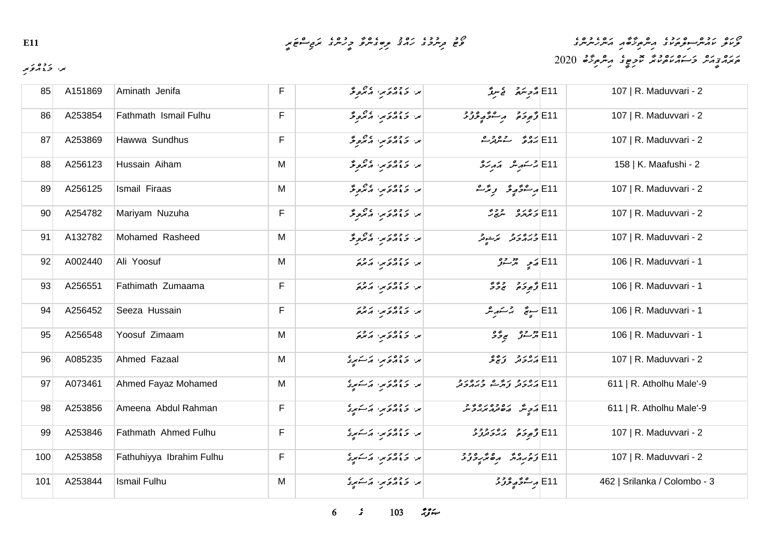*sCw7q7s5w7m< o<n9nOoAw7o< sCq;mAwBoEw7q<m; wBm;vB* م من المرة المرة المرة المرجع المرجع في المركبة 2020<br>مجم*د المريض المربوط المربع المرجع في المراجع المركبة* 

| 85  | A151869 | Aminath Jenifa           | F           | أبرا كالمركوب المركوكر                                     | E11 أُمُّ حِسَمَةٌ فَي سِمَّدٌ                | 107   R. Maduvvari - 2       |
|-----|---------|--------------------------|-------------|------------------------------------------------------------|-----------------------------------------------|------------------------------|
| 86  | A253854 | Fathmath Ismail Fulhu    | F           | أين الحادثون المكروف                                       | E11 زُب <i>ودَهْ بِ سُنْ دُبِي وَ</i> رْزَ    | 107   R. Maduvvari - 2       |
| 87  | A253869 | Hawwa Sundhus            | F           | بر دوه در ده و و و ځ                                       | E11 بَرْدُوَّ سُنْتَرْمَرْسُ                  | 107   R. Maduvvari - 2       |
| 88  | A256123 | Hussain Aiham            | M           | ر 33 مۇم كەنگەنگە                                          | E11 يُرْسَمَ مِيْتَ مَجْمَدِرَةِ ۖ            | 158   K. Maafushi - 2        |
| 89  | A256125 | <b>Ismail Firaas</b>     | M           | أين الحادوي المكروف                                        | E11 مرڪوگيري ويڙڪ                             | 107   R. Maduvvari - 2       |
| 90  | A254782 | Mariyam Nuzuha           | F           | أين الحادوي المكروف                                        | E11 كەبەر بورى بورى                           | 107   R. Maduvvari - 2       |
| 91  | A132782 | Mohamed Rasheed          | M           | برا ووه در پاه ده برونځ                                    | E11 <i>وُبَرُوْدُو تَرَ</i> حُومُرُ مِنْ مَ   | 107   R. Maduvvari - 2       |
| 92  | A002440 | Ali Yoosuf               | M           | بر ووه د د در                                              | E11 <sub>ه</sub> رم پر مي                     | 106   R. Maduvvari - 1       |
| 93  | A256551 | Fathimath Zumaama        | F           | بن كروه ديد كربرد.                                         | E11 <i>وُّجِ وَحَمَّ</i> بِحَرَّدً            | 106   R. Maduvvari - 1       |
| 94  | A256452 | Seeza Hussain            | F           | $\frac{1}{2}$                                              | E11 سوپچ پر شمېر شر                           | 106   R. Maduvvari - 1       |
| 95  | A256548 | Yoosuf Zimaam            | M           | بر د ده د بر د در<br>بر کالم و کالم کالم کالم کالم کرد کرد | E11 پر متعبر ہے تھ                            | 106   R. Maduvvari - 1       |
| 96  | A085235 | Ahmed Fazaal             | M           | برا وده دي الماسكيرى                                       | E11 كەبرى تەرىپى توغ ئى                       | 107   R. Maduvvari - 2       |
| 97  | A073461 | Ahmed Fayaz Mohamed      | M           | برا وده دي الماسكيرى                                       | E11 رور و ترگر و درور د                       | 611   R. Atholhu Male'-9     |
| 98  | A253856 | Ameena Abdul Rahman      | F           | بن كالمروه من المركب                                       | E11 גَوِسٌ په دوروپه د                        | 611   R. Atholhu Male'-9     |
| 99  | A253846 | Fathmath Ahmed Fulhu     | $\mathsf F$ | برا وده دي الماسكيرى                                       | E11 ژ <sub>ېم</sub> ون <sub>و م</sub> رود روم | 107   R. Maduvvari - 2       |
| 100 | A253858 | Fathuhiyya Ibrahim Fulhu | F           | برا وده در المرکز                                          | E11 زەبەر مەھەردىن                            | 107   R. Maduvvari - 2       |
| 101 | A253844 | Ismail Fulhu             | M           | من كالمروه من كالمستميرى                                   | E11  برىشۇر <i>پەۋۇ</i> تۇ                    | 462   Srilanka / Colombo - 3 |

 $6$  *s*  $103$  *z***<sub>f</sub>** $\div$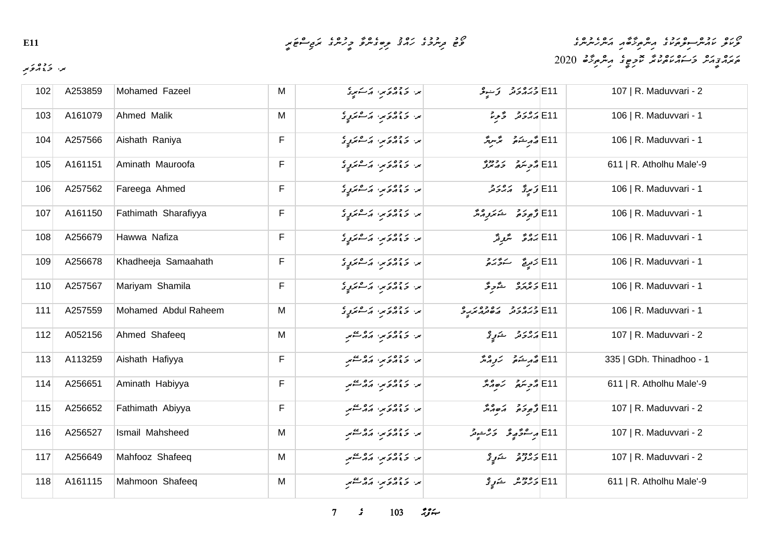*sCw7q7s5w7m< o<n9nOoAw7o< sCq;mAwBoEw7q<m; wBm;vB* م من المرة المرة المرة المرجع المرجع في المركبة 2020<br>مجم*د المريض المربوط المربع المرجع في المراجع المركبة* 

| ر د ه ر     |  |
|-------------|--|
| بر. כے موبر |  |
| ◢           |  |

| 102 | A253859 | Mohamed Fazeel       | M            | بن كالمروه من المركب                   | E11] <i>5،25 ق ق ن</i> يون                                                                                                                                           | 107   R. Maduvvari - 2   |
|-----|---------|----------------------|--------------|----------------------------------------|----------------------------------------------------------------------------------------------------------------------------------------------------------------------|--------------------------|
| 103 | A161079 | Ahmed Malik          | M            | ر كالمؤتمر كالمستعرفي                  | E11 كەندى تۇم ئە                                                                                                                                                     | 106   R. Maduvvari - 1   |
| 104 | A257566 | Aishath Raniya       | $\mathsf F$  | س كالموه من المراكب المحمد المراكب الم | E11 مَدْمِ هُنَّة مِّ سَمَّسِمَّ                                                                                                                                     | 106   R. Maduvvari - 1   |
| 105 | A161151 | Aminath Mauroofa     | F            | س كالمؤكد من ما مستعرفه لا             | E11 أَرَّح سَمَعَ بِهِ وَرَسُورٌ                                                                                                                                     | 611   R. Atholhu Male'-9 |
| 106 | A257562 | Fareega Ahmed        | F            | س كالمؤكد من ما مستعرفه لا             | E11 كۆم <sub>ىر</sub> دىگە كەرگەنگە                                                                                                                                  | 106   R. Maduvvari - 1   |
| 107 | A161150 | Fathimath Sharafiyya | $\mathsf F$  | بن كالمروم بمستعرفه                    | E11 تۇ <sub>جو</sub> خۇ شىمىز بەرگە                                                                                                                                  | 106   R. Maduvvari - 1   |
| 108 | A256679 | Hawwa Nafiza         | F            | ىن ئەقەھىپ كەشلىرى                     | E11] بَرُدُمَّ - سَّمَدِنَّرَ                                                                                                                                        | 106   R. Maduvvari - 1   |
| 109 | A256678 | Khadheeja Samaahath  | F            | برا كالمؤكد كالمستروي                  | E11 زَمِرِجٌ سَتَرَكْرَةً ۖ                                                                                                                                          | 106   R. Maduvvari - 1   |
| 110 | A257567 | Mariyam Shamila      | F            | ىن ئەمەھىر كەشكەر ئ                    | E11 كەبىر بىر ئىگە بەر ئىگە بەر ئىگە بەر ئىگە بەر ئىگە بەر ئىگە<br>مەمەلىي بىر ئىگە بەر ئىگە بور ئىگە بور ئىگە بور ئىگە بور ئىگە بور ئىگە بور ئىگە بول كەنتى بول كىل | 106   R. Maduvvari - 1   |
| 111 | A257559 | Mohamed Abdul Raheem | M            | ىن ئەقەھ بىرە ئەسىمى بىرى              | E11 دره ده ده ده در و                                                                                                                                                | 106   R. Maduvvari - 1   |
| 112 | A052156 | Ahmed Shafeeq        | M            | برا وده در ارد علم بر                  | E11   كەش <sup>ى</sup> رى ھەر ئى                                                                                                                                     | 107   R. Maduvvari - 2   |
| 113 | A113259 | Aishath Hafiyya      | F            | برا كالمروم المكافير                   | E11 <sub>م</sub> َّتَّمَر مُشَرَّةً كَرَوْ مَ <sup>هُ</sup> دًّ                                                                                                      | 335   GDh. Thinadhoo - 1 |
| 114 | A256651 | Aminath Habiyya      | F            | برا وده در ارد علم بر                  | E11 مَّ حِسَمَ مَصِ <i>مَ</i> هُ مَّ                                                                                                                                 | 611   R. Atholhu Male'-9 |
| 115 | A256652 | Fathimath Abiyya     | $\mathsf{F}$ | برا وده در ارد علم بر                  | E11 زُّجِرْدَ مَصِ <i>مَ</i> ّةً.                                                                                                                                    | 107   R. Maduvvari - 2   |
| 116 | A256527 | Ismail Mahsheed      | M            | برا ودور الملاحقين                     | E11 م سگوگھر تو تر محر شیر تر                                                                                                                                        | 107   R. Maduvvari - 2   |
| 117 | A256649 | Mahfooz Shafeeq      | M            | برا وودي أروعي                         | E11 <i>525 هو يې په</i>                                                                                                                                              | 107   R. Maduvvari - 2   |
| 118 | A161115 | Mahmoon Shafeeq      | M            | برا كالمؤترا كالمشعر                   | E11 كار مى مىتوپى ئىچە بىر ئىستان ئىچە ئالىرا ئىستان ئىستان ئىستان ئىستان ئىستان ئىستان ئىستان ئىستان ئىستان ئ<br>مەنبە                                              | 611   R. Atholhu Male'-9 |

*7 sC 103 nNw?mS*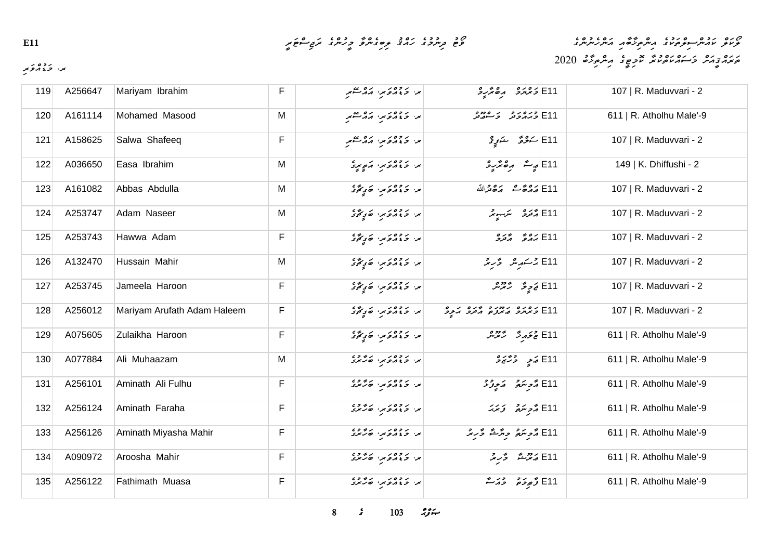*sCw7q7s5w7m< o<n9nOoAw7o< sCq;mAwBoEw7q<m; wBm;vB* م من المرة المرة المرة المرجع المرجع في المركبة 2020<br>مجم*د المريض المربوط المربع المرجع في المراجع المركبة* 

| ر د ه ر     |  |
|-------------|--|
| بر. כے موتر |  |
| ◢           |  |

| 119 | A256647 | Mariyam Ibrahim             | $\mathsf{F}$ | برا ووه دار ده علم ب              | E11  <i>وتمہری م</i> ھٹر <i>پ</i> و     | 107   R. Maduvvari - 2   |
|-----|---------|-----------------------------|--------------|-----------------------------------|-----------------------------------------|--------------------------|
| 120 | A161114 | Mohamed Masood              | M            | برا ودور الملاحقين                | E11 ويرورو كەسەد                        | 611   R. Atholhu Male'-9 |
| 121 | A158625 | Salwa Shafeeq               | $\mathsf F$  | برا ودور الملاحقين                | E11 كەنز <i>ۇ</i> ش <i>ەر بى</i>        | 107   R. Maduvvari - 2   |
| 122 | A036650 | Easa Ibrahim                | M            | بن كالمرومين مكرمي                | E11 مەتتىر بەھ ئ <i>ۆر</i> ئ            | 149   K. Dhiffushi - 2   |
| 123 | A161082 | Abbas Abdulla               | M            | بر كودوم كوكود                    | E11 مَ <i>زْدْهُ بِ</i> مَدَّهْرَاللَّه | 107   R. Maduvvari - 2   |
| 124 | A253747 | Adam Naseer                 | M            | بر وه دره کرده                    | E11 يُرْتَزِرُ = سَرَسِيشَ              | 107   R. Maduvvari - 2   |
| 125 | A253743 | Hawwa Adam                  | $\mathsf{F}$ | بر كودوم كوكود                    | E11 يَرْدُوَّ مُحَمَّرَ                 | 107   R. Maduvvari - 2   |
| 126 | A132470 | Hussain Mahir               | M            | بر دوه در ځونو                    | E11 بڑے پر بڑ تحریز                     | 107   R. Maduvvari - 2   |
| 127 | A253745 | Jameela Haroon              | $\mathsf F$  | بر دوه در کوده                    | E11 کے ب <sub>ح</sub> وثر گرمیں ک       | 107   R. Maduvvari - 2   |
| 128 | A256012 | Mariyam Arufath Adam Haleem | $\mathsf{F}$ | $5550$ $2022$                     | E11 رەرە بەدىرە بەرە بەرە               | 107   R. Maduvvari - 2   |
| 129 | A075605 | Zulaikha Haroon             | $\mathsf F$  | بر كودوم كوكود                    | E11 تج تح <i>مي<sup>5</sup> گيمپ</i> ش  | 611   R. Atholhu Male'-9 |
| 130 | A077884 | Ali Muhaazam                | M            | $\frac{1}{2}$                     | E11 <i>حَرِّج</i> وَرَّيحَ              | 611   R. Atholhu Male'-9 |
| 131 | A256101 | Aminath Ali Fulhu           | F            | بر دوه ر دود.<br>بر و داروس ځرمرد | E11 مَّ حِسَمَ مَعَ وَرَبَّ             | 611   R. Atholhu Male'-9 |
| 132 | A256124 | Aminath Faraha              | $\mathsf F$  |                                   | E11 مُجِسَعِ وَتَمَدَّ                  | 611   R. Atholhu Male'-9 |
| 133 | A256126 | Aminath Miyasha Mahir       | $\mathsf{F}$ |                                   | E11 مُرْمِسَمْ وِبُرْحَہٗ وُرِيْر       | 611   R. Atholhu Male'-9 |
| 134 | A090972 | Aroosha Mahir               | $\mathsf F$  | بر ده در ده د                     | E11 <sub>م</sub> َتَرْجَدُ وَرِيْرَ     | 611   R. Atholhu Male'-9 |
| 135 | A256122 | Fathimath Muasa             | F            | بمزا كرووم. كالربود               | E11 رَّجِوحَمَّ حَمَدَ مَشَ             | 611   R. Atholhu Male'-9 |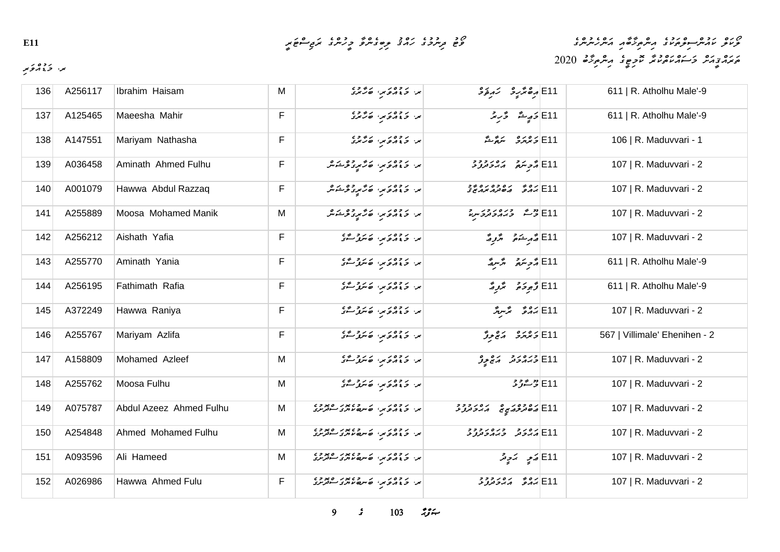*sCw7q7s5w7m< o<n9nOoAw7o< sCq;mAwBoEw7q<m; wBm;vB* م من المرة المرة المرة المرجع المرجع في المركبة 2020<br>مجم*د المريض المربوط المربع المرجع في المراجع المركبة* 

| 136 | A256117 | Ibrahim Haisam          | M           | بر كەدەبر، ھەمدى                                                                                                                                                                                                                                                                                                     | E11  مِنْ جُمْرِيْرْ    سَمْرِ جُمْرَ                                                                             | 611   R. Atholhu Male'-9      |
|-----|---------|-------------------------|-------------|----------------------------------------------------------------------------------------------------------------------------------------------------------------------------------------------------------------------------------------------------------------------------------------------------------------------|-------------------------------------------------------------------------------------------------------------------|-------------------------------|
| 137 | A125465 | Maeesha Mahir           | F           |                                                                                                                                                                                                                                                                                                                      | E11 كەرىش گەرىمە                                                                                                  | 611   R. Atholhu Male'-9      |
| 138 | A147551 | Mariyam Nathasha        | F           | ر وہ در<br>بر کے حرکت صریحی                                                                                                                                                                                                                                                                                          | E11 كَرْجْرْدْ مَرَكَّرْ شَ                                                                                       | 106   R. Maduvvari - 1        |
| 139 | A036458 | Aminath Ahmed Fulhu     | $\mathsf F$ | بر دوه ر دوروو شهر                                                                                                                                                                                                                                                                                                   | E11 <sub>م</sub> ُّرِسَمُ مَ <sup>رُ</sup> دَتَرَتَرَتَرَ                                                         | 107   R. Maduvvari - 2        |
| 140 | A001079 | Hawwa Abdul Razzaq      | F           | بر دوه ر دوروو شهر                                                                                                                                                                                                                                                                                                   |                                                                                                                   | 107   R. Maduvvari - 2        |
| 141 | A255889 | Moosa Mohamed Manik     | M           | بر دوه ر دوروو شهر                                                                                                                                                                                                                                                                                                   |                                                                                                                   | 107   R. Maduvvari - 2        |
| 142 | A256212 | Aishath Yafia           | F           | برا ووه دي که کارو ده                                                                                                                                                                                                                                                                                                | E11 مَدْمِ شَمَعْ مَرْوِمَّة                                                                                      | 107   R. Maduvvari - 2        |
| 143 | A255770 | Aminath Yania           | F           | بر دوه در کارو ده                                                                                                                                                                                                                                                                                                    | E11 أُمُّ حِسَمٌ مُسْرِمٌ                                                                                         | 611   R. Atholhu Male'-9      |
| 144 | A256195 | Fathimath Rafia         | $\mathsf F$ | برا ووه دارد و داد                                                                                                                                                                                                                                                                                                   | E11 وَّجِوَدَةٌ مُحَمَّدٍةٌ                                                                                       | 611   R. Atholhu Male'-9      |
| 145 | A372249 | Hawwa Raniya            | F           | برا وده در کار در داده                                                                                                                                                                                                                                                                                               | E11 يَرْدُوَّ بَدَّسْرَّ                                                                                          | 107   R. Maduvvari - 2        |
| 146 | A255767 | Mariyam Azlifa          | F           | بر وه د ورو په                                                                                                                                                                                                                                                                                                       | E11 كى يىرتى ھىم يىتى بىرتى<br>سىنا ئىلىنى ئىس قىلىنى ئىس بىرتى ئىس بىرتى ئىس بىرتى ئىس بىرتى ئىس بىرتى ئىس بىرتى | 567   Villimale' Ehenihen - 2 |
| 147 | A158809 | Mohamed Azleef          | M           | برا وده ده برد و دا                                                                                                                                                                                                                                                                                                  | E11 دُبَر دَبِر دَبِحَ مِنْ                                                                                       | 107   R. Maduvvari - 2        |
| 148 | A255762 | Moosa Fulhu             | M           | بر ووه د کارو ده                                                                                                                                                                                                                                                                                                     | E11 تۈرىمىتى قىلىپىتىش بىر                                                                                        | 107   R. Maduvvari - 2        |
| 149 | A075787 | Abdul Azeez Ahmed Fulhu | M           | $\begin{array}{ccc} \text{C.} & \text{C.} & \text{C.} & \text{C.} & \text{C.} & \text{C.} & \text{C.} \\ \text{C.} & \text{C.} & \text{C.} & \text{C.} & \text{C.} & \text{C.} & \text{C.} & \text{C.} \\ \text{C.} & \text{C.} & \text{C.} & \text{C.} & \text{C.} & \text{C.} & \text{C.} & \text{C.} \end{array}$ | E11 בפניברי <sub>ש</sub> ל הכנגג                                                                                  | 107   R. Maduvvari - 2        |
| 150 | A254848 | Ahmed Mohamed Fulhu     | M           |                                                                                                                                                                                                                                                                                                                      | E11 كەبەر ئەرەر ئەرەپدىن                                                                                          | 107   R. Maduvvari - 2        |
| 151 | A093596 | Ali Hameed              | M           | د وه د روه د کارود و د د د د                                                                                                                                                                                                                                                                                         | E11  کی پر کی تیار تھی۔<br>  E11                                                                                  | 107   R. Maduvvari - 2        |
| 152 | A026986 | Hawwa Ahmed Fulu        | $\mathsf F$ | נכני המות המות ביני המות ביני המות                                                                                                                                                                                                                                                                                   | E11 يَرْدُمُّ - پروتونونو                                                                                         | 107   R. Maduvvari - 2        |

*o8m=w<qFm> .8*

*9 s* 103 *fg*  $\rightarrow$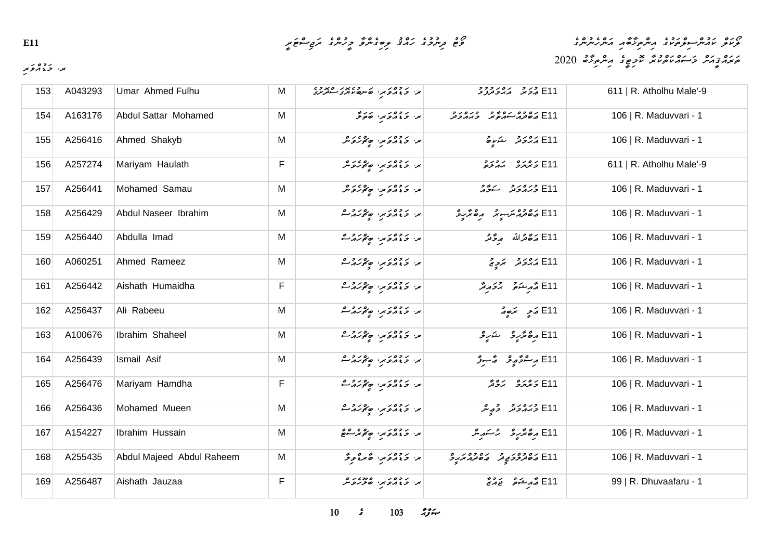*sCw7q7s5w7m< o<n9nOoAw7o< sCq;mAwBoEw7q<m; wBm;vB* م من المرة المرة المرة المرجع المرجع في المركبة 2020<br>مجم*د المريض المربوط المربع المرجع في المراجع المركبة* 

| 153 | A043293 | <b>Umar Ahmed Fulhu</b>   | M | بر و و د ر<br>بر و ډهروبر ، ځمین مربر د سوتر دی | E11 ړی په پروتونونو                             | 611   R. Atholhu Male'-9 |
|-----|---------|---------------------------|---|-------------------------------------------------|-------------------------------------------------|--------------------------|
| 154 | A163176 | Abdul Sattar Mohamed      | M | $500 - 200$                                     | E11 كەھەرمەم 2005 دەرە                          | 106   R. Maduvvari - 1   |
| 155 | A256416 | Ahmed Shakyb              | M | x = 23 h 2 x 2 0 2 x                            | E11 كەبرى قىر ئىكەن ئى                          | 106   R. Maduvvari - 1   |
| 156 | A257274 | Mariyam Haulath           | F | بر كالمؤمر كالمركوس                             | E11 كەبىر بەر بەر بەر بەر بەر بەر بەر ب         | 611   R. Atholhu Male'-9 |
| 157 | A256441 | Mohamed Samau             | M | x = 23 p. 25 p. 25 p. 20                        | $222$ $222$ $21$                                | 106   R. Maduvvari - 1   |
| 158 | A256429 | Abdul Naseer Ibrahim      | M | $\sim 226$ $\frac{1}{2}$                        | E11 مەھەرمىسبەتمە مەھەمگەر 2                    | 106   R. Maduvvari - 1   |
| 159 | A256440 | Abdulla Imad              | M | من كوده دوم به دوم در در د                      | E11 رَصْحَرْاللّه مِرْحَمْد                     | 106   R. Maduvvari - 1   |
| 160 | A060251 | Ahmed Rameez              | M | من و وه د ده په کار د ه                         | E11 كەندى كەرىج                                 | 106   R. Maduvvari - 1   |
| 161 | A256442 | Aishath Humaidha          | F | بر ووه دي ھ مار ده                              | E11 مَدْمِ حَوَمَ مَدَى مِدَّرَ مَدَّ           | 106   R. Maduvvari - 1   |
| 162 | A256437 | Ali Rabeeu                | M | بر ووه دي ھ مار ده                              | E11 کړې تر <i>و</i> گ                           | 106   R. Maduvvari - 1   |
| 163 | A100676 | Ibrahim Shaheel           | M | بر وومور ھوروم                                  | E11 مِر <i>ە مُدَّرٍوْ</i> شَرِيْتْ             | 106   R. Maduvvari - 1   |
| 164 | A256439 | Ismail Asif               | M | من كودوم به محدد مثل                            | E11 پرىشت <sub>ۇ پو</sub> تۇ ھەسبۇ              | 106   R. Maduvvari - 1   |
| 165 | A256476 | Mariyam Hamdha            | F | بر وومور ھوروم                                  | E11 <sub>خ</sub> يرېږ <i>و پ</i> ه ده.          | 106   R. Maduvvari - 1   |
| 166 | A256436 | Mohamed Mueen             | M | بر و دوربر، ھگردو ھ                             | E11 <i>\$222 \$ي. \$</i>                        | 106   R. Maduvvari - 1   |
| 167 | A154227 | Ibrahim Hussain           | M | $\sim$ 23 $\sim$ 27 $\sim$ 27 $\sim$ 29         | E11 مەھەرىپ ئەسكەبەر                            | 106   R. Maduvvari - 1   |
| 168 | A255435 | Abdul Majeed Abdul Raheem | M | بر زوه در ځوروگر                                | E11 גە دەر چە ئەرەبەر ئەرىر ئىلىدىن ئىلىدىن ئىل | 106   R. Maduvvari - 1   |
| 169 | A256487 | Aishath Jauzaa            | F | x; c 200 x 500 x 000 x                          | E11 مُدمِشو مَدمَّ                              | 99   R. Dhuvaafaru - 1   |

*o8m=w<qFm> .8*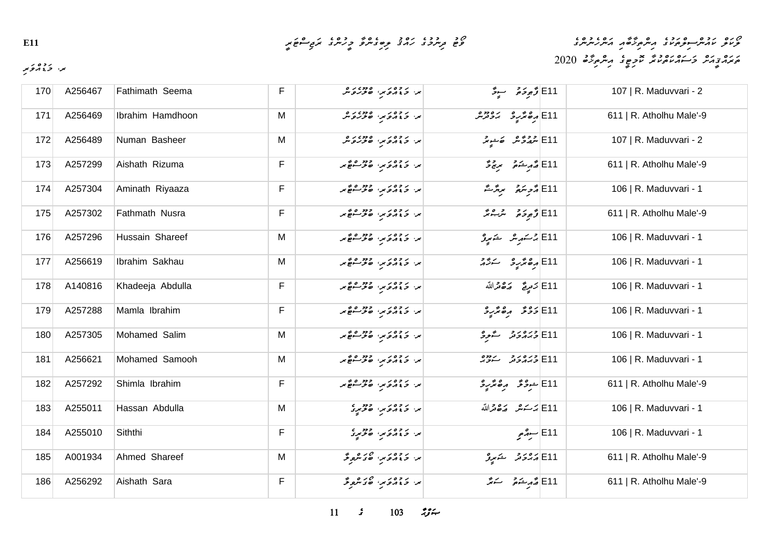*sCw7q7s5w7m< o<n9nOoAw7o< sCq;mAwBoEw7q<m; wBm;vB* م من المرة المرة المرة المرجع المرجع في المركبة 2020<br>مجم*د المريض المربوط المربع المرجع في المراجع المركبة* 

| ر د ه ر            |  |
|--------------------|--|
| ىر. جەم <i>جىر</i> |  |
| ◢                  |  |

| 170 | A256467 | Fathimath Seema  | F           | بر کے دور میں صورت ک                               | E11 رُ <sub>ّج</sub> ودَة سودً         | 107   R. Maduvvari - 2   |
|-----|---------|------------------|-------------|----------------------------------------------------|----------------------------------------|--------------------------|
| 171 | A256469 | Ibrahim Hamdhoon | M           | بر کروه در ۲۵۶۵ و.<br>بر کروه کالوروس              | E11 مەھەر بەر بەردەر ي                 | 611   R. Atholhu Male'-9 |
| 172 | A256489 | Numan Basheer    | M           |                                                    | E11 سم پیمر محمد کا تعلیم ک            | 107   R. Maduvvari - 2   |
| 173 | A257299 | Aishath Rizuma   | F           | بر 23 مرد 2010 وجود 20 مر<br>بر 13 مرکب مورد 20 مر | E11 مۇم شەھ بىرىنى ئى                  | 611   R. Atholhu Male'-9 |
| 174 | A257304 | Aminath Riyaaza  | F           | بر ده در دود ۵ په                                  | E11 مَّ مِتَرَمَّدَ مِتَرَسَّدَ        | 106   R. Maduvvari - 1   |
| 175 | A257302 | Fathmath Nusra   | $\mathsf F$ | بر دور دوره و                                      | E11 رَّجِ دَحْرَ مَسْ سَنْ مَدَّ       | 611   R. Atholhu Male'-9 |
| 176 | A257296 | Hussain Shareef  | M           | بر دوه روده وه                                     | E11 پرستمبر شریق مش <i>هرو</i>         | 106   R. Maduvvari - 1   |
| 177 | A256619 | Ibrahim Sakhau   | M           | بر 23 مرد 2010 وجود 20 مر<br>بر 13 مرکب مورد 20 مر | E11 مەھەرىپە سىنى <i>م</i>             | 106   R. Maduvvari - 1   |
| 178 | A140816 | Khadeeja Abdulla | F           | بر 23 مرد 2010 وجود 20 مر<br>بر 13 مرکب مورد 20 مر | E11 كَرْمَرِيحٌ     كَدْهُ مِّدْاللَّه | 106   R. Maduvvari - 1   |
| 179 | A257288 | Mamla Ibrahim    | F           | بر ده در دود ۵ په                                  | E11 رَدَّةَ مِسْتَمِرِدْ               | 106   R. Maduvvari - 1   |
| 180 | A257305 | Mohamed Salim    | M           | بر 23 مرد 2010 وجود 20 مر<br>بر 13 مرکب مورد 20 مر | E11 <i>32828</i> سگو <i>ر</i>          | 106   R. Maduvvari - 1   |
| 181 | A256621 | Mohamed Samooh   | M           | بر 23 مرد 2010 وجود 20 مر<br>بر 13 مرکب مورد 20 مر | E11 3323 سن                            | 106   R. Maduvvari - 1   |
| 182 | A257292 | Shimla Ibrahim   | F           | بر و وه در وو ه و بر                               | E11 حو <i>دى مەمگرى</i><br>E11         | 611   R. Atholhu Male'-9 |
| 183 | A255011 | Hassan Abdulla   | M           | بر کے دور دورہ<br>بر کے دونر صوبری                 | E11 كەسكەنلەر كەنھەتراللە              | 106   R. Maduvvari - 1   |
| 184 | A255010 | Siththi          | F           | بر د وه د ده د د<br>بر او د و مرس هومړی            | E11 سرچمو                              | 106   R. Maduvvari - 1   |
| 185 | A001934 | Ahmed Shareef    | M           | برا ودورا مى شهر                                   | E11 كەردى ئىم ئىقدىن ئى                | 611   R. Atholhu Male'-9 |
| 186 | A256292 | Aishath Sara     | F           | بر دور مره علم                                     | E11 مۇم ئىقمۇ سىنىڭە                   | 611   R. Atholhu Male'-9 |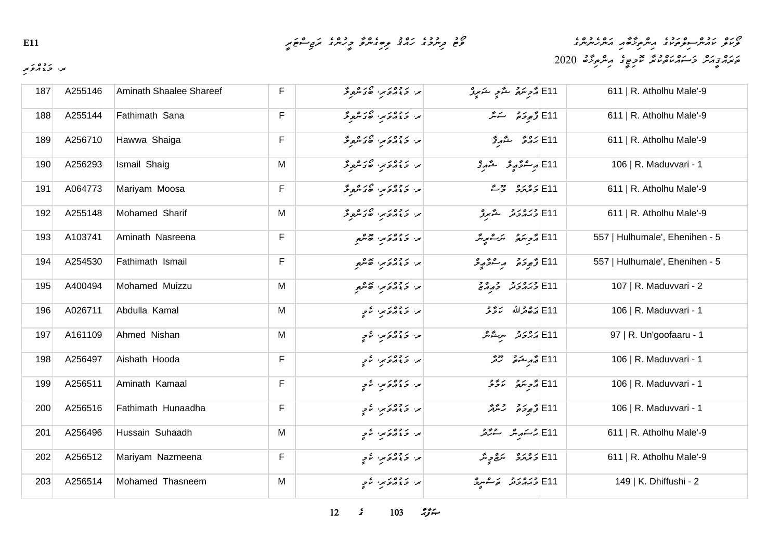*sCw7q7s5w7m< o<n9nOoAw7o< sCq;mAwBoEw7q<m; wBm;vB* م من المرة المرة المرة المرجع المرجع في المركبة 2020<br>مجم*د المريض المربوط المربع المرجع في المراجع المركبة* 

|             | ر د ه ر |  |
|-------------|---------|--|
| بر. כے موتر |         |  |
| ╭           |         |  |

| 187 | A255146 | Aminath Shaalee Shareef | F           | بن وَءُمُوَسٍ صَيْرَ مُعْرِفٌ                                                                         | E11 مٌوِسَمَةٍ حَدَّمٍ حَسَرِرٌ              | 611   R. Atholhu Male'-9       |
|-----|---------|-------------------------|-------------|-------------------------------------------------------------------------------------------------------|----------------------------------------------|--------------------------------|
| 188 | A255144 | Fathimath Sana          | $\mathsf F$ | برا ووه دارد من محمد الله و محمد الله و محمد الله و محمد الله و محمد الله و محمد الله و محمد الله و ا | E11 ژ <sub>ېپوځ</sub> ي سنگر                 | 611   R. Atholhu Male'-9       |
| 189 | A256710 | Hawwa Shaiga            | F           | ىن ئەدەرىن ھىمىرىمى ئى                                                                                | E11 كَرْدْهُ شَّمْ قَ                        | 611   R. Atholhu Male'-9       |
| 190 | A256293 | Ismail Shaig            | M           | بر دوه ره ده و شهر ش                                                                                  | E11 مرڪو <i>گو پو</i> گھولا                  | 106   R. Maduvvari - 1         |
| 191 | A064773 | Mariyam Moosa           | F           | س كەمكە ئەرەپ ئەر                                                                                     | E11 كەبەر بۇرىم                              | 611   R. Atholhu Male'-9       |
| 192 | A255148 | Mohamed Sharif          | M           | ىن ئەدەرىن ھىمىرىمى ئى                                                                                | E11 <i>وُبَرُودُو حُمَّ</i> مِرُ             | 611   R. Atholhu Male'-9       |
| 193 | A103741 | Aminath Nasreena        | $\mathsf F$ | بر وودير بوه                                                                                          | E11 مَّ جِسَمَة مَسَرَ مَسِرْتَهُ            | 557   Hulhumale', Ehenihen - 5 |
| 194 | A254530 | Fathimath Ismail        | F           | بر وودير بوه                                                                                          | E11 ۇ <sub>ج</sub> ورۇ مېشۇم <sub>ۇ</sub> تى | 557   Hulhumale', Ehenihen - 5 |
| 195 | A400494 | Mohamed Muizzu          | M           | بر دور بره                                                                                            | $500222$ $50022$ $E11$                       | 107   R. Maduvvari - 2         |
| 196 | A026711 | Abdulla Kamal           | M           | بر کے دوبر، عم                                                                                        | E11 مَەڤراللە ئەۋقر                          | 106   R. Maduvvari - 1         |
| 197 | A161109 | Ahmed Nishan            | M           | بر کے دوبر، عمی                                                                                       | E11 كەبرى كى سرىشىش                          | 97   R. Un'goofaaru - 1        |
| 198 | A256497 | Aishath Hooda           | $\mathsf F$ | بر: 33 م 5 م 7 م 7 م 7                                                                                | E11 مَگْرِسْتَوْمُ گُرْمَّرُ                 | 106   R. Maduvvari - 1         |
| 199 | A256511 | Aminath Kamaal          | F           | بر کے دوبرا کے                                                                                        | E11 مَّ مِسَمَّى مَدَّكَّرُ                  | 106   R. Maduvvari - 1         |
| 200 | A256516 | Fathimath Hunaadha      | $\mathsf F$ | بر روه در ع                                                                                           | E11 تَ <i>مِيوَة بِ</i> رُسَّن <i>ة</i> ً    | 106   R. Maduvvari - 1         |
| 201 | A256496 | Hussain Suhaadh         | M           | بر کے دوبر، عمی                                                                                       | E11 پڑے پہلا سے محت                          | 611   R. Atholhu Male'-9       |
| 202 | A256512 | Mariyam Nazmeena        | $\mathsf F$ | بر کے دوبرا کے                                                                                        | E11 <i>5 بروبر 5 سرچ ج</i> گر                | 611   R. Atholhu Male'-9       |
| 203 | A256514 | Mohamed Thasneem        | M           | برا كروه كار كامي                                                                                     | E11 <i>ڈیزوونز پر</i> ے ہور                  | 149   K. Dhiffushi - 2         |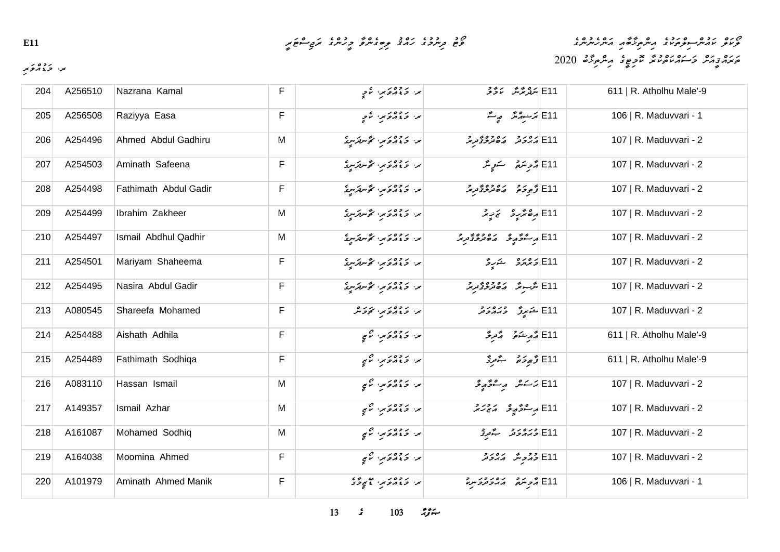*sCw7q7s5w7m< o<n9nOoAw7o< sCq;mAwBoEw7q<m; wBm;vB* م من المرة المرة المرة المرجع المرجع في المركبة 2020<br>مجم*د المريض المربوط المربع المرجع في المراجع المركبة* 

| 204 | A256510 | Nazrana Kamal         | $\mathsf F$ | بر: 33 م 5 م 7 م 7 م 7          | E11 ىن ئەنگە ئىس ئەرىجى ئىس                       | 611   R. Atholhu Male'-9 |
|-----|---------|-----------------------|-------------|---------------------------------|---------------------------------------------------|--------------------------|
| 205 | A256508 | Raziyya Easa          | F           | بر کے محکم کا کام               | E11 بَرَن <i>ْ-و</i> ِرْتَر <sub>فِر</sub> ِتَّ   | 106   R. Maduvvari - 1   |
| 206 | A254496 | Ahmed Abdul Gadhiru   | M           | برا ودويرا كالملائين            | E11 كەركەم ھەھىرى تەرىخ                           | 107   R. Maduvvari - 2   |
| 207 | A254503 | Aminath Safeena       | F           | بن كالمحوص كالمستكر المعد       | E11 مَرْحِ سَعَدٍ سَورٍ سَرَ                      | 107   R. Maduvvari - 2   |
| 208 | A254498 | Fathimath Abdul Gadir | F           | من كالمروم المحموم المرس        | E11 ز <sub>ۇج</sub> رە مەھەردۇبور                 | 107   R. Maduvvari - 2   |
| 209 | A254499 | Ibrahim Zakheer       | M           | من كالمروم المحمولين            | E11 م <i>وڭ پگۈچى</i> ئوبتر                       | 107   R. Maduvvari - 2   |
| 210 | A254497 | Ismail Abdhul Qadhir  | M           | المنا المحكم وكالمحارج المعادية | E11 م شۇم بۇ مەھەر ئۇتىرىمە                       | 107   R. Maduvvari - 2   |
| 211 | A254501 | Mariyam Shaheema      | F           | برا ودويرا كالملائين            | E11 كەبىر بىر ئىكە يەنىچ                          | 107   R. Maduvvari - 2   |
| 212 | A254495 | Nasira Abdul Gadir    | F           | من كوده وكار المحموم المرس      | E11 مُرْسِع مُهُمْ دِمِعْ دِمِرْ دِمِرْ           | 107   R. Maduvvari - 2   |
| 213 | A080545 | Shareefa Mohamed      | F           | بر ووه در کاره                  | E11 خەمرى ئەرەكەتە                                | 107   R. Maduvvari - 2   |
| 214 | A254488 | Aishath Adhila        | F           | بر کے دور م                     | E11 مَدْمِ شَمَعْ مَدَّمْرِ مَحْ                  | 611   R. Atholhu Male'-9 |
| 215 | A254489 | Fathimath Sodhiqa     | F           | بر کے دوبر، عمی                 | E11 <i>وُّجِ وَحَمْ</i> سُمَّ <sup>م</sup> ِرُدًّ | 611   R. Atholhu Male'-9 |
| 216 | A083110 | Hassan Ismail         | M           | بر کے دوبر، عمی                 | E11   يَرْسَىشْ بِرِسْتَوَّبِيْتْرَ               | 107   R. Maduvvari - 2   |
| 217 | A149357 | Ismail Azhar          | M           | بر کے دوبر، حی                  | E11 مەشۇم بۇ سەرىمە                               | 107   R. Maduvvari - 2   |
| 218 | A161087 | Mohamed Sodhiq        | M           | بر کے دوبر، حمی                 | E11 <i>وبرو دو ب</i> گور <i>ة</i>                 | 107   R. Maduvvari - 2   |
| 219 | A164038 | Moomina Ahmed         | F           | بر کے دوبر، حی                  | E11 دَيْرَ مِيرَ سَرَ بِرَوْ مَدْ                 | 107   R. Maduvvari - 2   |
| 220 | A101979 | Aminath Ahmed Manik   | F           | بر دوه در په وی                 | E11 مُرمِسَمُ مَدَومَرْدَ مِرْءُ                  | 106   R. Maduvvari - 1   |

 $13$  *s*  $\cancel{003}$  *n***<sub>y</sub>**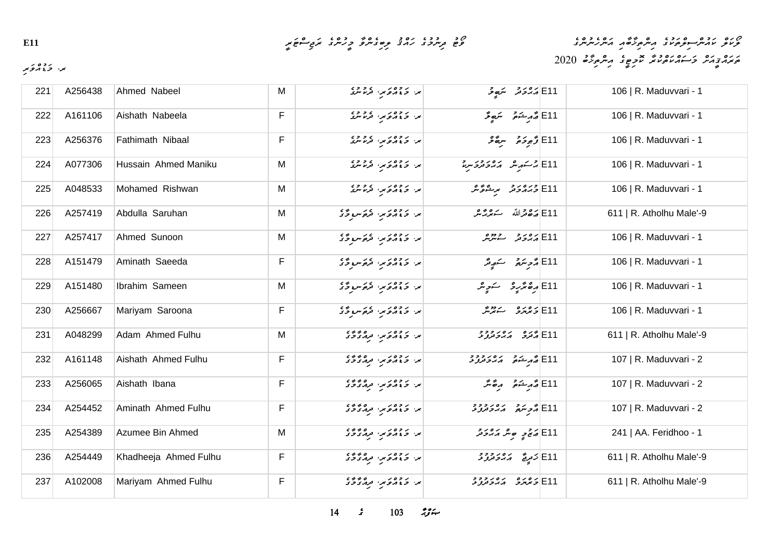*sCw7q7s5w7m< o<n9nOoAw7o< sCq;mAwBoEw7q<m; wBm;vB* م من المرة المرة المرة المرجع المرجع في المركبة 2020<br>مجم*د المريض المربوط المربع المرجع في المراجع المركبة* 

| 221 | A256438 | Ahmed Nabeel          | M | بر كەدەب كەدە                       | E11 كەندى قىر ئىكدىن ئىككە ئىككە ئىككە ئىككە ئىككە ئىككە ئىككە ئا | 106   R. Maduvvari - 1   |
|-----|---------|-----------------------|---|-------------------------------------|-------------------------------------------------------------------|--------------------------|
| 222 | A161106 | Aishath Nabeela       | F | بر دوه ر دود.<br>بر و د دوس تر د سر | E11 مَگْرِسْتَمْ مَهُ مَرْجَمٌ                                    | 106   R. Maduvvari - 1   |
| 223 | A256376 | Fathimath Nibaal      | F | بر دوه ر دود.<br>بر و د دوس تر د سر | E11 زَّەپرىق س <sub>ى</sub> قەتتى                                 | 106   R. Maduvvari - 1   |
| 224 | A077306 | Hussain Ahmed Maniku  | M | بر کے دور کے دور                    | E11 يُرْسَمَ مِهْ مَدْ مِرْدَوْ مَرْ مِرْمَ                       | 106   R. Maduvvari - 1   |
| 225 | A048533 | Mohamed Rishwan       | M | بر کے حرکت مورد میں                 | E11 دبره دور برشو <i>و</i> ش                                      | 106   R. Maduvvari - 1   |
| 226 | A257419 | Abdulla Saruhan       | M | برا كالمحوص المتحرمة للمحالي        | E11 مَەمْمَراللە س <i>ەمەمەت</i> ر                                | 611   R. Atholhu Male'-9 |
| 227 | A257417 | Ahmed Sunoon          | M | برا كالمحوص المتحرمة للمحالي        | E11 كەبروتر سەيىرىتر                                              | 106   R. Maduvvari - 1   |
| 228 | A151479 | Aminath Saeeda        | F | بر كالمؤمر كالمسافرة                | E11 مَّ حِسَمَۃُ مَسَرِمَّہُ                                      | 106   R. Maduvvari - 1   |
| 229 | A151480 | Ibrahim Sameen        | M | ر كالمؤتمر المحدودي                 | E11 مەھەر بەھ سەرپىر                                              | 106   R. Maduvvari - 1   |
| 230 | A256667 | Mariyam Saroona       | F | برا ودوري المركز والمحافي           | E11 <sub>خ</sub> یرمرد سے پیشر                                    | 106   R. Maduvvari - 1   |
| 231 | A048299 | Adam Ahmed Fulhu      | M | بر· 63 مرحمر· مرمر 25 د             | E11 پژنره بره د دود                                               | 611   R. Atholhu Male'-9 |
| 232 | A161148 | Aishath Ahmed Fulhu   | F | بر ووه د مدده                       | E11 مەم خىم ئەم ئەرەپىرىمى ئىس                                    | 107   R. Maduvvari - 2   |
| 233 | A256065 | Aishath Ibana         | F | بر ووه د مرد ده.                    | E11 مەم ئىقىمە مەھمىگە                                            | 107   R. Maduvvari - 2   |
| 234 | A254452 | Aminath Ahmed Fulhu   | F | بر· 53 مۇمر، مەم 25                 | E11 <sub>م</sub> ُوسِّعة م <sup>م</sup> دون وو                    | 107   R. Maduvvari - 2   |
| 235 | A254389 | Azumee Bin Ahmed      | M | بر· 63 مرحمر· مرمر 25 د             | E11 גזק קייל גזכת                                                 | 241   AA. Feridhoo - 1   |
| 236 | A254449 | Khadheeja Ahmed Fulhu | F | بر ووه د مدده                       | E11] زَمِرِيَّ - پَرُرُوَمَرُوْمُ                                 | 611   R. Atholhu Male'-9 |
| 237 | A102008 | Mariyam Ahmed Fulhu   | F | بر ووه د مرد ده.                    | E11 كەيمەرە بەر دورى                                              | 611   R. Atholhu Male'-9 |

 $14$  *s*  $103$  *i*<sub>s</sub>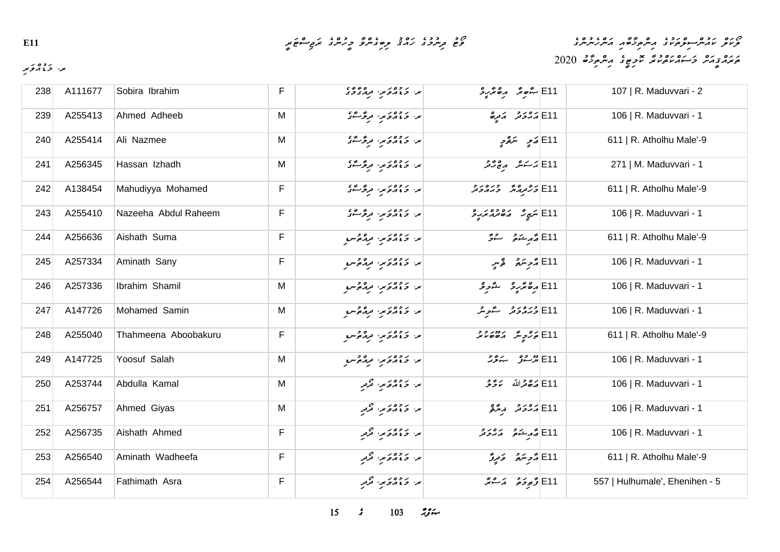*sCw7q7s5w7m< o<n9nOoAw7o< sCq;mAwBoEw7q<m; wBm;vB 2020<sup>, م</sup>وجدة المصرورة المجموعة المستورجة والم*جموعة والمجموعة والمجموعة والمجموعة والمجموعة والمجموعة والمجموعة

**TI** 

| ر د ه ر<br>بر. כے موبر<br>╭ |  |  |
|-----------------------------|--|--|
|                             |  |  |

| 238 | A111677 | Sobira Ibrahim       | F           | بر کے موکوب مرمون دی                | E11 ينوپر مۇ <i>يم</i> رىۋ                     | 107   R. Maduvvari - 2         |
|-----|---------|----------------------|-------------|-------------------------------------|------------------------------------------------|--------------------------------|
| 239 | A255413 | Ahmed Adheeb         | M           | بر كەن ھەر بوگە ئە                  | E11 كەبۇرى كەب <i>رە</i>                       | 106   R. Maduvvari - 1         |
| 240 | A255414 | Ali Nazmee           | M           | بر کاروه در بروگر                   | E11 <i>ھَ جِ</i> سَمُوْحِ                      | 611   R. Atholhu Male'-9       |
| 241 | A256345 | Hassan Izhadh        | M           | ىن ئەدەم بە بوگەمى                  | E11 بزشکر مگرمگر                               | 271   M. Maduvvari - 1         |
| 242 | A138454 | Mahudiyya Mohamed    | $\mathsf F$ | بر کاروه در بروگرده                 | E11 كرورونگر كرورونر                           | 611   R. Atholhu Male'-9       |
| 243 | A255410 | Nazeeha Abdul Raheem | F           | بر کی دہ در مرگز گے گا              | E11 سَيِّ مَصْ <i>مَدَّة مَدَّمَدِ</i> وَ      | 106   R. Maduvvari - 1         |
| 244 | A256636 | Aishath Suma         | $\mathsf F$ | بن كالمرومة برمامي                  | E11 مەم ئىسىم ئىسىمى                           | 611   R. Atholhu Male'-9       |
| 245 | A257334 | Aminath Sany         | F           | بر كالمرومة برمامي                  | E11 أَمُّ <i>جِسَعْهُ</i> فَ <sub>َح</sub> ْسٍ | 106   R. Maduvvari - 1         |
| 246 | A257336 | Ibrahim Shamil       | M           | ر 33 مۇم، مەمۇسى                    | E11 <sub>مر</sub> ھ م <i>گرد</i> و گھوتو       | 106   R. Maduvvari - 1         |
| 247 | A147726 | Mohamed Samin        | M           | ر دوه در مرده سو                    | E11 دېرورو شوپر                                | 106   R. Maduvvari - 1         |
| 248 | A255040 | Thahmeena Aboobakuru | $\mathsf F$ | بر كالمؤتمر مراكبه                  | E11 <sub>ح</sub> ور په ده ده ورو               | 611   R. Atholhu Male'-9       |
| 249 | A147725 | Yoosuf Salah         | M           | بن و ووربر، مرد وسع                 | E11 پر کشور کے تحدید میں ت                     | 106   R. Maduvvari - 1         |
| 250 | A253744 | Abdulla Kamal        | M           | بر: تَ دُمُ يَ تَحْرُمُ الْمَرْمَرِ | E11 مَرْهُ مَرَاللّه يَدَوُّمْرَ               | 106   R. Maduvvari - 1         |
| 251 | A256757 | Ahmed Giyas          | M           | بر: تروه ترس حموم المرحمة           | E11 كەندى قىر مەرگە                            | 106   R. Maduvvari - 1         |
| 252 | A256735 | Aishath Ahmed        | F           | بر به وه در هم در ان                | E11 مُذہب مَشرِّد مُدارِ م                     | 106   R. Maduvvari - 1         |
| 253 | A256540 | Aminath Wadheefa     | $\mathsf F$ | بر کے دوبر، فرمز                    | E11 مُرْحِسَمُ وَمَرِيَّ                       | 611   R. Atholhu Male'-9       |
| 254 | A256544 | Fathimath Asra       | F           | بر: تروه ترین افزایل                | E11 وَجِعَة مَ سَنَتْرَ                        | 557   Hulhumale', Ehenihen - 5 |

 $15$  *s*  $103$  *if*<sub>i</sub>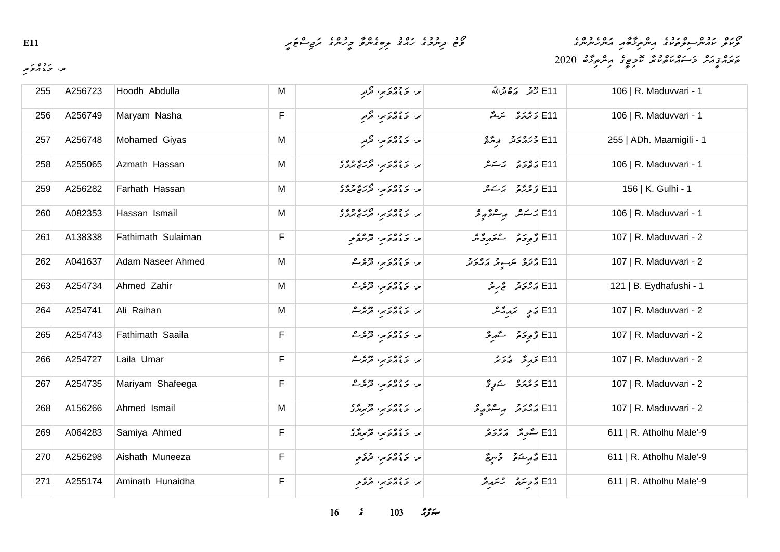*sCw7q7s5w7m< o<n9nOoAw7o< sCq;mAwBoEw7q<m; wBm;vB* م من المرة المرة المرة المرجع المرجع في المركبة 2020<br>مجم*د المريض المربوط المربع المرجع في المراجع المركبة* 

| ر د ه ر<br>بر. و د موبر |  |
|-------------------------|--|
|-------------------------|--|

| 255 | A256723 | Hoodh Abdulla      | M            | بر: تَوَدُّدُوَسٍ؛ فَرُمْرِ        | E11 تُرْتَّرُ كَدَّةَ مِّدَاللَّهُ             | 106   R. Maduvvari - 1   |
|-----|---------|--------------------|--------------|------------------------------------|------------------------------------------------|--------------------------|
| 256 | A256749 | Maryam Nasha       | $\mathsf{F}$ | بر: تَ پُرُجُوَ بِرِ، الْمُرْمِرِ. | E11 كَرْبَرْدْ    مَرْجَّ                      | 106   R. Maduvvari - 1   |
| 257 | A256748 | Mohamed Giyas      | M            | برا المروه و مربع المربع المربع    | E11 دېرونر په پر                               | 255   ADh. Maamigili - 1 |
| 258 | A255065 | Azmath Hassan      | M            | در وور ده در در در در د            | E11 ەغرىز ئەسەمىر                              | 106   R. Maduvvari - 1   |
| 259 | A256282 | Farhath Hassan     | M            | ر دوه ده وده وده                   | E11 ۇندىگە ئەسەھ                               | 156   K. Gulhi - 1       |
| 260 | A082353 | Hassan Ismail      | M            | بر کروه در ۲۵۶۶ ورو و              | E11   يَرْسَسْ بِ بِرْجُورِ ثَرَّ مِنْ 15      | 106   R. Maduvvari - 1   |
| 261 | A138338 | Fathimath Sulaiman | $\mathsf{F}$ | برا كالمؤتمرا المرسمون             | E11 <i>ۋ<sub>ەب</sub>وخۇ شۇم</i> و <i>ڭى</i> ر | 107   R. Maduvvari - 2   |
| 262 | A041637 | Adam Naseer Ahmed  | M            | بر وہ دور دورہ                     | E11 أَرْتَرَدُّ سَرَسِيمَ أَرَبَّرْ قَرْ       | 107   R. Maduvvari - 2   |
| 263 | A254734 | Ahmed Zahir        | M            | بر دوه در دوه و                    | E11 كەبرى قىلى ئىچ بىرىتىكى ئىس                | 121   B. Eydhafushi - 1  |
| 264 | A254741 | Ali Raihan         | M            | بر دوه در دوه م                    | E11 <i>ھَ۔ جَمدِ شَر</i>                       | 107   R. Maduvvari - 2   |
| 265 | A254743 | Fathimath Saaila   | $\mathsf{F}$ | بر دوه ر دوه و                     | E11 ۇ <sub>ج</sub> ورۇ شەرىخە                  | 107   R. Maduvvari - 2   |
| 266 | A254727 | Laila Umar         | $\mathsf{F}$ | بر دوه ر دوه و                     | E11 كَرْمِرْدَ - مْرْكَ <sup>مْ</sup> دْ       | 107   R. Maduvvari - 2   |
| 267 | A254735 | Mariyam Shafeega   | F            | بر دەرىر، دەر                      | E11 5 يوپژي شوپژ                               | 107   R. Maduvvari - 2   |
| 268 | A156266 | Ahmed Ismail       | M            | بر وه در دو ده                     | E11 رەپرى مەشۇرىي ئى                           | 107   R. Maduvvari - 2   |
| 269 | A064283 | Samiya Ahmed       | $\mathsf{F}$ | بر وه در دو ده                     | E11 سُمْعِ مَدْ دَمَدْ دَمَدَ                  | 611   R. Atholhu Male'-9 |
| 270 | A256298 | Aishath Muneeza    | $\mathsf{F}$ | برا ودوىرا المرومي                 | E11 مَدْمِ شَمَعْ - حَسِيَّةَ -                | 611   R. Atholhu Male'-9 |
| 271 | A255174 | Aminath Hunaidha   | F            | برا ودوىرا المرومي                 | E11 أَمَّ صِنَعْهُ مَسْتَمَدِيَّتُ             | 611   R. Atholhu Male'-9 |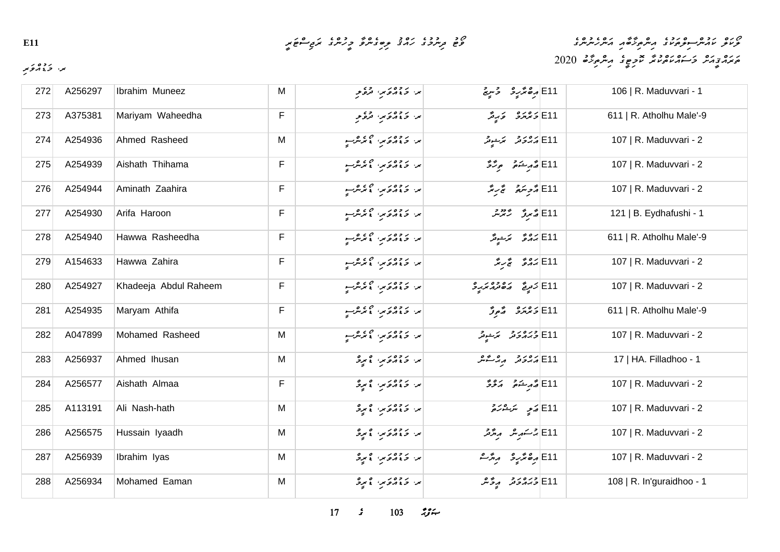*sCw7q7s5w7m< o<n9nOoAw7o< sCq;mAwBoEw7q<m; wBm;vB* م من المرة المرة المرة المرجع المرجع في المركبة 2020<br>مجم*د المريض المربوط المربع المرجع في المراجع المركبة* 

| ر د ه ر      |  |
|--------------|--|
| بر. و د موبر |  |
|              |  |

| 272 | A256297 | Ibrahim Muneez        | M           | برا ودومرا المروم                    | E11 <sub>م</sub> ەنگەر ئى ئەمەم                | 106   R. Maduvvari - 1    |
|-----|---------|-----------------------|-------------|--------------------------------------|------------------------------------------------|---------------------------|
| 273 | A375381 | Mariyam Waheedha      | F           | برا ووه در وه و                      | E11 كەبىر <i>بىر كەب</i> ىر                    | 611   R. Atholhu Male'-9  |
| 274 | A254936 | Ahmed Rasheed         | M           | أمن كالمروم المحافظ المراجع          | E11 كەرگە كىم بىر ئىرىدىش                      | 107   R. Maduvvari - 2    |
| 275 | A254939 | Aishath Thihama       | $\mathsf F$ | برا وَءُمُوَسِ کَا مِرْسُرِ بِهِ     | E11 مەم شىمى موڭۇ                              | 107   R. Maduvvari - 2    |
| 276 | A254944 | Aminath Zaahira       | F           | برا وَءُمُوَسِ عَمْرَ الْمُرْسِرِ    | E11 گەجەنىد <i>ە</i> تج <sup>ىرىد</sup>        | 107   R. Maduvvari - 2    |
| 277 | A254930 | Arifa Haroon          | $\mathsf F$ | برا و دور دارد کا بر مرکز ب          | E11 مَحْبِرَةً مُحَمَّدَةً                     | 121   B. Eydhafushi - 1   |
| 278 | A254940 | Hawwa Rasheedha       | $\mathsf F$ | برا كالمؤترا المحافظية               | E11 كەمگە كەن بىر ئەيدىگە                      | 611   R. Atholhu Male'-9  |
| 279 | A154633 | Hawwa Zahira          | F           | برا و ده در است می مرکز کرد.         | E11 كەبۇرى ئى <i>جارىتى</i>                    | 107   R. Maduvvari - 2    |
| 280 | A254927 | Khadeeja Abdul Raheem | $\mathsf F$ | برا وده در من من المريد              | E11 زَمَرِيَّ   رَهُ مَرْدَ بَرَرِ وَ          | 107   R. Maduvvari - 2    |
| 281 | A254935 | Maryam Athifa         | F           | برا كالمقابل المحمد المستحمد المستور | E11 كەندىر ئەمۇر                               | 611   R. Atholhu Male'-9  |
| 282 | A047899 | Mohamed Rasheed       | M           | برا و دور دارد کا بر مرکز ب          | E11 <i>وُبَرُوْدَة مَرْ</i> حِي <sup>ق</sup> ر | 107   R. Maduvvari - 2    |
| 283 | A256937 | Ahmed Ihusan          | M           | بر وووري وبرو                        | E11 كەبرىق مەرشىشىر                            | 17   HA. Filladhoo - 1    |
| 284 | A256577 | Aishath Almaa         | $\mathsf F$ | بر ووور ، وبرو                       | E11 مَجْمِيشَمْ مَكْرَةً                       | 107   R. Maduvvari - 2    |
| 285 | A113191 | Ali Nash-hath         | M           | بر دوه در کابرو                      | E11 كەبىر سەھە <i>ت ئى</i>                     | 107   R. Maduvvari - 2    |
| 286 | A256575 | Hussain Iyaadh        | M           | بر ووور ، وبرو                       | E11 پرڪوپٽر پروگر                              | 107   R. Maduvvari - 2    |
| 287 | A256939 | Ibrahim Iyas          | M           | بر ووه دي ويو                        | E11 رەئزىر ئەرگە                               | 107   R. Maduvvari - 2    |
| 288 | A256934 | Mohamed Eaman         | M           | برا ودوري المجرو                     | E11 <i>دېزونز پو</i> گنز                       | 108   R. In'guraidhoo - 1 |

 $17$  *s*  $103$  *if*<sub>s</sub>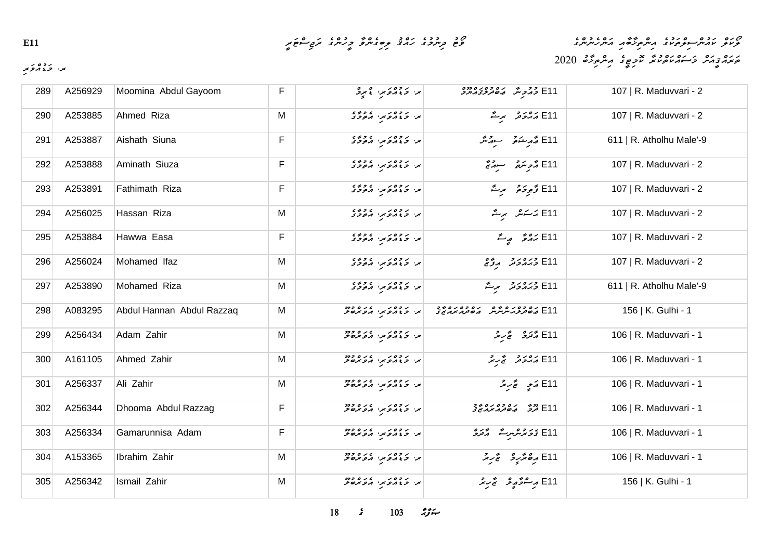*sCw7q7s5w7m< o<n9nOoAw7o< sCq;mAwBoEw7q<m; wBm;vB* م من المرة المرة المرة المرجع المرجع في المركبة 2020<br>مجم*د المريض المربوط المربع المرجع في المراجع المركبة* 

| ر د ه ر      |  |
|--------------|--|
| بر. و د موبر |  |
|              |  |

| 289 | A256929 | Moomina Abdul Gayoom      | F | بر دوه در کابود                            | /E11 در د شهر موره ده.<br>۲۹۹ مارد شهر مورد در د                                                               | 107   R. Maduvvari - 2   |
|-----|---------|---------------------------|---|--------------------------------------------|----------------------------------------------------------------------------------------------------------------|--------------------------|
| 290 | A253885 | Ahmed Riza                | M | بر کوور ده ده د                            | E11 كەندى قىل مېرىنگە                                                                                          | 107   R. Maduvvari - 2   |
| 291 | A253887 | Aishath Siuna             | F | $5990$ $7992$                              | E11 مُدمِسْوَة سِيرْتَثَر                                                                                      | 611   R. Atholhu Male'-9 |
| 292 | A253888 | Aminath Siuza             | F | $5990$ $5992$                              | E11 مُّجِسَعُ مِسْتَمَّ                                                                                        | 107   R. Maduvvari - 2   |
| 293 | A253891 | Fathimath Riza            | F | $5995$ $1995$ $x$                          | E11 ۇ <sub>ج</sub> وڭ <sub>ۇ</sub> برگ                                                                         | 107   R. Maduvvari - 2   |
| 294 | A256025 | Hassan Riza               | M | ر د وه د پر د ده د<br>بر از د دروس اردود د | E11   پرسٹر برگ                                                                                                | 107   R. Maduvvari - 2   |
| 295 | A253884 | Hawwa Easa                | F | $5995$ $1995$ $x$                          | E11 يَرْدُوَّ پِ شَ                                                                                            | 107   R. Maduvvari - 2   |
| 296 | A256024 | Mohamed Ifaz              | M | $5990$ $-2992$                             | E11 <i>وَبَرْدُوَنَوْ بِرِوُّجْ</i>                                                                            | 107   R. Maduvvari - 2   |
| 297 | A253890 | Mohamed Riza              | M | $5996$ $5992$ $x$                          | E11 <i>وَبَرْدُوَنْوَ</i> بِرِتْدُ                                                                             | 611   R. Atholhu Male'-9 |
| 298 | A083295 | Abdul Hannan Abdul Razzaq | M | $72010$<br>                                | E11 کەھ ترىۋىر مەيدىن مەدەب ھەدىر كەنجەت كەندىن كەندىن كەندىن كەندىن كەندىن كەندىن كەندىن كەندىن كەندىن كەندىن | 156   K. Gulhi - 1       |
| 299 | A256434 | Adam Zahir                | M | ת בשנתפת' בתסיפת<br>ת בשנתפת' נפתסיב       | E11 ا <i>نگەنگە</i> تج <i>ب</i> قر                                                                             | 106   R. Maduvvari - 1   |
| 300 | A161105 | Ahmed Zahir               | M | ת צבחת מסידה<br>ת בגות מי הפיתים צ         | E11 كەبۇ ئۇر قى ئارىتى بىر                                                                                     | 106   R. Maduvvari - 1   |
| 301 | A256337 | Ali Zahir                 | M | ת צבחת מתפתסת                              | E11 ارتب گاريتر                                                                                                | 106   R. Maduvvari - 1   |
| 302 | A256344 | Dhooma Abdul Razzag       | F | $70000$<br>                                | E11 ترد ده ده ده دو                                                                                            | 106   R. Maduvvari - 1   |
| 303 | A256334 | Gamarunnisa Adam          | F | ת צבחת מתפתחת.<br>ת בגותתי ותמתחת          | E11 تۈكەتمەتىرىسى مەتر <i>ى</i>                                                                                | 106   R. Maduvvari - 1   |
| 304 | A153365 | Ibrahim Zahir             | M | ת צבחת משמשת                               | E11 م <i>وڭ ئۇر قى</i> ئىرىتى                                                                                  | 106   R. Maduvvari - 1   |
| 305 | A256342 | Ismail Zahir              | M | ז: 1075 מיט 2070.<br>ז: 1275 מיט מפינסיב   | E11 <sub>م</sub> رشۇ <sub>م</sub> پۇ گ <sub>ى</sub> رىز                                                        | 156   K. Gulhi - 1       |

*18 sC 103 nNw?mS*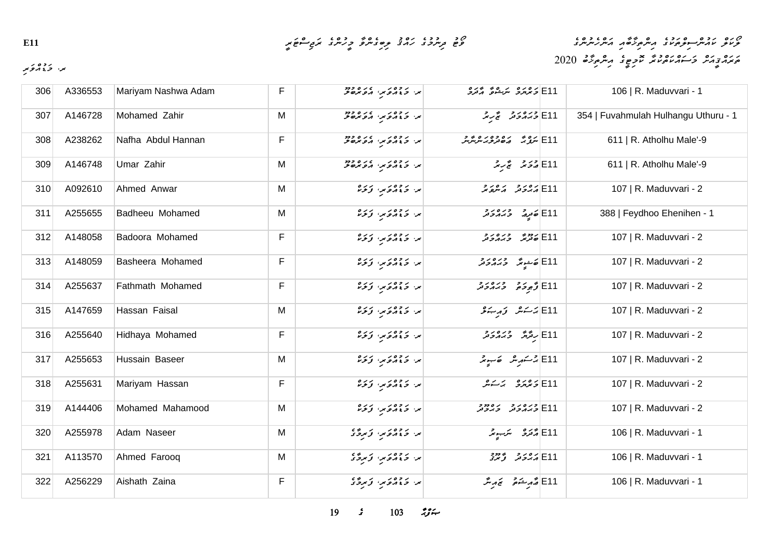*sCw7q7s5w7m< o<n9nOoAw7o< sCq;mAwBoEw7q<m; wBm;vB* م من المرة المرة المرة المرجع المرجع في المركبة 2020<br>مجم*د المريض المربوط المربع المرجع في المراجع المركبة* 

| ر د ه ر            |  |
|--------------------|--|
| ىر. جەم <i>جىر</i> |  |
|                    |  |

| 306 | A336553 | Mariyam Nashwa Adam | F           | ת ציבות משמשיבי                            | E11 كَرْيَرْدُ سَرْشْرَ دَّتْرَدْ      | 106   R. Maduvvari - 1               |
|-----|---------|---------------------|-------------|--------------------------------------------|----------------------------------------|--------------------------------------|
| 307 | A146728 | Mohamed Zahir       | M           | ת ציפור במשיר המידיק.<br>מ' בגורפתי ובמשיר | E11 <i>\$ بَرْدْ جَ بْنْ</i> سَرْ بْنْ | 354   Fuvahmulah Hulhangu Uthuru - 1 |
| 308 | A238262 | Nafha Abdul Hannan  | $\mathsf F$ | ת בשמפת הפתורדות                           | E11 ىروپە كەھەر <i>ۈر بىر بىرى</i> تىر | 611   R. Atholhu Male'-9             |
| 309 | A146748 | Umar Zahir          | M           | $32010$<br>                                | E11 252 مح برنز                        | 611   R. Atholhu Male'-9             |
| 310 | A092610 | Ahmed Anwar         | M           | برا وه وه دره                              | E11 <i>הכפיר</i> התפת                  | 107   R. Maduvvari - 2               |
| 311 | A255655 | Badheeu Mohamed     | M           | من تروه دمان کرده                          | E11 ڪَتِرِجُ - 25م5تر                  | 388   Feydhoo Ehenihen - 1           |
| 312 | A148058 | Badoora Mohamed     | $\mathsf F$ | برا وه دره دره                             | E11 كەنتەر بەردىر                      | 107   R. Maduvvari - 2               |
| 313 | A148059 | Basheera Mohamed    | $\mathsf F$ | برا ووه در دره                             | E11 كەھىبەتر ب <i>ەردەتر</i>           | 107   R. Maduvvari - 2               |
| 314 | A255637 | Fathmath Mohamed    | F           | برا ووه در دره                             | E11 تُرجوح به محدّ برور د              | 107   R. Maduvvari - 2               |
| 315 | A147659 | Hassan Faisal       | M           | برا وه وه دره                              | E11   پزشکل ق م بکٹی                   | 107   R. Maduvvari - 2               |
| 316 | A255640 | Hidhaya Mohamed     | $\mathsf F$ | بر ووه بر دره                              | E11 رقرة محدة ويورو                    | 107   R. Maduvvari - 2               |
| 317 | A255653 | Hussain Baseer      | M           | برا وه وه دره                              | E11 برسکورنگر ۔ ٹھ سپونگر              | 107   R. Maduvvari - 2               |
| 318 | A255631 | Mariyam Hassan      | $\mathsf F$ | برا وه وه دره                              |                                        | 107   R. Maduvvari - 2               |
| 319 | A144406 | Mohamed Mahamood    | M           | برا ووه در دره                             | E11 درەر دەھەر                         | 107   R. Maduvvari - 2               |
| 320 | A255978 | Adam Naseer         | M           | برا ووه در و در در د                       | E11   مُرْتَرِد = سَرَسِيشَ            | 106   R. Maduvvari - 1               |
| 321 | A113570 | Ahmed Farooq        | M           | برا ووه در در در در در در این د            | E11 كەبرى ئۇنىز توغرى                  | 106   R. Maduvvari - 1               |
| 322 | A256229 | Aishath Zaina       | F           | برا ووه در و در و د                        | E11 مَگْرِسْتَمْ تَجْرِسَّر            | 106   R. Maduvvari - 1               |

*19 s 103 <i>n*<sub>s</sub>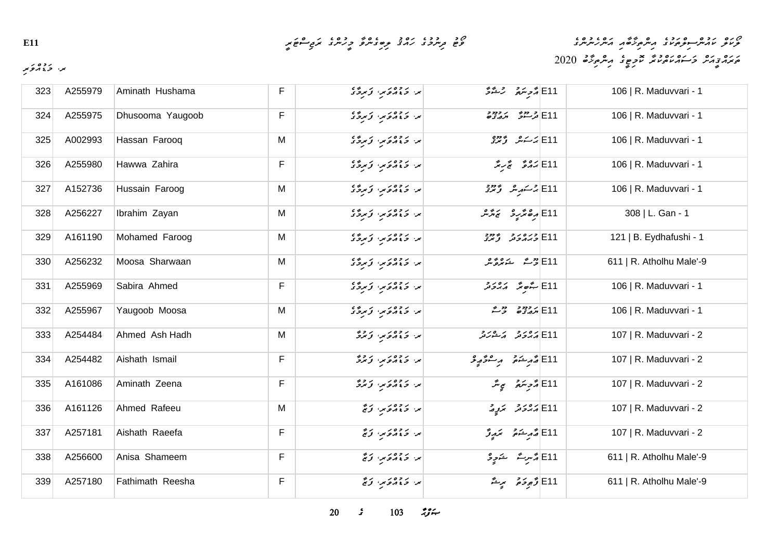*sCw7q7s5w7m< o<n9nOoAw7o< sCq;mAwBoEw7q<m; wBm;vB* م من المرة المرة المرة المرجع المرجع في المركبة 2020<br>مجم*د المريض المربوط المربع المرجع في المراجع المركبة* 

|   | ر د ه ر |  |             |
|---|---------|--|-------------|
|   |         |  | بر. כے موتر |
| ╭ |         |  |             |

| 323 | A255979 | Aminath Hushama  | $\mathsf{F}$ | برا وَءَمُومِرٍ، وَمِروَى                                                                             | E11 مَّ مِسَمَّ _ رَحْدًى                         | 106   R. Maduvvari - 1   |
|-----|---------|------------------|--------------|-------------------------------------------------------------------------------------------------------|---------------------------------------------------|--------------------------|
| 324 | A255975 | Dhusooma Yaugoob | F            | برا وه دور و بروی                                                                                     | E11 تر سبز پر پر پر پ                             | 106   R. Maduvvari - 1   |
| 325 | A002993 | Hassan Farooq    | M            | برا وه در ده و برد د                                                                                  | E11 پرسەپىر ئ <i>ۈچۈچ</i>                         | 106   R. Maduvvari - 1   |
| 326 | A255980 | Hawwa Zahira     | F            | برا وه در ده و برود                                                                                   | E11 يَرْدُوَّ تَجْرِبَّرُ                         | 106   R. Maduvvari - 1   |
| 327 | A152736 | Hussain Faroog   | M            | برا وه در ده و بروی                                                                                   | E11 برسەمەمىش ئ <i>ۈچ</i> رىيە                    | 106   R. Maduvvari - 1   |
| 328 | A256227 | Ibrahim Zayan    | M            | برا وه دور و بروی                                                                                     | E11 م <i>وھنگردی پی پڑ</i> یں                     | 308   L. Gan - 1         |
| 329 | A161190 | Mohamed Faroog   | M            | أأوا كالمركامي كالمركاكا                                                                              | E11 322 ويوديو<br>11 كاير برگرونس كومبري          | 121   B. Eydhafushi - 1  |
| 330 | A256232 | Moosa Sharwaan   | M            | برا ووه در در در در در در در در این در این در این در این در این در این در این در این در دارای دارد با | E11 تِرْسُمْ شَعْرُوْسُ                           | 611   R. Atholhu Male'-9 |
| 331 | A255969 | Sabira Ahmed     | F            | برا ووه در و در در                                                                                    | E11 بَدْھِ بَمْ     پر بِر دَ تَر                 | 106   R. Maduvvari - 1   |
| 332 | A255967 | Yaugoob Moosa    | M            | برا ووه در در در در در در در در این                                                                   | $23 - 272$ $\sim$ E11                             | 106   R. Maduvvari - 1   |
| 333 | A254484 | Ahmed Ash Hadh   | M            | بر دوه در دو                                                                                          | E11 كەبرى بىر كەنىشەر تەرىپ                       | 107   R. Maduvvari - 2   |
| 334 | A254482 | Aishath Ismail   | F            | بر دوه در دو                                                                                          | E11 مۇم شەمۇر مەرگە ئۇم بىر ئىسىنىڭ ب             | 107   R. Maduvvari - 2   |
| 335 | A161086 | Aminath Zeena    | F            | بر دوه در دو                                                                                          | E11 أُمُّ حِسَمٌ مَ سِمَّرَ                       | 107   R. Maduvvari - 2   |
| 336 | A161126 | Ahmed Rafeeu     | M            | من تروه ديم کريم                                                                                      | E11  كەش <sup>ى</sup> تىر كىمىتى ئىراپاتىكى ئىراپ | 107   R. Maduvvari - 2   |
| 337 | A257181 | Aishath Raeefa   | F            | بن تروه در دی                                                                                         | E11 مەم شىم ئىمرى <i>ر ۋ</i>                      | 107   R. Maduvvari - 2   |
| 338 | A256600 | Anisa Shameem    | $\mathsf F$  | بن كالمائم وكالمحالج المح                                                                             | E11 ۾ُسِٽُ شَوِوْ                                 | 611   R. Atholhu Male'-9 |
| 339 | A257180 | Fathimath Reesha | F            | بن كالماده بن أناسج                                                                                   | E11 <i>ؤودة</i> برِثَّة                           | 611   R. Atholhu Male'-9 |

 $20$  *s*  $103$  *n***<sub>s</sub>**  $\frac{2}{3}$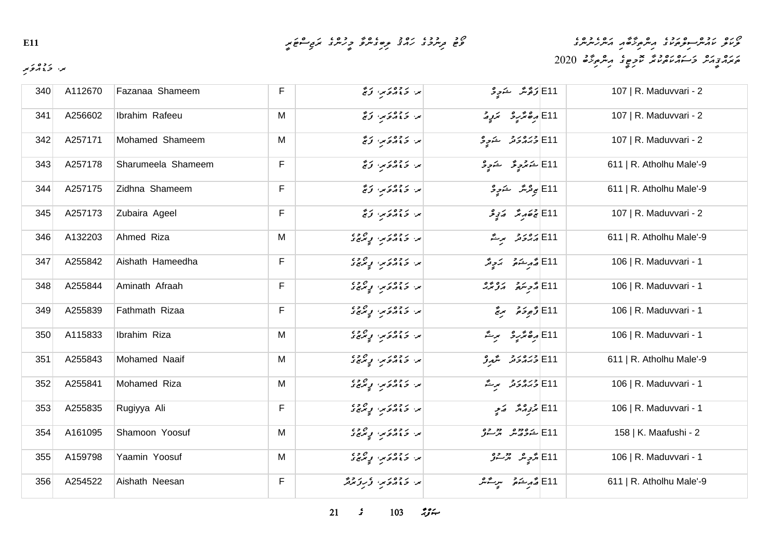*sCw7q7s5w7m< o<n9nOoAw7o< sCq;mAwBoEw7q<m; wBm;vB* م من المرة المرة المرة المرجع المرجع في المركبة 2020<br>مجم*د المريض المربوط المربع المرجع في المراجع المركبة* 

| 340 | A112670 | Fazanaa Shameem    | F | برا كالمكاتب كالمج           | E11 كَرَمَّةَ مَسَرِدْ                 | 107   R. Maduvvari - 2   |
|-----|---------|--------------------|---|------------------------------|----------------------------------------|--------------------------|
| 341 | A256602 | Ibrahim Rafeeu     | M | برا كالمكاتب كالمج           | E11 مەھەر ئىچە ئىروم                   | 107   R. Maduvvari - 2   |
| 342 | A257171 | Mohamed Shameem    | M | برا كالمقابل كالمج           | E11 وَيَرْدُونَرْ سَوَوِدْ             | 107   R. Maduvvari - 2   |
| 343 | A257178 | Sharumeela Shameem | F | برا وده و دره و د            | E11 ڪمگر <i>م<sub>و</sub> گھو</i> گو   | 611   R. Atholhu Male'-9 |
| 344 | A257175 | Zidhna Shameem     | F | بر ووه دي ت                  | E11 <sub>مج</sub> وگر شکوچ و           | 611   R. Atholhu Male'-9 |
| 345 | A257173 | Zubaira Ageel      | F | برا وده و دره و د            | E11 ىن ھەمەتىر كەن <sub>تى</sub> بى    | 107   R. Maduvvari - 2   |
| 346 | A132203 | Ahmed Riza         | M | بر دوه در ده ده              | E11 كەندى قىل مېرىنگە                  | 611   R. Atholhu Male'-9 |
| 347 | A255842 | Aishath Hameedha   | F | بر ده در ده د                | E11 مَگْرِسْتَمْ کَرِیْتَر             | 106   R. Maduvvari - 1   |
| 348 | A255844 | Aminath Afraah     | F | بر دوه در ده ده              | E11 مُتَّحِسَمَةُ مَوْتَمَّةُ          | 106   R. Maduvvari - 1   |
| 349 | A255839 | Fathmath Rizaa     | F | بر دوه در ۶۶۵ وه             | E11 تُرجوحَ حَمَّد سِيَّحَ             | 106   R. Maduvvari - 1   |
| 350 | A115833 | Ibrahim Riza       | M | بر دوه در ۶۶۵ وه             | E11 مەھمگەپەتى موت                     | 106   R. Maduvvari - 1   |
| 351 | A255843 | Mohamed Naaif      | M | بر ده در ده د کاره د         | E11 <i>3222 سُمب</i> و                 | 611   R. Atholhu Male'-9 |
| 352 | A255841 | Mohamed Riza       | M | بر دوه در ۶۶۵ وه             | E11] وُيَرُوُوَتَرُ - مِرْسَمُ         | 106   R. Maduvvari - 1   |
| 353 | A255835 | Rugiyya Ali        | F | بر دوه در ۶۵ وه              | E11 بُرتوبر بمَّ مَرَمٍّ               | 106   R. Maduvvari - 1   |
| 354 | A161095 | Shamoon Yoosuf     | M | بر ده در ده د                | E11 شۇھەم ھەردە                        | 158   K. Maafushi - 2    |
| 355 | A159798 | Yaamin Yoosuf      | M | بر دوه در ۲۵۶۵               | E11 مُر <sub>ْحِ</sub> مْہ مُرْتَّسُرُ | 106   R. Maduvvari - 1   |
| 356 | A254522 | Aishath Neesan     | F | أمرا وكالمره والمرور والمحمد | E11 مَدْمِرْ يَدَمَّر سِرْ يَمْسُرْ    | 611   R. Atholhu Male'-9 |

 $21$  *s*  $103$  *n***<sub>s</sub>**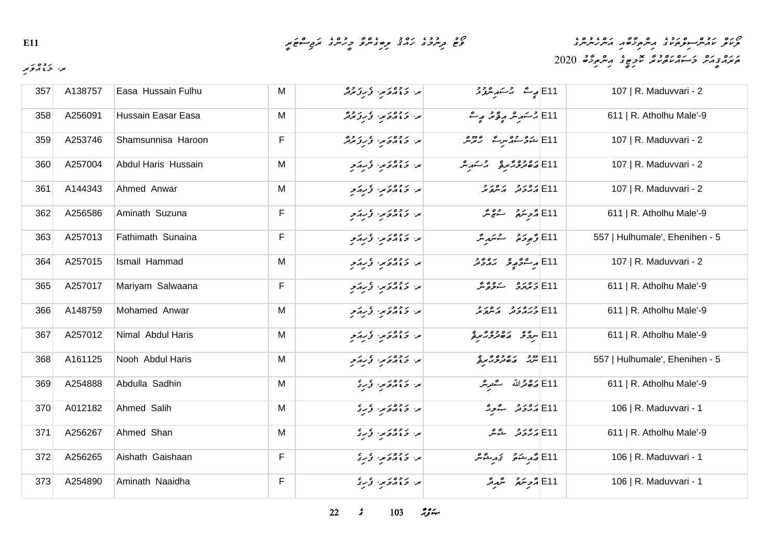*sCw7q7s5w7m< o<n9nOoAw7o< sCq;mAwBoEw7q<m; wBm;vB* م من المرة المرة المرة المرجع المرجع في المركبة 2020<br>مجم*د المريض المربوط المربع المرجع في المراجع المركبة* 

| 357 | A138757 | Easa Hussain Fulhu  | M | پر ځوړوند کوروندنگه          | E11 مەت بەر شەر شورىتى ئى                                                                            | 107   R. Maduvvari - 2         |
|-----|---------|---------------------|---|------------------------------|------------------------------------------------------------------------------------------------------|--------------------------------|
| 358 | A256091 | Hussain Easar Easa  | M | برا وَءَمُوَسٍ وَرَوَمِنْدَ  | E11 برڪوپٽر ويڏيز ويڪ                                                                                | 611   R. Atholhu Male'-9       |
| 359 | A253746 | Shamsunnisa Haroon  | F | أمرا كالممكم كالمروكر وترفكر | E11 خۇڭ مەس ئىس كەنتىر بىر                                                                           | 107   R. Maduvvari - 2         |
| 360 | A257004 | Abdul Haris Hussain | M | برا وده در وركز              | E11 مەھىرى مەمبەھ بەسىر بىر                                                                          | 107   R. Maduvvari - 2         |
| 361 | A144343 | Ahmed Anwar         | M | برا ودوويرا وركزم            | E11 كەبروتر كەنگەنگە                                                                                 | 107   R. Maduvvari - 2         |
| 362 | A256586 | Aminath Suzuna      | F | مرا وبه وه و روم             | E11 مَرْحِ سَرَمْ مَسْتَمْ سَرَ                                                                      | 611   R. Atholhu Male'-9       |
| 363 | A257013 | Fathimath Sunaina   | F | أأترا وكالمروس ومرتزمو       | E11 ۇ <sub>ج</sub> وخۇ سەئىرىدىگە                                                                    | 557   Hulhumale', Ehenihen - 5 |
| 364 | A257015 | Ismail Hammad       | M | أأترا كالمروحين كريركم       | E11 م سىۋى <sub>م</sub> ىتى بەر ئەرە                                                                 | 107   R. Maduvvari - 2         |
| 365 | A257017 | Mariyam Salwaana    | F | برا ووه در وركز              | E11 كەبەد بەر ئۇرۇنىڭر                                                                               | 611   R. Atholhu Male'-9       |
| 366 | A148759 | Mohamed Anwar       | M | برا وده ده و روم             | E11 ديرورو په موړنو                                                                                  | 611   R. Atholhu Male'-9       |
| 367 | A257012 | Nimal Abdul Haris   | M | أأترا وكالمروس ومرتزمو       | E11 سرد بحر من مرد بحر من المحمد المحمد المحمد المحمد المحمد المحمد المحمد المحمد المحمد المحمد المح | 611   R. Atholhu Male'-9       |
| 368 | A161125 | Nooh Abdul Haris    | M | أأترا وكالمروس ومركز         | E11 ترجم مەھەر <i>جەنبى</i> ھ                                                                        | 557   Hulhumale', Ehenihen - 5 |
| 369 | A254888 | Abdulla Sadhin      | M | بر دوه در وره                | E11 مَەھىراللە گەرش                                                                                  | 611   R. Atholhu Male'-9       |
| 370 | A012182 | Ahmed Salih         | M | من تحقیقی می در دی           | E11 كەردى بە ئەر                                                                                     | 106   R. Maduvvari - 1         |
| 371 | A256267 | Ahmed Shan          | M | برا ووه دراسی المحاری        | E11 كەبەد ئەر ئىقىلىر                                                                                | 611   R. Atholhu Male'-9       |
| 372 | A256265 | Aishath Gaishaan    | F | بر دوه در ورد                | E11 <sub>م</sub> ُم <i>رِحْمَۃ تَ</i> مِثَّمَّر                                                      | 106   R. Maduvvari - 1         |
| 373 | A254890 | Aminath Naaidha     | F | برا ودومرا ورئ               | E11 أَدَّحِ سَمَعَ مَتَّمَدِيَّتَر                                                                   | 106   R. Maduvvari - 1         |

 $22$  *s*  $103$  *i*<sub>s</sub>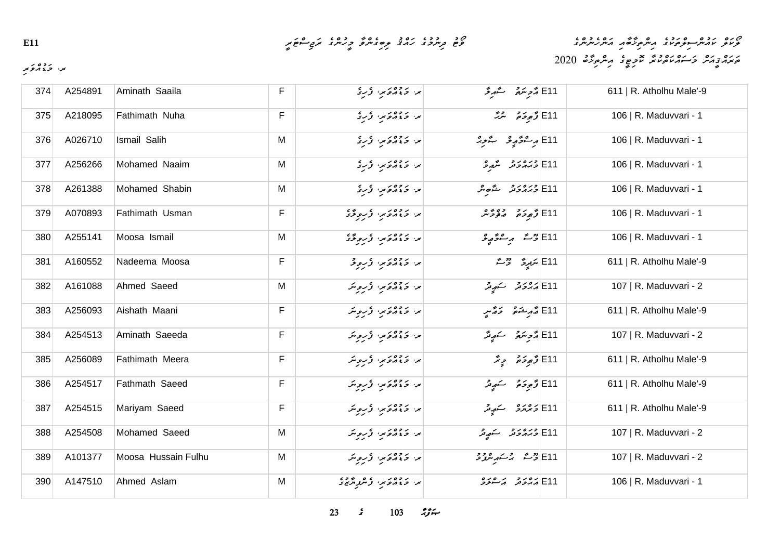*sCw7q7s5w7m< o<n9nOoAw7o< sCq;mAwBoEw7q<m; wBm;vB* م من المرة المرة المرة المرجع المرجع في المركبة 2020<br>مجم*د المريض المربوط المربع المرجع في المراجع المركبة* 

| 374 | A254891 | Aminath Saaila      | $\mathsf{F}$ | برا وده و در و در           | E11 مَّ حِ سَمَّ مَّ مَّ مِرْ مَّ             | 611   R. Atholhu Male'-9 |
|-----|---------|---------------------|--------------|-----------------------------|-----------------------------------------------|--------------------------|
| 375 | A218095 | Fathimath Nuha      | F            | برا وده و در و در و         | E11 <i>وُّجِ دَمْ</i> مِنْدُ                  | 106   R. Maduvvari - 1   |
| 376 | A026710 | Ismail Salih        | M            | بر دوه دره ورد              | E11 پرىشت <sub>ۇ پو</sub> تتى بە ئىلىمىدە بىر | 106   R. Maduvvari - 1   |
| 377 | A256266 | Mohamed Naaim       | M            | بر دوه در ور                | E11 ديرورو سمه و                              | 106   R. Maduvvari - 1   |
| 378 | A261388 | Mohamed Shabin      | M            | برا ووه دي کوری             | E11 <i>وُبَرُودُو حُمُّ هُمُ</i>              | 106   R. Maduvvari - 1   |
| 379 | A070893 | Fathimath Usman     | $\mathsf F$  | برا وَءَمُوَسٍ وَرِهِ وَ وَ | E11 زَّجِ دَمَ قَصَّوَتَ مَد                  | 106   R. Maduvvari - 1   |
| 380 | A255141 | Moosa Ismail        | M            | برا وَءَمُوَسٍ وَرِهِ وَ وَ | E11 جي شه په مستو <i>ح</i> پوځه               | 106   R. Maduvvari - 1   |
| 381 | A160552 | Nadeema Moosa       | $\mathsf F$  | برا ووه در و دروت           | E11] سَرْمِرتَ      رَحْتُ                    | 611   R. Atholhu Male'-9 |
| 382 | A161088 | Ahmed Saeed         | M            | بر دوه در وروند             | E11 كەبۇبۇ كەم بىر                            | 107   R. Maduvvari - 2   |
| 383 | A256093 | Aishath Maani       | F            | أيرا كالمركوب كربره يتر     | E11 مَدْمِسْمَعْ وَمَدْسِ                     | 611   R. Atholhu Male'-9 |
| 384 | A254513 | Aminath Saeeda      | F            | أيرا كالمركوب كربره يتر     | E11 مُرْحِبِّدَة مُسَهَّدِيَّتُ               | 107   R. Maduvvari - 2   |
| 385 | A256089 | Fathimath Meera     | F            | أيرا كالمركان كالرويش       | E11 <i>ؤوخو ڊئ</i> ر                          | 611   R. Atholhu Male'-9 |
| 386 | A254517 | Fathmath Saeed      | $\mathsf F$  | برا ق: دەم با ۋرەپتر        | E11 وَجوحَة مَ سَهِيمْ                        | 611   R. Atholhu Male'-9 |
| 387 | A254515 | Mariyam Saeed       | $\mathsf F$  | برا ق: دەم با ۋرەپتر        | E11 كەنگەر ئەر ئىكەن بىر                      | 611   R. Atholhu Male'-9 |
| 388 | A254508 | Mohamed Saeed       | M            | أيرا كالمركان كالرويش       | E11 <i>\$222 مكهونر</i>                       | 107   R. Maduvvari - 2   |
| 389 | A101377 | Moosa Hussain Fulhu | M            | أيرا كالمركان كالرويش       | E11 چرىشە بر شىر شويزىنى                      | 107   R. Maduvvari - 2   |
| 390 | A147510 | Ahmed Aslam         | M            | برا ودووس وعربر             | E11 كەبروتىر كەش <b>ىرد</b> ە                 | 106   R. Maduvvari - 1   |

 $23$  *s*  $\cancel{003}$  *n***<sub>s</sub>**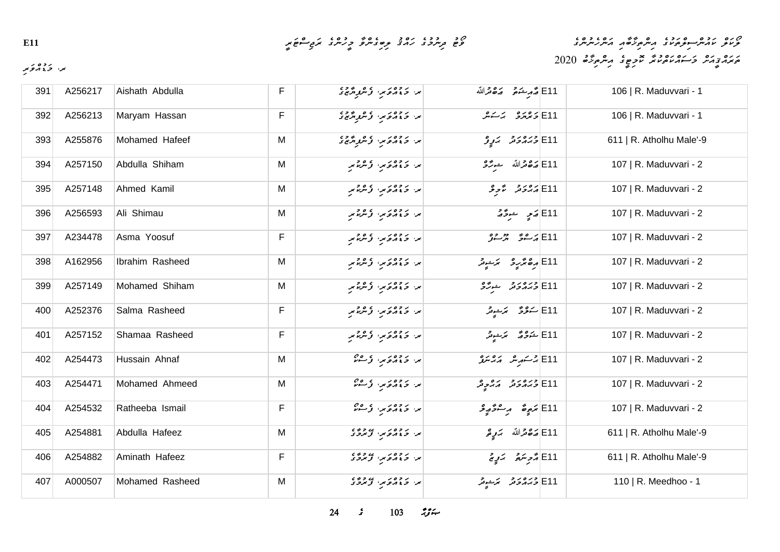*sCw7q7s5w7m< o<n9nOoAw7o< sCq;mAwBoEw7q<m; wBm;vB* م من المرة المرة المرة المرجع المرجع في المركبة 2020<br>مجم*د المريض المربوط المربع المرجع في المراجع المركبة* 

| 391 | A256217 | Aishath Abdulla | F            | أيرا كالمؤكد والمراكبين                  | E11 مَّ مِ شَمَّة مَ صَرَّاللَّه                     | 106   R. Maduvvari - 1   |
|-----|---------|-----------------|--------------|------------------------------------------|------------------------------------------------------|--------------------------|
| 392 | A256213 | Maryam Hassan   | F            | برا ودومرا ومربر                         | E11 كەندىرى كەسكەنلە                                 | 106   R. Maduvvari - 1   |
| 393 | A255876 | Mohamed Hafeef  | M            | أمرا وكالمؤمن وتكرمهما                   | E11 <i>5222 ټرو</i> ژ                                | 611   R. Atholhu Male'-9 |
| 394 | A257150 | Abdulla Shiham  | M            | برا ووه دارا و و در در بر                | E11 مَرْحُمْرَاللَّهُ شَعَرَّرْ                      | 107   R. Maduvvari - 2   |
| 395 | A257148 | Ahmed Kamil     | M            | برا وده در و و در در در بر               | E11 كەبرى تۇرىخ                                      | 107   R. Maduvvari - 2   |
| 396 | A256593 | Ali Shimau      | M            | برا كالمؤمرا كالمرامر                    | E11 <sub>ه</sub> ُ مٍ سُودَّهُ                       | 107   R. Maduvvari - 2   |
| 397 | A234478 | Asma Yoosuf     | F            | برا كالمقرب وتكرماتير                    | $3 - 3$ $3 - 2$ $\le$ 11                             | 107   R. Maduvvari - 2   |
| 398 | A162956 | Ibrahim Rasheed | M            | برا كالمقرمة المستقرم                    | E11 م <i>وڭ ئۇر</i> تەرىپەتر                         | 107   R. Maduvvari - 2   |
| 399 | A257149 | Mohamed Shiham  | M            | أأترا المتحفظ والمعالم والمرادين والمحمد | E11 <i>\$222 مئيونى</i>                              | 107   R. Maduvvari - 2   |
| 400 | A252376 | Salma Rasheed   | $\mathsf F$  | برا كالمقرمة المستقرم                    | E11 سَعُوَّةً - مَرْسُومْرُ -                        | 107   R. Maduvvari - 2   |
| 401 | A257152 | Shamaa Rasheed  | $\mathsf{F}$ | أين الحادوس وتكريم                       | E11 ح <i>نۇمى كەخوش</i>                              | 107   R. Maduvvari - 2   |
| 402 | A254473 | Hussain Ahnaf   | M            | برا وه در وره و ک                        | E11 برسكىرىش كەبرىكى ئى                              | 107   R. Maduvvari - 2   |
| 403 | A254471 | Mohamed Ahmeed  | M            | بر دوه ر وه ع                            | E11 <i>وُبَرُوجُو بِرَ وُبُرُوِبْرُ</i>              | 107   R. Maduvvari - 2   |
| 404 | A254532 | Ratheeba Ismail | F            | بر دوه ر ده و شما                        | E11 يَرَ <sub>مِو</sub> صٌ مِرْ <i>حُوَّم</i> ِ ثَرَ | 107   R. Maduvvari - 2   |
| 405 | A254881 | Abdulla Hafeez  | M            | بر دوه ر په ووه ،<br>بر د ډه ومړ، ژبرد د | E11 كەھەتراللە   ئەرپۇ                               | 611   R. Atholhu Male'-9 |
| 406 | A254882 | Aminath Hafeez  | F            | بر دوه ر په ووه ،                        | E11 مُتصِبَعِينِ مَي مَنْ                            | 611   R. Atholhu Male'-9 |
| 407 | A000507 | Mohamed Rasheed | M            | بر دوه رسي دوه د                         | E11 <i>وَبَرْدُوَ</i> تَرَ كَرَسُوِيْرَ              | 110   R. Meedhoo - 1     |

*o8m=w<qFm> .8*

 $24$  *s*  $103$  *n***<sub>s</sub>**  $29$  *m*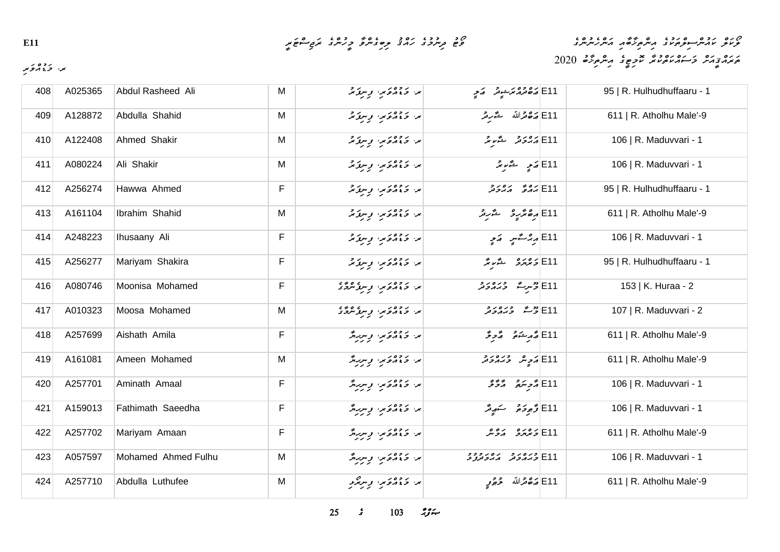*sCw7q7s5w7m< o<n9nOoAw7o< sCq;mAwBoEw7q<m; wBm;vB* م من المرة المرة المرة المرجع المرجع في المركبة 2020<br>مجم*د المريض المربوط المربع المرجع في المراجع المركبة* 

|             | ر د ه ر |  |
|-------------|---------|--|
| بر. כے موتر |         |  |
| ╭           |         |  |

| 408 | A025365 | Abdul Rasheed Ali   | M           | برا كالمقرا وبلائم      | E11 <i>مەھەمەم</i> كىش <sub>ى</sub> ر ھېچ        | 95   R. Hulhudhuffaaru - 1 |
|-----|---------|---------------------|-------------|-------------------------|--------------------------------------------------|----------------------------|
| 409 | A128872 | Abdulla Shahid      | M           | أما وكالمؤمرا وسلام     | E11 مَەھْتَراللە مەمَّرىتر                       | 611   R. Atholhu Male'-9   |
| 410 | A122408 | Ahmed Shakir        | M           | برا وده در وسوی         | E11 كەبرى قىرىمىسى ئىس بىر                       | 106   R. Maduvvari - 1     |
| 411 | A080224 | Ali Shakir          | M           | برا وَءُمُوَسٍ وِسِوَسٌ | E11 کی په مشمومتر                                | 106   R. Maduvvari - 1     |
| 412 | A256274 | Hawwa Ahmed         | F           | برا وده ده وسدتر        | E11 يَرْوَحُ - يَرْوَمُرُ –                      | 95   R. Hulhudhuffaaru - 1 |
| 413 | A161104 | Ibrahim Shahid      | M           | برا وَءُمُوَسٍ وِسِوَسٌ | E11 م <i>وڭ مگرى</i> ر شگرىتر                    | 611   R. Atholhu Male'-9   |
| 414 | A248223 | Ihusaany Ali        | F           | برا وَءُمُوَسٍ وِسِوَسٌ | E11 <sub>م</sub> ربر شهر کامی <sub>ج</sub>       | 106   R. Maduvvari - 1     |
| 415 | A256277 | Mariyam Shakira     | $\mathsf F$ | برا وده در وسدتر        | E11 كەنگەر ئەسىمىسىگە                            | 95   R. Hulhudhuffaaru - 1 |
| 416 | A080746 | Moonisa Mohamed     | F           | برا وكالمؤس وسرعته      | E11] <sub>ت</sub> خسرت وبرورور                   | 153   K. Huraa - 2         |
| 417 | A010323 | Moosa Mohamed       | M           | برا وده در وسره وده     | E11 تۇنتە بەرەرد <i>ە</i> ر                      | 107   R. Maduvvari - 2     |
| 418 | A257699 | Aishath Amila       | $\mathsf F$ | برا كالمقرس وبررام      | E11 مَگْرِسْتَمْ مِگْرِ مَحْ                     | 611   R. Atholhu Male'-9   |
| 419 | A161081 | Ameen Mohamed       | M           | برا وكالمؤتمرا وسررائه  | E11 كەچ شەر قەيمۇ ئىر                            | 611   R. Atholhu Male'-9   |
| 420 | A257701 | Aminath Amaal       | $\mathsf F$ | بر ووه در وسر الم       | E11 أَمُّ مِسَمَّدٍ مَنْ مُحَمَّدٍ               | 106   R. Maduvvari - 1     |
| 421 | A159013 | Fathimath Saeedha   | $\mathsf F$ | أأما أوجود والرمار      | E11 تَ <i>وْجِوَةْ سَهِيدٌ</i>                   | 106   R. Maduvvari - 1     |
| 422 | A257702 | Mariyam Amaan       | F           | بر ووه در وسرر          | E11 كەمەر بەر ئەرگەر                             | 611   R. Atholhu Male'-9   |
| 423 | A057597 | Mohamed Ahmed Fulhu | M           | برا ويهمون وسرار        | E11 در در در بروترور                             | 106   R. Maduvvari - 1     |
| 424 | A257710 | Abdulla Luthufee    | M           | برا ودوريرا وترتكز      | E11 <i>مَذَّة دَّاللَّه</i> مُحْتَمَ <i>وْرٍ</i> | 611   R. Atholhu Male'-9   |

 $25$  *s*  $\cancel{003}$  *n***<sub>s</sub>**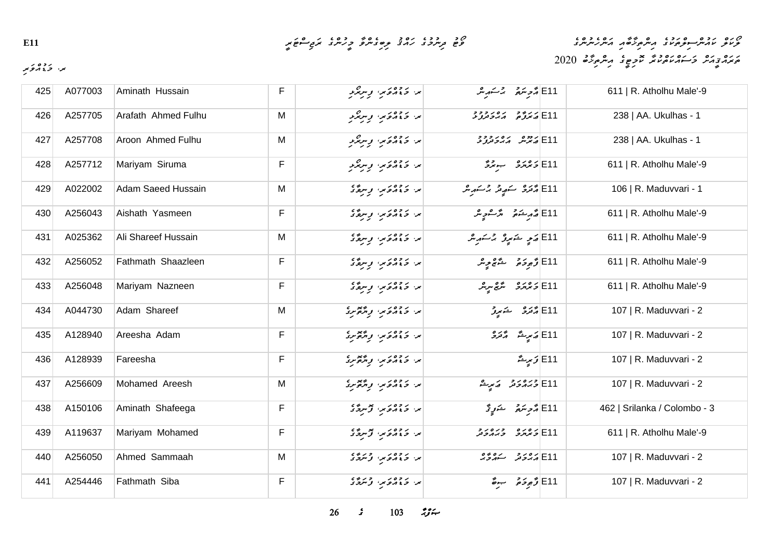*sCw7q7s5w7m< o<n9nOoAw7o< sCq;mAwBoEw7q<m; wBm;vB* م من المرة المرة المرة المرجع المرجع في المركبة 2020<br>مجم*د المريض المربوط المربع المرجع في المراجع المركبة* 

| 425 | A077003 | Aminath Hussain     | F           | برا كالمؤتمرا وبيرتكو   | E11 مَّ تَرْسَعَهُ مَتْ سَهْرِ مَثَّر   | 611   R. Atholhu Male'-9     |
|-----|---------|---------------------|-------------|-------------------------|-----------------------------------------|------------------------------|
| 426 | A257705 | Arafath Ahmed Fulhu | M           | برا ودور وسركر          | E11 ב <i>پروه سره دوو</i>               | 238   AA. Ukulhas - 1        |
| 427 | A257708 | Aroon Ahmed Fulhu   | M           | برا ودوريرا وسرهمو      | E11 كەنترىش كەردىرىي د                  | 238   AA. Ukulhas - 1        |
| 428 | A257712 | Mariyam Siruma      | F           | برا وده در وسرگر        | E11 كانترنى سىرىمى كى                   | 611   R. Atholhu Male'-9     |
| 429 | A022002 | Adam Saeed Hussain  | M           | بر دوه در وسره و        | E11 مُ مَرَدٌ سَمرٍ مِرْ بِرُسَمرِ مَرْ | 106   R. Maduvvari - 1       |
| 430 | A256043 | Aishath Yasmeen     | F           | برا وكالمؤمرا وسروى     | E11 مُ مِسْدَمْ مُ مُرْسْوِسْ           | 611   R. Atholhu Male'-9     |
| 431 | A025362 | Ali Shareef Hussain | M           | برا وكالمؤمرا وسروى     | E11  رَمِ حَمَدٍوْ بُرْسَهِ شَرْ        | 611   R. Atholhu Male'-9     |
| 432 | A256052 | Fathmath Shaazleen  | F           | برا وه دور وسره و       | E11 رَّج <i>وحَة</i> حَدَّج مِسْ        | 611   R. Atholhu Male'-9     |
| 433 | A256048 | Mariyam Nazneen     | F           | بر دوه در وسره و        | E11 كەمەدە مەنى بىرىلە                  | 611   R. Atholhu Male'-9     |
| 434 | A044730 | Adam Shareef        | M           | برا وكالمؤتمرا والمعرفي | E11 كەتىرى ھەمرى <i>گ</i>               | 107   R. Maduvvari - 2       |
| 435 | A128940 | Areesha Adam        | F           | برا كالمؤترا والمعراء   | E11 كەمرىش گەترى                        | 107   R. Maduvvari - 2       |
| 436 | A128939 | Fareesha            | F           | برا كالمؤترا والمعراء   | E11 كۆمچەشگە                            | 107   R. Maduvvari - 2       |
| 437 | A256609 | Mohamed Areesh      | M           | برا وده در و در در      | E11 <i>وبروبرد ك</i> ېرىش               | 107   R. Maduvvari - 2       |
| 438 | A150106 | Aminath Shafeega    | F           | برا ووه به المستخرج     | E11 مَّ <i>حِ سَمَعْ</i> شَمَرٍ تَحْ    | 462   Srilanka / Colombo - 3 |
| 439 | A119637 | Mariyam Mohamed     | $\mathsf F$ | برا ووه به المستخرج     | E11 كەبەر بەرگە دېرىدىن                 | 611   R. Atholhu Male'-9     |
| 440 | A256050 | Ahmed Sammaah       | M           | أأترا كالمرومين وتروي   | E11 كەبرو سەم يەرەب                     | 107   R. Maduvvari - 2       |
| 441 | A254446 | Fathmath Siba       | $\mathsf F$ | برا وه ده وروء          | E11 ز <sub>ن</sub> جوځو سوځ             | 107   R. Maduvvari - 2       |

 $26$  *s*  $103$  *n***<sub>s</sub>**  $\frac{2}{3}$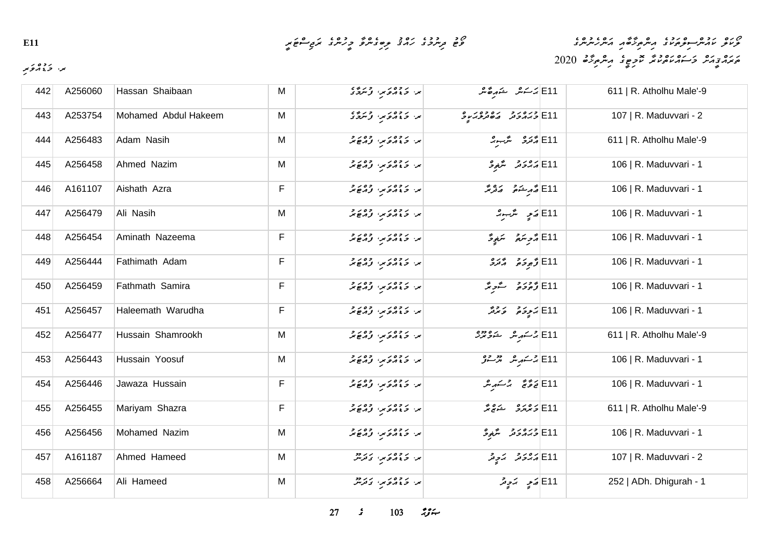*sCw7q7s5w7m< o<n9nOoAw7o< sCq;mAwBoEw7q<m; wBm;vB 2020*<br>*په ټومن د سوم پوره پورې پر سوم د سره پره و*لا

| 442 | A256060 | Hassan Shaibaan      | M | برا كالمكافر المحافظة                              | E11 كەسكەر شەر <i>ەڭ بى</i> ر                 | 611   R. Atholhu Male'-9 |
|-----|---------|----------------------|---|----------------------------------------------------|-----------------------------------------------|--------------------------|
| 443 | A253754 | Mohamed Abdul Hakeem | M | برا كالمروم ومروء                                  | E11 دره ده ده دوربرو                          | 107   R. Maduvvari - 2   |
| 444 | A256483 | Adam Nasih           | M | برا كالمركب ومرد                                   | E11 أَرْتَرَدُّ شَرْسِرْ مُ                   | 611   R. Atholhu Male'-9 |
| 445 | A256458 | Ahmed Nazim          | M | بر دوه در ده در د                                  | E11  رَرُدَوَتَر - سَّهْرِ وَ                 | 106   R. Maduvvari - 1   |
| 446 | A161107 | Aishath Azra         | F | <b>بر: 1995 - 1995</b>                             | E11 مَگْرِسْتَمْ مِگْرُمَّد                   | 106   R. Maduvvari - 1   |
| 447 | A256479 | Ali Nasih            | M | برا كالمركب ومرد                                   | E11 کھیں - مگرسونڈ                            | 106   R. Maduvvari - 1   |
| 448 | A256454 | Aminath Nazeema      | F | 1000 1000 1000 x                                   | E11 مَّ حِ سَمَعٍ مَّ سَمَّدٍ حَ              | 106   R. Maduvvari - 1   |
| 449 | A256444 | Fathimath Adam       | F | برا كالمركب ومرد                                   | E11 وَّجِوَدَةٌ مَجْتَرَةٌ                    | 106   R. Maduvvari - 1   |
| 450 | A256459 | Fathmath Samira      | F | بن كروه در وه در د                                 | E11 <i>أَدْهُ دَهُ مَ</i> ّ سُمْحِ مَّدْ      | 106   R. Maduvvari - 1   |
| 451 | A256457 | Haleemath Warudha    | F | x 2102 2007                                        | E11 كەمەمى قى ئارتىگە                         | 106   R. Maduvvari - 1   |
| 452 | A256477 | Hussain Shamrookh    | M | ر و و در و د و د و<br>من تا د و د ه من الو در ه مر | E11 پرستمبر شرورد و                           | 611   R. Atholhu Male'-9 |
| 453 | A256443 | Hussain Yoosuf       | M | برا كالمركب ومرد                                   | E11 پر شهر شر همز شو حرم                      | 106   R. Maduvvari - 1   |
| 454 | A256446 | Jawaza Hussain       | F | برا كالمركب ومرد                                   | E11 نے ٹریج پ <sub>ھر</sub> شر <i>مبر ت</i> ک | 106   R. Maduvvari - 1   |
| 455 | A256455 | Mariyam Shazra       | F | برا كالمركب ومرد                                   | E11 كەبرىرى ھەيجە ئىر                         | 611   R. Atholhu Male'-9 |
| 456 | A256456 | Mohamed Nazim        | M | x 2102 2007                                        | E11 دېرورو ش <sub>غو</sub> و                  | 106   R. Maduvvari - 1   |
| 457 | A161187 | Ahmed Hameed         | M | بر به ۶۶ ور دو.<br>بر از ۶۶ ورمن از تورس           | E11  كەندى كەرىگە                             | 107   R. Maduvvari - 2   |
| 458 | A256664 | Ali Hameed           | M | برا كالأومرا كالأمير                               | E11  رَمٍ کوچر                                | 252   ADh. Dhigurah - 1  |

*27 sC 103 nNw?mS*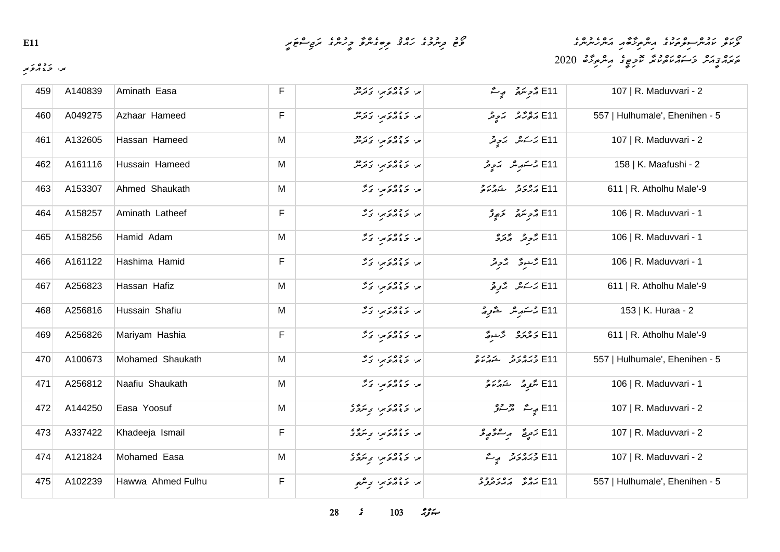*sCw7q7s5w7m< o<n9nOoAw7o< sCq;mAwBoEw7q<m; wBm;vB* م من المرة المرة المرة المرة المرة المرة العربية 2020<br>مجم*د المريض المريض المربع المربع المربع المراجع المراجع ال* 

| 459 | A140839 | Aminath Easa      | F | برا كالمروج كالمردو     | E11 مُرْمِ مَرْمُ – مِيْسُمْ –                        | 107   R. Maduvvari - 2         |
|-----|---------|-------------------|---|-------------------------|-------------------------------------------------------|--------------------------------|
| 460 | A049275 | Azhaar Hameed     | F | برا كالمروج كالمردو     | E11 كەندىگە ئەرەتمە                                   | 557   Hulhumale', Ehenihen - 5 |
| 461 | A132605 | Hassan Hameed     | M | بر دوه در در دو         | E11   پزشکر کے <i>ج</i> وٹر                           | 107   R. Maduvvari - 2         |
| 462 | A161116 | Hussain Hameed    | M | بر دوه در دو            | E11 پرڪوپٽر ڪ <sub>چ</sub> وٽر                        | 158   K. Maafushi - 2          |
| 463 | A153307 | Ahmed Shaukath    | M | بن بروه در کال          | E11 كەبروتر شەكەنمى                                   | 611   R. Atholhu Male'-9       |
| 464 | A158257 | Aminath Latheef   | F | بن بروه در کال          | E11 مَّ <i>حِ سَمَّةَ حَبودْ</i>                      | 106   R. Maduvvari - 1         |
| 465 | A158256 | Hamid Adam        | M | بن بروه در کال          | E11 بَرْحِ مَرْ مَرْ دَرْدَ مَرْ الْمَدَارِ           | 106   R. Maduvvari - 1         |
| 466 | A161122 | Hashima Hamid     | F | بن بروه در دو           | E11   رَْسُوتَرُ   بَرُوِتْرُ                         | 106   R. Maduvvari - 1         |
| 467 | A256823 | Hassan Hafiz      | M | بن بروه در کال          | E11 پرسک مگرفی                                        | 611   R. Atholhu Male'-9       |
| 468 | A256816 | Hussain Shafiu    | M | بن كالمائكين كالم       | E11 پرستمبر ش منگور تھ                                | 153   K. Huraa - 2             |
| 469 | A256826 | Mariyam Hashia    | F | بن كروه ديگر انگر       | E11 وَيُرْبَرُوْ - رَّحْدَبَّ                         | 611   R. Atholhu Male'-9       |
| 470 | A100673 | Mohamed Shaukath  | M | برا كالمكافر بور        | E11 درەرو شەدرە                                       | 557   Hulhumale', Ehenihen - 5 |
| 471 | A256812 | Naafiu Shaukath   | M | بن كەللەھمە كار         | E11 سُمْدِرٌ صَمَّدَتَهُ حَمَّدَ                      | 106   R. Maduvvari - 1         |
| 472 | A144250 | Easa Yoosuf       | M | بمزاح وه مرد و مرد و با | E11 پوسٹر بیجنسٹر<br>ا                                | 107   R. Maduvvari - 2         |
| 473 | A337422 | Khadeeja Ismail   | F | أين كالمروثين وللروم    | E11] زَمرِيَّ _ <sub>م</sub> ِ سُرَّم <sub>و</sub> گر | 107   R. Maduvvari - 2         |
| 474 | A121824 | Mohamed Easa      | M | برا كالمكافر المحافظ    | E11 دېرونو په ش                                       | 107   R. Maduvvari - 2         |
| 475 | A102239 | Hawwa Ahmed Fulhu | F | برا ودور وشه            | /E11 پرچ پرچ پورو د                                   | 557   Hulhumale', Ehenihen - 5 |

 $28$  *s*  $\cancel{003}$  *n***<sub>s</sub>**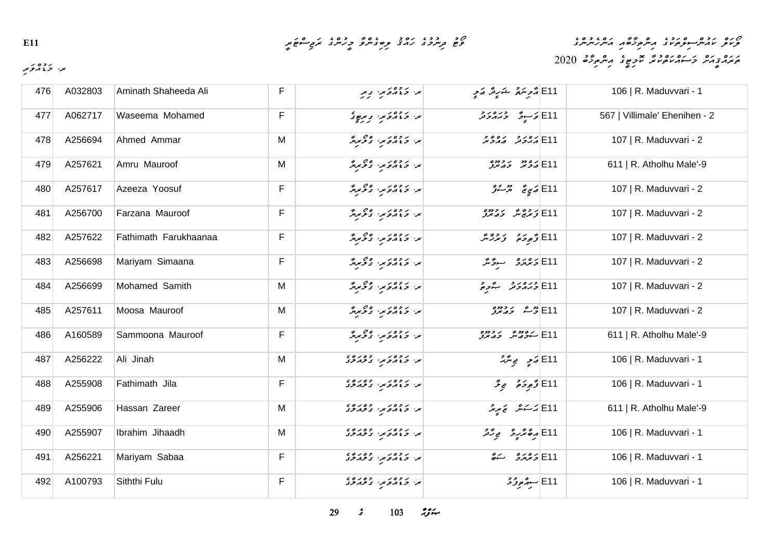*sCw7q7s5w7m< o<n9nOoAw7o< sCq;mAwBoEw7q<m; wBm;vB* م من المرة المرة المرة المرجع المرجع في المركبة 2020<br>مجم*د المريض المربوط المربع المرجع في المراجع المركبة* 

| ر د ه ر            |  |
|--------------------|--|
| ىر. جەم <i>جىر</i> |  |
|                    |  |

| 476 | A032803 | Aminath Shaheeda Ali  | F            | برا المزوه وبرا المحامل                 | E11 ا <i>مَّ دِسَمْ شَهِيمٌ</i> ا <i>مَّةٍ</i> | 106   R. Maduvvari - 1        |
|-----|---------|-----------------------|--------------|-----------------------------------------|------------------------------------------------|-------------------------------|
| 477 | A062717 | Waseema Mohamed       | $\mathsf F$  | بر دوه در وبرون                         | E11 كۆسىر <i>ى بەيدە تەر</i>                   | 567   Villimale' Ehenihen - 2 |
| 478 | A256694 | Ahmed Ammar           | M            | بر دوه در وه در ش                       | 22222222                                       | 107   R. Maduvvari - 2        |
| 479 | A257621 | Amru Mauroof          | M            | بر دوه روه وه بر                        | $3732$ $392$ $\leq$ 11                         | 611   R. Atholhu Male'-9      |
| 480 | A257617 | Azeeza Yoosuf         | F            | بر وودير وه بر                          | E11 <sub>ه</sub> رېږ پر مرد                    | 107   R. Maduvvari - 2        |
| 481 | A256700 | Farzana Mauroof       | $\mathsf{F}$ | بر وودير وه بر                          | E11 زىرى ئىر بەدە دە                           | 107   R. Maduvvari - 2        |
| 482 | A257622 | Fathimath Farukhaanaa | $\mathsf F$  | برا ووديرا ووبرش                        | E11 ۇ <sub>ج</sub> و <i>قۇ   ۋىز</i> دىگر      | 107   R. Maduvvari - 2        |
| 483 | A256698 | Mariyam Simaana       | $\mathsf F$  | بر دوه را وه درگ                        | E11 دَ بَرْ پُرَ وَ سِرَ بَرْ بِهِ ا           | 107   R. Maduvvari - 2        |
| 484 | A256699 | Mohamed Samith        | M            | بر دوه را وه درگر                       | E11 دېرونو شوه.                                | 107   R. Maduvvari - 2        |
| 485 | A257611 | Moosa Mauroof         | M            | بر دوه روه وه و                         | E11 تۇشىر ئەچرى <i>قى</i>                      | 107   R. Maduvvari - 2        |
| 486 | A160589 | Sammoona Mauroof      | $\mathsf{F}$ | بر وودير وه بر                          | E11 يەۋە ئەمدىن                                | 611   R. Atholhu Male'-9      |
| 487 | A256222 | Ali Jinah             | M            | بر کروه در وه دره و                     | E11 رَمِ مِیشَرٌ                               | 106   R. Maduvvari - 1        |
| 488 | A255908 | Fathimath Jila        | F            | بر دوه ر دورو،<br>بر و دهوس د وه ود     | E11 <i>وُّجوحَ</i> مُ بِحِرَّ                  | 106   R. Maduvvari - 1        |
| 489 | A255906 | Hassan Zareer         | M            | بر دوه د دورو،                          | E11   پرسترنٹر   کی میریٹر                     | 611   R. Atholhu Male'-9      |
| 490 | A255907 | Ibrahim Jihaadh       | M            | بر دوه ر دورو،<br>بر و دهوس د وه ود     | E11 م <i>وڭ ئۇچ</i> ۇ ب <i>ېر</i> گىز          | 106   R. Maduvvari - 1        |
| 491 | A256221 | Mariyam Sabaa         | $\mathsf F$  | بر دوه ر دورو،<br>بر و دهوس د وه ود     | E11 <sub>تر</sub> برو<br>ے تھ                  | 106   R. Maduvvari - 1        |
| 492 | A100793 | Siththi Fulu          | F            | بر کروه در وه دره و<br>بر کروه کروبرگرد | E11 سوچونو تو                                  | 106   R. Maduvvari - 1        |

**29** *s* **103** *n***<sub>s</sub>***n***<sub>s</sub>**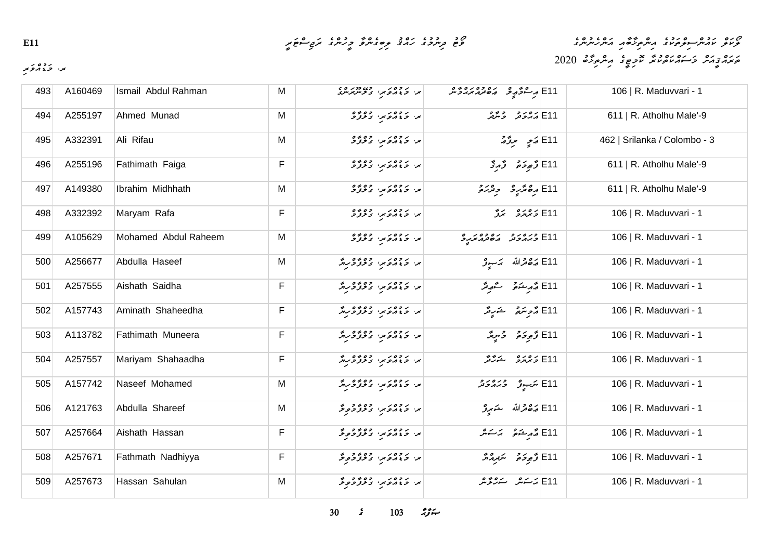*sCw7q7s5w7m< o<n9nOoAw7o< sCq;mAwBoEw7q<m; wBm;vB* م من المرة المرة المرة المرجع المرجع في المركبة 2020<br>مجم*د المريض المربوط المربع المرجع في المراجع المركبة* 

| - 0 > -     |  |
|-------------|--|
| بر. כے موتر |  |
| ╭           |  |

| 493 | A160469 | Ismail Abdul Rahman  | M           | بر کروه در در دره در د                 | E11 <sub>م</sub> رے <sub>وگیر</sub> و پہ <i>م</i> ومرہ برے میں | 106   R. Maduvvari - 1       |
|-----|---------|----------------------|-------------|----------------------------------------|----------------------------------------------------------------|------------------------------|
| 494 | A255197 | Ahmed Munad          | M           | بر کے دور کے ووڈ و                     | E11 كەبۇر كەر ئەر ئىگەر                                        | 611   R. Atholhu Male'-9     |
| 495 | A332391 | Ali Rifau            | M           | بر کے دور کے ووڈ و                     | E11] ر <sub>َم</sub> ح مِرَ <i>دَّة</i>                        | 462   Srilanka / Colombo - 3 |
| 496 | A255196 | Fathimath Faiga      | $\mathsf F$ | بر کے دور ووڈو                         | E11 وَجِوَمَ وَمِرَّةً                                         | 611   R. Atholhu Male'-9     |
| 497 | A149380 | Ibrahim Midhhath     | M           | بن كەدەب دەۋە                          | E11 م <i>وڭ ئۇرۇ بېرىدۇ</i>                                    | 611   R. Atholhu Male'-9     |
| 498 | A332392 | Maryam Rafa          | F           | بر کے دور کے ووڈ و<br>برائے دوس کے فرق | E11 كەبەد كەنى                                                 | 106   R. Maduvvari - 1       |
| 499 | A105629 | Mohamed Abdul Raheem | M           | بر كەدەب كەن                           | E11 כנהכת הסינה בני                                            | 106   R. Maduvvari - 1       |
| 500 | A256677 | Abdulla Haseef       | M           | برا ووه ده وه وه و د                   | E11 مَەھْتَراللە كەسب <i>وت</i>                                | 106   R. Maduvvari - 1       |
| 501 | A257555 | Aishath Saidha       | F           | بر كەدەب دەۋەر ئە                      | E11 مَدْمِ شَوَمْ مَسْتَوْمِدْتُر                              | 106   R. Maduvvari - 1       |
| 502 | A157743 | Aminath Shaheedha    | F           | برا ووه ده وه وه و د                   | E11 مَّ حِسَمَة مَ حَدِيثَر                                    | 106   R. Maduvvari - 1       |
| 503 | A113782 | Fathimath Muneera    | F           | بر ووه در وه ده ورځ                    | E11 تُرْجِعَةُ - قَ <sup>س</sup> ِيدً                          | 106   R. Maduvvari - 1       |
| 504 | A257557 | Mariyam Shahaadha    | F           | برا وده و وه وه و د کار اند            | E11 كەبىر بىر سىرتىگە                                          | 106   R. Maduvvari - 1       |
| 505 | A157742 | Naseef Mohamed       | M           | بر ارده در دوره در بر                  | E11 <sub>م</sub> تر <i>ببوثة وتذووتر</i>                       | 106   R. Maduvvari - 1       |
| 506 | A121763 | Abdulla Shareef      | M           | برا ويهوي ووودون                       | E11 مَەھْتَراللە شەمب <i>و</i> گر                              | 106   R. Maduvvari - 1       |
| 507 | A257664 | Aishath Hassan       | F           | برا ويهوي ووودون                       | E11 <sub>م</sub> ُم <i>ْ</i> رِڪْءَ پُرَڪَنْرُ                 | 106   R. Maduvvari - 1       |
| 508 | A257671 | Fathmath Nadhiyya    | $\mathsf F$ | برا ويهوي ووودون                       | E11 وَّجِرَحَةٌ سَمَعِرةَ مَّذَ                                | 106   R. Maduvvari - 1       |
| 509 | A257673 | Hassan Sahulan       | M           | برا وءوديرا الموؤولون                  | E11   يَرْسَسْ سَتَرْوُسْ                                      | 106   R. Maduvvari - 1       |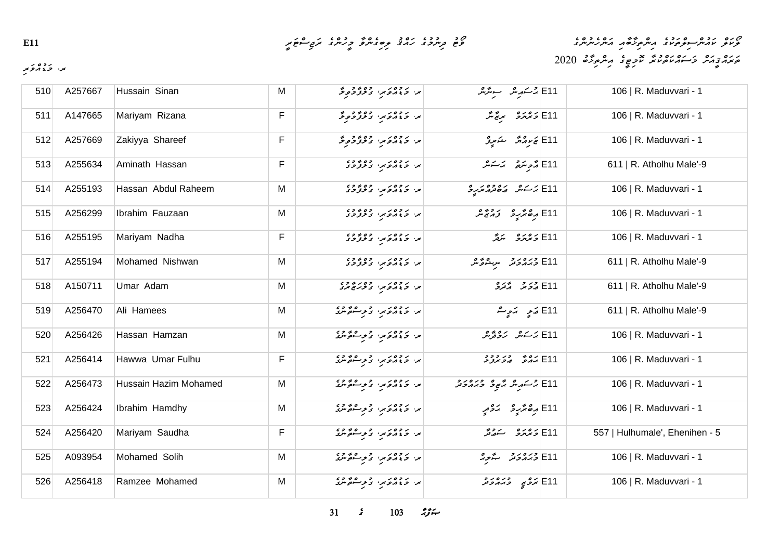*sCw7q7s5w7m< o<n9nOoAw7o< sCq;mAwBoEw7q<m; wBm;vB* م من المرة المرة المرة المرجع المراجع المراجع المراجع المراجع المراجع المراجع المراجع المراجع المراجع المراجع<br>مرين المراجع المراجع المرجع المراجع المراجع المراجع المراجع المراجع المراجع المراجع المراجع المراجع المراجع ال

|   | - 0 > - |  |             |  |
|---|---------|--|-------------|--|
|   |         |  | بر. כے موبر |  |
| ◢ |         |  |             |  |

| 510 | A257667 | Hussain Sinan         | M           | أين ويمكوني ووؤومون                            | E11 پرستمبر شر سیسٹریٹر                  | 106   R. Maduvvari - 1         |
|-----|---------|-----------------------|-------------|------------------------------------------------|------------------------------------------|--------------------------------|
| 511 | A147665 | Mariyam Rizana        | F           | بر كەن كەن ئۇزۇمۇ                              | E11 <i>حەمدى ئەسمى</i> گەنگە             | 106   R. Maduvvari - 1         |
| 512 | A257669 | Zakiyya Shareef       | F           | بر کے دور کے دوکروکو گھ                        | E11 ئىرەمىگە ھەمبەر                      | 106   R. Maduvvari - 1         |
| 513 | A255634 | Aminath Hassan        | $\mathsf F$ | بر دوه روه ده.<br>بر و ده وبرا د وود د         | E11 مَرْحِ سَرَة مَرْسَدَ مَثَر          | 611   R. Atholhu Male'-9       |
| 514 | A255193 | Hassan Abdul Raheem   | M           | ۲۵۶۵۶ - ۲۶۶۶۶                                  | E11   يَرْسَسْ مَصْعَمْ مِعْدَمِ بِرِ وَ | 106   R. Maduvvari - 1         |
| 515 | A256299 | Ibrahim Fauzaan       | M           | بر کروه در دولوده<br>بر کالمکم                 | E11 مەھمەر تۇم ئەرىم                     | 106   R. Maduvvari - 1         |
| 516 | A255195 | Mariyam Nadha         | F           | بر کروه در دولوده<br>بر کالمکم                 | E11 كەبىر بىر ئىرىگە                     | 106   R. Maduvvari - 1         |
| 517 | A255194 | Mohamed Nishwan       | M           | بر· 63 مۇمر، 1925 ك                            | E11 <i>32025 برستمونتر</i>               | 611   R. Atholhu Male'-9       |
| 518 | A150711 | Umar Adam             | M           | بر کروه در دور دور<br>بر کروه گرفتن کرفرمی مرد | E11 رُکَ پُر گُرُوگ                      | 611   R. Atholhu Male'-9       |
| 519 | A256470 | Ali Hamees            | M           | بر ووه در و و و و و و                          | E11  پَرِ کردِ مُ                        | 611   R. Atholhu Male'-9       |
| 520 | A256426 | Hassan Hamzan         | M           | بر کے دور کے دعویں                             | E11 يزيتر بروڤرش                         | 106   R. Maduvvari - 1         |
| 521 | A256414 | Hawwa Umar Fulhu      | $\mathsf F$ | بر او ده در در در در در د                      | E11 يزوج وتربونو                         | 106   R. Maduvvari - 1         |
| 522 | A256473 | Hussain Hazim Mohamed | M           | بر کے مرکز کے مصر وہ دی                        | E11 پر شهر شيء محمد محمد شهر 13          | 106   R. Maduvvari - 1         |
| 523 | A256424 | Ibrahim Hamdhy        | M           | بر کرده در در ۱۶۶۵ ور                          | E11 رە ئ <sub>ىرى</sub> ئەۋىر            | 106   R. Maduvvari - 1         |
| 524 | A256420 | Mariyam Saudha        | $\mathsf F$ | بر کا دوه د کام ده وي.                         | E11 <sub>خ</sub> ىر <i>ەدە</i> سەھەتر    | 557   Hulhumale', Ehenihen - 5 |
| 525 | A093954 | Mohamed Solih         | M           | بر دور د وره ده                                | E11 <i>وبروبرو بدې</i>                   | 106   R. Maduvvari - 1         |
| 526 | A256418 | Ramzee Mohamed        | M           | بر دوه د و وه دوه<br>بر و دونو و و موسو        | E11 بَرَوْ <sub>مٍ</sub> دَبَرْدُدَرْ    | 106   R. Maduvvari - 1         |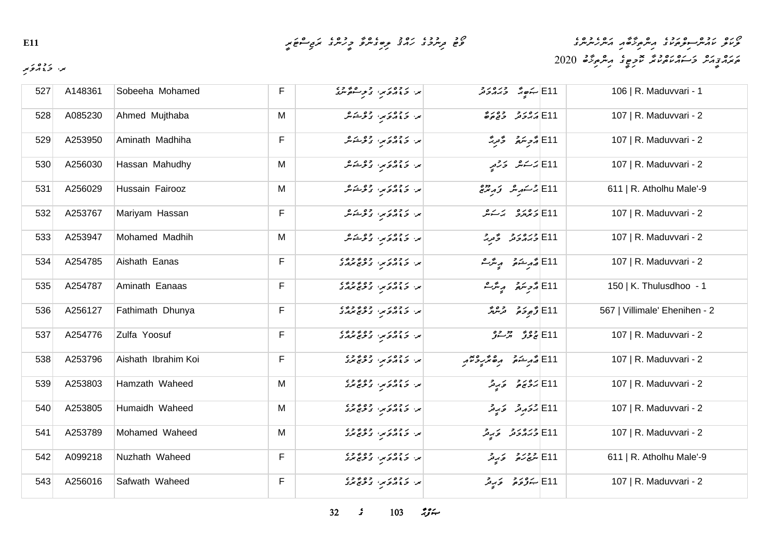*sCw7q7s5w7m< o<n9nOoAw7o< sCq;mAwBoEw7q<m; wBm;vB* م من المرة المرة المرة المرجع المراجع المراجع المراجع المراجع المراجع المراجع المراجع المراجع المراجع المراجع<br>مرين المراجع المراجع المرجع المراجع المراجع المراجع المراجع المراجع المراجع المراجع المراجع المراجع المراجع ال

| ر د ه ر    |  |
|------------|--|
| ىر. جەمۇبر |  |
| ╭          |  |

| 527 | A148361 | Sobeeha Mohamed     | F           | بر کارونها تحریکوی                       | E11 بنوپژ ورودر                         | 106   R. Maduvvari - 1        |
|-----|---------|---------------------|-------------|------------------------------------------|-----------------------------------------|-------------------------------|
| 528 | A085230 | Ahmed Mujthaba      | M           | ىن ئەدەرىپ كەبھەشكە                      | E11 كەبروتر بوق <i>ە ۋە</i>             | 107   R. Maduvvari - 2        |
| 529 | A253950 | Aminath Madhiha     | $\mathsf F$ | ىن ئەدەرىپ كەبھەشكە                      | E11 أَمُّ حِسَمَةً لَمُحَسِّدً          | 107   R. Maduvvari - 2        |
| 530 | A256030 | Hassan Mahudhy      | M           | ىن ئەدەرىپ كەبھەشكە                      | E11] پَرَسَسٌ کَرَ <sup>و</sup> َمِدِ   | 107   R. Maduvvari - 2        |
| 531 | A256029 | Hussain Fairooz     | M           | برا وه در و و و عامل                     | E11 برسمهر مر <sub>قرم</sub> ر برج      | 611   R. Atholhu Male'-9      |
| 532 | A253767 | Mariyam Hassan      | F           | برا وه در و و و عامل                     | E11 كەنگەر ئەسەنلەر                     | 107   R. Maduvvari - 2        |
| 533 | A253947 | Mohamed Madhih      | M           | ىن ئەدەرىپ كەبھەشكە                      | E11 وُبَرُمْرَتْرٌ وُمِدَّ              | 107   R. Maduvvari - 2        |
| 534 | A254785 | Aishath Eanas       | $\mathsf F$ | ת נכסק בסיכון<br>ת בגורפתי ביבה מוג      | E11 مَگْرِسْتَمْ مِرْسَرْسْهِ           | 107   R. Maduvvari - 2        |
| 535 | A254787 | Aminath Eanaas      | F           |                                          | E11 مَّ مِسَعَمٍ مِسَّرَ م              | 150   K. Thulusdhoo - 1       |
| 536 | A256127 | Fathimath Dhunya    | F           |                                          | E11 رُّجِ دَمَ مَرْسَمَّدُ              | 567   Villimale' Ehenihen - 2 |
| 537 | A254776 | Zulfa Yoosuf        | $\mathsf F$ | د ده د ده.<br>بر گاه گاند د کاروی برد د  | E11 يحرُقُ بِرْسُوْ                     | 107   R. Maduvvari - 2        |
| 538 | A253796 | Aishath Ibrahim Koi | F           | بر کروه در وه د و د و د                  | E11 مەم شەھ بەھ <i>تر بە</i> ھتىر       | 107   R. Maduvvari - 2        |
| 539 | A253803 | Hamzath Waheed      | M           | بر کروه در وه د و د و د                  | E11 بَرَوْيَهُمْ ۔ <sub>حَ</sub> بِيثَر | 107   R. Maduvvari - 2        |
| 540 | A253805 | Humaidh Waheed      | M           | بر دوه روه دوه<br>بر وه دوبر دوبر        | E11 يُرْدَمِ بِرْ كَرَبِيْرُ –          | 107   R. Maduvvari - 2        |
| 541 | A253789 | Mohamed Waheed      | M           | بر کروه در وه دوه<br>بر کروه کرم کرد     | E11  <i>وټرونو ځې</i> تر                | 107   R. Maduvvari - 2        |
| 542 | A099218 | Nuzhath Waheed      | $\mathsf F$ | بر کروه در وه دور<br>بر کروه کروبر کروبر | E11 شج <i>نزمی کاب</i> رمثر             | 611   R. Atholhu Male'-9      |
| 543 | A256016 | Safwath Waheed      | F           | بر کروه در وه د و د و د                  | E11 س <i>ەۋەھەھىرى</i> تر               | 107   R. Maduvvari - 2        |

**32** *s* **103** *n***<sub>s</sub>***n***<sub>s</sub>**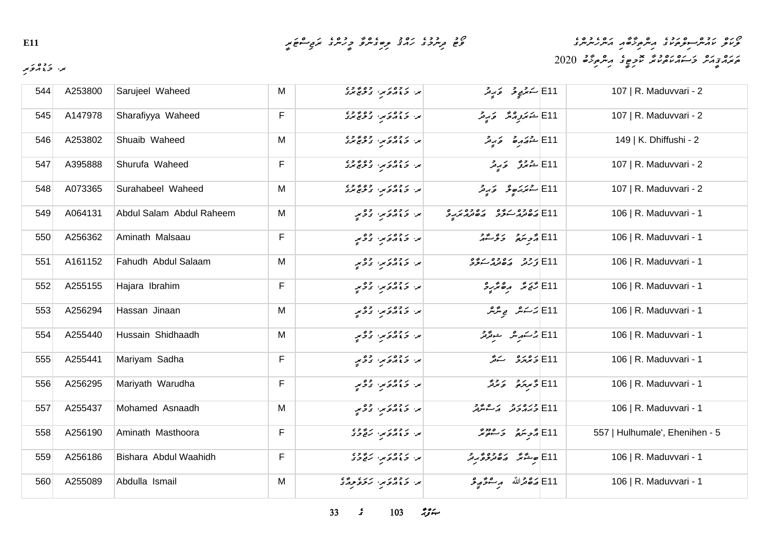*sCw7q7s5w7m< o<n9nOoAw7o< sCq;mAwBoEw7q<m; wBm;vB* م من المرة المرة المرة المرجع المراجع المراجع المراجع المراجع المراجع المراجع المراجع المراجع المراجع المراجع<br>مرين المراجع المراجع المرجع المراجع المراجع المراجع المراجع المراجع المراجع المراجع المراجع المراجع المراجع ال

|                    | , , , , |  |
|--------------------|---------|--|
| ىر. جەم <i>جىر</i> |         |  |
| ◢                  |         |  |

| 544 | A253800 | Sarujeel Waheed          | M           | بر کروه در ووځ ده<br>بر کروه کروبر ک               | E11 سَمَرْمٍ قَرَ وَرِثْرُ                       | 107   R. Maduvvari - 2         |
|-----|---------|--------------------------|-------------|----------------------------------------------------|--------------------------------------------------|--------------------------------|
| 545 | A147978 | Sharafiyya Waheed        | F           | بر کروه در ده د وه د و و<br>بر کروه ده کرد کرد کرد | E11 ش <i>ەتزى<sub>ر</sub>و ، ئۇ</i> برى <i>ر</i> | 107   R. Maduvvari - 2         |
| 546 | A253802 | Shuaib Waheed            | M           | بر دوه روه دوه<br>بر وه دوبر دوبر                  | E11 ش <i>ەمەھە</i> ق <i>ەب</i> ەتر               | 149   K. Dhiffushi - 2         |
| 547 | A395888 | Shurufa Waheed           | F           | بر دوه ر دوه ده.<br>بر کالمگوس کالمخصور            | E11 ڪمترڙ ق <i>رب</i> ر                          | 107   R. Maduvvari - 2         |
| 548 | A073365 | Surahabeel Waheed        | M           | بر دوه روه دوه<br>بر وه دوبر دوبر                  | E11 ستم <i>ترني و م</i> ريتر                     | 107   R. Maduvvari - 2         |
| 549 | A064131 | Abdul Salam Abdul Raheem | M           | أأترا المتحصر والمحافظ والمحمد                     | E11 ره وه مربوه مره وه ره د                      | 106   R. Maduvvari - 1         |
| 550 | A256362 | Aminath Malsaau          | F           | بر دوه در وه بر                                    | E11 جُعِسَمُ - وَقَرْسُهُمْ -                    | 106   R. Maduvvari - 1         |
| 551 | A161152 | Fahudh Abdul Salaam      | M           | بر دوه در وه بر                                    | E11 زرد مەھىرمە ئىرو                             | 106   R. Maduvvari - 1         |
| 552 | A255155 | Hajara Ibrahim           | $\mathsf F$ | بر ووور ووبر                                       | E11 رَبَع بَرُ مِنْ مِرْرِدْ                     | 106   R. Maduvvari - 1         |
| 553 | A256294 | Hassan Jinaan            | M           | بر ووه دو وه د                                     | E11  پرسکس <sub>مج</sub> مگ <i>ر</i> ش           | 106   R. Maduvvari - 1         |
| 554 | A255440 | Hussain Shidhaadh        | M           | بر دوه در وه د                                     | E11 پُرڪوپس ھوترتر                               | 106   R. Maduvvari - 1         |
| 555 | A255441 | Mariyam Sadha            | F           | بر ووه ده وه بر                                    | E11 ئ <i>ۇنىڭ</i> سىقر                           | 106   R. Maduvvari - 1         |
| 556 | A256295 | Mariyath Warudha         | $\mathsf F$ | بر ووه ده وه بر                                    | E11 <i>وَّ <sub>م</sub>برترة وَ م</i> ُرْمَّر    | 106   R. Maduvvari - 1         |
| 557 | A255437 | Mohamed Asnaadh          | M           | بر دوه روه ده بر                                   | E11 دېرونه پر شرکته                              | 106   R. Maduvvari - 1         |
| 558 | A256190 | Aminath Masthoora        | $\mathsf F$ | برا وودي كوده                                      | E11 أَرَّحِ سَمَّ حَمَّ وَ سَمْعَ مَرْ           | 557   Hulhumale', Ehenihen - 5 |
| 559 | A256186 | Bishara Abdul Waahidh    | $\mathsf F$ | بر دوه در روده                                     | E11 صنترنز برەمرى <i>رە ب</i> ىر                 | 106   R. Maduvvari - 1         |
| 560 | A255089 | Abdulla Ismail           | M           | برا ويهوي روي والمحمدي                             | E11 كەڭ قىراللە   مەشۇرىي ئى                     | 106   R. Maduvvari - 1         |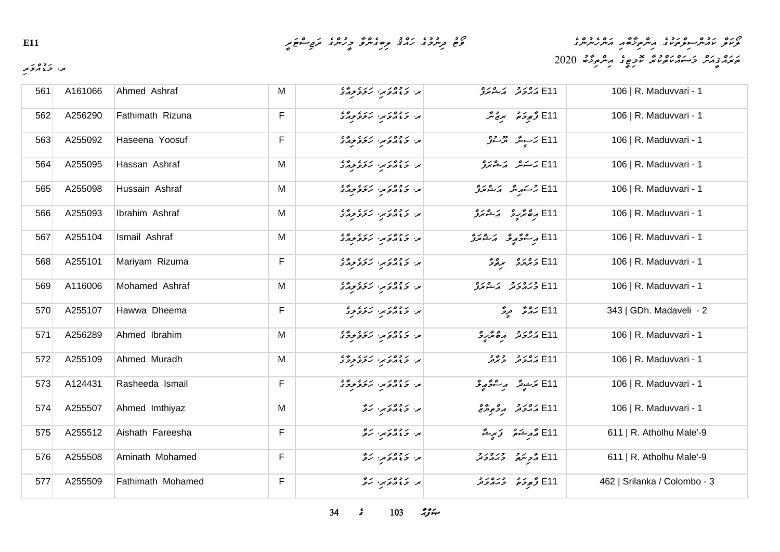*sCw7q7s5w7m< o<n9nOoAw7o< sCq;mAwBoEw7q<m; wBm;vB* م من المرة المرة المرة المرجع المراجع المراجع المراجع المراجع المراجع المراجع المراجع المراجع المراجع المراجع<br>مرين المراجع المراجع المرجع المراجع المراجع المراجع المراجع المراجع المراجع المراجع المراجع المراجع المراجع ال

| ر د ه ر     |  |
|-------------|--|
| بر. כے موتر |  |
| ◢           |  |

| 561 | A161066 | Ahmed Ashraf      | M           | بر كالمؤبر، كركومبر             | E11 كەبرى بىر كەنتىدى كەنتىر كىلەت بىر | 106   R. Maduvvari - 1       |
|-----|---------|-------------------|-------------|---------------------------------|----------------------------------------|------------------------------|
| 562 | A256290 | Fathimath Rizuna  | F           | برا ويهوي روي والم              | E11 ۇ <sub>ج</sub> وڭ ئەسىم ئىر        | 106   R. Maduvvari - 1       |
| 563 | A255092 | Haseena Yoosuf    | $\mathsf F$ | برا ووه در در در در در در در در | E11   پرسپور پژمشو<br> -               | 106   R. Maduvvari - 1       |
| 564 | A255095 | Hassan Ashraf     | M           | برا كالمكافر كالمتحافزات        | E11 ئەسەبىر كە <u>مە</u> برو           | 106   R. Maduvvari - 1       |
| 565 | A255098 | Hussain Ashraf    | M           | برا ويهوي روي والم              | E11 پرستمبر مرکز پر پیمبر<br>ا         | 106   R. Maduvvari - 1       |
| 566 | A255093 | Ibrahim Ashraf    | M           | برا كالمكافر كالمتحافظ والمحالي | E11 مەھەر بەر مەش <i>ەتت</i> ى         | 106   R. Maduvvari - 1       |
| 567 | A255104 | Ismail Ashraf     | M           | برا كالمقرس ككوفرا              | E11 م سىر <i>ۇرى مىشمۇ</i> ر           | 106   R. Maduvvari - 1       |
| 568 | A255101 | Mariyam Rizuma    | $\mathsf F$ | برا ووه در در در در در در در در | E11 كەبەر ئەرگە كەبەر ئەرگە            | 106   R. Maduvvari - 1       |
| 569 | A116006 | Mohamed Ashraf    | M           | برا كالمكافر كالمتحافظ والمحالي | E11 دېرورو ترشيز                       | 106   R. Maduvvari - 1       |
| 570 | A255107 | Hawwa Dheema      | $\mathsf F$ | برا وَءَمُوَسٍ رَوَوْمِرَ       | E11 يَرْدُوَّ   مِرِدَّ                | 343   GDh. Madaveli - 2      |
| 571 | A256289 | Ahmed Ibrahim     | M           | برا ويهوي روي والمحا            | E11 <sub>م</sub> ردور م <b>ەئ</b> رىدۇ | 106   R. Maduvvari - 1       |
| 572 | A255109 | Ahmed Muradh      | M           | برا ودوه روء ولاء               | E11 كەبرى بىر ئەتەر بىرلىر             | 106   R. Maduvvari - 1       |
| 573 | A124431 | Rasheeda Ismail   | $\mathsf F$ | برا وده وراده ودا               | E11  يَرَسُوتَرُ - بِرِسْوَّةٍ تِوَ    | 106   R. Maduvvari - 1       |
| 574 | A255507 | Ahmed Imthiyaz    | M           | بن بروه در زگر                  | E11 גיבנג הכנית בי                     | 106   R. Maduvvari - 1       |
| 575 | A255512 | Aishath Fareesha  | F           | بن بروه در زوٌ                  | E11 مَدْمِ حَدَمَة وَمَرِ حَدَّ        | 611   R. Atholhu Male'-9     |
| 576 | A255508 | Aminath Mohamed   | $\mathsf F$ | بن بروه در زو                   | E11 جُعِسَمُ حَمَدُ وَمَ               | 611   R. Atholhu Male'-9     |
| 577 | A255509 | Fathimath Mohamed | F           | بن بروه در زوّ                  | E11 و <i>تجوح</i> تم مح <i>مد وم</i> ر | 462   Srilanka / Colombo - 3 |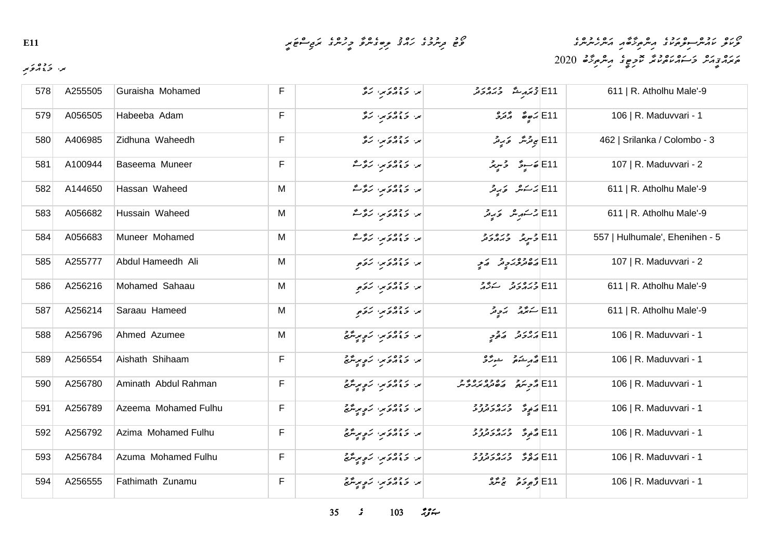*sCw7q7s5w7m< o<n9nOoAw7o< sCq;mAwBoEw7q<m; wBm;vB 2020*<br>*په ټومن د سوم پوره پورې پر سوم د سره پره و*لا

| 578 | A255505 | Guraisha Mohamed     | F           | بر ووه د نگ                                                   | E11 تۇتترىرىش ئ <i>ۇتتەدەتر</i>                 | 611   R. Atholhu Male'-9       |
|-----|---------|----------------------|-------------|---------------------------------------------------------------|-------------------------------------------------|--------------------------------|
| 579 | A056505 | Habeeba Adam         | F           | برا كالمكافر بالمحمد المركز                                   | E11 يَرْصِرَ مُسَرَّحَر                         | 106   R. Maduvvari - 1         |
| 580 | A406985 | Zidhuna Waheedh      | F           | برا كالمكافر بالمحمد المركز                                   | E11 <sub>مج</sub> و <i>نگر کاپ</i> ور           | 462   Srilanka / Colombo - 3   |
| 581 | A100944 | Baseema Muneer       | F           | ىن ئەدەمى، ئەۋىت                                              | E11 <i>ھَ بِيودَ</i> وَس <sub>ِي</sub> تَر      | 107   R. Maduvvari - 2         |
| 582 | A144650 | Hassan Waheed        | M           | برا ئەدەم بەر ئەرگە                                           | E11 پرسکر ق <i>اب</i> رمر                       | 611   R. Atholhu Male'-9       |
| 583 | A056682 | Hussain Waheed       | M           | ىن ئەدەم بەر ئەھمىت                                           | E11 پر <i>شہر میں ت</i> قرید                    | 611   R. Atholhu Male'-9       |
| 584 | A056683 | Muneer Mohamed       | M           | بر کے موبر، رُوُتُ                                            | E11 <sub>ح</sub> سرپر بر <i>وروتر</i>           | 557   Hulhumale', Ehenihen - 5 |
| 585 | A255777 | Abdul Hameedh Ali    | M           |                                                               | E11 رەپرى <i>ۋىزچ</i> ۇ كەيچ                    | 107   R. Maduvvari - 2         |
| 586 | A256216 | Mohamed Sahaau       | M           | برا وده دي رکوي                                               | E11 وَيَرْدُونَرْ سَنَرْدُ                      | 611   R. Atholhu Male'-9       |
| 587 | A256214 | Saraau Hameed        | M           | برا وده دي رکوي                                               | E11 سَمَدَّة - رَ <sub>حِ</sub> مَّ             | 611   R. Atholhu Male'-9       |
| 588 | A256796 | Ahmed Azumee         | M           | من كالمرومين كومرس                                            | E11 كەبرى قىر كەنتى بىر                         | 106   R. Maduvvari - 1         |
| 589 | A256554 | Aishath Shihaam      | F           | المن كالمحكم وكالمحافظ والمحرج والمراجح                       | E11 مەم شىم ھەر ئىچى ئىس                        | 106   R. Maduvvari - 1         |
| 590 | A256780 | Aminath Abdul Rahman | F           | المن كالمروكات كالمحامر منتج                                  | E11 مُرْحِسَمُ مُصْرِمْ مُرْمَدَ مِنْ           | 106   R. Maduvvari - 1         |
| 591 | A256789 | Azeema Mohamed Fulhu | $\mathsf F$ | المن كالمحكم وكالمحافظ والمحرج والمراجح                       | E11 كەنبەر مەردىمەردىن كەنبەر ئىنباشقان ئا      | 106   R. Maduvvari - 1         |
| 592 | A256792 | Azima Mohamed Fulhu  | F           | المن كالمروكات كالمحافظة                                      | E11 مَّ <i>فِي حَدَّ وَمَدَوْمَةِ وَ</i>        | 106   R. Maduvvari - 1         |
| 593 | A256784 | Azuma Mohamed Fulhu  | $\mathsf F$ | أمن وَ وَ وَ وَ وَ لَا مِنْ وَ مِنْ مِنْ وَ اللَّهِ مِنْ مِنْ | E11 كەنبى ئەرەردىدىن دەر                        | 106   R. Maduvvari - 1         |
| 594 | A256555 | Fathimath Zunamu     | F           | برا كالمؤتمرا كوبرس                                           | E11 زُ <sub>ھِ ح</sub> رَمُ گ <sup>م</sup> رَدُ | 106   R. Maduvvari - 1         |

**35** *s* **103** *z z*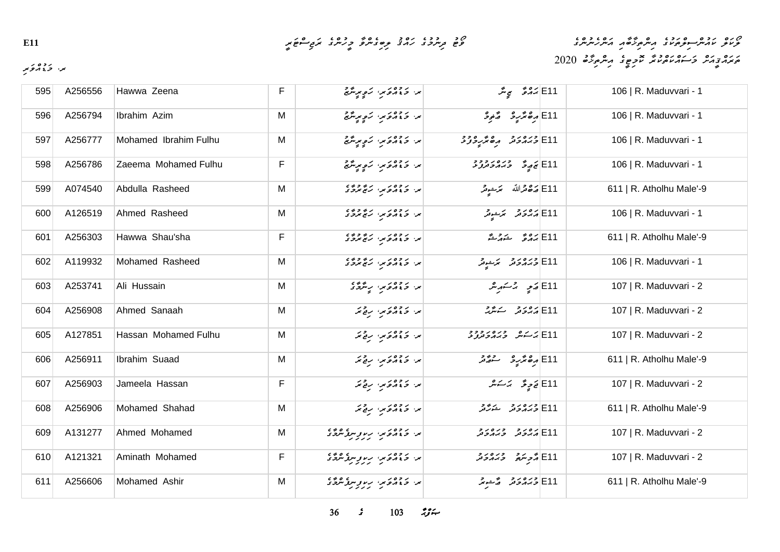*sCw7q7s5w7m< o<n9nOoAw7o< sCq;mAwBoEw7q<m; wBm;vB* م من المرة المرة المرة المرجع المراجع المراجع المراجع المراجع المراجع المراجع المراجع المراجع المراجع المراجع<br>مرين المراجع المراجع المرجع المراجع المراجع المراجع المراجع المراجع المراجع المراجع المراجع المراجع المراجع ال

| 595 | A256556 | Hawwa Zeena           | F           | برا كالمؤتمرا كويرس                                                    | E11 <i>يَدُهُ ٿَ</i> مِسَّرَ              | 106   R. Maduvvari - 1   |
|-----|---------|-----------------------|-------------|------------------------------------------------------------------------|-------------------------------------------|--------------------------|
| 596 | A256794 | Ibrahim Azim          | M           | أمرا وكالمؤمرا كويرس                                                   | E11 مەھمگىيى ھەمچى                        | 106   R. Maduvvari - 1   |
| 597 | A256777 | Mohamed Ibrahim Fulhu | M           | أمرا وكالمؤمرا كويرس                                                   | E11 ديرە دە ھەترىرورى                     | 106   R. Maduvvari - 1   |
| 598 | A256786 | Zaeema Mohamed Fulhu  | $\mathsf F$ | برا ودور كوبرس                                                         | E11 ىن پەر ئەر دەرى دەرە                  | 106   R. Maduvvari - 1   |
| 599 | A074540 | Abdulla Rasheed       | M           | بر دوه در روده                                                         | E11 كەڭ قىراللە     كرىشونتر              | 611   R. Atholhu Male'-9 |
| 600 | A126519 | Ahmed Rasheed         | M           | س كروه را كرونوس.<br>س كروه كروس كريم مركزي                            | E11 كەردى كەن كەر بىر                     | 106   R. Maduvvari - 1   |
| 601 | A256303 | Hawwa Shau'sha        | F           | بر دوه در روده                                                         | E11 بَرْدُوَّ شَ <sub>م</sub> ْرُشَّ      | 611   R. Atholhu Male'-9 |
| 602 | A119932 | Mohamed Rasheed       | M           | بر دوه در روده                                                         | E11] <i>وَبَرُهُ وَ</i> تَرَ مَرَسُوِيْرُ | 106   R. Maduvvari - 1   |
| 603 | A253741 | Ali Hussain           | M           | بر دوه در پروه                                                         | E11 کھیج سے چھوٹھ                         | 107   R. Maduvvari - 2   |
| 604 | A256908 | Ahmed Sanaah          | M           | من تروه در بروتر                                                       | E11 كەبرى بىر سىر ئىسى 2013 كىلەر 2014    | 107   R. Maduvvari - 2   |
| 605 | A127851 | Hassan Mohamed Fulhu  | M           | من تروه دم رقم کر                                                      | E11 پزشک و <i>چرو و وو</i> و              | 107   R. Maduvvari - 2   |
| 606 | A256911 | Ibrahim Suaad         | M           | بن تروه در رقم بر                                                      | E11 م <i>وڭ ئۇر</i> بۇ سى <i>مەت</i> ر    | 611   R. Atholhu Male'-9 |
| 607 | A256903 | Jameela Hassan        | $\mathsf F$ | برا وده در ده بر                                                       |                                           | 107   R. Maduvvari - 2   |
| 608 | A256906 | Mohamed Shahad        | M           | من تروه دمي، رقم تر                                                    | E11 <i>وُبَرُوُوَ</i> تَرُ شَرَحْتَرُ     | 611   R. Atholhu Male'-9 |
| 609 | A131277 | Ahmed Mohamed         | M           | بر کرده کرد کرد و سره مرد د<br>بر کردگان کرد در مرد مرد د              | E11 ג׳כנר כגמכנר                          | 107   R. Maduvvari - 2   |
| 610 | A121321 | Aminath Mohamed       | F           | بر كەندۈس سەرسە مەد                                                    | E11 مُ مِ سَمَّة مَ مَدَّ مِ مَسَ         | 107   R. Maduvvari - 2   |
| 611 | A256606 | Mohamed Ashir         | M           | بر کے مرکز کر رہا تو سرتی سرچانی<br>براہ کے مرکز کر کر کر کر کر سرچانی | E11 <i>وبروونز م</i> حشو <i>نز</i>        | 611   R. Atholhu Male'-9 |

 $36$  *s*  $103$  *z***<sub>3</sub>**  $\frac{2}{3}$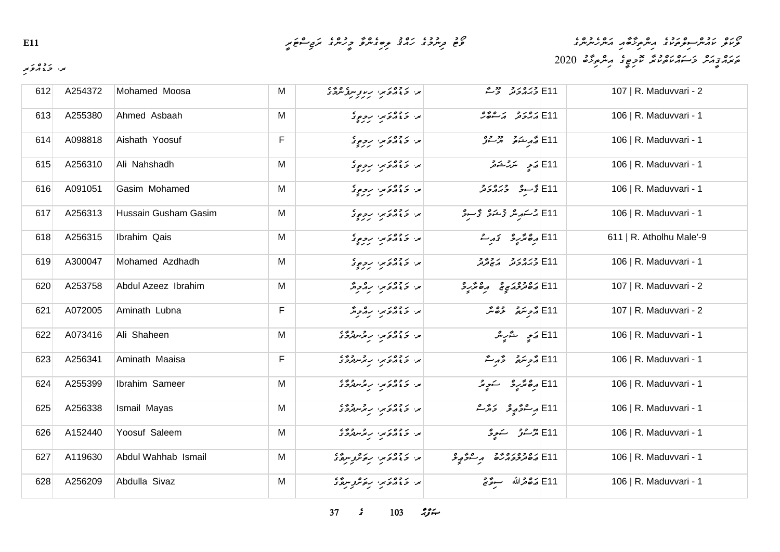*sCw7q7s5w7m< o<n9nOoAw7o< sCq;mAwBoEw7q<m; wBm;vB* م من المرة المرة المرة المرجع المرجع في المركبة 2020<br>مجم*د المريض المربوط المربع المرجع في المراجع المركبة* 

| 612 | A254372 | Mohamed Moosa        | M            | ىن ئەدەكتىر، سەرسىگە ئىگەنى                                                   | $23.323$ E11                                     | 107   R. Maduvvari - 2   |
|-----|---------|----------------------|--------------|-------------------------------------------------------------------------------|--------------------------------------------------|--------------------------|
| 613 | A255380 | Ahmed Asbaah         | M            | بر دوه در روم د                                                               | $2222$ $222$ $222$ $511$                         | 106   R. Maduvvari - 1   |
| 614 | A098818 | Aishath Yoosuf       | F            | بر دوه در روم د                                                               | E11 ۾ م شموھ مرڪز                                | 106   R. Maduvvari - 1   |
| 615 | A256310 | Ali Nahshadh         | M            | $\frac{c}{2}$ , $\frac{c}{2}$ , $\frac{c}{2}$ , $\frac{c}{2}$ , $\frac{c}{2}$ | E11   كەبىي سەرجىشىتىر                           | 106   R. Maduvvari - 1   |
| 616 | A091051 | Gasim Mohamed        | M            | بر و دور به برود د                                                            | E11 تۇسىۋە مە <i>مەم</i> ەتەر                    | 106   R. Maduvvari - 1   |
| 617 | A256313 | Hussain Gusham Gasim | M            | بر دوه در روم د                                                               | E11 يُرْسَمَ مِنْ مُرْ عَدَّةَ - تَخْرُ - وَنَ   | 106   R. Maduvvari - 1   |
| 618 | A256315 | Ibrahim Qais         | M            | بر دوه در برده و                                                              | E11 مەھەر تۇم تۇم قىلىسىتى E11                   | 611   R. Atholhu Male'-9 |
| 619 | A300047 | Mohamed Azdhadh      | M            | بر دوه در روم د                                                               | E11 دُبرورو پر پرور                              | 106   R. Maduvvari - 1   |
| 620 | A253758 | Abdul Azeez Ibrahim  | M            | بر ووه در برور                                                                | E11 גەدومەي مەھرىرد                              | 107   R. Maduvvari - 2   |
| 621 | A072005 | Aminath Lubna        | $\mathsf{F}$ | بن كالمروه به مره مره م                                                       | E11 مُ <i>جِسَعِ فَرَهْ مُ</i> رَ                | 107   R. Maduvvari - 2   |
| 622 | A073416 | Ali Shaheen          | M            | برا كالمكافر المحمد المحمد                                                    | E11  کی پی سنگریٹر                               | 106   R. Maduvvari - 1   |
| 623 | A256341 | Aminath Maaisa       | F            | برا كالمكام بالمستر ولاء                                                      | E11 مَّ مِسَمَّى تَحْدِثَتَ                      | 106   R. Maduvvari - 1   |
| 624 | A255399 | Ibrahim Sameer       | M            | المنا كالمحكم والمحامل والمحمد والمحالي                                       | E11 رەتمەر ئەرىمە                                | 106   R. Maduvvari - 1   |
| 625 | A256338 | Ismail Mayas         | M            | بر کے مکام برابر میں اللہ کر دیا                                              | E11 <sub>م</sub> رےد <i>ۇ<sub>م</sub>ى</i> ئەرمى | 106   R. Maduvvari - 1   |
| 626 | A152440 | Yoosuf Saleem        | M            | برا وده وي ريز سردون                                                          | E11 پژگر م سکوی ت                                | 106   R. Maduvvari - 1   |
| 627 | A119630 | Abdul Wahhab Ismail  | M            | پر او دوسر رومروسرون                                                          | E11 ره ده ده ده د موږد                           | 106   R. Maduvvari - 1   |
| 628 | A256209 | Abdulla Sivaz        | M            | برا كالمكافرين بالمحافرو ببرهامي                                              | E11 أَرَى قُرْاللَّهُ مُسْوَّى مَنْ              | 106   R. Maduvvari - 1   |

*37 sC 103 nNw?mS*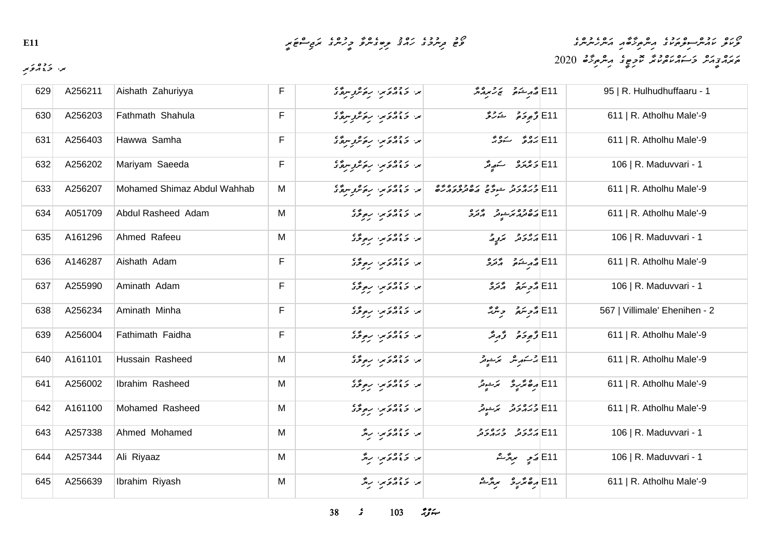*sCw7q7s5w7m< o<n9nOoAw7o< sCq;mAwBoEw7q<m; wBm;vB* م من المرة المرة المرة المرجع المرجع في المركبة 2020<br>مجم*د المريض المربوط المربع المرجع في المراجع المركبة* 

| 629 | A256211 | Aishath Zahuriyya           | F            | يرز ځوندې ته برغور پرېږي کا       | E11 مۇم شەقەت ئى <i>ئىبەدە</i> ئى              | 95   R. Hulhudhuffaaru - 1    |
|-----|---------|-----------------------------|--------------|-----------------------------------|------------------------------------------------|-------------------------------|
| 630 | A256203 | Fathmath Shahula            | F            | المنا وكالمؤتمر المتواطر والمحالي | E11 تَ <i>وْجِوَة</i> شَرْكَةَ <b>E</b>        | 611   R. Atholhu Male'-9      |
| 631 | A256403 | Hawwa Samha                 | F            | أمن كالمركوب ركونروسرة والمحالي   | $232$ $22$ $21$                                | 611   R. Atholhu Male'-9      |
| 632 | A256202 | Mariyam Saeeda              | F            | ر كەن كەن بەكەن بىر               | E11 كەبىر بىر سىمبەتر                          | 106   R. Maduvvari - 1        |
| 633 | A256207 | Mohamed Shimaz Abdul Wahhab | M            |                                   |                                                | 611   R. Atholhu Male'-9      |
| 634 | A051709 | Abdul Rasheed Adam          | $\mathsf{M}$ | بر دوه در روژه                    | E11 ړه ده برخپوتر گمه ترو                      | 611   R. Atholhu Male'-9      |
| 635 | A161296 | Ahmed Rafeeu                | M            | بر دوه در روژه                    | E11 كەندى كىمى كىلىمى ئىل                      | 106   R. Maduvvari - 1        |
| 636 | A146287 | Aishath Adam                | F            | بر دوه در روژه                    | E11 مەم شىم ئەمەر ئى                           | 611   R. Atholhu Male'-9      |
| 637 | A255990 | Aminath Adam                | F            | بر دوه در روژه                    | E11 مُجْرِسَمُ مُحَمَّدٌ                       | 106   R. Maduvvari - 1        |
| 638 | A256234 | Aminath Minha               | F            | بر دوه در روژه                    | E11 مُ مِسْعَمٍ مِسْمَّدٌ                      | 567   Villimale' Ehenihen - 2 |
| 639 | A256004 | Fathimath Faidha            | F            | بر ووه در روی                     | E11 وَّجِرَة وَ وَمِسَّ                        | 611   R. Atholhu Male'-9      |
| 640 | A161101 | Hussain Rasheed             | M            | بر دوه در روژه                    | E11 پُرڪوپر گرھوٹر                             | 611   R. Atholhu Male'-9      |
| 641 | A256002 | Ibrahim Rasheed             | M            | بر دوه در روژه                    | E11 م <i>وڭ مگرى</i> دۇ مگرىش <sub>ى</sub> نىز | 611   R. Atholhu Male'-9      |
| 642 | A161100 | Mohamed Rasheed             | M            | بر دوه در روژه                    | E11 <i>وَبَرْدُوَ</i> تَرَ كَرَسُوِيْرَ        | 611   R. Atholhu Male'-9      |
| 643 | A257338 | Ahmed Mohamed               | M            | بن تروه در به به                  | E11 ג׳כנר כג' בכל                              | 106   R. Maduvvari - 1        |
| 644 | A257344 | Ali Riyaaz                  | M            | بر ودوه در برگ                    | E11  کیم پرتگ                                  | 106   R. Maduvvari - 1        |
| 645 | A256639 | Ibrahim Riyash              | M            | بن تروه من رنز                    | E11 رەئزىر <sup>ى</sup> بر <del>گ</del> رىئە   | 611   R. Atholhu Male'-9      |

**38** *s* **103** *n***<sub>s</sub>**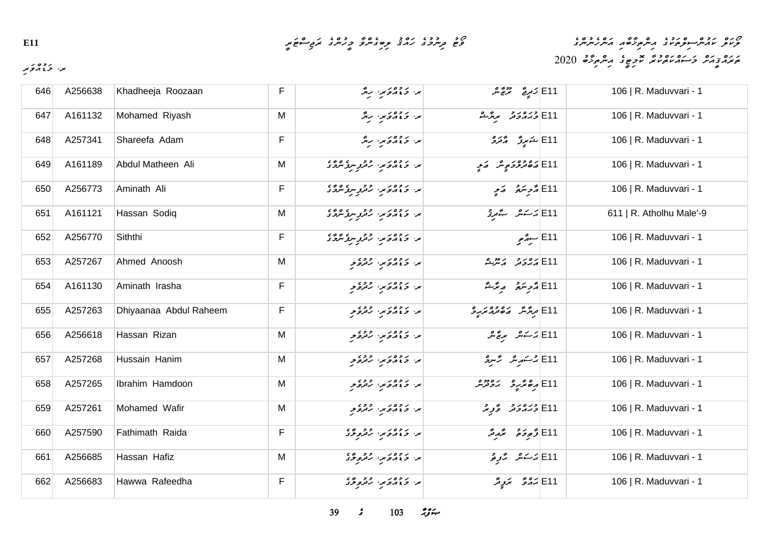*sCw7q7s5w7m< o<n9nOoAw7o< sCq;mAwBoEw7q<m; wBm;vB* م من المرة المرة المرة المرجع المرجع في المركبة 2020<br>مجم*د المريض المربوط المربع المرجع في المراجع المركبة* 

| ر د ه ر    |  |
|------------|--|
| ىر. جەمۇبر |  |
|            |  |

| 646 | A256638 | Khadheeja Roozaan      | F           | پر از دور پر اگر                            | E11 كَرْمِرِيحٌ مَيْرَجُ سُرْ          | 106   R. Maduvvari - 1   |
|-----|---------|------------------------|-------------|---------------------------------------------|----------------------------------------|--------------------------|
| 647 | A161132 | Mohamed Riyash         | M           | بن تروه در برگ                              | E11 <i>وبروونز</i> بربر <sub>گ</sub>   | 106   R. Maduvvari - 1   |
| 648 | A257341 | Shareefa Adam          | F           | بن تروه در برگ                              | E11 شەمرى <sup>ت</sup> ە م <i>ەترى</i> | 106   R. Maduvvari - 1   |
| 649 | A161189 | Abdul Matheen Ali      | M           | بر دوه در دور دوره و                        | E11 رەمورى تەرەپ ھېمبە ھ               | 106   R. Maduvvari - 1   |
| 650 | A256773 | Aminath Ali            | F           | بر المروه من المحمد المروري والمحمد المروري | E11 مَّ صِنَعْهُ – مَعٍ                | 106   R. Maduvvari - 1   |
| 651 | A161121 | Hassan Sodiq           | M           | بر روه در وور وور و                         | E11   پرسک میٹرویز کے قب <i>ری</i>     | 611   R. Atholhu Male'-9 |
| 652 | A256770 | Siththi                | F           | بر اوه در وورس وور                          | E11 سبرچمو                             | 106   R. Maduvvari - 1   |
| 653 | A257267 | Ahmed Anoosh           | M           | برا كالمقرب المقروم                         | E11 كەبروتى كەنترىش                    | 106   R. Maduvvari - 1   |
| 654 | A161130 | Aminath Irasha         | $\mathsf F$ | برا كالمقرس المقرومي                        | E11 مُرْحِسَمُ مِسَمَّدٌ               | 106   R. Maduvvari - 1   |
| 655 | A257263 | Dhiyaanaa Abdul Raheem | F           | أأرا وكالمروس المرودي                       | E11 مرتزنتر مقصر تربر و                | 106   R. Maduvvari - 1   |
| 656 | A256618 | Hassan Rizan           | M           | أأرا وكالمروس المرادعو                      | E11   يَرْسَدُ مَنْ مِنْ مِنْدَ مِنْ   | 106   R. Maduvvari - 1   |
| 657 | A257268 | Hussain Hanim          | M           | برا كالمقرم المرودي                         | E11 پڑے <i>مہ</i> بھر گے سرچ           | 106   R. Maduvvari - 1   |
| 658 | A257265 | Ibrahim Hamdoon        | M           | برا كالمقرب المقروم                         | E11 مەھمەر بەردە بەردە                 | 106   R. Maduvvari - 1   |
| 659 | A257261 | Mohamed Wafir          | M           | أأرا وكالمروس المرادعو                      | E11 <i>5222 وُبِ</i> رِ                | 106   R. Maduvvari - 1   |
| 660 | A257590 | Fathimath Raida        | F           | بر كەن ھەر ئەھرە ئەن                        | E11 <i>وُّجِ دَمْ</i> مُحْمِدِمَّر     | 106   R. Maduvvari - 1   |
| 661 | A256685 | Hassan Hafiz           | M           | بر کروه در ووځی                             | E11 پرسترش بر <sub>گرفتی</sub>         | 106   R. Maduvvari - 1   |
| 662 | A256683 | Hawwa Rafeedha         | F           | بر كەمگە ئەر ئەر ئۇرۇ                       | E11 <i>بَرْدُوَّ - بَرْدِ</i> تَرُ     | 106   R. Maduvvari - 1   |

**39** *s* **103** *n***<sub>s</sub>***n***<sub>s</sub>**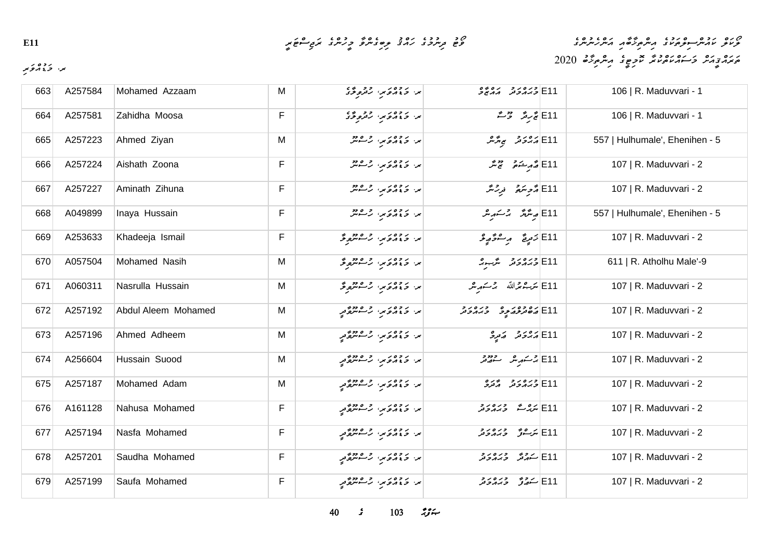*sCw7q7s5w7m< o<n9nOoAw7o< sCq;mAwBoEw7q<m; wBm;vB* م من المرة المرة المرة المرجع المرجع في المركبة 2020<br>مجم*د المريض المربوط المربع المرجع في المراجع المركبة* 

| ر د ه ر    |  |
|------------|--|
| ىر. جەمۇبر |  |
| ╭          |  |

| 663 | A257584 | Mohamed Azzaam      | M           | بر كەن ئەرەب كەترەت كە                                                                                                                                                                                                        | $3202$ $5222$ $E11$                        | 106   R. Maduvvari - 1         |
|-----|---------|---------------------|-------------|-------------------------------------------------------------------------------------------------------------------------------------------------------------------------------------------------------------------------------|--------------------------------------------|--------------------------------|
| 664 | A257581 | Zahidha Moosa       | F           | بر كەن ئەرگە ئۇرگە                                                                                                                                                                                                            | E11 تج برمثر متخرسته                       | 106   R. Maduvvari - 1         |
| 665 | A257223 | Ahmed Ziyan         | M           | برا ووه در ورود                                                                                                                                                                                                               | E11 كەبرى قىرىپە ئەرگىرىن ئىس              | 557   Hulhumale', Ehenihen - 5 |
| 666 | A257224 | Aishath Zoona       | F           | برا ووه در المراجع                                                                                                                                                                                                            | E11 مەم شىم ئىچ ئىگر                       | 107   R. Maduvvari - 2         |
| 667 | A257227 | Aminath Zihuna      | $\mathsf F$ | بر و وه در و ه دو                                                                                                                                                                                                             | E11 مَّ مِ سَمَّ مَّ مُرِسَّدَ             | 107   R. Maduvvari - 2         |
| 668 | A049899 | Inaya Hussain       | F           | بر و وه در و ه دو                                                                                                                                                                                                             | E11 مەمىگە ئەسىمبەش                        | 557   Hulhumale', Ehenihen - 5 |
| 669 | A253633 | Khadeeja Ismail     | F           | برا المعجم والمستقرح والمحمد والمحمدة والمحرج والمحرج والمحرج والمحرج والمحرج والمحرج والمحرج والمحرج والمحرج والمحرج والمحرج والمحرج والمحرج والمحرج والمحرج والمحرج والمحرج والمحرج والمحرج والمحرج والمحرج والمحرج والمحرج | E11 كَتَعِيقٌ - مِتْ شَوَّمِيوْ -          | 107   R. Maduvvari - 2         |
| 670 | A057504 | Mohamed Nasih       | M           | برا وده در وره محمد و محمد استرات                                                                                                                                                                                             | E11 <i>وُبَرُودُو مُرْبِ</i> دِيْر         | 611   R. Atholhu Male'-9       |
| 671 | A060311 | Nasrulla Hussain    | M           | أمن وأوادوس الرحم معروف                                                                                                                                                                                                       | E11 سَرَ-عِمْرَاللَّهُ مَرْ سَنَ مِرْ شَرْ | 107   R. Maduvvari - 2         |
| 672 | A257192 | Abdul Aleem Mohamed | M           | برا ووديرا ومصروبه                                                                                                                                                                                                            | E11 גەدەر دەردەرد                          | 107   R. Maduvvari - 2         |
| 673 | A257196 | Ahmed Adheem        | M           | بر كالمحوض كر منظور                                                                                                                                                                                                           | E11 كەنزى كە كەرگ                          | 107   R. Maduvvari - 2         |
| 674 | A256604 | Hussain Suood       | M           | بر كالمحوض كر منظور                                                                                                                                                                                                           |                                            | 107   R. Maduvvari - 2         |
| 675 | A257187 | Mohamed Adam        | M           | برا ووه والمستعمر                                                                                                                                                                                                             | E11 وبرە دىپە ھەرە                         | 107   R. Maduvvari - 2         |
| 676 | A161128 | Nahusa Mohamed      | F           | بر كالمحوض كر منظور                                                                                                                                                                                                           | E11 يتربر مقرور وروند                      | 107   R. Maduvvari - 2         |
| 677 | A257194 | Nasfa Mohamed       | F           | بر المروه در المستخفر المستخفر المستخفر المستخفر المستخفر المستخفر المستخفر المستخفر المستخفر المستخفر المستخفر                                                                                                               | E11 يتر شوتر من ديروند                     | 107   R. Maduvvari - 2         |
| 678 | A257201 | Saudha Mohamed      | $\mathsf F$ | برا ووديرا ومصروبه                                                                                                                                                                                                            | E11 كەرتىر ب <i>ەرەرەر</i>                 | 107   R. Maduvvari - 2         |
| 679 | A257199 | Saufa Mohamed       | F           | بر كالمحوض المستوفير                                                                                                                                                                                                          | E11 ينهز وبرودر                            | 107   R. Maduvvari - 2         |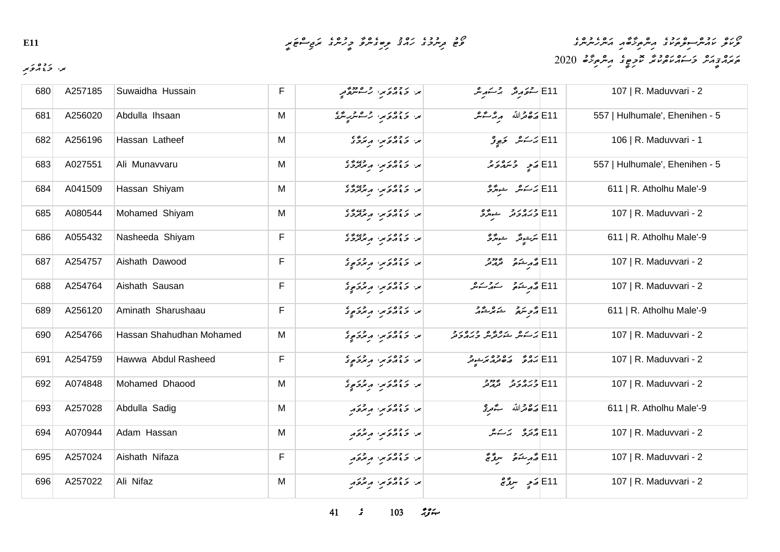*sCw7q7s5w7m< o<n9nOoAw7o< sCq;mAwBoEw7q<m; wBm;vB* م من المرة المرة المرة المرجع المرجع في المركبة 2020<br>مجم*د المريض المربوط المربع المرجع في المراجع المركبة* 

| ر د ه ر        |  |
|----------------|--|
| بر. و ۽ مرو بر |  |
|                |  |

| 680 | A257185 | Suwaidha Hussain         | F            | بر کے موتر کے معتقوم               | E11 ست <i>وفہ پڑے بہ</i> بھر                                                                         | 107   R. Maduvvari - 2         |
|-----|---------|--------------------------|--------------|------------------------------------|------------------------------------------------------------------------------------------------------|--------------------------------|
| 681 | A256020 | Abdulla Ihsaan           | M            | بر کے مؤتمر کے سربر سرد کا         | E11 كەھىراللە ب <i>ەر مەش</i> كىر                                                                    | 557   Hulhumale', Ehenihen - 5 |
| 682 | A256196 | Hassan Latheef           | M            | بمزاح وه مرد به درون               | E11   يَرْسَدُ گَرَمُّوڤَرَ                                                                          | 106   R. Maduvvari - 1         |
| 683 | A027551 | Ali Munavvaru            | M            | بر کروه در در دره در               | E11  رَمٍ وَسَ <i>دُونَدُ</i>                                                                        | 557   Hulhumale', Ehenihen - 5 |
| 684 | A041509 | Hassan Shiyam            | M            | بر کروه در در دوره و با            | E11 كەشكە ھەد <i>گ</i> ۇ                                                                             | 611   R. Atholhu Male'-9       |
| 685 | A080544 | Mohamed Shiyam           | M            | بر کروه در در دره در د             | $3.923$ $2.923$ $E11$                                                                                | 107   R. Maduvvari - 2         |
| 686 | A055432 | Nasheeda Shiyam          | F            | بر: 325 كريم، مرتزح ي              | E11 مَرَسْوِمَّر سْوَرَّرْدُ                                                                         | 611   R. Atholhu Male'-9       |
| 687 | A254757 | Aishath Dawood           | F            | بر ووه د مردم و                    | E11 مَگْرِسْتَمْ مِنْ مَرْدَمْر                                                                      | 107   R. Maduvvari - 2         |
| 688 | A254764 | Aishath Sausan           | F            | بر كالمومر المتحافي                | E11 مۇم ئىقتى سىز ئىكىش                                                                              | 107   R. Maduvvari - 2         |
| 689 | A256120 | Aminath Sharushaau       | $\mathsf{F}$ | بر كالمؤتر المتركوري               | E11 أَرَّحِ سَرَمْ مَسَوَّسُوْرَ الْمَسَرْرَ الْمَسَرِّرَ الْمَسَرِّرَ الْمَسَرِّرَ الْمَسَرِّرَ الْ | 611   R. Atholhu Male'-9       |
| 690 | A254766 | Hassan Shahudhan Mohamed | M            | من كالمروم بمركز مع المركز         | E11 پرسەش خەرەش ۋېرەر د                                                                              | 107   R. Maduvvari - 2         |
| 691 | A254759 | Hawwa Abdul Rasheed      | F            | بر كودەر بر برگر دى                | E11 يَرْدُعُ مَ صَعْرَ مَرْسُومْرَ                                                                   | 107   R. Maduvvari - 2         |
| 692 | A074848 | Mohamed Dhaood           | M            | بر كالموكب مالمركز ولا             | E11 دُبرورو مُرەرو                                                                                   | 107   R. Maduvvari - 2         |
| 693 | A257028 | Abdulla Sadig            | M            | بر دوه در در در در در در در استران | E11 مَەھْتْراللە سَرَّمَتْرَتْج                                                                      | 611   R. Atholhu Male'-9       |
| 694 | A070944 | Adam Hassan              | M            | بر· 53 مرکز ، مرکزمر               | E11 پژنر <i>ی بزش</i> تر                                                                             | 107   R. Maduvvari - 2         |
| 695 | A257024 | Aishath Nifaza           | $\mathsf F$  | بمز و و د د د به د برو د           | E11 مُدمِسْنَ مِنْ مِنْ تَج                                                                          | 107   R. Maduvvari - 2         |
| 696 | A257022 | Ali Nifaz                | M            | برا كالمؤبرا منظم                  | E11 کی مو <i>گ</i> ی                                                                                 | 107   R. Maduvvari - 2         |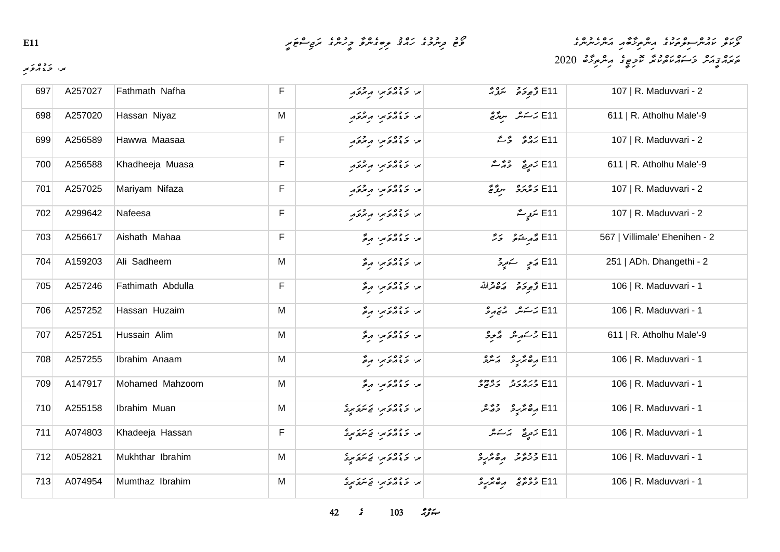*sCw7q7s5w7m< o<n9nOoAw7o< sCq;mAwBoEw7q<m; wBm;vB* م من المرة المرة المرة المرجع المرجع في المركبة 2020<br>مجم*د المريض المربوط المربع المرجع في المراجع المركبة* 

| ر د ه ر        |  |
|----------------|--|
| بر. و ۽ مرو بر |  |
|                |  |

| 697 | A257027 | Fathmath Nafha    | $\mathsf{F}$ | برا و دوربرا منظم                         | E11 رُّجِ دَمُ مَسْرٌبٌ         | 107   R. Maduvvari - 2        |
|-----|---------|-------------------|--------------|-------------------------------------------|---------------------------------|-------------------------------|
| 698 | A257020 | Hassan Niyaz      | M            | x: 23 p. 27 p. 27 p. 2                    | E11 ئەسىئە مەرى <i>گى</i> چ     | 611   R. Atholhu Male'-9      |
| 699 | A256589 | Hawwa Maasaa      | $\mathsf F$  | بر و وه د د برود.<br>بر و د و برو بر برود | $23.5$ $52.5$ $E11$             | 107   R. Maduvvari - 2        |
| 700 | A256588 | Khadheeja Muasa   | $\mathsf F$  | بر دوه در دبود                            | E11] زَمِيعٌ ۔ وُثُرُسٌ         | 611   R. Atholhu Male'-9      |
| 701 | A257025 | Mariyam Nifaza    | $\mathsf F$  | برا ودور المعدوم                          | E11 كەنگەنى سرگەنج              | 107   R. Maduvvari - 2        |
| 702 | A299642 | Nafeesa           | $\mathsf F$  | برا ودور المعدوم                          | E11 سَمِير مَتَّ                | 107   R. Maduvvari - 2        |
| 703 | A256617 | Aishath Mahaa     | $\mathsf F$  | بن تروه در به دی                          | E11 مَگْرِسْتَمْ وَرَّ          | 567   Villimale' Ehenihen - 2 |
| 704 | A159203 | Ali Sadheem       | M            | س كروه در به دي                           | E11  کەمو    سکورتى             | 251   ADh. Dhangethi - 2      |
| 705 | A257246 | Fathimath Abdulla | F            | بن تروه در مرد                            | E11 تَرْجِعَة مَدَّدَّة اللَّه  | 106   R. Maduvvari - 1        |
| 706 | A257252 | Hassan Huzaim     | M            | بن تروه در برگ                            | E11   يَرْسَسْ بِهِ مِنْ مِرْحْ | 106   R. Maduvvari - 1        |
| 707 | A257251 | Hussain Alim      | M            | س كروه د برگ                              |                                 | 611   R. Atholhu Male'-9      |
| 708 | A257255 | Ibrahim Anaam     | M            | بن كروه دين ارځ                           | E11 مەھەرىپ مەشھ                | 106   R. Maduvvari - 1        |
| 709 | A147917 | Mohamed Mahzoom   | M            | بر دوه د وي                               | E11 ديرورو برودوه               | 106   R. Maduvvari - 1        |
| 710 | A255158 | Ibrahim Muan      | M            | برا كالمركاس فاستكامهما                   | E11 رەئزىر <sup>ى</sup> خەممىر  | 106   R. Maduvvari - 1        |
| 711 | A074803 | Khadeeja Hassan   | F            | من كالمروم في سكوم مرد                    | E11] زَمرِجٌ     بَرَسَ شَر     | 106   R. Maduvvari - 1        |
| 712 | A052821 | Mukhthar Ibrahim  | M            | برا وده در المستقام و                     | E11 دزمز مەمگەر ۋ               | 106   R. Maduvvari - 1        |
| 713 | A074954 | Mumthaz Ibrahim   | M            | من كالمؤكد المستكوم والمحمدة              | E11 <i>دومي م</i> فتر د         | 106   R. Maduvvari - 1        |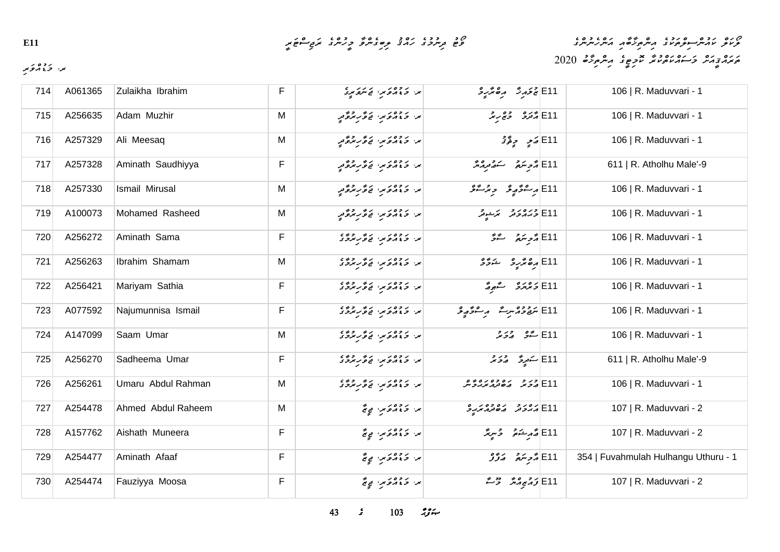*sCw7q7s5w7m< o<n9nOoAw7o< sCq;mAwBoEw7q<m; wBm;vB* م من المرة المرة المرة المرجع المرجع في المركبة 2020<br>مجم*د المريض المربوط المربع المرجع في المراجع المركبة* 

| 714 | A061365 | Zulaikha Ibrahim   | F | برا كالمروميا كالكريمي                                                                               | E11 تح تحدي <sup>ر</sup> مصر تحديد 2                  | 106   R. Maduvvari - 1               |
|-----|---------|--------------------|---|------------------------------------------------------------------------------------------------------|-------------------------------------------------------|--------------------------------------|
| 715 | A256635 | Adam Muzhir        | M | برا ويوه ويدا المتحاكم والمتحالي                                                                     | E11 أَدْتَرَدُّ حَمَّى مَدْ                           | 106   R. Maduvvari - 1               |
| 716 | A257329 | Ali Meesaq         | M | المن والمكافر والمحافظ والمحمدة والمحمد                                                              | E11  رَمٍ   وٍ وََوَّزَ                               | 106   R. Maduvvari - 1               |
| 717 | A257328 | Aminath Saudhiyya  | F | برا كالمكافر والمحافر والمحمدة والمحمد                                                               | E11 مُتَّحِسَمَةُ سَنَّمْ مُعَبِّدِهِ مَنْ            | 611   R. Atholhu Male'-9             |
| 718 | A257330 | Ismail Mirusal     | M | بر كالمؤمر كالمربر ومحمد                                                                             | E11 <sub>م</sub> رےد <i>ۇر</i> و پەرىئو               | 106   R. Maduvvari - 1               |
| 719 | A100073 | Mohamed Rasheed    | M | المن المحكم وكالمحمد والمحمد والمحمد المحمد والمحمدة والمحمدة والمحمدة والمحمدة والمحمدة المحمدة وال | E11 <i>وُبَرُوْدَوْدْ بَرَ</i> حُومْرُ                | 106   R. Maduvvari - 1               |
| 720 | A256272 | Aminath Sama       | F | ر دوه در ده ده                                                                                       | E11 أُمَّ مِسَمَّدٍ مُسَمَّرٌ                         | 106   R. Maduvvari - 1               |
| 721 | A256263 | Ibrahim Shamam     | M | بر ووه د وه.                                                                                         | E11 <sub>م</sub> ەتمەر شەۋۋ                           | 106   R. Maduvvari - 1               |
| 722 | A256421 | Mariyam Sathia     | F | برا وده در وده                                                                                       | E11 كى ئىرومى مەھمەتىكى ئى                            | 106   R. Maduvvari - 1               |
| 723 | A077592 | Najumunnisa Ismail | F | ر ده ده در در دره                                                                                    | E11 ىن <sub>ى</sub> ق قەمرىگە ب <sub>ە</sub> ر شۇرېدى | 106   R. Maduvvari - 1               |
| 724 | A147099 | Saam Umar          | M | ر دوه در وه دوه                                                                                      | E11 گەبى ھەنە ئە                                      | 106   R. Maduvvari - 1               |
| 725 | A256270 | Sadheema Umar      | F | ر دوه در ده ده                                                                                       | E11 سَمَرِدَّ 25%.                                    | 611   R. Atholhu Male'-9             |
| 726 | A256261 | Umaru Abdul Rahman | M | بر ووه در ووه                                                                                        | E11 در د مەمەرەبەر                                    | 106   R. Maduvvari - 1               |
| 727 | A254478 | Ahmed Abdul Raheem | M | بر کے دوبر، یہ مج                                                                                    | E11 ג 2,202 ג 2020 ב 2,4                              | 107   R. Maduvvari - 2               |
| 728 | A157762 | Aishath Muneera    | F | بر کے میکر کر ہے گی                                                                                  | E11 مَگرمِشَمَر - وَسِرِيَّرَ                         | 107   R. Maduvvari - 2               |
| 729 | A254477 | Aminath Afaaf      | F |                                                                                                      | E11 مُرْحِسَمُ مَرُّرُّ                               | 354   Fuvahmulah Hulhangu Uthuru - 1 |
| 730 | A254474 | Fauziyya Moosa     | F | بن كروه كار في تح                                                                                    | E11 زېږې چې په هم                                     | 107   R. Maduvvari - 2               |

*43 sC 103 nNw?mS*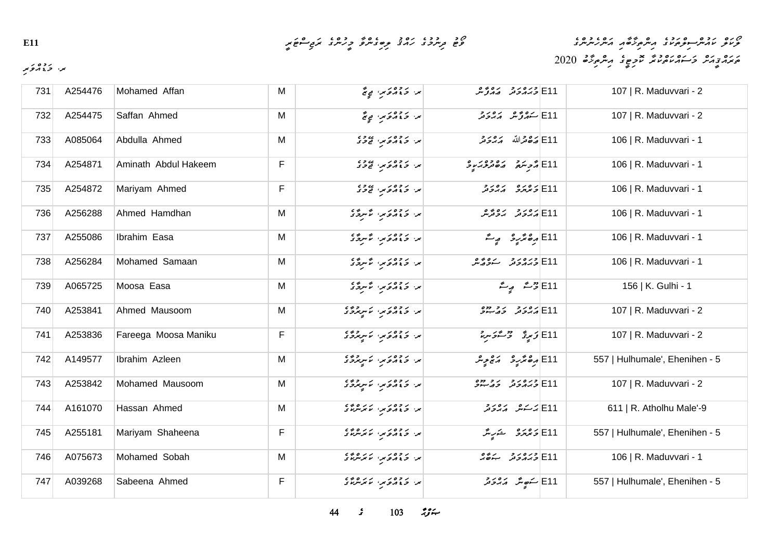*sCw7q7s5w7m< o<n9nOoAw7o< sCq;mAwBoEw7q<m; wBm;vB* م من المرة المرة المرة المرجع المرجع في المركبة 2020<br>مجم*د المريض المربوط المربع المرجع في المراجع المركبة* 

| 731 | A254476 | Mohamed Affan        | M           | بن كالمائم وهي، في حج                                                                                          | E11 <i>جەمەدە بەھ</i> ۇنىر                                                                                                                  | 107   R. Maduvvari - 2         |
|-----|---------|----------------------|-------------|----------------------------------------------------------------------------------------------------------------|---------------------------------------------------------------------------------------------------------------------------------------------|--------------------------------|
| 732 | A254475 | Saffan Ahmed         | M           | بر کے وکھ کر ہے گا                                                                                             | E11 ينهرونس بره ديو                                                                                                                         | 107   R. Maduvvari - 2         |
| 733 | A085064 | Abdulla Ahmed        | M           | بر ده ده به ده                                                                                                 | E11 مَەھْتَراللە مَەرقىر                                                                                                                    | 106   R. Maduvvari - 1         |
| 734 | A254871 | Aminath Abdul Hakeem | $\mathsf F$ | بر ده ده سه ده                                                                                                 | E11 مُجرِسَمُ مَصْرُحْدَبِ وَ                                                                                                               | 106   R. Maduvvari - 1         |
| 735 | A254872 | Mariyam Ahmed        | F           | بر ده در ده ده                                                                                                 | E11 كەبىر بەر بەر بەر بەر بەر بەر بىر                                                                                                       | 106   R. Maduvvari - 1         |
| 736 | A256288 | Ahmed Hamdhan        | M           | من كروه دم محمودة محمد المحمدة المحمدة المحمدة المحمدة المحمدة المحمدة المحمدة المحمدة المحمدة المحمدة المحمدة | E11 كەبرى بىر بىر ئىش                                                                                                                       | 106   R. Maduvvari - 1         |
| 737 | A255086 | Ibrahim Easa         | M           | أمرا كالمركوب الأسرقرى                                                                                         | E11 رەتمەر ئەرقىيەتتىكى<br>ئا                                                                                                               | 106   R. Maduvvari - 1         |
| 738 | A256284 | Mohamed Samaan       | M           | بر دوه در شروع                                                                                                 | E11 دېرورو سکوه شو                                                                                                                          | 106   R. Maduvvari - 1         |
| 739 | A065725 | Moosa Easa           | M           | أمرا كالمركوب الأسرقرى                                                                                         | E11 ۾ هي په په پيدائشي په پيدائشي په پيدائشي او به اندازه کال ک                                                                             | 156   K. Gulhi - 1             |
| 740 | A253841 | Ahmed Mausoom        | M           | من كالمروم الأسترجون                                                                                           | E11 كەبروتر كەرجوم                                                                                                                          | 107   R. Maduvvari - 2         |
| 741 | A253836 | Fareega Moosa Maniku | F           | برا كالمؤتمرا المسترجمة                                                                                        | E11 كۆم <sub>و</sub> نۇ ق <sup>ىر</sup> ىمىڭ مېرىتۇ                                                                                         | 107   R. Maduvvari - 2         |
| 742 | A149577 | Ibrahim Azleen       | M           | بر كالمروم مستردى                                                                                              | E11 مەھمەر ئەسىم مەھمەر بىر                                                                                                                 | 557   Hulhumale', Ehenihen - 5 |
| 743 | A253842 | Mohamed Mausoom      | M           | برا ووه دار ووه                                                                                                | $\frac{1}{2}$ $\frac{1}{2}$ $\frac{1}{2}$ $\frac{1}{2}$ $\frac{1}{2}$ $\frac{1}{2}$ $\frac{1}{2}$ $\frac{1}{2}$ $\frac{1}{2}$ $\frac{1}{2}$ | 107   R. Maduvvari - 2         |
| 744 | A161070 | Hassan Ahmed         | M           | برا وودر المكروم                                                                                               | E11 پرسکس پر پروٹر                                                                                                                          | 611   R. Atholhu Male'-9       |
| 745 | A255181 | Mariyam Shaheena     | $\mathsf F$ | برا وودر المكروم                                                                                               | E11 كەبۇرى ھەرىگە                                                                                                                           | 557   Hulhumale', Ehenihen - 5 |
| 746 | A075673 | Mohamed Sobah        | M           | بر دوه در متر معدد                                                                                             | E11 ديرورو جوړ                                                                                                                              | 106   R. Maduvvari - 1         |
| 747 | A039268 | Sabeena Ahmed        | $\mathsf F$ | من كالمروم مركب من من                                                                                          | E11 سَھٍ مَدْ دَبَرُونَدُ                                                                                                                   | 557   Hulhumale', Ehenihen - 5 |

*44 sC 103 nNw?mS*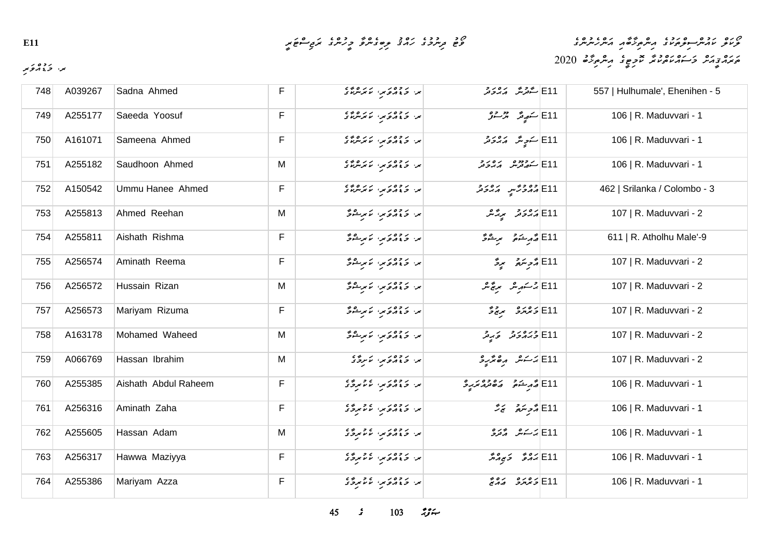*sCw7q7s5w7m< o<n9nOoAw7o< sCq;mAwBoEw7q<m; wBm;vB* م من المرة المرة المرة المرجع المرجع في المركبة 2020<br>مجم*د المريض المربوط المربع المرجع في المراجع المركبة* 

| 748 | A039267 | Sadna Ahmed          | F           | بر كەنگە ئەر ئەترىرىدە                                                                                | E11 گىترىتر كەبر <i>ۇن</i> ر          | 557   Hulhumale', Ehenihen - 5 |
|-----|---------|----------------------|-------------|-------------------------------------------------------------------------------------------------------|---------------------------------------|--------------------------------|
| 749 | A255177 | Saeeda Yoosuf        | $\mathsf F$ | س كروه رس ما مرسوع ي                                                                                  | E11 سَم <i>وِنَدُ</i> بَرْسَنْرُ      | 106   R. Maduvvari - 1         |
| 750 | A161071 | Sameena Ahmed        | F           | من كالمروم من موسوعات                                                                                 | E11 سَوِيٹر   ډَرُدَنْرُ              | 106   R. Maduvvari - 1         |
| 751 | A255182 | Saudhoon Ahmed       | M           | س كروه رس ما مر ما در ما                                                                              | E11 سەھەر مەردىر                      | 106   R. Maduvvari - 1         |
| 752 | A150542 | Ummu Hanee Ahmed     | E           | برا وه در بالا و ده                                                                                   | E11  دەدەبىر كەردو                    | 462   Srilanka / Colombo - 3   |
| 753 | A255813 | Ahmed Reehan         | M           | من كالمروه من ما مر مشرد كا                                                                           | E11 كەبۇ ئەر بىر ئەشر                 | 107   R. Maduvvari - 2         |
| 754 | A255811 | Aishath Rishma       | F           | من كالمروه من مكمو مشورٌ                                                                              | E11 مَّ مِشَمَّ مِنْ مَّةً            | 611   R. Atholhu Male'-9       |
| 755 | A256574 | Aminath Reema        | F           | من كالمروه من مكم من من المراجع                                                                       | E11 أَمُّ مِرْتُمْ مَنْ مِنْ مِنْ     | 107   R. Maduvvari - 2         |
| 756 | A256572 | Hussain Rizan        | M           | أمرا كالمركوب المامر يشاكر                                                                            | E11 بر سکوہ شہ سرچ میں                | 107   R. Maduvvari - 2         |
| 757 | A256573 | Mariyam Rizuma       | F           | ى ئەدەرىپ ئەيرىشى                                                                                     | E11 كەبەر ئەرىخ كىلىم بىر ئا          | 107   R. Maduvvari - 2         |
| 758 | A163178 | Mohamed Waheed       | M           | ىن ئەدەرىپ، ئايرىشى                                                                                   | E11 وَيَرْدُونَرْ كَرِيْرٌ            | 107   R. Maduvvari - 2         |
| 759 | A066769 | Hassan Ibrahim       | M           | مرا ووه در میگردد که                                                                                  | E11 بَرَسَىْشْ بِرِهْتَمْرِيْتْ       | 107   R. Maduvvari - 2         |
| 760 | A255385 | Aishath Abdul Raheem | F           | بر دوه رس وو ده                                                                                       | E11 مُصِيَّمَة مُصْرِوْمَدِيْرِ       | 106   R. Maduvvari - 1         |
| 761 | A256316 | Aminath Zaha         | F           | س كەدەر باردىن                                                                                        | E11 مَّ مِسَعَى بِحَتَّ               | 106   R. Maduvvari - 1         |
| 762 | A255605 | Hassan Adam          | M           | س كەدەر باردىن                                                                                        | E11 پزشک گھرنی                        | 106   R. Maduvvari - 1         |
| 763 | A256317 | Hawwa Maziyya        | F           | س كەدەر باردىن                                                                                        | E11 بَرْدُوَّ دَى مَ <sup>مَ</sup> دَ | 106   R. Maduvvari - 1         |
| 764 | A255386 | Mariyam Azza         | F           | من كروه د بر المتحدد و المحمد و المحمد و المحمد و المحمد و المحمد و المحمد المحمد و المحمد المحمد و ا | $202$ $272$ $\ge$ F11                 | 106   R. Maduvvari - 1         |

*45 s 103 <i>n*<sub>s</sub>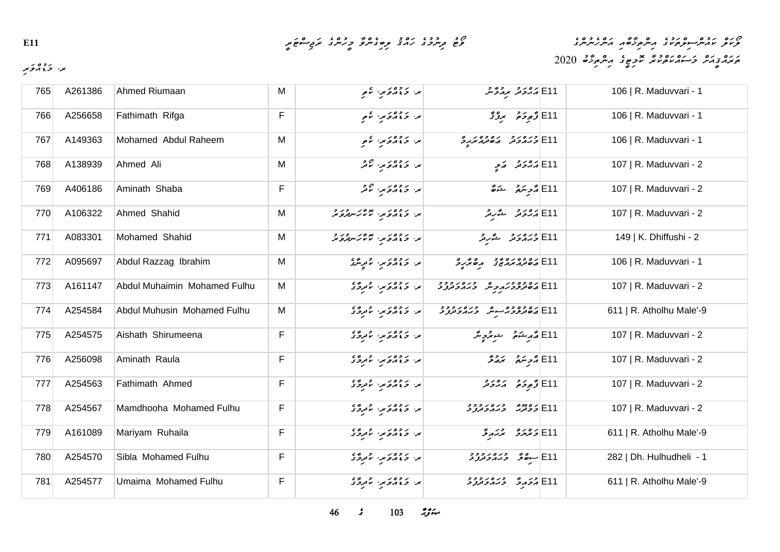*sCw7q7s5w7m< o<n9nOoAw7o< sCq;mAwBoEw7q<m; wBm;vB* م من المرة المرة المرة المرجع المرجع في المركبة 2020<br>مجم*د المريض المربوط المربع المرجع في المراجع المركبة* 

| 765 | A261386 | Ahmed Riumaan                | M           | بر کے مرکز کا کامی         | E11 كەبرى تەر بىر ئەنگە                  | 106   R. Maduvvari - 1   |
|-----|---------|------------------------------|-------------|----------------------------|------------------------------------------|--------------------------|
| 766 | A256658 | Fathimath Rifga              | F           | بن تروه من عم              | E11 زَّجِ دَمَّ سِرْزٌ تَنْ              | 106   R. Maduvvari - 1   |
| 767 | A149363 | Mohamed Abdul Raheem         | M           | بر ووه در ه و              | E11 ورورو رووور و                        | 106   R. Maduvvari - 1   |
| 768 | A138939 | Ahmed Ali                    | M           | بر دوه رسمی کرد            | E11 كەنزى كەي                            | 107   R. Maduvvari - 2   |
| 769 | A406186 | Aminath Shaba                | F           | برا وده در ۱۶۵ میل         | E11 أَمَّ مِسْهُمْ شَقَّ                 | 107   R. Maduvvari - 2   |
| 770 | A106322 | Ahmed Shahid                 | M           | بر ارده در سرد برده درد    | E11 كەبرى بىر ئەرىتى بىر                 | 107   R. Maduvvari - 2   |
| 771 | A083301 | Mohamed Shahid               | M           | بر دوه در پرور در در       | E11 <i>وُبَرُوْدَوْ</i> شَمَرِسْ         | 149   K. Dhiffushi - 2   |
| 772 | A095697 | Abdul Razzag Ibrahim         | M           | بر زوه در تورژه            | E11 رەدەرەپرى مەشرى                      | 106   R. Maduvvari - 1   |
| 773 | A161147 | Abdul Muhaimin Mohamed Fulhu | M           | برا از وه در برا از مرد دا | E11 בەمر <i>ورى دى</i> ر مەدمەدىن        | 107   R. Maduvvari - 2   |
| 774 | A254584 | Abdul Muhusin Mohamed Fulhu  | M           | بر کارور به توگا           | /E11 ره وه و و مسوش می و د و د و و       | 611   R. Atholhu Male'-9 |
| 775 | A254575 | Aishath Shirumeena           | F           | بر كەدەب ئەرگە             | E11 مُرمِسْمَعُ سِمْعِيقِ مَّر           | 107   R. Maduvvari - 2   |
| 776 | A256098 | Aminath Raula                | F           | بر كەدەب ئەرگە             | E11 مَّ <i>جِسَعْہ مَمَعَ</i> ّ          | 107   R. Maduvvari - 2   |
| 777 | A254563 | Fathimath Ahmed              | $\mathsf F$ | بر كالمرومر، المعرومى      | E11 تۇ <sub>ج</sub> و <i>خى مەدەن</i> تر | 107   R. Maduvvari - 2   |
| 778 | A254567 | Mamdhooha Mohamed Fulhu      | $\mathsf F$ | بر كالمرومر، المعرومى      | E11 زەيىر مەرمەدىر                       | 107   R. Maduvvari - 2   |
| 779 | A161089 | Mariyam Ruhaila              | $\mathsf F$ | بر ووه در ورو              | E11 <i>ويم</i> هر محمد برقم              | 611   R. Atholhu Male'-9 |
| 780 | A254570 | Sibla Mohamed Fulhu          | F           | بر دوه در وروه             | E11 بەھۇ <i>دېم</i> ەدىرىمى              | 282   Dh. Hulhudheli - 1 |
| 781 | A254577 | Umaima Mohamed Fulhu         | $\mathsf F$ | بر ووه در ورو              | E11  چۇرى ئەچمە ئەرەپىرى                 | 611   R. Atholhu Male'-9 |

*46 s* 103 *i*<sub>s</sub> $\approx$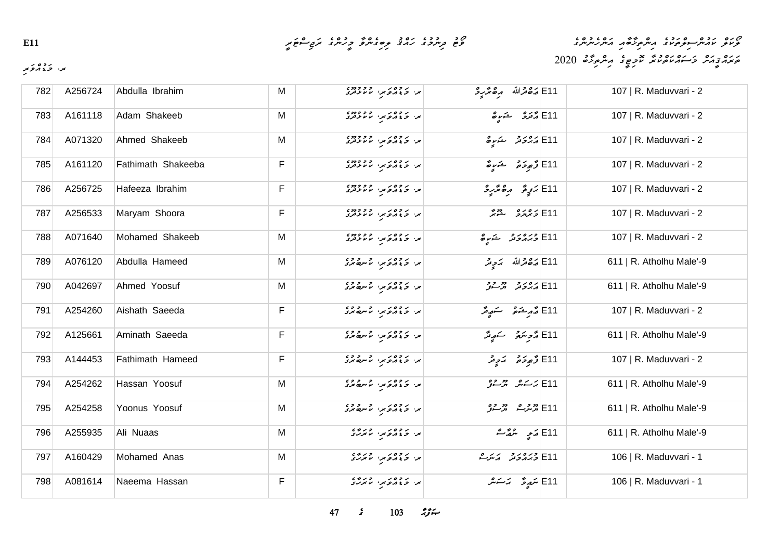*sCw7q7s5w7m< o<n9nOoAw7o< sCq;mAwBoEw7q<m; wBm;vB* م من المرة المرة المرة المرجع المرجع في المركبة 2020<br>مجم*د المريض المربوط المربع المرجع في المراجع المركبة* 

| ر د ه ر     |  |
|-------------|--|
| بر. כے موتر |  |
| ◢           |  |

| 782 | A256724 | Abdulla Ibrahim    | M           | بر کروه در دوده دود.<br>بر کروه کروبر، ماما لاتری |                                      | 107   R. Maduvvari - 2   |
|-----|---------|--------------------|-------------|---------------------------------------------------|--------------------------------------|--------------------------|
| 783 | A161118 | Adam Shakeeb       | M           | بر کروه در دوره دوره<br>بر گروهای مملولاری        | E11 مُرْمَرْد شَمَعِ صَ              | 107   R. Maduvvari - 2   |
| 784 | A071320 | Ahmed Shakeeb      | M           | بر ده در دوده.<br>بر و ده وبر ملاورد              | E11 كەبرى كىر ئىكەن ئى               | 107   R. Maduvvari - 2   |
| 785 | A161120 | Fathimath Shakeeba | F           | بر کروه در در وروده<br>بر کروه کروبر، ماما لوفری  | E11 تَ <i>ّج</i> وحَة شَمَرٍةَ       | 107   R. Maduvvari - 2   |
| 786 | A256725 | Hafeeza Ibrahim    | F           | بر ده در در دوده<br>بر و ده و برا ملاتری          | E11 بَرَرٍ بِمَ مِنْ مِرْحِرَ و      | 107   R. Maduvvari - 2   |
| 787 | A256533 | Maryam Shoora      | $\mathsf F$ | بر کروه در در وروده<br>بر کروه کروبر، ماما لوفری  | E11 كەبەر بىر يەرىپە                 | 107   R. Maduvvari - 2   |
| 788 | A071640 | Mohamed Shakeeb    | M           | بر کروه در در ودوه<br>بر کروه کروبر، ماما لاتری   | E11 <i>جەم</i> 15 مىتونى             | 107   R. Maduvvari - 2   |
| 789 | A076120 | Abdulla Hameed     | M           | بر دوه ر دود.                                     | E11 مَەھىراللە   ئەرىتر              | 611   R. Atholhu Male'-9 |
| 790 | A042697 | Ahmed Yoosuf       | M           | بر دوه ر دود.                                     | E11 كەبرى تەرىپى تۈرگىز              | 611   R. Atholhu Male'-9 |
| 791 | A254260 | Aishath Saeeda     | $\mathsf F$ |                                                   |                                      | 107   R. Maduvvari - 2   |
| 792 | A125661 | Aminath Saeeda     | $\mathsf F$ | بر دوه ر دود.                                     | E11 مَّ حِسَمَة مَسَمَّدِيَّتَهُ     | 611   R. Atholhu Male'-9 |
| 793 | A144453 | Fathimath Hameed   | $\mathsf F$ | بر كروه در در دره در                              | E11 <i>وُّهِ دَهُ تَ</i> بَرْمٍ مُرْ | 107   R. Maduvvari - 2   |
| 794 | A254262 | Hassan Yoosuf      | M           | بر دوه ر دود.                                     | E11 برسەش مەسىرد                     | 611   R. Atholhu Male'-9 |
| 795 | A254258 | Yoonus Yoosuf      | M           | بر دوه ر دود.                                     | E11 ټريز په پېړينو                   | 611   R. Atholhu Male'-9 |
| 796 | A255935 | Ali Nuaas          | M           | بر د وه د بر د د د د د                            | E11 <sub>ه</sub> ُ جِي سُمَّةٌ شَ    | 611   R. Atholhu Male'-9 |
| 797 | A160429 | Mohamed Anas       | M           | بر د وه د بر د د د د د                            | E11 در برد بر بر بر بر               | 106   R. Maduvvari - 1   |
| 798 | A081614 | Naeema Hassan      | F           | بن كروه در در در در در در                         | E11] سَمِيرت - بَرَسَدْر             | 106   R. Maduvvari - 1   |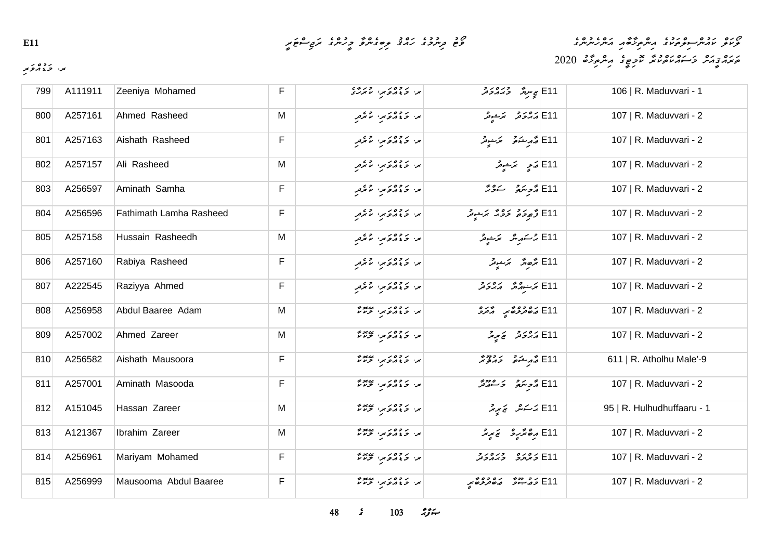*sCw7q7s5w7m< o<n9nOoAw7o< sCq;mAwBoEw7q<m; wBm;vB* م من المرة المرة المرة المرجع المرجع في المركبة 2020<br>مجم*د المريض المربوط المربع المرجع في المراجع المركبة* 

| ر د ه ر        |  |
|----------------|--|
| بر. و ۽ مرو بر |  |
|                |  |

| 799 | A111911 | Zeeniya Mohamed         | F           | بن كروه در در در در در در                                                                             | E11 <sub>مج</sub> سِرَدُ - وَرَوْدَتَر                            | 106   R. Maduvvari - 1     |
|-----|---------|-------------------------|-------------|-------------------------------------------------------------------------------------------------------|-------------------------------------------------------------------|----------------------------|
| 800 | A257161 | Ahmed Rasheed           | M           | أمرا المروه ومراسم المرتعب                                                                            | E11 كەرگە كىم كىمە ئىقىدىنى ئىش                                   | 107   R. Maduvvari - 2     |
| 801 | A257163 | Aishath Rasheed         | $\mathsf F$ | برا وه در وه و د                                                                                      | E11 مَگْرِمِسْتَمْ مَمْسِمِتْر                                    | 107   R. Maduvvari - 2     |
| 802 | A257157 | Ali Rasheed             | M           | برا بروه در المعمالي                                                                                  | E11 <i>ھَ جِ</i> سَمَسُومُرُ                                      | 107   R. Maduvvari - 2     |
| 803 | A256597 | Aminath Samha           | F           | برا الروه و برا المحمد المحمد المحمد المحمد المحرج المحمد المحرج المحمد المحمد المحمد المحمد المحمد ا | E11 مَّ حِسَمَةٌ سَعَرْبُّهُ                                      | 107   R. Maduvvari - 2     |
| 804 | A256596 | Fathimath Lamha Rasheed | $\mathsf F$ | أمرا أوده والمحمد المتحمي المتحري                                                                     | E11 رُ <sub>ّج</sub> وَء <i>ُ وَوْبُ</i> بَرَ <sub>ْسُ</sub> ِيرَ | 107   R. Maduvvari - 2     |
| 805 | A257158 | Hussain Rasheedh        | M           | برا كروه وركوبا الأنزلي                                                                               | E11 بر سک <i>ر بنگ</i> ر متر میرسرد بر                            | 107   R. Maduvvari - 2     |
| 806 | A257160 | Rabiya Rasheed          | F           | برا بروه در المعمالي                                                                                  | E11 تُمْرَح مَّرْ تَمْرِيْنِيْرِ                                  | 107   R. Maduvvari - 2     |
| 807 | A222545 | Raziyya Ahmed           | F           | برا كروه وركوبا الأنزلي                                                                               | E11 بَرَسِيرْ بَرْ بِرَوْتِرْ                                     | 107   R. Maduvvari - 2     |
| 808 | A256958 | Abdul Baaree Adam       | M           | بر 1007ء میں بھارتا<br>بن 32 مرکب مورد                                                                | E11 رەھ ترىۋىمىيە مەترى                                           | 107   R. Maduvvari - 2     |
| 809 | A257002 | Ahmed Zareer            | M           | بر 1007ء میں بھارتا<br>بن 32 مرکب مورد                                                                | E11 كەبۇبۇقرا سىمبەتر                                             | 107   R. Maduvvari - 2     |
| 810 | A256582 | Aishath Mausoora        | F           | بر 1007 من من برد.<br>بر از وی هم کرد بر                                                              | E11 مُدمِسَمَ حَدَثَوْبَرُ                                        | 611   R. Atholhu Male'-9   |
| 811 | A257001 | Aminath Masooda         | F           | بر 1007ء میں بھارتا<br>بن 32 مرکب مورد                                                                | E11 تر <i>ج سرق 5 سورة تر</i>                                     | 107   R. Maduvvari - 2     |
| 812 | A151045 | Hassan Zareer           | M           | بر د ده د پرده<br>بر د دروبر، نژن                                                                     | E11   پرسترش   کامیریٹر                                           | 95   R. Hulhudhuffaaru - 1 |
| 813 | A121367 | Ibrahim Zareer          | M           | بر دوه د برده<br>بر و دوکوس نوماند                                                                    | E11 م <i>وھ مگرچ</i> تھ تھر مگر<br>ا                              | 107   R. Maduvvari - 2     |
| 814 | A256961 | Mariyam Mohamed         | $\mathsf F$ | זה בשותפתי שמים<br>זה בשותפתי <del>ב</del> עת                                                         | E11 كەبەر بەرگە دىر بەر                                           | 107   R. Maduvvari - 2     |
| 815 | A256999 | Mausooma Abdul Baaree   | F           | بر و وه د برده<br>بر و د و کرم کردن                                                                   | E11 كەربىرى مەھەر ئەھمىي                                          | 107   R. Maduvvari - 2     |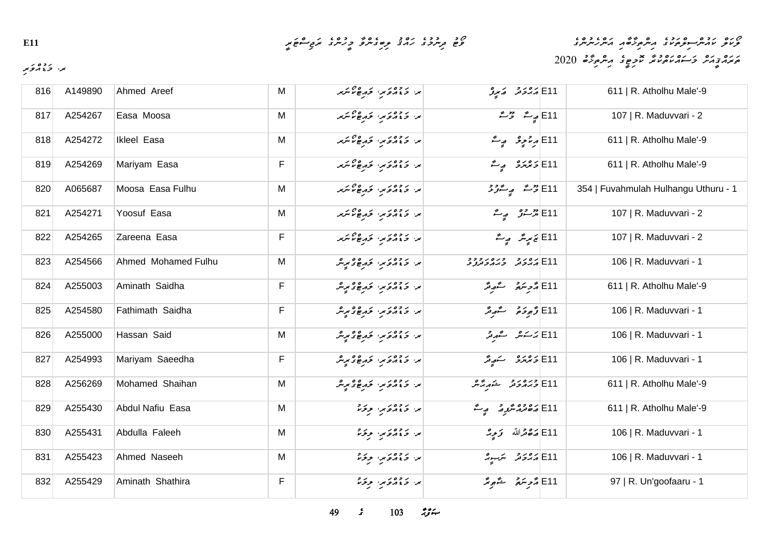*sCw7q7s5w7m< o<n9nOoAw7o< sCq;mAwBoEw7q<m; wBm;vB* م من المرة المرة المرة المرجع المرجع في المركبة 2020<br>مجم*د المريض المربوط المربع المرجع في المراجع المركبة* 

| 816 | A149890 | Ahmed Areef         | M | ر كەدەب كەھمىسكە                | E11   پرژی تھ کھیلی کی ایک میں تھا<br>سرچ پیمان کے باتا ہے کہ میں تھا جس کے باتا ہے کہ میں تھا کہ ایک کام کے باتا ہے | 611   R. Atholhu Male'-9             |
|-----|---------|---------------------|---|---------------------------------|----------------------------------------------------------------------------------------------------------------------|--------------------------------------|
| 817 | A254267 | Easa Moosa          | M | من والمحدوث والمحمدة المحمد     | E11 موسٹر سمجھ شک                                                                                                    | 107   R. Maduvvari - 2               |
| 818 | A254272 | Ikleel Easa         | M | ر دوه دور وه مکر                | E11 مرتموی میٹ                                                                                                       | 611   R. Atholhu Male'-9             |
| 819 | A254269 | Mariyam Easa        | F | من كالمروم كالمحمدة والمحمد     | E11 كەنگەنى ب <sub>ە</sub> ستە                                                                                       | 611   R. Atholhu Male'-9             |
| 820 | A065687 | Moosa Easa Fulhu    | M | من كالمروم كالمركز والمركب      | E11 ڇڻ <sub>جي</sub> شوري                                                                                            | 354   Fuvahmulah Hulhangu Uthuru - 1 |
| 821 | A254271 | Yoosuf Easa         | M | من ته وه ده و ده ۵۵ مرد         | E11 پوڪو پيشہ                                                                                                        | 107   R. Maduvvari - 2               |
| 822 | A254265 | Zareena Easa        | F | من كالمكافر المحمدة والمستعد    | E11 نج مریٹر پر شہ                                                                                                   | 107   R. Maduvvari - 2               |
| 823 | A254566 | Ahmed Mohamed Fulhu | M | من كالمؤمن كم معدم مر           | E11 גיכת בגבפת ב                                                                                                     | 106   R. Maduvvari - 1               |
| 824 | A255003 | Aminath Saidha      | F | من كالمؤمن كم مع محمد من        | E11 مَّ حِ سَمَّ مَّ مِ مَّدْ                                                                                        | 611   R. Atholhu Male'-9             |
| 825 | A254580 | Fathimath Saidha    | F | المن والمروس والمعافير والمراجح | E11 تۇ <sub>ج</sub> وڭ <sub>م</sub> شەرىتر                                                                           | 106   R. Maduvvari - 1               |
| 826 | A255000 | Hassan Said         | M | من والمحدومين والمحمد مع مرس    | E11 پرسٹر گرم <i>ر</i> تر                                                                                            | 106   R. Maduvvari - 1               |
| 827 | A254993 | Mariyam Saeedha     | F | من كالمؤمن كم مع محمد من        | E11 كەبىر بىر سىر ئىر                                                                                                | 106   R. Maduvvari - 1               |
| 828 | A256269 | Mohamed Shaihan     | M | من كالمؤمن كم مع محمد من        | E11 <i>\$نەۋەتى خەربە</i> مە                                                                                         | 611   R. Atholhu Male'-9             |
| 829 | A255430 | Abdul Nafiu Easa    | M | برا وده ورود وی                 | E11 <sub>مەھ</sub> رە ئىرو گە بېرىشە                                                                                 | 611   R. Atholhu Male'-9             |
| 830 | A255431 | Abdulla Faleeh      | M | برا وده ورود وی                 | E11 رَصْحَرْاللَّهُ      وَمِيْرٌ                                                                                    | 106   R. Maduvvari - 1               |
| 831 | A255423 | Ahmed Naseeh        | M | برا وده ويرا وذلا               | E11 كەيرى كىلى سىر بىر بىر ئىستىدى كىل                                                                               | 106   R. Maduvvari - 1               |
| 832 | A255429 | Aminath Shathira    | F | برا وده وبرا وور                | E11 مُرْحِسَة مُشْهَوِيمُ                                                                                            | 97   R. Un'goofaaru - 1              |

*49 s* 103 *i*<sub>s</sub> $\rightarrow$ </sub>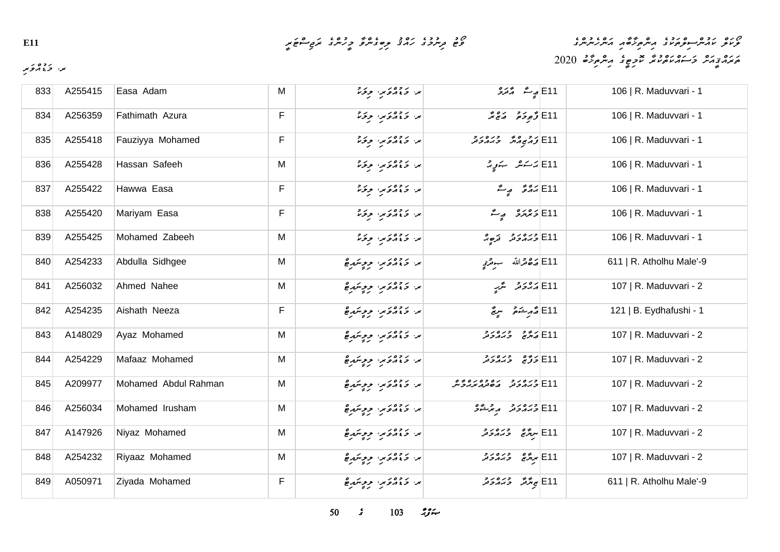*sCw7q7s5w7m< o<n9nOoAw7o< sCq;mAwBoEw7q<m; wBm;vB* م من المسجد المسجد المسجد المسجد المسجد العام 2020<br>مجم*د المسجد المسجد المستجد المسجد المسجد المسجد المسجد المسجد المسجد المسجد المسجد المسجد المسجد المسجد المسجد* 

| 833 | A255415 | Easa Adam            | M | برا ودوه برود              | E11 م <sub>ی</sub> ت گ <sup>و</sup> ترو                        | 106   R. Maduvvari - 1   |
|-----|---------|----------------------|---|----------------------------|----------------------------------------------------------------|--------------------------|
| 834 | A256359 | Fathimath Azura      | F | برا ازده در برود           | E11 وُجِرَحْمَ صَبِيحَمَّ                                      | 106   R. Maduvvari - 1   |
| 835 | A255418 | Fauziyya Mohamed     | F | برا ازده در برود           | E11 زَرَم پر ژه در در د                                        | 106   R. Maduvvari - 1   |
| 836 | A255428 | Hassan Safeeh        | M | برا وده ورود وی            | E11   پرسکس سک <i>وب</i> ڑ                                     | 106   R. Maduvvari - 1   |
| 837 | A255422 | Hawwa Easa           | F | برا وده در وی              | E11 پَرُوگ م <i>و</i> سَدُ                                     | 106   R. Maduvvari - 1   |
| 838 | A255420 | Mariyam Easa         | F | برا وده در وی              | E11 كانترنىڭ م <sub>ە</sub> ت                                  | 106   R. Maduvvari - 1   |
| 839 | A255425 | Mohamed Zabeeh       | M | برا وده در وی              | E11 ويرورو نرمور                                               | 106   R. Maduvvari - 1   |
| 840 | A254233 | Abdulla Sidhgee      | M | ر كودوس ووسكه              | E11 كَرْحْمْدْاللَّهُ بِ مِعْرَبِّهِ                           | 611   R. Atholhu Male'-9 |
| 841 | A256032 | Ahmed Nahee          | M | برا ويموي وويته            | E11 <i>ړُرونه سرب</i>                                          | 107   R. Maduvvari - 2   |
| 842 | A254235 | Aishath Neeza        | F | برا ويهوي وويتها           | E11 ۾ پرڪن <sup>و</sup> سيءَ                                   | 121   B. Eydhafushi - 1  |
| 843 | A148029 | Ayaz Mohamed         | M | ر كالمؤس ووسكه             | E11 בית 22015                                                  | 107   R. Maduvvari - 2   |
| 844 | A254229 | Mafaaz Mohamed       | M | ر دوه در دوسده             | E11 ۇۇي بەردىرە بەر                                            | 107   R. Maduvvari - 2   |
| 845 | A209977 | Mohamed Abdul Rahman | M | ر كالمؤس ووسكه             | E11 درور در دووروده                                            | 107   R. Maduvvari - 2   |
| 846 | A256034 | Mohamed Irusham      | M | برا ويموي ووسمه            | E11 <i>\$نەۋەتى بەي</i> تىشى                                   | 107   R. Maduvvari - 2   |
| 847 | A147926 | Niyaz Mohamed        | M | برا ويهوي ووسمه            | E11 سرچ ح محمد الس                                             | 107   R. Maduvvari - 2   |
| 848 | A254232 | Riyaaz Mohamed       | M | ر ووه د ووسم و             | E11 برترج وبرورو<br>E11 برترج وبروتر                           | 107   R. Maduvvari - 2   |
| 849 | A050971 | Ziyada Mohamed       | F | من وَءُمُوَمِنَ وَوِسَمَةٍ | E11 <sub>مح</sub> ِ پڑھ کے <i>مح</i> کم کر دیا تھا۔<br>اس کا ج | 611   R. Atholhu Male'-9 |

 $50$  *s*  $103$  *n***<sub>s</sub>**  $\frac{103}{50}$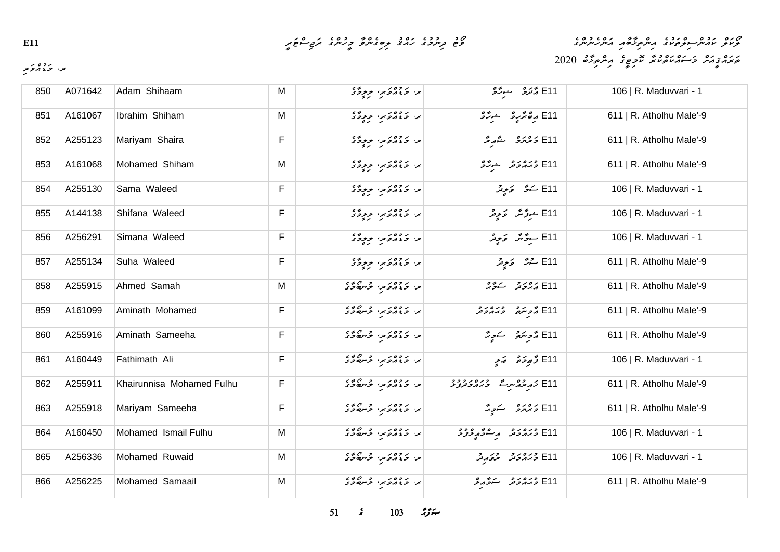*sCw7q7s5w7m< o<n9nOoAw7o< sCq;mAwBoEw7q<m; wBm;vB* م من المرة المرة المرة المرجع المرجع في المركبة 2020<br>مجم*د المريض المربوط المربع المرجع في المراجع المركبة* 

| 850 | A071642 | Adam Shihaam              | M            | بر دوه در ووژگی        | E11 <i>مُمَرَىٰ</i> حَدِ <i>رُّوْ</i>       | 106   R. Maduvvari - 1   |
|-----|---------|---------------------------|--------------|------------------------|---------------------------------------------|--------------------------|
| 851 | A161067 | Ibrahim Shiham            | M            | بر وَءَمُوَسٍ وِوِوْدٌ | E11 م <i>وڭ ئۇر</i> ۇ ھو <i>ڭ</i> ۇ         | 611   R. Atholhu Male'-9 |
| 852 | A255123 | Mariyam Shaira            | F            | بر دوه در ووژگا        | E11 وَيُرْتَزَرُ شَ <sub>مَ</sub> مِرَّ     | 611   R. Atholhu Male'-9 |
| 853 | A161068 | Mohamed Shiham            | M            | بر دوه در ووژگا        | E11 <i>وبروب</i> وتر ب برمج                 | 611   R. Atholhu Male'-9 |
| 854 | A255130 | Sama Waleed               | $\mathsf F$  | بر دوه در ووژگا        | E11 سَرَدٌ ۔ <sub>حک</sub> وِمَرُ           | 106   R. Maduvvari - 1   |
| 855 | A144138 | Shifana Waleed            | $\mathsf{F}$ | بر دوه در ووژ          | E11 حورٌ مَّرَ وَمِرْدَ                     | 106   R. Maduvvari - 1   |
| 856 | A256291 | Simana Waleed             | F            | بر دوه در وودد         | E11 سوءٌ مَّرَ وَمِرْدَ                     | 106   R. Maduvvari - 1   |
| 857 | A255134 | Suha Waleed               | F            | بر دوه در ووژگا        | E11 يثرَّ - <sub>حك</sub> وِثرُ             | 611   R. Atholhu Male'-9 |
| 858 | A255915 | Ahmed Samah               | M            |                        | E11 كەبرى كەرىپى كەنتەر بىر                 | 611   R. Atholhu Male'-9 |
| 859 | A161099 | Aminath Mohamed           | F            | بر دوه د محمود         | E11 مُتَّحِسَمُ مَسَمَّدَتَرَ               | 611   R. Atholhu Male'-9 |
| 860 | A255916 | Aminath Sameeha           | $\mathsf F$  | بر دوه د محمود         | E11 مُرْحِسَمُ مَعْ حِيمٌ                   | 611   R. Atholhu Male'-9 |
| 861 | A160449 | Fathimath Ali             | F            | بر دوه د محمود         | E11 وَج <i>وحَةَ مَ</i> حٍ                  | 106   R. Maduvvari - 1   |
| 862 | A255911 | Khairunnisa Mohamed Fulhu | F            | رودر ودور والمعداء     | E11 زېږ پر په د د د د د د د                 | 611   R. Atholhu Male'-9 |
| 863 | A255918 | Mariyam Sameeha           | F            | $\frac{1}{2}$          | E11 كى <i>ئەبەنى سەبەن</i> گ                | 611   R. Atholhu Male'-9 |
| 864 | A160450 | Mohamed Ismail Fulhu      | M            | بر دوه د محموده        | E11  <i>دېم</i> دونر ب <sub>م</sub> شوګږونو | 106   R. Maduvvari - 1   |
| 865 | A256336 | Mohamed Ruwaid            | M            |                        | E11 <i>32023 برة وقر</i>                    | 106   R. Maduvvari - 1   |
| 866 | A256225 | Mohamed Samaail           | M            | بر ووه د وړه           | E11 <i>وَبَرْدُوَدْ</i> سَوَّرِ وَ          | 611   R. Atholhu Male'-9 |

 $51$  *s*  $103$  *n***<sub>y</sub>**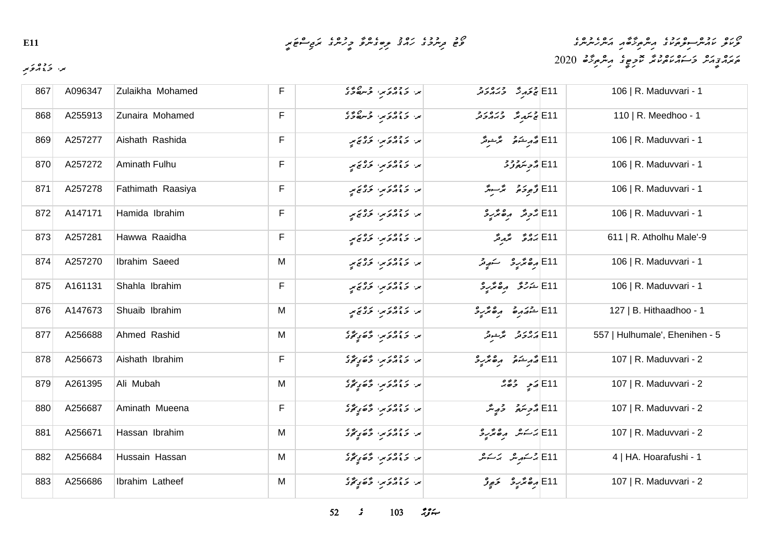*sCw7q7s5w7m< o<n9nOoAw7o< sCq;mAwBoEw7q<m; wBm;vB* م من المرة المرة المرة المرجع المرجع في المركبة 2020<br>مجم*د المريض المربوط المربع المرجع في المراجع المركبة* 

| ر د ه ر            |  |
|--------------------|--|
| ىر. جەم <i>جىر</i> |  |
|                    |  |

| 867 | A096347 | Zulaikha Mohamed  | $\mathsf F$ | بر دوه رسمي وسعد               | E11 ىج ترىر <i>2 ئەدەن</i> تر                   | 106   R. Maduvvari - 1         |
|-----|---------|-------------------|-------------|--------------------------------|-------------------------------------------------|--------------------------------|
| 868 | A255913 | Zunaira Mohamed   | F           | بر ووه د وړه و                 | E11 ىن ئىرىدىگە ئەمەد ئىر                       | 110   R. Meedhoo - 1           |
| 869 | A257277 | Aishath Rashida   | F           | برا كالمكافر كالمحاكم بر       | E11 مَگْرِمِسْتَمْ مُحْرَسُمِتَرْ               | 106   R. Maduvvari - 1         |
| 870 | A257272 | Aminath Fulhu     | F           | من كروه دين كره ديم            | E11 گەجە ئىب <i>ھۇ</i> رىم                      | 106   R. Maduvvari - 1         |
| 871 | A257278 | Fathimath Raasiya | $\mathsf F$ | من كروه دين كره ديم            | E11 <i>وُّهِ دَهْ</i> مُحْ سِبْرٌ               | 106   R. Maduvvari - 1         |
| 872 | A147171 | Hamida Ibrahim    | $\mathsf F$ | من كروه دين كره ديم            | E11 تَرْحِعَّرُ بِرَهْ تَدْرِدْ                 | 106   R. Maduvvari - 1         |
| 873 | A257281 | Hawwa Raaidha     | F           | من كالمروه من كولانغ من        | E11 يَرْدُوَّ - بَرُّمِ شَ                      | 611   R. Atholhu Male'-9       |
| 874 | A257270 | Ibrahim Saeed     | M           | برا كالمكافر كالمحاكم بر       | E11 م <i>وڭ ئۇر</i> بۇ سى <i>مپى</i> ر          | 106   R. Maduvvari - 1         |
| 875 | A161131 | Shahla Ibrahim    | $\mathsf F$ | بر دوه در نود نور              | E11 سُتَرْبَحَ مِنْ مُحْرِبِيْتِ                | 106   R. Maduvvari - 1         |
| 876 | A147673 | Shuaib Ibrahim    | M           | برا كالمقرب كالمحاكم بر        | E11 شتم <i>مرة م</i> قترة                       | 127   B. Hithaadhoo - 1        |
| 877 | A256688 | Ahmed Rashid      | M           | من كروه د كر كام كرد و كرد     | E11 كەردى گەندىر                                | 557   Hulhumale', Ehenihen - 5 |
| 878 | A256673 | Aishath Ibrahim   | F           | بر دوه ر ده ده                 | E11 مُدمِسْوَة مِنْ مُرْرِدْ                    | 107   R. Maduvvari - 2         |
| 879 | A261395 | Ali Mubah         | M           | من كروه د كر كام كرد و كرد     | E11 <i>مکمی وگ</i> ھ                            | 107   R. Maduvvari - 2         |
| 880 | A256687 | Aminath Mueena    | F           | بر دوه د څوکوي                 | E11 مَّ <i>جِسَمَّة - حَمِيسَّ</i>              | 107   R. Maduvvari - 2         |
| 881 | A256671 | Hassan Ibrahim    | M           |                                | E11 بَرَسَىْشْ مِرْحَدَّرِ فِرْ                 | 107   R. Maduvvari - 2         |
| 882 | A256684 | Hussain Hassan    | M           |                                | E11 برُسَمبر بھر برُسَكَسَر                     | 4   HA. Hoarafushi - 1         |
| 883 | A256686 | Ibrahim Latheef   | M           | <b>بر: 53 م</b> 50 م 70 م 70 م | E11 <sub>مر</sub> ھ <i>مُرْرِدْ ۔ خَبْرِ</i> رْ | 107   R. Maduvvari - 2         |

 $52$  *s*  $103$  *z***<sub>3</sub>**  $\frac{2}{3}$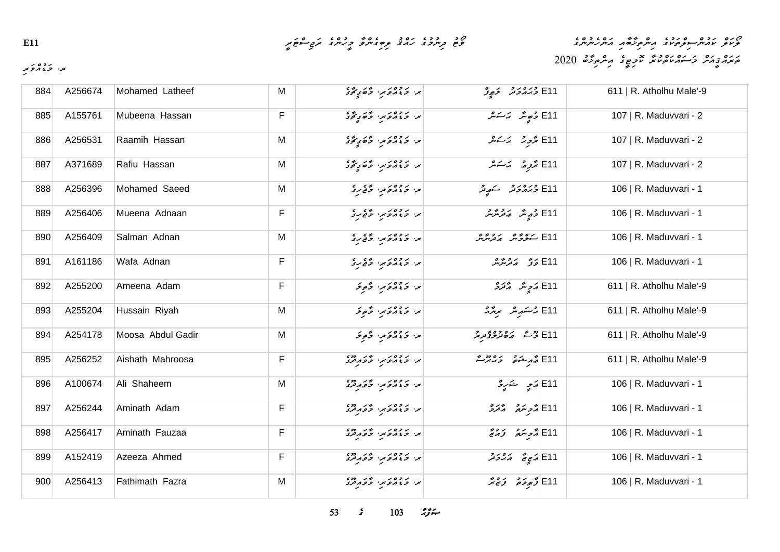*sCw7q7s5w7m< o<n9nOoAw7o< sCq;mAwBoEw7q<m; wBm;vB* م من المرة المرة المرة المرجع المرجع في المركبة 2020<br>مجم*د المريض المربوط المربع المرجع في المراجع المركبة* 

| ر د ه ر            |  |
|--------------------|--|
| ىر. جەم <i>جىر</i> |  |
|                    |  |

| 884 | A256674 | Mohamed Latheef   | M           | بر كودەر كەنگە                              | E11 <i>وَبَرْدُوَنَّرَ ـ وَبِي</i> <sup>5</sup>            | 611   R. Atholhu Male'-9 |
|-----|---------|-------------------|-------------|---------------------------------------------|------------------------------------------------------------|--------------------------|
| 885 | A155761 | Mubeena Hassan    | F           | بر دوه د څوکوي                              | E11 ۇھ بىر ئەسكىر                                          | 107   R. Maduvvari - 2   |
| 886 | A256531 | Raamih Hassan     | M           |                                             | E11 بُرْدِرُ - بُرَسَ <i>مُ</i> رُ                         | 107   R. Maduvvari - 2   |
| 887 | A371689 | Rafiu Hassan      | M           | بر دوه د څوکوي                              | E11 تَرُوِرُ - رَسَ <sup>م</sup> َرُ                       | 107   R. Maduvvari - 2   |
| 888 | A256396 | Mohamed Saeed     | M           | بر دوه در وه د                              | E11 <i>وټرونو خوب</i> تر                                   | 106   R. Maduvvari - 1   |
| 889 | A256406 | Mueena Adnaan     | $\mathsf F$ | بر دوه در وه د                              | E11 د په پر ټر ټر پر                                       | 106   R. Maduvvari - 1   |
| 890 | A256409 | Salman Adnan      | M           | بر دوه در وه د                              | E11 كۇۋىر كەرگەر                                           | 106   R. Maduvvari - 1   |
| 891 | A161186 | Wafa Adnan        | $\mathsf F$ | بر دوه در وه د                              |                                                            | 106   R. Maduvvari - 1   |
| 892 | A255200 | Ameena Adam       | F           | أما أوجود وتمام وتحافي                      | E11 كەرچىگە كەتىر <i>ى</i>                                 | 611   R. Atholhu Male'-9 |
| 893 | A255204 | Hussain Riyah     | M           | برا ودوويرا وتموتر                          | E11 بڑے پر مری <i>گر</i>                                   | 611   R. Atholhu Male'-9 |
| 894 | A254178 | Moosa Abdul Gadir | M           | برا ودوي وتموتر                             | E11 جي شهر ماه وه پوتونو پر بر<br>سه سه موسم بر حقوقو توبر | 611   R. Atholhu Male'-9 |
| 895 | A256252 | Aishath Mahroosa  | F           | بر دوه در دوه                               | E11 <sub>م</sub> ُّ مِرْسَمَّة كَ كَرْ <sup>مِرْس</sup> َة | 611   R. Atholhu Male'-9 |
| 896 | A100674 | Ali Shaheem       | M           | بر کے مرکز اور دور<br>برائے مرکز کا کام فرو | E11 كەي ھەرپى                                              | 106   R. Maduvvari - 1   |
| 897 | A256244 | Aminath Adam      | F           | بر كروه در بر دود.<br>بر كروه كروبر كروبرد  | E11 مُجرِسَمُ مُحَمَّدٌ                                    | 106   R. Maduvvari - 1   |
| 898 | A256417 | Aminath Fauzaa    | $\mathsf F$ | بر کے مرکز اور دور<br>برائے مرکز کا کام فرو | E11 مُرْحِسَمُ وَمَعَ                                      | 106   R. Maduvvari - 1   |
| 899 | A152419 | Azeeza Ahmed      | $\mathsf F$ | بر دوه ر دوه                                | E11 <sub>ه</sub> َيٍّ مَ <sup>حرو</sup> مُ                 | 106   R. Maduvvari - 1   |
| 900 | A256413 | Fathimath Fazra   | M           | بر كەم دەر برا ئەھ بەدى                     | E11 ۇ <sub>جو</sub> رَى زىرى<br>                           | 106   R. Maduvvari - 1   |

 $53$  *s*  $\cancel{003}$  *n***<sub>y</sub>** $\cancel{0.5}$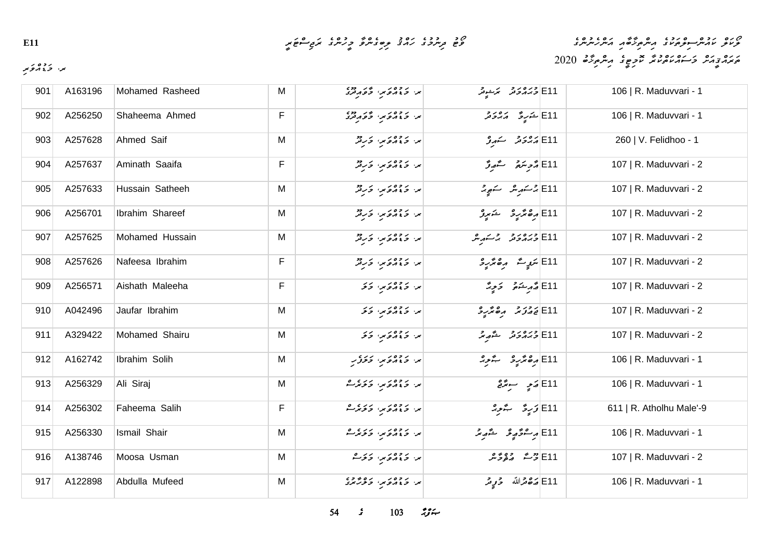*sCw7q7s5w7m< o<n9nOoAw7o< sCq;mAwBoEw7q<m; wBm;vB* م من المرة المرة المرة المرجع المرجع في المركبة 2020<br>مجم*د المريض المربوط المربع المرجع في المراجع المركبة* 

| ر د ه ر    |  |
|------------|--|
| ىر. جەمۇبر |  |
|            |  |

| 901 | A163196 | Mohamed Rasheed | M           | پر کروه پر کورتری         | E11 <i>وُبَرُوْدَة مَرْ</i> حِي <sup>ق</sup> ر | 106   R. Maduvvari - 1   |
|-----|---------|-----------------|-------------|---------------------------|------------------------------------------------|--------------------------|
| 902 | A256250 | Shaheema Ahmed  | F           | پر کامگاه کام ده          | E11 حَدَرٍ وَمَدْوَمْرَ                        | 106   R. Maduvvari - 1   |
| 903 | A257628 | Ahmed Saif      | M           | أأس أوده والمحارقة        | E11  كەندى كەرىسى بىر                          | 260   V. Felidhoo - 1    |
| 904 | A257637 | Aminath Saaifa  | F           | أأس المروه والمحارج       | E11 مَّ حِ سَمَّ مَّ مِ رَّ مِ مَ              | 107   R. Maduvvari - 2   |
| 905 | A257633 | Hussain Satheeh | M           | أأس المروه والمحارج       | E11 پرڪوپر ڪوپر                                | 107   R. Maduvvari - 2   |
| 906 | A256701 | Ibrahim Shareef | M           | أأأدا والملح والمحارج     | E11 م <i>وڭ ئۇر</i> ۇ ھەمپىر<br>               | 107   R. Maduvvari - 2   |
| 907 | A257625 | Mohamed Hussain | M           | برا وَءَمُوسٍ وَرِقْرٌ    | E11 دبر دبر دبر برگتر می                       | 107   R. Maduvvari - 2   |
| 908 | A257626 | Nafeesa Ibrahim | F           | برا ووه در ود             | E11 سَمِرٍ — مَصَمَّرٍ وَ                      | 107   R. Maduvvari - 2   |
| 909 | A256571 | Aishath Maleeha | $\mathsf F$ | بن تروه در ژوَ            | E11 مَگْرِسْتَمْ وَمِرَدَّ                     | 107   R. Maduvvari - 2   |
| 910 | A042496 | Jaufar Ibrahim  | M           | برا وده وي وي             | E11 <sub>تح</sub> دد بره تر د و                | 107   R. Maduvvari - 2   |
| 911 | A329422 | Mohamed Shairu  | M           | بن تروه در ژوَ            | E11 <i>وُبَرُوْدَوْ</i> شَ <sub>مَ</sub> بِرُ  | 107   R. Maduvvari - 2   |
| 912 | A162742 | Ibrahim Solih   | M           | أأترا وكالمروس وكروب      | E11 <sub>مو</sub> ھ پژر پر سگوی <sub>گ</sub>   | 106   R. Maduvvari - 1   |
| 913 | A256329 | Ali Siraj       | M           | ىن ئەدەرىپ ئەتەر          | E11 أرَمٍ سِ <i>بَرَّةٍ</i>                    | 106   R. Maduvvari - 1   |
| 914 | A256302 | Faheema Salih   | $\mathsf F$ | برا وَءَمُوَسِ وَوَبَرْتُ | E11 تۇرپى سىمب <i>ون</i> ى                     | 611   R. Atholhu Male'-9 |
| 915 | A256330 | Ismail Shair    | M           | ىن ئەدەرىپ ئەتەر          | E11 مرڪو <i>گھي</i> و ڪ <i>ھي</i> ٽر           | 106   R. Maduvvari - 1   |
| 916 | A138746 | Moosa Usman     | M           | برا ودور وتور             | E11 تۇش ھۇرىگە                                 | 107   R. Maduvvari - 2   |
| 917 | A122898 | Abdulla Mufeed  | M           | بر کروه در کوربرد         | E11 كەھەراللە   خ.مويتر                        | 106   R. Maduvvari - 1   |

 $54$  *s*  $103$  *n***<sub>s</sub>**  $\frac{2}{3}$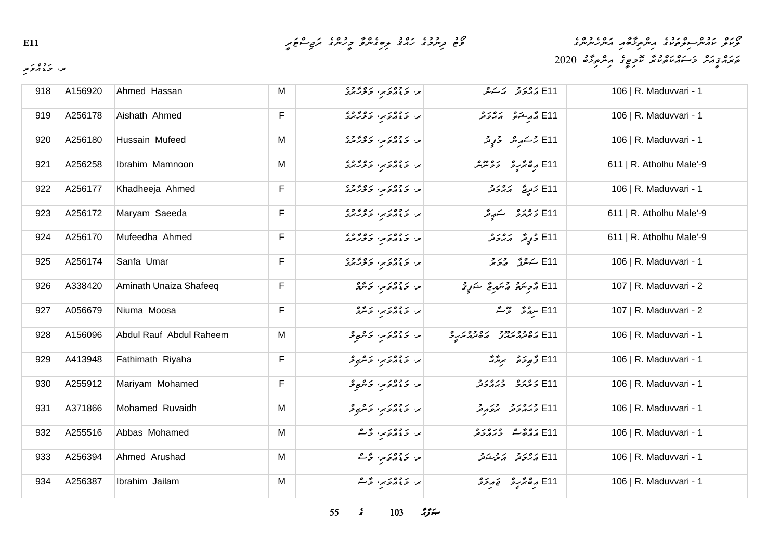*sCw7q7s5w7m< o<n9nOoAw7o< sCq;mAwBoEw7q<m; wBm;vB* م من المرة المرة المرة المرجع المرجع في المركبة 2020<br>مجم*د المريض المربوط المربع المرجع في المراجع المركبة* 

| 918 | A156920 | Ahmed Hassan            | M            | بر كەنگەن كەرىپى                    | E11 كەبۇر كەسىر بىر يەنب                    | 106   R. Maduvvari - 1   |
|-----|---------|-------------------------|--------------|-------------------------------------|---------------------------------------------|--------------------------|
| 919 | A256178 | Aishath Ahmed           | $\mathsf{F}$ | برا وودر وكالمعدد                   | E11 مَّ مِ شَوَ مَ رَوْرَ قَر               | 106   R. Maduvvari - 1   |
| 920 | A256180 | Hussain Mufeed          | M            | برا ووه در کار دور                  | E11   پرسکوپٹر - ٹی ویڈ                     | 106   R. Maduvvari - 1   |
| 921 | A256258 | Ibrahim Mamnoon         | M            | بر کروه در روز ده<br>بر کروه کروبرد | E11 مەھەر ئەرەپتى تەرەپلى                   | 611   R. Atholhu Male'-9 |
| 922 | A256177 | Khadheeja Ahmed         | F            | بر دوه ر دوه ده                     | E11] زَمِرِجٌ     دَرُوَ دَرْ               | 106   R. Maduvvari - 1   |
| 923 | A256172 | Maryam Saeeda           | $\mathsf F$  | بر کروه در روز ده<br>بر کروه کروبرد | E11 كەبىر بىر سىمبەتر                       | 611   R. Atholhu Male'-9 |
| 924 | A256170 | Mufeedha Ahmed          | $\mathsf{F}$ | بر کے حکومت کے محرک مرد             | E11 تۇرىگە كەندى تەر                        | 611   R. Atholhu Male'-9 |
| 925 | A256174 | Sanfa Umar              | $\mathsf F$  | بر دوه رسوده ده                     | E11 سەندى <sub>قە</sub> ھەنەتە              | 106   R. Maduvvari - 1   |
| 926 | A338420 | Aminath Unaiza Shafeeq  | F            | بر ووه د و شرو                      | E11 مُرْحِسَمُ مُسَمَّدٍ مُحَمَّدٍ فَي      | 107   R. Maduvvari - 2   |
| 927 | A056679 | Niuma Moosa             | F            | برا ووه دي و شرو                    | $23$ $52$ $211$                             | 107   R. Maduvvari - 2   |
| 928 | A156096 | Abdul Rauf Abdul Raheem | M            | أأرا وكالمؤتمرا وتكرم والمتحلح      | E11 ره ده د دود د ره ده د ره و              | 106   R. Maduvvari - 1   |
| 929 | A413948 | Fathimath Riyaha        | F            | برا وَءُمُوَسِ وَسَيْءٍ             | E11 زَّەپ <i>ەدَەْ</i> ب <sub>ى</sub> ردە ب | 106   R. Maduvvari - 1   |
| 930 | A255912 | Mariyam Mohamed         | $\mathsf F$  | برا وَءَمُعَ بِرَا وَسَمِعٍ وَ      | E11 كەبەرە مەدەرە                           | 106   R. Maduvvari - 1   |
| 931 | A371866 | Mohamed Ruvaidh         | M            | أأرا والملح والمراد والمراج والملح  | E11 <i>وُبَرُهُ وَبَوْ</i> بِرَحْدِ بِرَ    | 106   R. Maduvvari - 1   |
| 932 | A255516 | Abbas Mohamed           | M            | برا دوه در گرم                      | E11 <sub>مَ</sub> مْرَة مِسْرِ دِيرِ دِيرِ  | 106   R. Maduvvari - 1   |
| 933 | A256394 | Ahmed Arushad           | M            | برا ودەبر، ۇر                       | E11 كەبرى كىمى كەمگەنىشكى كىل               | 106   R. Maduvvari - 1   |
| 934 | A256387 | Ibrahim Jailam          | M            | ىن ئەدەم بىر، ئۇس                   | E11 <sub>م</sub> ەمگەر قىم <i>بەق</i> ى     | 106   R. Maduvvari - 1   |

 $55$  *s*  $103$  *n***<sub>s</sub>**  $\frac{2}{3}$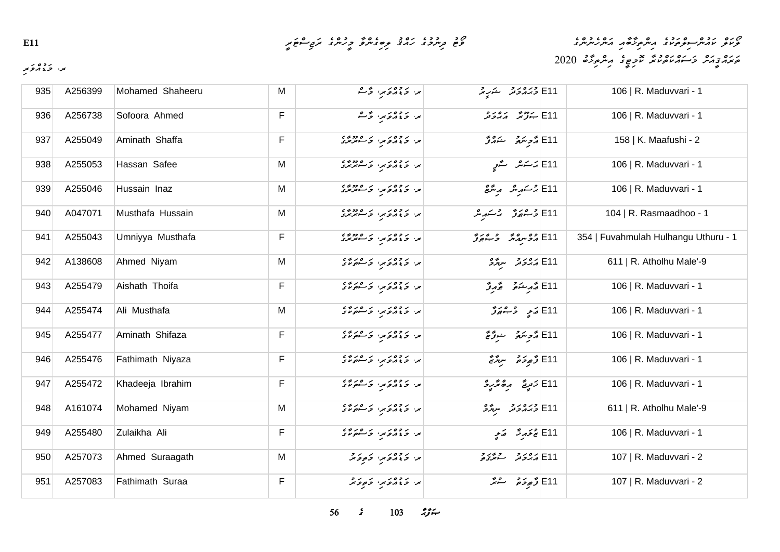*sCw7q7s5w7m< o<n9nOoAw7o< sCq;mAwBoEw7q<m; wBm;vB* م من المرة المرة المرة المرجع المرجع في المركبة 2020<br>مجم*د المريض المربوط المربع المرجع في المراجع المركبة* 

| ر د ه ر        |  |
|----------------|--|
| بر. و ۽ مرو بر |  |
|                |  |

| 935 | A256399 | Mohamed Shaheeru | M           | برا ودەم بالمحمدالمحمدالم | E11 وَبَرْدُوَتْرَ ۖ شَرِيْرَ                     | 106   R. Maduvvari - 1               |
|-----|---------|------------------|-------------|---------------------------|---------------------------------------------------|--------------------------------------|
| 936 | A256738 | Sofoora Ahmed    | F           | برا ودەم بار ئ            | E11 يەدىرى بەرەر                                  | 106   R. Maduvvari - 1               |
| 937 | A255049 | Aminath Shaffa   | F           | بر دوه ر ده دوه           | E11 مُجِسَمَ شَهْرٌ                               | 158   K. Maafushi - 2                |
| 938 | A255053 | Hassan Safee     | M           | برا ودور کا دوده          | E11   پرسٹر گو                                    | 106   R. Maduvvari - 1               |
| 939 | A255046 | Hussain Inaz     | M           | بر کے موسی کے صوبری       | E11 پرڪيريش پريندي                                | 106   R. Maduvvari - 1               |
| 940 | A047071 | Musthafa Hussain | M           | من كروه من كر مادوره و    | E11  <sub>خ</sub> رجوتر برسكوبتر                  | 104   R. Rasmaadhoo - 1              |
| 941 | A255043 | Umniyya Musthafa | F           | بر کے موتر کے متعدم       | E11 روسر مهر و مبدورً                             | 354   Fuvahmulah Hulhangu Uthuru - 1 |
| 942 | A138608 | Ahmed Niyam      | M           | بر ووه د وروه             | E11 كەبرى كىلەر بىر كەنگەنى ئىس                   | 611   R. Atholhu Male'-9             |
| 943 | A255479 | Aishath Thoifa   | F           | بر ووه د وروه             | E11 مُدمِسْمَ حَمْدِرٌ                            | 106   R. Maduvvari - 1               |
| 944 | A255474 | Ali Musthafa     | M           |                           | E11 <sub>أ</sub> َرَمٍ دُبَن <sub>َ</sub> وَلَمَن | 106   R. Maduvvari - 1               |
| 945 | A255477 | Aminath Shifaza  | $\mathsf F$ |                           | E11 أَمَّ مِ سَمَّةٍ مَّ سُوئَةٍ مَّ              | 106   R. Maduvvari - 1               |
| 946 | A255476 | Fathimath Niyaza | F           | بر ووه دي کره ده          | E11 رُّجِرَة مِ سِرَّجَ                           | 106   R. Maduvvari - 1               |
| 947 | A255472 | Khadeeja Ibrahim | F           | بر ووه در وروده           | E11 كَتْرِيعٌ - بِرەْتَرْرِدْ-                    | 106   R. Maduvvari - 1               |
| 948 | A161074 | Mohamed Niyam    | M           | بر ووه د وروه             | E11 در دور د سرگرد                                | 611   R. Atholhu Male'-9             |
| 949 | A255480 | Zulaikha Ali     | $\mathsf F$ | بر ووه د وروه             | E11 نح تر مربح – مربع                             | 106   R. Maduvvari - 1               |
| 950 | A257073 | Ahmed Suraagath  | M           | من كروه دم كروكرو         | E11 كەبروتر سەير <i>وت</i>                        | 107   R. Maduvvari - 2               |
| 951 | A257083 | Fathimath Suraa  | F           | برا كالمؤمرا كأولام       | E11 <i>وُجوحَ</i> هُمَ مُسْتَمَدَّ                | 107   R. Maduvvari - 2               |

 $56$  *s*  $103$  *z***<sub>f</sub>** $\div$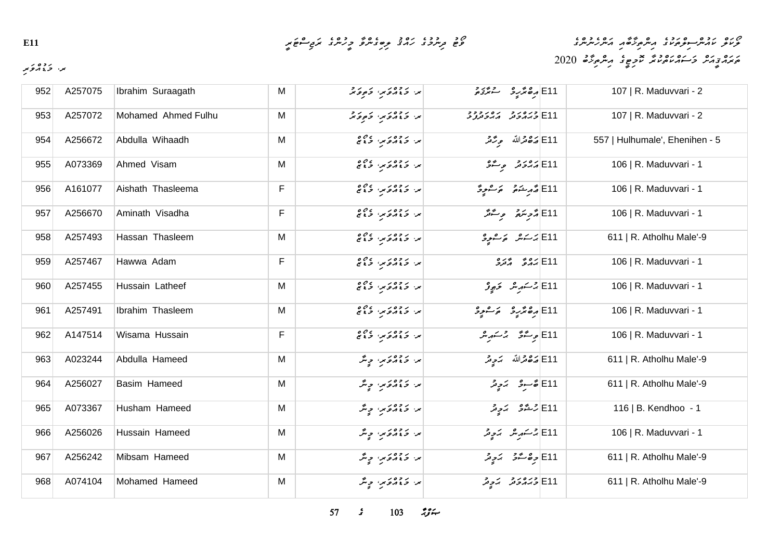*sCw7q7s5w7m< o<n9nOoAw7o< sCq;mAwBoEw7q<m; wBm;vB* م من المرة المرة المرة المرجع المرجع في المركبة 2020<br>مجم*د المريض المربوط المربع المرجع في المراجع المركبة* 

| ر د ه ر<br>بر. و ۽ مرو بر |  |
|---------------------------|--|
|---------------------------|--|

| 952 | A257075 | Ibrahim Suraagath   | M           | برا كالمؤمرا كأولام                                                                                                                                                                                                                                                                                                          | E11 مەھەرىپە قىسىم <i>قى</i> رد       | 107   R. Maduvvari - 2         |
|-----|---------|---------------------|-------------|------------------------------------------------------------------------------------------------------------------------------------------------------------------------------------------------------------------------------------------------------------------------------------------------------------------------------|---------------------------------------|--------------------------------|
| 953 | A257072 | Mohamed Ahmed Fulhu | M           | برا كالمؤمرا كأولام                                                                                                                                                                                                                                                                                                          | E11 ويرەبور مەردىرىر                  | 107   R. Maduvvari - 2         |
| 954 | A256672 | Abdulla Wihaadh     | M           | $\begin{array}{cc} 0 & 0 & 0 & 0 & 0 & 0 \\ 0 & 0 & 0 & 0 & 0 \\ 0 & 0 & 0 & 0 & 0 \\ 0 & 0 & 0 & 0 & 0 \\ 0 & 0 & 0 & 0 & 0 \\ 0 & 0 & 0 & 0 & 0 \\ 0 & 0 & 0 & 0 & 0 \\ 0 & 0 & 0 & 0 & 0 \\ 0 & 0 & 0 & 0 & 0 \\ 0 & 0 & 0 & 0 & 0 \\ 0 & 0 & 0 & 0 & 0 \\ 0 & 0 & 0 & 0 & 0 & 0 \\ 0 & 0 & 0 & 0 & 0 & 0 \\ 0 & 0 & 0 &$ | E11 رَحْمَدْاللّه مِرْتَمْر           | 557   Hulhumale', Ehenihen - 5 |
| 955 | A073369 | Ahmed Visam         | M           | $\begin{array}{l} 0.016 \\ 0.022 \\ 0.034 \\ 0.000 \\ \end{array} \begin{array}{ll} 0.012 \\ 0.000 \\ 0.000 \\ \end{array} \begin{array}{ll} \begin{array}{ll} 0.0000 \\ 0.0000 \\ 0.0000 \\ \end{array} \end{array}$                                                                                                        | E11 كەبرى قىر مەشىر                   | 106   R. Maduvvari - 1         |
| 956 | A161077 | Aishath Thasleema   | F           |                                                                                                                                                                                                                                                                                                                              | E11 مُەمشىق مۇشوپۇ                    | 106   R. Maduvvari - 1         |
| 957 | A256670 | Aminath Visadha     | $\mathsf F$ | بر 1997 ع00<br>بر کروه کرومو <sup>،</sup> حروم                                                                                                                                                                                                                                                                               | E11 مَّ صِنَّعَر مِسَّعَّر            | 106   R. Maduvvari - 1         |
| 958 | A257493 | Hassan Thasleem     | M           | بر 1997 ع00<br>بر کروه کرومو <sup>،</sup> حروم                                                                                                                                                                                                                                                                               |                                       | 611   R. Atholhu Male'-9       |
| 959 | A257467 | Hawwa Adam          | F           | ر وه در ۵۵۰<br>بر کالمحکم کالمی                                                                                                                                                                                                                                                                                              | E11 يَرْدُوَّ مُحَمَّرَ               | 106   R. Maduvvari - 1         |
| 960 | A257455 | Hussain Latheef     | M           | $\begin{array}{cc} 0 & 0 & 0 & 0 & 0 & 0 \\ 0 & 0 & 0 & 0 & 0 \\ 0 & 0 & 0 & 0 & 0 \\ 0 & 0 & 0 & 0 & 0 \\ 0 & 0 & 0 & 0 & 0 \\ 0 & 0 & 0 & 0 & 0 \\ 0 & 0 & 0 & 0 & 0 \\ 0 & 0 & 0 & 0 & 0 \\ 0 & 0 & 0 & 0 & 0 \\ 0 & 0 & 0 & 0 & 0 \\ 0 & 0 & 0 & 0 & 0 \\ 0 & 0 & 0 & 0 & 0 & 0 \\ 0 & 0 & 0 & 0 & 0 & 0 \\ 0 & 0 & 0 &$ | E11 پرڪيريش تخ <sub>جو</sub> ثو       | 106   R. Maduvvari - 1         |
| 961 | A257491 | Ibrahim Thasleem    | M           |                                                                                                                                                                                                                                                                                                                              | E11 مەھمەر ئەرمىسى ئەرقىدىنى ئىستان ئ | 106   R. Maduvvari - 1         |
| 962 | A147514 | Wisama Hussain      | F           | $\begin{array}{cc} 0 & 0 & 0 & 0 & 0 & 0 \\ 0 & 0 & 0 & 0 & 0 \\ 0 & 0 & 0 & 0 & 0 \\ 0 & 0 & 0 & 0 & 0 \\ 0 & 0 & 0 & 0 & 0 \\ 0 & 0 & 0 & 0 & 0 \\ 0 & 0 & 0 & 0 & 0 \\ 0 & 0 & 0 & 0 & 0 \\ 0 & 0 & 0 & 0 & 0 \\ 0 & 0 & 0 & 0 & 0 \\ 0 & 0 & 0 & 0 & 0 \\ 0 & 0 & 0 & 0 & 0 & 0 \\ 0 & 0 & 0 & 0 & 0 & 0 \\ 0 & 0 & 0 &$ | E11 <sub>ج</sub> رىمىڭ كەسكەپ ش       | 106   R. Maduvvari - 1         |
| 963 | A023244 | Abdulla Hameed      | M           | بر: 33 مۇبر، چىگ                                                                                                                                                                                                                                                                                                             | E11  رَحْمَدْاللَّهُ بَرَمِيْرٌ       | 611   R. Atholhu Male'-9       |
| 964 | A256027 | Basim Hameed        | M           | بر ووه دیر، ویژ                                                                                                                                                                                                                                                                                                              | E11 <i>ھُ سِوڤ ب</i> َر <i>وٍ</i> تْر | 611   R. Atholhu Male'-9       |
| 965 | A073367 | Husham Hameed       | M           | برا وَءُمُ وَبَرا وِبْرٌ                                                                                                                                                                                                                                                                                                     | E11] رَّحْدٌ = دَرِيْرُ =             | 116   B. Kendhoo - 1           |
| 966 | A256026 | Hussain Hameed      | M           | برا وَءُمُ وَبَرا وِبْرٌ                                                                                                                                                                                                                                                                                                     | E11 پرڪوپٽر - پرچيز                   | 106   R. Maduvvari - 1         |
| 967 | A256242 | Mibsam Hameed       | M           | برا وَءُوءَ بنِ اللَّهِ عَلَى                                                                                                                                                                                                                                                                                                | E11 <sub>ح</sub> ەشقىق ئەچەتر         | 611   R. Atholhu Male'-9       |
| 968 | A074104 | Mohamed Hameed      | M           | بر: 33 مۇبر، چەگ                                                                                                                                                                                                                                                                                                             | E11 <i>وَبَرُوْدَوْ بَرْدِوْدْ</i>    | 611   R. Atholhu Male'-9       |

 $57$  *s*  $103$   $23$   $\rightarrow$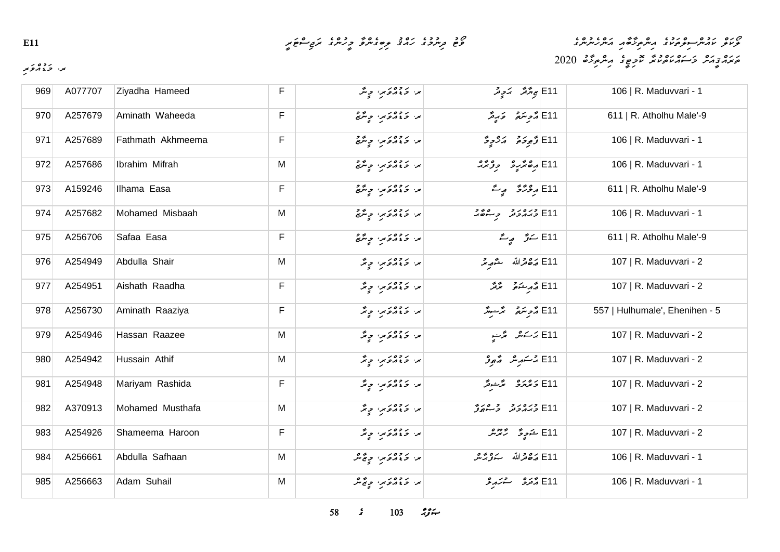*sCw7q7s5w7m< o<n9nOoAw7o< sCq;mAwBoEw7q<m; wBm;vB* م من المرة المرة المرة المرجع المرجع في المركبة 2020<br>مجم*د المريض المربوط المربع المرجع في المراجع المركبة* 

| - 0 > -            |  |
|--------------------|--|
| ىر. جەم <i>جىر</i> |  |
| ◢                  |  |

| 969 | A077707 | Ziyadha Hameed    | F           | بر زوه در دیگر            | E11 <sub>مح</sub> مرٌمَّر ب <sub>َرْحِ</sub> مْر  | 106   R. Maduvvari - 1         |
|-----|---------|-------------------|-------------|---------------------------|---------------------------------------------------|--------------------------------|
| 970 | A257679 | Aminath Waheeda   | F           | بر وووي وٍسٌّج            | E11 مَّ <i>حِ سَع</i> ْرِ مَ <sub>مَ</sub> يِعَّر | 611   R. Atholhu Male'-9       |
| 971 | A257689 | Fathmath Akhmeema | F           | أأراد والمتحافية المحافظة | E11 وَّجِوَدَةُ كَمَدْرِدًّ                       | 106   R. Maduvvari - 1         |
| 972 | A257686 | Ibrahim Mifrah    | M           | بر دوه در و ش             | E11 <sub>مر</sub> ھ م <i>گرد</i> ی و ژمگر         | 106   R. Maduvvari - 1         |
| 973 | A159246 | Ilhama Easa       | $\mathsf F$ | أأراد والمتحافية المحافظة | E11 مرتزنج - م <sub>ی</sub> ت                     | 611   R. Atholhu Male'-9       |
| 974 | A257682 | Mohamed Misbaah   | M           | بر ووه د و ش              | E11 دُبَرورو وبدھ پر                              | 106   R. Maduvvari - 1         |
| 975 | A256706 | Safaa Easa        | $\mathsf F$ | بر ووه د و ش              | E11 سترش پرت                                      | 611   R. Atholhu Male'-9       |
| 976 | A254949 | Abdulla Shair     | M           | بر ووه ديگر او پر         | E11 مَەھْتَراللە مۇمەتتر                          | 107   R. Maduvvari - 2         |
| 977 | A254951 | Aishath Raadha    | F           | بر ووه ديگر او پر         | E11 مَگْرِسْتُومْ مَحْرَمْهُ                      | 107   R. Maduvvari - 2         |
| 978 | A256730 | Aminath Raaziya   | F           | برا ودووس ويژ             | E11 أَمُّ حِسَمَةً مُحْسَنَةً                     | 557   Hulhumale', Ehenihen - 5 |
| 979 | A254946 | Hassan Raazee     | M           | برا ودوه برا ویژ          | E11  پرسٹر گرنی <sub>و</sub>                      | 107   R. Maduvvari - 2         |
| 980 | A254942 | Hussain Athif     | M           | برا ودوه برا ویژ          | E11 برڪهريش ڪچونز                                 | 107   R. Maduvvari - 2         |
| 981 | A254948 | Mariyam Rashida   | $\mathsf F$ | بر ووه ديگر او پر         | E11  <i>وَ بُرْدَة</i> - بُرْج <sup>ِ</sup> دِدً  | 107   R. Maduvvari - 2         |
| 982 | A370913 | Mohamed Musthafa  | M           | بر دوه د وټر              | E11 دېرونو وېږي                                   | 107   R. Maduvvari - 2         |
| 983 | A254926 | Shameema Haroon   | F           | برا ودوه برا ویژ          | E11 ڪوچ گرميزند                                   | 107   R. Maduvvari - 2         |
| 984 | A256661 | Abdulla Safhaan   | M           | بر دوه در ده ش            | E11 مَەھْتَراللە جۇيمىر                           | 106   R. Maduvvari - 1         |
| 985 | A256663 | Adam Suhail       | M           | برا ودووبرا وبأنكر        | E11 مُمَتَرَدِ - سُمَتَهُ بِيَوْ                  | 106   R. Maduvvari - 1         |

 $58$  *s*  $\cancel{003}$  *n***<sub>y</sub>** $\cancel{0.5}$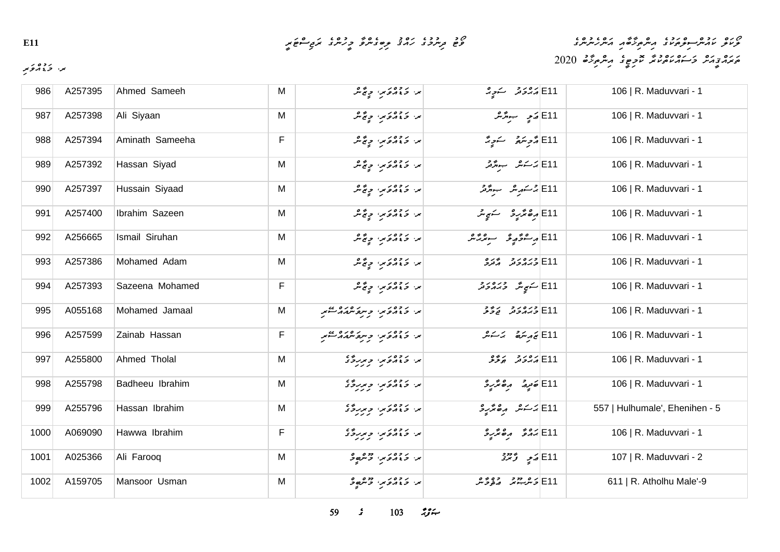*sCw7q7s5w7m< o<n9nOoAw7o< sCq;mAwBoEw7q<m; wBm;vB* م من المرة المرة المرة المرجع المرجع في المركبة 2020<br>مجم*د المريض المربوط المربع المرجع في المراجع المركبة* 

| ر د ه ر        |  |
|----------------|--|
| بر. و ۽ مرو بر |  |
|                |  |

| 986  | A257395 | Ahmed Sameeh    | M           | أين الحكام وعن المحيض           | E11 كەندى قىم سىمب <sup>ور</sup>                 | 106   R. Maduvvari - 1         |
|------|---------|-----------------|-------------|---------------------------------|--------------------------------------------------|--------------------------------|
| 987  | A257398 | Ali Siyaan      | M           | برا ودووس وبختر                 | E11 کی جو سومگر                                  | 106   R. Maduvvari - 1         |
| 988  | A257394 | Aminath Sameeha | $\mathsf F$ | بر دوه در دیگر                  | E11 مُ مِ سَمَعٍ مَسَمَّةٍ مِ يَسْرِ             | 106   R. Maduvvari - 1         |
| 989  | A257392 | Hassan Siyad    | M           | بر دوه در وی گر                 | E11   پرسٹرنٹر ہے میٹرنٹر                        | 106   R. Maduvvari - 1         |
| 990  | A257397 | Hussain Siyaad  | M           | بر وووير، وپچس                  | E11 بر سک <i>ر بل</i> ر مسین میکند.              | 106   R. Maduvvari - 1         |
| 991  | A257400 | Ibrahim Sazeen  | M           | برا ودووس وبختر                 | E11 <sub>ا</sub> رھ پڙرو ڪي پٽر                  | 106   R. Maduvvari - 1         |
| 992  | A256665 | Ismail Siruhan  | M           | بر دوه در دیگر                  | E11  <sub>م</sub> رےد <sub>گھی</sub> و ہے پر پڑھ | 106   R. Maduvvari - 1         |
| 993  | A257386 | Mohamed Adam    | M           | بر دوه در وی گر                 | E11 وبرور و محمده                                | 106   R. Maduvvari - 1         |
| 994  | A257393 | Sazeena Mohamed | F           | بر ووه در وی گر                 | E11 سَمَى شَرَ حَمَدَ <i>حَدَّة قَرْ</i>         | 106   R. Maduvvari - 1         |
| 995  | A055168 | Mohamed Jamaal  | M           | من تروه در مرکز در ده در در من  | E11 وبروتر تح <sup>5</sup> فر                    | 106   R. Maduvvari - 1         |
| 996  | A257599 | Zainab Hassan   | F           | من تروه در مرکز در ده در در من  | E11 ئ <sub>ىم ب</sub> ىرت <i>ە</i> بەسەئىر       | 106   R. Maduvvari - 1         |
| 997  | A255800 | Ahmed Tholal    | M           | برا و دوربرا و بررون            | E11 كەبرى قىر ھەر ئۇنجى                          | 106   R. Maduvvari - 1         |
| 998  | A255798 | Badheeu Ibrahim | M           | برا و ووړ ویردون                | E11 ھَمبِر مَّہ مِرھ مَّرْرِ 3                   | 106   R. Maduvvari - 1         |
| 999  | A255796 | Hassan Ibrahim  | M           | بر ووه د وبرروه                 | E11 بَرَسَىْرَ ب <i>ِهِ مَ</i> ْرِيْرَ           | 557   Hulhumale', Ehenihen - 5 |
| 1000 | A069090 | Hawwa Ibrahim   | F           | بر كالمؤتمر ويرزؤنج             | E11 بَرْدَةُ مِنْ يُرِدْ                         | 106   R. Maduvvari - 1         |
| 1001 | A025366 | Ali Farooq      | M           | <b>بر: 32 مرکز 2 مرکز و حرک</b> | E11 كەير گەچىتى                                  | 107   R. Maduvvari - 2         |
| 1002 | A159705 | Mansoor Usman   | M           | برا كالمؤبرا ومهوفى             | E11 كەشرىيەتمە مەھمەتىر                          | 611   R. Atholhu Male'-9       |

 $59$  *s*  $103$  *z*  $\frac{6}{5}$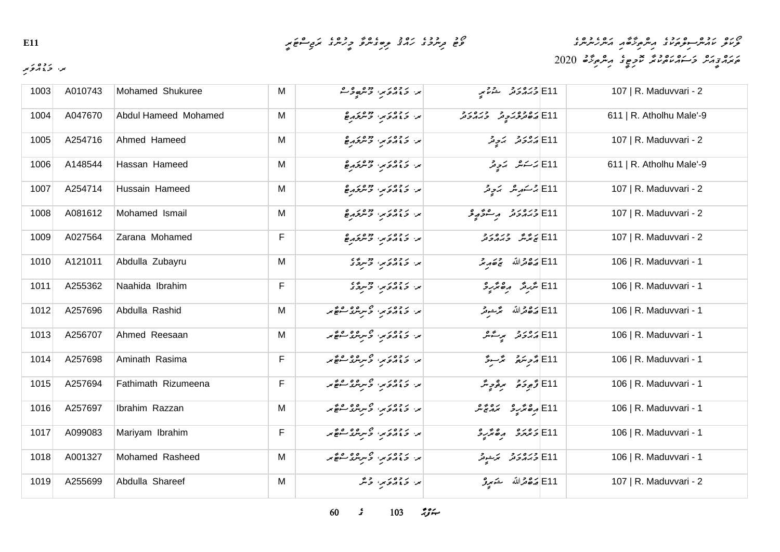*sCw7q7s5w7m< o<n9nOoAw7o< sCq;mAwBoEw7q<m; wBm;vB* م من المرة المرة المرة المرجع المرجع في المركبة 2020<br>مجم*د المريض المربوط المربع المرجع في المراجع المركبة* 

|             | ر د ه ر |  |
|-------------|---------|--|
| بر. כے موتر |         |  |
| ╭           |         |  |

| 1003 | A010743 | Mohamed Shukuree     | M | بر وومري ومهود         | E11 <i>وُبَرُوْدُوْ</i> شَرْمَ بِرِ         | 107   R. Maduvvari - 2   |
|------|---------|----------------------|---|------------------------|---------------------------------------------|--------------------------|
| 1004 | A047670 | Abdul Hameed Mohamed | M | من كروه من دوه در ه    | E11 גەدەپرىي دىمەدە                         | 611   R. Atholhu Male'-9 |
| 1005 | A254716 | Ahmed Hameed         | M | بر وه در دور و         | E11 كەندى كەرىمىتى بىر ئىل                  | 107   R. Maduvvari - 2   |
| 1006 | A148544 | Hassan Hameed        | M | من كروه روه ده ده در ه | E11   پرسترس کر <i>ون</i> گر                | 611   R. Atholhu Male'-9 |
| 1007 | A254714 | Hussain Hameed       | M | من كروه را دوه در ه    | E11 پر کے پر پر پر کردیاتھ<br>ا             | 107   R. Maduvvari - 2   |
| 1008 | A081612 | Mohamed Ismail       | M | بر وه در دور و         | E11 دېره ده په مشوگه و                      | 107   R. Maduvvari - 2   |
| 1009 | A027564 | Zarana Mohamed       | F | من كالمروم المحامدة    | E11 ئەنگە قەيرە دىر                         | 107   R. Maduvvari - 2   |
| 1010 | A121011 | Abdulla Zubayru      | M | بر كالمؤمر ومردوع      | E11 مَەھىراللە ت <u>ە</u> <i>ھەم</i> ىر     | 106   R. Maduvvari - 1   |
| 1011 | A255362 | Naahida Ibrahim      | F | بر كالمؤتمر ومردى      | E11 مَرْرِمَّر ب <i>رە م</i> َّرِدُ 9       | 106   R. Maduvvari - 1   |
| 1012 | A257696 | Abdulla Rashid       | M | بر وودير، وسرس المقيم  | E11 مَەمْرَاللَّه مَّرْسُومْر               | 106   R. Maduvvari - 1   |
| 1013 | A256707 | Ahmed Reesaan        | M | بر وودير، وسرس المقيم  | E11 ړیرون <sub>د</sub> برگ <i>ی</i> ر       | 106   R. Maduvvari - 1   |
| 1014 | A257698 | Aminath Rasima       | F | بر وودير، وسرس المقير  | E11 مَّ مِسَمَّى مَّ سَرَّحَ                | 106   R. Maduvvari - 1   |
| 1015 | A257694 | Fathimath Rizumeena  | F | بر وودير، وسرس المقيم  | E11 ۇ <sub>ج</sub> ودۇ برۇ <sub>چ</sub> ىگە | 106   R. Maduvvari - 1   |
| 1016 | A257697 | Ibrahim Razzan       | M | بر ووور وسره و و و الم | E11 م <i>وڭ ئۇرۇ مەمدى تى</i> ر             | 106   R. Maduvvari - 1   |
| 1017 | A099083 | Mariyam Ibrahim      | F | بر وودير، وسرس المقيم  | E11 <i>وبرود وهترب</i> و                    | 106   R. Maduvvari - 1   |
| 1018 | A001327 | Mohamed Rasheed      | M | بر دور ده ده وه وه بر  | E11 <i>وُبَرُوُوَتَرُ بَرَ</i> حُوِيْر      | 106   R. Maduvvari - 1   |
| 1019 | A255699 | Abdulla Shareef      | M | برا وده وبرا وتر       | E11 كەھەراللە شەم <u>رى</u> ر               | 107   R. Maduvvari - 2   |

 $60$  *s*  $103$  *n***<sub>s</sub>**  $\frac{2}{3}$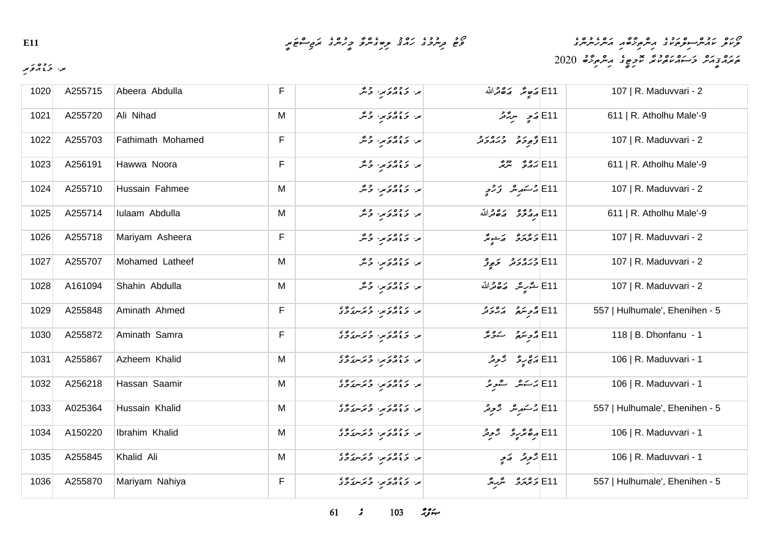*sCw7q7s5w7m< o<n9nOoAw7o< sCq;mAwBoEw7q<m; wBm;vB* م من المرة المرة المرة المرجع المرجع في المركبة 2020<br>مجم*د المريض المربوط المربع المرجع في المراجع المركبة* 

|   | ر د ه ر |  |                |  |
|---|---------|--|----------------|--|
|   |         |  | بر. و ۽ مرو بر |  |
| ╭ |         |  |                |  |

| 1020 | A255715 | Abeera Abdulla    | $\mathsf{F}$ | برا ودوه دي وتر       | E11  ر <i>َەھ بَرَّ مَەمْ</i> رَاللَّه                                                  | 107   R. Maduvvari - 2         |
|------|---------|-------------------|--------------|-----------------------|-----------------------------------------------------------------------------------------|--------------------------------|
| 1021 | A255720 | Ali Nihad         | M            | برا وده ده برا و نگر  | E11  رَمِ سِ <i>رِدَّةَ</i>                                                             | 611   R. Atholhu Male'-9       |
| 1022 | A255703 | Fathimath Mohamed | F            | برا وده در و ش        | E11 تُرجوحه في محمد المحمد                                                              | 107   R. Maduvvari - 2         |
| 1023 | A256191 | Hawwa Noora       | F            | بر دوه د ونگ          | $\mathcal{Z}^{\mathcal{P}}_{\mathcal{P}}$ $\mathcal{Z}^{\mathcal{P}}_{\mathcal{P}}$ E11 | 611   R. Atholhu Male'-9       |
| 1024 | A255710 | Hussain Fahmee    | M            | برا وده ده برا و نگر  | E11 پرستمبرنٹر ک <i>ی ترج</i> ح                                                         | 107   R. Maduvvari - 2         |
| 1025 | A255714 | Iulaam Abdulla    | M            | برا ودوه برا وير      | E11 م <i>وجونجري حك</i> ومترالله                                                        | 611   R. Atholhu Male'-9       |
| 1026 | A255718 | Mariyam Asheera   | F            | برا وده ده برا و مگ   | E11 كەبىر <i>بىر كەنتى بى</i> گە                                                        | 107   R. Maduvvari - 2         |
| 1027 | A255707 | Mohamed Latheef   | M            | برا وده در و ش        | E11 ويرودي بحبوثر                                                                       | 107   R. Maduvvari - 2         |
| 1028 | A161094 | Shahin Abdulla    | M            | بر دوه د ونگ          | E11 ڪري <i>ر چي قر</i> الله                                                             | 107   R. Maduvvari - 2         |
| 1029 | A255848 | Aminath Ahmed     | F            | برا وده در و در در در | E11 مَّ حِسَمَ مَدَّدَمَّر                                                              | 557   Hulhumale', Ehenihen - 5 |
| 1030 | A255872 | Aminath Samra     | F            | برا وده در و در در در | E11 مُ مِ سَمَعٌ مُصَوْمٌ                                                               | 118   B. Dhonfanu - 1          |
| 1031 | A255867 | Azheem Khalid     | M            | برا وده و و برس       | E11 كەنج <sub>پىر</sub> ى - شەمەتىر                                                     | 106   R. Maduvvari - 1         |
| 1032 | A256218 | Hassan Saamir     | M            | برا ووه د ورسدون      | E11   پرسترس مس <i>توب</i> تر                                                           | 106   R. Maduvvari - 1         |
| 1033 | A025364 | Hussain Khalid    | M            | برا ووه د ورسدون      | E11 پُرڪمپ پُر رُوِيْرُ -                                                               | 557   Hulhumale', Ehenihen - 5 |
| 1034 | A150220 | Ibrahim Khalid    | M            | برا وده در و در در در | E11 بر <i>ے نگرد</i> ی گروٹر                                                            | 106   R. Maduvvari - 1         |
| 1035 | A255845 | Khalid Ali        | M            | برا ووه د ورسدون      | E11 گرونژ ک <i>ړې</i>                                                                   | 106   R. Maduvvari - 1         |
| 1036 | A255870 | Mariyam Nahiya    | F            | برا ودووبرا ويمسى ولا | E11 <i>وَ بُرْمَرْ بُمَّ بِرَمَّ</i>                                                    | 557   Hulhumale', Ehenihen - 5 |

 $61$  *s*  $103$  *n***<sub>s</sub>**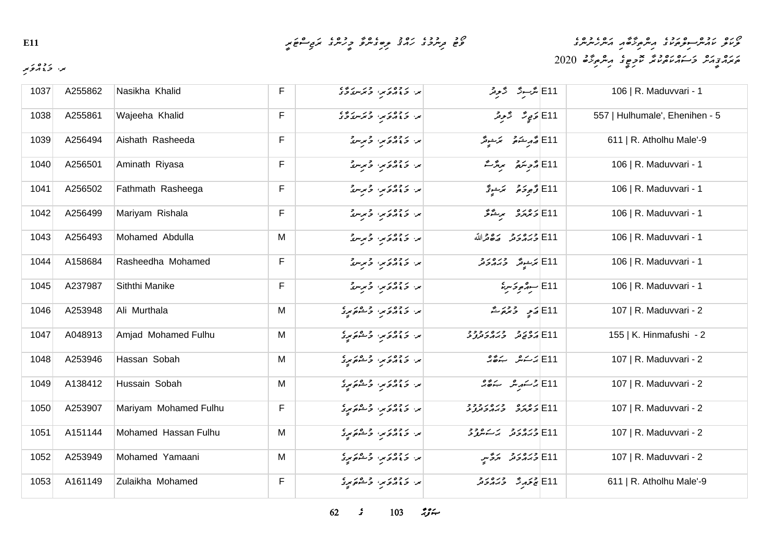*sCw7q7s5w7m< o<n9nOoAw7o< sCq;mAwBoEw7q<m; wBm;vB* م من المرة المرة المرة المرجع المرجع في المركبة 2020<br>مجم*د المريض المربوط المربع المرجع في المراجع المركبة* 

| ر د ه ر     |  |
|-------------|--|
| بر. כے موتر |  |
| ╭           |  |

| 1037 | A255862 | Nasikha Khalid        | $\mathsf F$ | بر ووه در دور            | E11 مَّرْسِدَّ دَّمِيْتُ                            | 106   R. Maduvvari - 1         |
|------|---------|-----------------------|-------------|--------------------------|-----------------------------------------------------|--------------------------------|
| 1038 | A255861 | Wajeeha Khalid        | F           | برا ووه دي ويرسون        | E11 <sub>حکی</sub> ر گروٹر                          | 557   Hulhumale', Ehenihen - 5 |
| 1039 | A256494 | Aishath Rasheeda      | F           | أمرا كالمركوب ومرس       | E11 مَ <i>ذْمِرْ حَدَّةً مَدَ</i> حْدِثَّ <i>رُ</i> | 611   R. Atholhu Male'-9       |
| 1040 | A256501 | Aminath Riyasa        | F           | بر كالمؤمر كالمرسور      | E11 أَمَّ مِ تَرَمَّدُ مَسَرَّسَةَ ا                | 106   R. Maduvvari - 1         |
| 1041 | A256502 | Fathmath Rasheega     | F           | أما كالمرومي كالمرسى     | E11 <i>وُّجِ وَحُمْ</i> - مَرْسُوِرٌ                | 106   R. Maduvvari - 1         |
| 1042 | A256499 | Mariyam Rishala       | F           | س كروه رس كو مرس         | E11 كەيمەر ئەر مەشىمى                               | 106   R. Maduvvari - 1         |
| 1043 | A256493 | Mohamed Abdulla       | M           | أأترا كالمركوب ومرس      | E11 ديره د حرم محدالله                              | 106   R. Maduvvari - 1         |
| 1044 | A158684 | Rasheedha Mohamed     | F           | أما كالمرومي كالمرسى     | E11 بَرَسْوِتَرٌ     وَبَرَ وَرَوْتَرُ              | 106   R. Maduvvari - 1         |
| 1045 | A237987 | Siththi Manike        | F           | بر كودوس كرس             | E11 سوره موځ مېرين <i>ا</i>                         | 106   R. Maduvvari - 1         |
| 1046 | A253948 | Ali Murthala          | M           | بر کا دور د د د د د د    | E11 <sub>ه</sub> َ مِي دِمْهُمْ شَهَ                | 107   R. Maduvvari - 2         |
| 1047 | A048913 | Amjad Mohamed Fulhu   | M           | برا وه د د د د د د د د   | E11 ړورو وره د دوو                                  | 155   K. Hinmafushi - 2        |
| 1048 | A253946 | Hassan Sobah          | M           | برا ووه د و د و د د د    | E11 پرسٹر ہے تھ                                     | 107   R. Maduvvari - 2         |
| 1049 | A138412 | Hussain Sobah         | M           | برا وده در و وردار دارد. | E11 بر مس <i>ره به چ</i>                            | 107   R. Maduvvari - 2         |
| 1050 | A253907 | Mariyam Mohamed Fulhu | F           | بر كالمؤمر وحمد          | E11 كەچرى مەدەردىن ب                                | 107   R. Maduvvari - 2         |
| 1051 | A151144 | Mohamed Hassan Fulhu  | M           | بر كالمؤمر وحمد          | E11 دېرونه پرېدنونو                                 | 107   R. Maduvvari - 2         |
| 1052 | A253949 | Mohamed Yamaani       | M           | بر كالمؤمر وحمد          | E11  <i>وبروبرو برؤ</i> سٍ                          | 107   R. Maduvvari - 2         |
| 1053 | A161149 | Zulaikha Mohamed      | F           | برا ودووبرا وحكوبرى      | E11 ىج تحدي <sup>3</sup> - ق <i>. تەنە</i> ت قە     | 611   R. Atholhu Male'-9       |

 $62$  *s*  $103$  *n***<sub>s</sub>**  $\frac{2}{3}$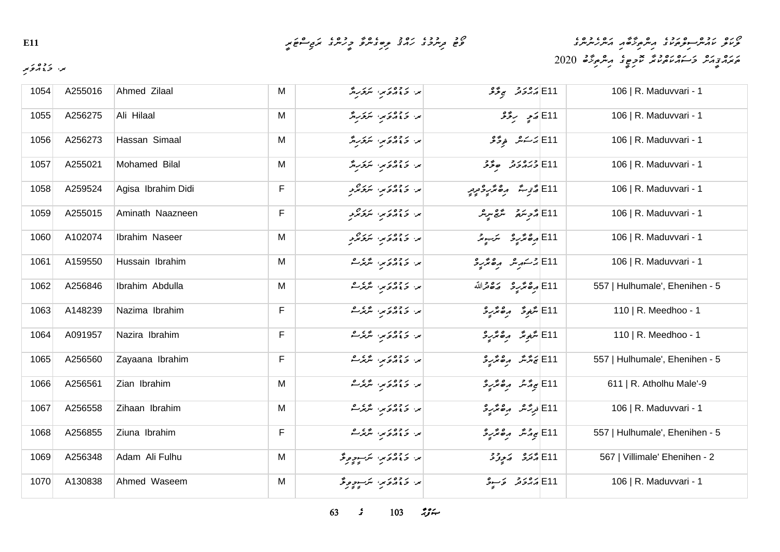*sCw7q7s5w7m< o<n9nOoAw7o< sCq;mAwBoEw7q<m; wBm;vB* م من المرة المرة المرة المرجع المرجع في المركبة 2020<br>مجم*د المريض المربوط المربع المرجع في المراجع المركبة* 

|                     | , , , , |  |
|---------------------|---------|--|
| ىر. جەم <i>و</i> ىر |         |  |
| ◢                   |         |  |

| 1054 | A255016 | Ahmed Zilaal       | M | أمرا كالأكاتب الكركرالم            | E11 كەردى ئەمۇئى                                 | 106   R. Maduvvari - 1         |
|------|---------|--------------------|---|------------------------------------|--------------------------------------------------|--------------------------------|
| 1055 | A256275 | Ali Hilaal         | M | من كالأوه من مكون الكر             | E11 کړې رنگی                                     | 106   R. Maduvvari - 1         |
| 1056 | A256273 | Hassan Simaal      | M | برا وَءُهُوَبِهِا الْمُؤْثِرِينَ   | E11   يَرْسَسْ فَفَقَوْ عَلَى                    | 106   R. Maduvvari - 1         |
| 1057 | A255021 | Mohamed Bilal      | M | بن كالمقطع، سكركر                  | E11 دېرونه صوگو                                  | 106   R. Maduvvari - 1         |
| 1058 | A259524 | Agisa Ibrahim Didi | F | برا ووه در سرور                    | E11 ۇ <sub>تو</sub> بە مەھ ئىر ۋىرىر             | 106   R. Maduvvari - 1         |
| 1059 | A255015 | Aminath Naazneen   | F | برا ووه در سروح                    | E11 أَمُّ حِسَمَةٌ مِسَّمَّ سِرْ مَسْ            | 106   R. Maduvvari - 1         |
| 1060 | A102074 | Ibrahim Naseer     | M | أأمرا كالأمكامي الكرمي             | E11 مەھمەر ئىسىم ئىسىم                           | 106   R. Maduvvari - 1         |
| 1061 | A159550 | Hussain Ibrahim    | M | ىن ئەدەم بە ئىگرىش                 | E11 يُرْسَمَ مِهْ مِرْهُ مِرْدِ وَ               | 106   R. Maduvvari - 1         |
| 1062 | A256846 | Ibrahim Abdulla    | M | أين وَءُ مِرْوَيْرِ، سُرَيْرَ شَهْ | E11 مِرْحَمَّدِ حَمَّدَ اللَّهُ                  | 557   Hulhumale', Ehenihen - 5 |
| 1063 | A148239 | Nazima Ibrahim     | F | برا ووه در شرکت                    | E11 مَنْهِ وَ مِنْ مِنْ مِنْ مِنْ الْمَدَّرِ فِي | 110   R. Meedhoo - 1           |
| 1064 | A091957 | Nazira Ibrahim     | F | ىن ئەدەم بىر، ئەنگەت               | E11 مَنْهِ مَّر رەھمَّر د                        | 110   R. Meedhoo - 1           |
| 1065 | A256560 | Zayaana Ibrahim    | F | برا ووه در شرکت                    | E11 ئ <sub>ى</sub> رتىر مەھ <i>مەر بى</i>        | 557   Hulhumale', Ehenihen - 5 |
| 1066 | A256561 | Zian Ibrahim       | M | ىن ئەدەم بە ئىگرىش                 | E11 يږمگىتر ب <i>ېر ھې</i> رو                    | 611   R. Atholhu Male'-9       |
| 1067 | A256558 | Zihaan Ibrahim     | M | بر دوه در شرکت                     | E11 فرِرَّتْرْ بِرِهْتَرْرِدْ                    | 106   R. Maduvvari - 1         |
| 1068 | A256855 | Ziuna Ibrahim      | F | بر دوه در شرکت                     | E11 <sub>مج</sub> وړنگه پر <i>هغرب</i> وګ        | 557   Hulhumale', Ehenihen - 5 |
| 1069 | A256348 | Adam Ali Fulhu     | M | ىن ئەچمۇس ئىرسورى                  | E11 مُرْمَرْدَ - مَعِرْزٌ تَرْ                   | 567   Villimale' Ehenihen - 2  |
| 1070 | A130838 | Ahmed Waseem       | M | ىر. ئ\$مۇمر، سەسىر ئەرگە           | E11 كەبۇبى كەسىر <i>ى</i>                        | 106   R. Maduvvari - 1         |

 $63$  *s*  $103$  *n***<sub>s</sub>**  $\frac{2}{3}$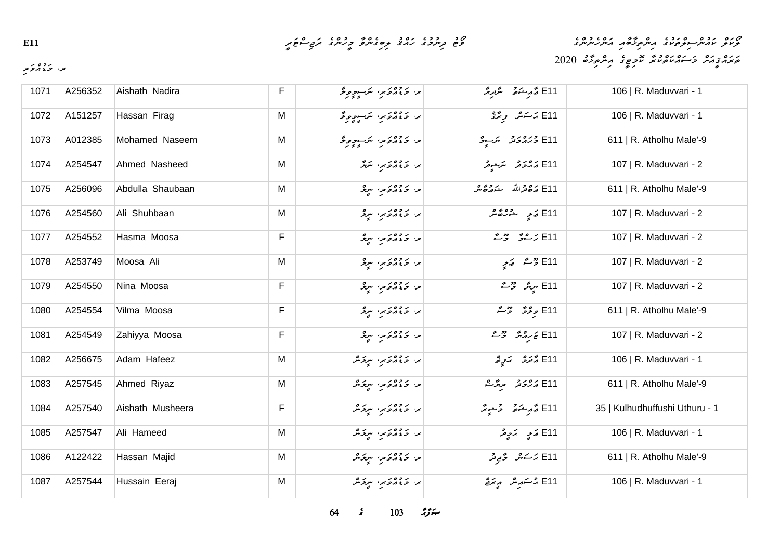*sCw7q7s5w7m< o<n9nOoAw7o< sCq;mAwBoEw7q<m; wBm;vB* م من المرة المرة المرة المرجع المرجع في المركبة 2020<br>مجم*د المريض المربوط المربع المرجع في المراجع المركبة* 

| 1071 | A256352 | Aishath Nadira   | F | ىن ئەمەكەر، سەسىر ئەرىم         | E11 مُ مِسْوَمٍّ مُحْمَدِمَّد                  | 106   R. Maduvvari - 1         |
|------|---------|------------------|---|---------------------------------|------------------------------------------------|--------------------------------|
| 1072 | A151257 | Hassan Firag     | M | أين وَءُمُوَيْنِ الرَّسِوِهِ وَ | E11   پرستدھ پ <i>ر پڙڏ</i>                    | 106   R. Maduvvari - 1         |
| 1073 | A012385 | Mohamed Naseem   | M | أين وَءُمُوَيْنِ الرَّسِوِهِ وَ | E11  <i>وټرونو پرېدو</i>                       | 611   R. Atholhu Male'-9       |
| 1074 | A254547 | Ahmed Nasheed    | M | بر دوه در نه                    | E11 <i>ړېر دي.</i> سَرَجو <i>تر</i>            | 107   R. Maduvvari - 2         |
| 1075 | A256096 | Abdulla Shaubaan | M | بن كەللەھمە سرچ                 | E11 مَرْدُوْرًاللَّهُ شَ <i>وَمْرَةُ مَّرَ</i> | 611   R. Atholhu Male'-9       |
| 1076 | A254560 | Ali Shuhbaan     | M | برا ودوه برگر استر              | E11   رَمِ شَرْرَةُ مْر                        | 107   R. Maduvvari - 2         |
| 1077 | A254552 | Hasma Moosa      | F | برا ودوه برگر استر              | $23$ $52$ $\ge$ $\ge$ F11                      | 107   R. Maduvvari - 2         |
| 1078 | A253749 | Moosa Ali        | M | بن كەللەھمە سرچ                 | E11 فخرشہ ک <i>ے ی</i> و                       | 107   R. Maduvvari - 2         |
| 1079 | A254550 | Nina Moosa       | F | بر: 33 م 5 م بر 3 م             | E11 سرینڈ ترجمنٹ                               | 107   R. Maduvvari - 2         |
| 1080 | A254554 | Vilma Moosa      | F | بر: 33 م 5 م بر 3 م             | E11 ج عجز من حق شد من                          | 611   R. Atholhu Male'-9       |
| 1081 | A254549 | Zahiyya Moosa    | F | برا وده دوس سرد                 | E11 نج پروگر مخرشہ                             | 107   R. Maduvvari - 2         |
| 1082 | A256675 | Adam Hafeez      | M | ىن ئەدەمى، سەئەش                | E11] پژ <i>نرو ټوپی</i>                        | 106   R. Maduvvari - 1         |
| 1083 | A257545 | Ahmed Riyaz      | M | بر ووه در سرگر                  | E11 كەبرى كىمى سىرتىرىشى ئىس                   | 611   R. Atholhu Male'-9       |
| 1084 | A257540 | Aishath Musheera | F | برا وده در سروکر                | E11 مۇرىشمۇ   مۇمۇمگر                          | 35   Kulhudhuffushi Uthuru - 1 |
| 1085 | A257547 | Ali Hameed       | M | ىن ئەدەمى، سەئەش                | E11  کی بر کی ترکی                             | 106   R. Maduvvari - 1         |
| 1086 | A122422 | Hassan Majid     | M | ىن ئەدەمى، سەئەش                | E11   پرسترس گرمج قر                           | 611   R. Atholhu Male'-9       |
| 1087 | A257544 | Hussain Eeraj    | M | ىن ئەدەمى، سەئەش                | E11 برڪوپر ويترقح                              | 106   R. Maduvvari - 1         |

*o8m=w<qFm> .8*

 $64$  *s*  $103$  *n***<sub>s</sub>**  $\frac{103}{56}$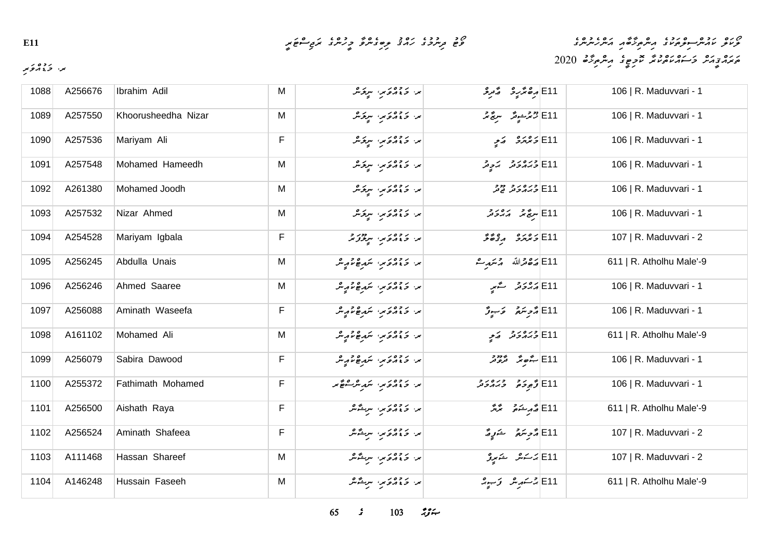*sCw7q7s5w7m< o<n9nOoAw7o< sCq;mAwBoEw7q<m; wBm;vB* م من المرة المرة المرة المرجع المراجع المراجع المراجع المراجع المراجع المراجع المراجع المراجع المراجع المراجع<br>مرين المراجع المراجع المرجع المراجع المراجع المراجع المراجع المراجع المراجع المراجع المراجع المراجع المراجع ال

|            | , , , , |  |
|------------|---------|--|
| ىر. جەمۇبر |         |  |
| ╭          |         |  |

| 1088 | A256676 | Ibrahim Adil        | M | أين وَءُمُوَيْنِ سِرْيَسْ           | E11 <sub>م</sub> ەنگەر ئەرگى                                   | 106   R. Maduvvari - 1   |
|------|---------|---------------------|---|-------------------------------------|----------------------------------------------------------------|--------------------------|
| 1089 | A257550 | Khoorusheedha Nizar | M | أأمرا أوده وأمراه البروكس           | E11 كَرْمَرْسُومَّر سَرِيَّ مْرَ                               | 106   R. Maduvvari - 1   |
| 1090 | A257536 | Mariyam Ali         | F | أأمرا أوده وأمراه البروكس           | E11 كانترنى كەمىي                                              | 106   R. Maduvvari - 1   |
| 1091 | A257548 | Mohamed Hameedh     | M | ىن ئەدەمى، سەئەش                    | E11  <i>وُبَرُوْدُوَ پُروِدْ</i>                               | 106   R. Maduvvari - 1   |
| 1092 | A261380 | Mohamed Joodh       | M | برا ودور سرکر                       | E11 وبرەرى دەر                                                 | 106   R. Maduvvari - 1   |
| 1093 | A257532 | Nizar Ahmed         | M | برا ووەم با سرىگە                   | E11 سرچ پر محمد حرم                                            | 106   R. Maduvvari - 1   |
| 1094 | A254528 | Mariyam Igbala      | F | بر كالمقرب سرور و                   | E11 كابر مركز من المحدد المحدد المحدد المحدد المحدد المحدد الم | 107   R. Maduvvari - 2   |
| 1095 | A256245 | Abdulla Unais       | M | من ويمروموا سم وعامر مر             | E11 مَەھْتَراللە مَسَمَّدٍ هُ                                  | 611   R. Atholhu Male'-9 |
| 1096 | A256246 | Ahmed Saaree        | M | من والمكرومي سكر والمرس             | E11 كەنزى قىر سىمىيە                                           | 106   R. Maduvvari - 1   |
| 1097 | A256088 | Aminath Waseefa     | F | من وأوقف سم الله الله على الله الله | E11 مَّ حِسَمَةٌ - حَسِيرٌ                                     | 106   R. Maduvvari - 1   |
| 1098 | A161102 | Mohamed Ali         | M | من ويموكون سكر والمرس               |                                                                | 611   R. Atholhu Male'-9 |
| 1099 | A256079 | Sabira Dawood       | F | من كالمؤمن سكر محاكم مر             | E11 شەھ ئىرونىر                                                | 106   R. Maduvvari - 1   |
| 1100 | A255372 | Fathimath Mohamed   | F | من تحكم وعمر سكر سر الموسوع مر      | E11 تُرجوح به مجمد حمد حمد                                     | 106   R. Maduvvari - 1   |
| 1101 | A256500 | Aishath Raya        | F | ىن ئەدەمى، سىشگىر                   | E11 مُ مِسْمَعْ مَمَدَّ                                        | 611   R. Atholhu Male'-9 |
| 1102 | A256524 | Aminath Shafeea     | F | بر دوه در سرشهر                     | E11 <sub>م</sub> ُّر <i>ِينَ جَوِي</i> َّة                     | 107   R. Maduvvari - 2   |
| 1103 | A111468 | Hassan Shareef      | M | بر ووه در سرشگاه                    | E11 پرسترش حق <i>مبون</i>                                      | 107   R. Maduvvari - 2   |
| 1104 | A146248 | Hussain Faseeh      | M | بر دوه در سرشگر                     | E11 پژشته بند تقریب و می                                       | 611   R. Atholhu Male'-9 |

 $65$  *s*  $103$  *n***<sub>s</sub>**  $\frac{2}{3}$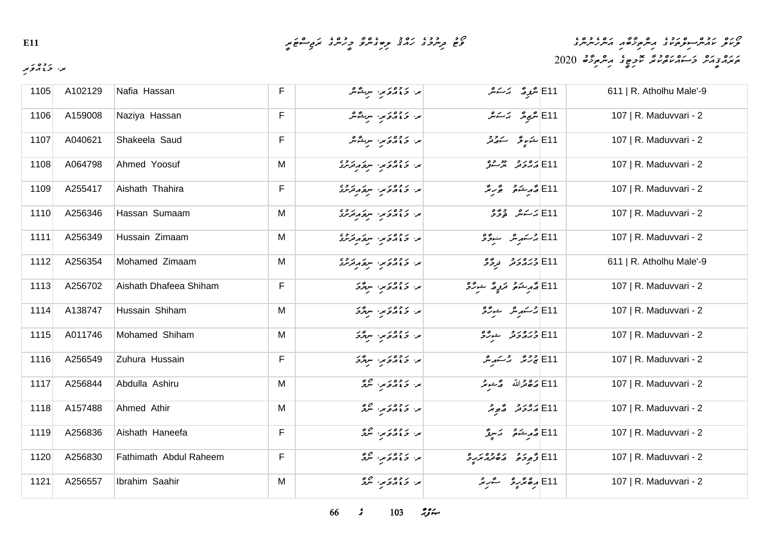*sCw7q7s5w7m< o<n9nOoAw7o< sCq;mAwBoEw7q<m; wBm;vB* م من المرة المرة المرة المرجع المراجع المراجع المراجع المراجع المراجع المراجع المراجع المراجع المراجع المراجع<br>مرين المراجع المراجع المرجع المراجع المراجع المراجع المراجع المراجع المراجع المراجع المراجع المراجع المراجع ال

| 1105 | A102129 | Nafia Hassan           | F           | أين كالأوكاني، سريقانكر | E11] <i>سَّعِيهٌ – پُرسک</i> ر                              | 611   R. Atholhu Male'-9 |
|------|---------|------------------------|-------------|-------------------------|-------------------------------------------------------------|--------------------------|
| 1106 | A159008 | Naziya Hassan          | F           | بر دوه در سرشگر         | E11 مُتَّبِعِ مُّهُ بَرَسَةَ مَثَّر                         | 107   R. Maduvvari - 2   |
| 1107 | A040621 | Shakeela Saud          | F           | بر دوه در سرشگاه        | E11 ڪيو ٿو سند <i>ه تر</i>                                  | 107   R. Maduvvari - 2   |
| 1108 | A064798 | Ahmed Yoosuf           | M           | بر كالمؤتمر سعد تروه    | E11 كەبرى تەرىپى تۈرگىز                                     | 107   R. Maduvvari - 2   |
| 1109 | A255417 | Aishath Thahira        | F           | بر ووور سعد مرده        | E11 مەم ئىسقى قى ئىرىتىگە                                   | 107   R. Maduvvari - 2   |
| 1110 | A256346 | Hassan Sumaam          | M           | بر كەم ئەرەب سەم ئەرى   | E11 كەستەش ئ <sub>ە</sub> ۋە                                | 107   R. Maduvvari - 2   |
| 1111 | A256349 | Hussain Zimaam         | M           | برا كالمؤمر البعكة فروه | E11 پڑے پر عمد سونحاتی                                      | 107   R. Maduvvari - 2   |
| 1112 | A256354 | Mohamed Zimaam         | M           | برا وكالمؤمن سعد مروه   | E11 <i>وبروبرو فروٌوْ</i>                                   | 611   R. Atholhu Male'-9 |
| 1113 | A256702 | Aishath Dhafeea Shiham | $\mathsf F$ | بر دوه در سرگر          | E11 مُّ مِسْمَعٌ مَرَوٍ مُّ سُرِرٌدٌ                        | 107   R. Maduvvari - 2   |
| 1114 | A138747 | Hussain Shiham         | M           | بر ووه دي سرگرد         | E11 پر <i>شور شور ب</i> ختی                                 | 107   R. Maduvvari - 2   |
| 1115 | A011746 | Mohamed Shiham         | M           | بر ووه دي سرد           | E11 <i>وبروب</i> وتر ب بدر و                                | 107   R. Maduvvari - 2   |
| 1116 | A256549 | Zuhura Hussain         | $\mathsf F$ | بر ووه من سرگرد         | E11 تح <sup>2</sup> پھر پر شہر بھر                          | 107   R. Maduvvari - 2   |
| 1117 | A256844 | Abdulla Ashiru         | M           | بر دور پره              | E11 مَەھْتَراللە مَ <i>مْ</i> سْعَ <i>مْ</i>                | 107   R. Maduvvari - 2   |
| 1118 | A157488 | Ahmed Athir            | M           | بر دوه رسم              | E11 كەندى قىرىمىتى ئى                                       | 107   R. Maduvvari - 2   |
| 1119 | A256836 | Aishath Haneefa        | F           | بر دوه رسم              | E11 مُدمِسْنَة بَرْسِدٌ                                     | 107   R. Maduvvari - 2   |
| 1120 | A256830 | Fathimath Abdul Raheem | F           | بر دور په کلی           | E11 زُب <i>وِدَه مەھەمەترى</i> ر                            | 107   R. Maduvvari - 2   |
| 1121 | A256557 | Ibrahim Saahir         | M           | بر روه رسمنځ            | E11 <sub>م</sub> ەھمَّر <sub>ىب</sub> ۇ س <sup>ې</sup> رىمە | 107   R. Maduvvari - 2   |

*o8m=w<qFm> .8*

 $66$  *s*  $103$  *z***<sub>3</sub>**  $\frac{2}{3}$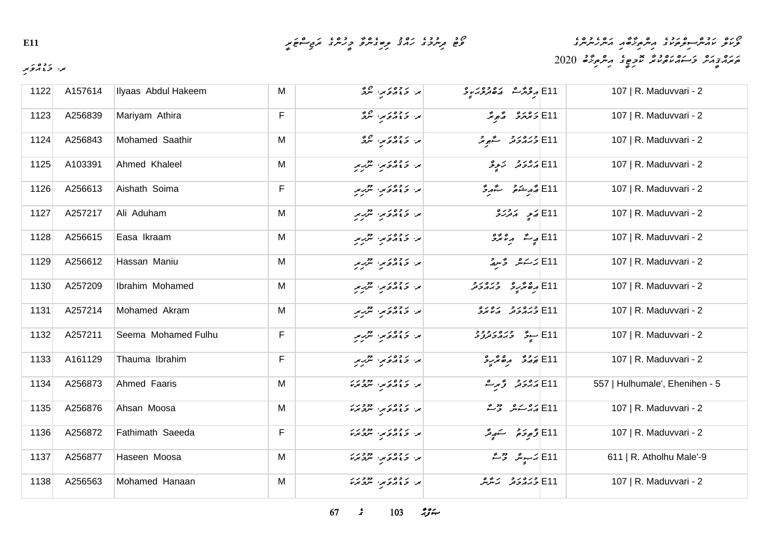*sCw7q7s5w7m< o<n9nOoAw7o< sCq;mAwBoEw7q<m; wBm;vB* م من المرة المرة المرة المرجع المراجع المراجع المراجع المراجع المراجع المراجع المراجع المراجع المراجع المراجع<br>مرين المراجع المراجع المرجع المراجع المراجع المراجع المراجع المراجع المراجع المراجع المراجع المراجع المراجع ال

| 1122 | A157614 | Ilyaas Abdul Hakeem | M | بر ووه ده شده                                                                                       | E11 مەنزىر مەمەر ئەرەبدىن                | 107   R. Maduvvari - 2         |
|------|---------|---------------------|---|-----------------------------------------------------------------------------------------------------|------------------------------------------|--------------------------------|
| 1123 | A256839 | Mariyam Athira      | F | بر دوه رسم کا                                                                                       | E11 <i>خ</i> مگرم محمومگر                | 107   R. Maduvvari - 2         |
| 1124 | A256843 | Mohamed Saathir     | M | بر: 32,500 من                                                                                       | E11 <i>2222 مگهون</i> گر                 | 107   R. Maduvvari - 2         |
| 1125 | A103391 | Ahmed Khaleel       | M | برا ووه د به مرد بر                                                                                 | E11 كەندى تىمبى                          | 107   R. Maduvvari - 2         |
| 1126 | A256613 | Aishath Soima       | F | برا ووه د به مرد بر                                                                                 | E11 مَجْمِيشَعْرِ مَجْمَدِ وَّ           | 107   R. Maduvvari - 2         |
| 1127 | A257217 | Ali Aduham          | M | برا ودوم برا بترزير                                                                                 | E11  كەبىي كەن <i>ترى</i> 2              | 107   R. Maduvvari - 2         |
| 1128 | A256615 | Easa Ikraam         | M | برا كالمروس المرس                                                                                   | E11 ۾ شهر مريمبرد                        | 107   R. Maduvvari - 2         |
| 1129 | A256612 | Hassan Maniu        | M | برا ووه در در بر                                                                                    | E11 كەشىش گەسھ                           | 107   R. Maduvvari - 2         |
| 1130 | A257209 | Ibrahim Mohamed     | M | بر: 2027 من المعرب المعرب المعرب المحدد المحدد المحدد المحدد المحدد المحدد المحدد المحدد المحدد الم | E11 ب <i>ەھتۇرى بىقىدە ب</i> و           | 107   R. Maduvvari - 2         |
| 1131 | A257214 | Mohamed Akram       | M | برا وده در به برد بر                                                                                | E11 درەرو رەرە                           | 107   R. Maduvvari - 2         |
| 1132 | A257211 | Seema Mohamed Fulhu | F | برا ودور به بیربر                                                                                   | E11 سوگ تر 25 دوو                        | 107   R. Maduvvari - 2         |
| 1133 | A161129 | Thauma Ibrahim      | F | برا ووه در در بر                                                                                    | E11 يۇر <sup>ى</sup> خ مەھ <i>ترى</i> دى | 107   R. Maduvvari - 2         |
| 1134 | A256873 | Ahmed Faaris        | M | بر كالمروم الأردوب                                                                                  | E11 كەنزى قى ئەرب                        | 557   Hulhumale', Ehenihen - 5 |
| 1135 | A256876 | Ahsan Moosa         | M | بر وہ دہ بہ دورے                                                                                    | E11 كەبەئە ئەسىر ئەسىر                   | 107   R. Maduvvari - 2         |
| 1136 | A256872 | Fathimath Saeeda    | F | بر وہ دہ بہ دورے                                                                                    | E11 رَّجِودَةُ صَمِيقَ <b>E</b>          | 107   R. Maduvvari - 2         |
| 1137 | A256877 | Haseen Moosa        | M | بر وہ دہ بہ دورے                                                                                    | E11   پرسو شرح حق                        | 611   R. Atholhu Male'-9       |
| 1138 | A256563 | Mohamed Hanaan      | M | بمزاح وه مرد المردوس                                                                                | E11 دېمبروتر برنگ <i>رنگ</i> ر           | 107   R. Maduvvari - 2         |

 $67$  *s*  $103$  *i*<sub>s</sub>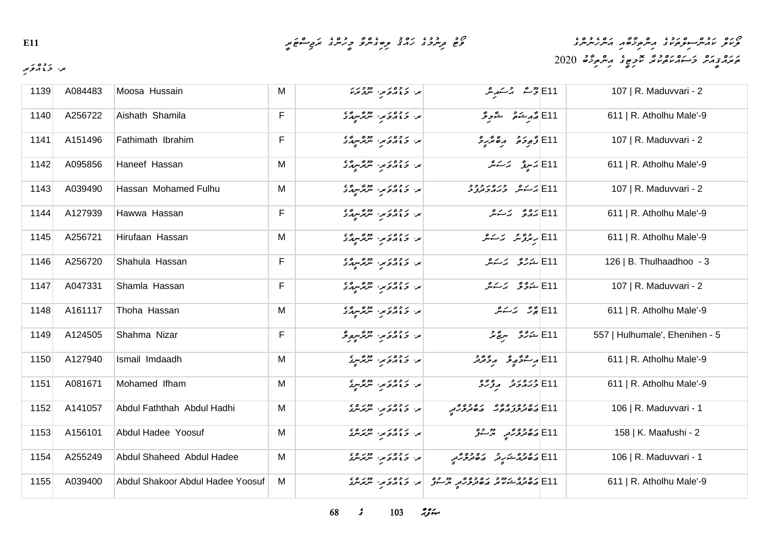*sCw7q7s5w7m< o<n9nOoAw7o< sCq;mAwBoEw7q<m; wBm;vB* م من المرة المرة المرة المرجع المراجع المراجع المراجع المراجع المراجع المراجع المراجع المراجع المراجع المراجع<br>مرين المراجع المراجع المرجع المراجع المراجع المراجع المراجع المراجع المراجع المراجع المراجع المراجع المراجع ال

|            | ر د ه ر |  |
|------------|---------|--|
| ىر. جەمۇبر |         |  |
| ╭          |         |  |

| 1139 | A084483 | Moosa Hussain                    | M           | بر كالمروم المردوم                                      | E11 تۇشقە ب <sub>ە</sub> شىرىش                        | 107   R. Maduvvari - 2         |
|------|---------|----------------------------------|-------------|---------------------------------------------------------|-------------------------------------------------------|--------------------------------|
| 1140 | A256722 | Aishath Shamila                  | F           | بر دوه در مورد ده                                       | E11 مَدْرِسْنَعْرِ مُسْتَوِتَرُ                       | 611   R. Atholhu Male'-9       |
| 1141 | A151496 | Fathimath Ibrahim                | F           |                                                         | E11 وُجوحه مُ مِرْحَمْدِ و                            | 107   R. Maduvvari - 2         |
| 1142 | A095856 | Haneef Hassan                    | M           |                                                         | E11] پَسِرُوْ کاسکار                                  | 611   R. Atholhu Male'-9       |
| 1143 | A039490 | Hassan Mohamed Fulhu             | M           | من كروه در مورد برنام وي                                | E11 پزشش وپروژورو                                     | 107   R. Maduvvari - 2         |
| 1144 | A127939 | Hawwa Hassan                     | $\mathsf F$ | من كروه در مورد بير                                     | E11 يَرْدُمُّ - يَرْسَرْر                             | 611   R. Atholhu Male'-9       |
| 1145 | A256721 | Hirufaan Hassan                  | M           | من كروه در مركز مورد كرد.<br>من كروه مركز مورد مورد كرد | E11 پەترۇپتر - ئەس <i>تى</i> تر                       | 611   R. Atholhu Male'-9       |
| 1146 | A256720 | Shahula Hassan                   | F           | من كودور مورد مورد وي                                   | E11 ش <i>رگ</i> و ترسکار                              | 126   B. Thulhaadhoo - 3       |
| 1147 | A047331 | Shamla Hassan                    | $\mathsf F$ | بر دوه روم به دوه ده                                    | E11 شۇقۇ بەشكە                                        | 107   R. Maduvvari - 2         |
| 1148 | A161117 | Thoha Hassan                     | M           | من كروه در «د براير»                                    | E11 چڙ پرسند                                          | 611   R. Atholhu Male'-9       |
| 1149 | A124505 | Shahma Nizar                     | F           | ى ئەدەر «ئەرگىرى                                        | E11 خەر <sub>گە</sub> ئەرىج ئە                        | 557   Hulhumale', Ehenihen - 5 |
| 1150 | A127940 | Ismail Imdaadh                   | M           | برا كالمؤبرا المركز البرنا                              | E11 <sub>م</sub> رشۇ <sub>م</sub> و مەمەر             | 611   R. Atholhu Male'-9       |
| 1151 | A081671 | Mohamed Ifham                    | M           | المنا كالمرومين التركر سيكا                             | E11 <i>2222 وورَّة</i>                                | 611   R. Atholhu Male'-9       |
| 1152 | A141057 | Abdul Faththah Abdul Hadhi       | M           | بر کے دور اس دورہ                                       | E11 ره ده ره ده بره ده در در در                       | 106   R. Maduvvari - 1         |
| 1153 | A156101 | Abdul Hadee Yoosuf               | M           | بر دوه بر دوبره به<br>بر و ده و بر شریرس                | E11 پەھىرىرى تەرەپ ۋە                                 | 158   K. Maafushi - 2          |
| 1154 | A255249 | Abdul Shaheed Abdul Hadee        | M           | بر وور مرده                                             | E11 رەپەرە شەرىر مەھەر <i>ە دى</i>                    | 106   R. Maduvvari - 1         |
| 1155 | A039400 | Abdul Shakoor Abdul Hadee Yoosuf | M           |                                                         | E11 גם מה כבר הספק בין כבר כם היי כבר בין יישוב בין ה | 611   R. Atholhu Male'-9       |

 $68$  *s*  $103$  *n***<sub>y</sub>** $\rightarrow$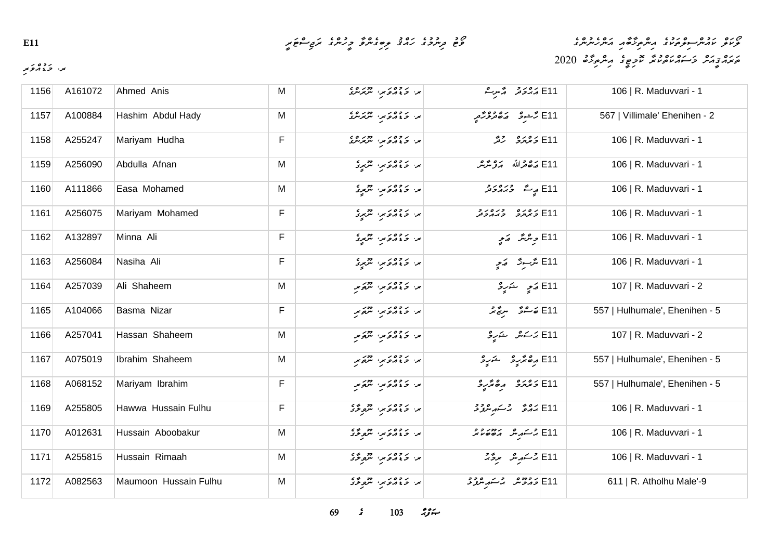*sCw7q7s5w7m< o<n9nOoAw7o< sCq;mAwBoEw7q<m; wBm;vB* م من المرة المرة المرة المرجع المراجع المراجع المراجع المراجع المراجع المراجع المراجع المراجع المراجع المراجع<br>مرين المراجع المراجع المرجع المراجع المراجع المراجع المراجع المراجع المراجع المراجع المراجع المراجع المراجع ال

|                     | - 0 > - |  |
|---------------------|---------|--|
| ىر. جەم <i>و بر</i> |         |  |
| ╭                   |         |  |

| 1156 | A161072 | Ahmed Anis            | M           | برا كالمركز من المريم من | E11 كەبرى قىلى ئەسرىسى ئىس                     | 106   R. Maduvvari - 1         |
|------|---------|-----------------------|-------------|--------------------------|------------------------------------------------|--------------------------------|
| 1157 | A100884 | Hashim Abdul Hady     | M           | بر کے دور سرچروں         | E11 جەنبەبى ئەھەر <i>بىرىتى</i> ر              | 567   Villimale' Ehenihen - 2  |
| 1158 | A255247 | Mariyam Hudha         | F           | بر کے دور سرچروں         | E11 كەبەدى ئەگە                                | 106   R. Maduvvari - 1         |
| 1159 | A256090 | Abdulla Afnan         | M           | بر وودير المعربي         | E11 كَەھىمَراللە كَمَرْتَمْ مَشْرَ بِمَرْتَمَر | 106   R. Maduvvari - 1         |
| 1160 | A111866 | Easa Mohamed          | M           | بر ووور به بربرد         | E11 <sub>جو</sub> ت بھی دیمبر دیگر             | 106   R. Maduvvari - 1         |
| 1161 | A256075 | Mariyam Mohamed       | $\mathsf F$ | بر ووور به بربرد         | E11 كەبەرە مەدەبەد                             | 106   R. Maduvvari - 1         |
| 1162 | A132897 | Minna Ali             | F           | بر ووور به بربرد         | E11 <sub>حی</sub> ثرنگر ک <sup>ہ</sup> پر      | 106   R. Maduvvari - 1         |
| 1163 | A256084 | Nasiha Ali            | F           | بر ووور دور              | E11] مَّرْسِرِدَّ - رَمِّ                      | 106   R. Maduvvari - 1         |
| 1164 | A257039 | Ali Shaheem           | M           | بر دوه در در             | E11 <i>ڇُوِ</i> حَ <i>دِي</i> وُ               | 107   R. Maduvvari - 2         |
| 1165 | A104066 | Basma Nizar           | F           | بر دوه در دور            | E11 صَدْرٌ سِيِّرٌ                             | 557   Hulhumale', Ehenihen - 5 |
| 1166 | A257041 | Hassan Shaheem        | M           | برا ووديرا المعجم        | E11 پزشکر گھری تھ                              | 107   R. Maduvvari - 2         |
| 1167 | A075019 | Ibrahim Shaheem       | M           | برا كالمكافر الملجوم     | E11 مەھەرىپى ھەرپى                             | 557   Hulhumale', Ehenihen - 5 |
| 1168 | A068152 | Mariyam Ibrahim       | F           | برا ودور الملجم          | E11 <i>وبرود م</i> قتربرد                      | 557   Hulhumale', Ehenihen - 5 |
| 1169 | A255805 | Hawwa Hussain Fulhu   | $\mathsf F$ | بر ووه در دو د ،         | E11 يَرْدُمُّ بِرْسَهِ مِرْدُمْ بِ             | 106   R. Maduvvari - 1         |
| 1170 | A012631 | Hussain Aboobakur     | M           | بر دوه در دو ده          | E11 يُرْسَمَ بِهِ مُقْصَلَة بِر                | 106   R. Maduvvari - 1         |
| 1171 | A255815 | Hussain Rimaah        | M           | بر دوه در دو ده          | E11 پر <i>شہر</i> مگر ہو گا پر                 | 106   R. Maduvvari - 1         |
| 1172 | A082563 | Maumoon Hussain Fulhu | M           | ىن ئەدەم ئەشھۇق          | E11 كەمەدىھە بۇ شەمەتلەر ئى                    | 611   R. Atholhu Male'-9       |

 $69$  *s*  $103$  *n***<sub>s</sub>**  $\frac{1}{2}$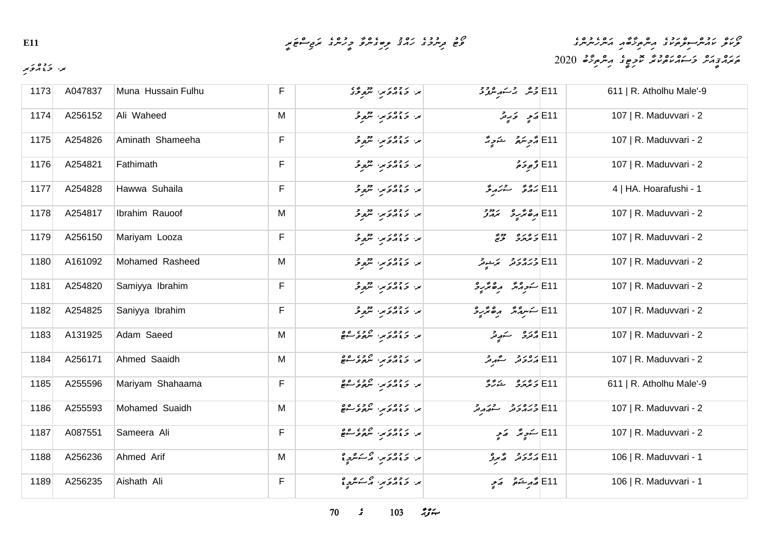*sCw7q7s5w7m< o<n9nOoAw7o< sCq;mAwBoEw7q<m; wBm;vB* م من المرة المرة المرة المرجع المراجع المراجع المراجع المراجع المراجع المراجع المراجع المراجع المراجع المراجع<br>مرين المراجع المراجع المرجع المراجع المراجع المراجع المراجع المراجع المراجع المراجع المراجع المراجع المراجع ال

| - 0 > -            |  |
|--------------------|--|
| ىر. جەم <i>جىر</i> |  |
| ╭                  |  |

| 1173 | A047837 | Muna Hussain Fulhu | F | بر كەدەب شىرگە                                                                                                                                                                                                                                                                                                              | E11 ترىگە بەستەمەتلىرى تە                                                                                                                             | 611   R. Atholhu Male'-9 |
|------|---------|--------------------|---|-----------------------------------------------------------------------------------------------------------------------------------------------------------------------------------------------------------------------------------------------------------------------------------------------------------------------------|-------------------------------------------------------------------------------------------------------------------------------------------------------|--------------------------|
| 1174 | A256152 | Ali Waheed         | M | بر ووه من شهور                                                                                                                                                                                                                                                                                                              | E11  رَمِ کَ رِمْرُ                                                                                                                                   | 107   R. Maduvvari - 2   |
| 1175 | A254826 | Aminath Shameeha   | F | برا ودور شهوت                                                                                                                                                                                                                                                                                                               | E11 مَّ حِسَمَ حَسَنِ مَّ                                                                                                                             | 107   R. Maduvvari - 2   |
| 1176 | A254821 | Fathimath          | F | برا ودوى شروفر                                                                                                                                                                                                                                                                                                              | E11 رُّجِ رَحْمُ                                                                                                                                      | 107   R. Maduvvari - 2   |
| 1177 | A254828 | Hawwa Suhaila      | F | برا ودور المعجمة                                                                                                                                                                                                                                                                                                            | $\mathcal{Z}_{\mathcal{A}} \mathcal{Z}_{\mathcal{A}}^{\mathcal{B}} \cong \mathcal{Z}_{\mathcal{A}}^{\mathcal{B}} \boxtimes \mathcal{Z}^{\mathcal{C}}$ | 4   HA. Hoarafushi - 1   |
| 1178 | A254817 | Ibrahim Rauoof     | M | برا ووه به المعجم المعجم المحمد                                                                                                                                                                                                                                                                                             | E11 مەھمەر بەھەر F11                                                                                                                                  | 107   R. Maduvvari - 2   |
| 1179 | A256150 | Mariyam Looza      | F | برا ودور شهوت                                                                                                                                                                                                                                                                                                               | E11 كەبەدە مەدىج                                                                                                                                      | 107   R. Maduvvari - 2   |
| 1180 | A161092 | Mohamed Rasheed    | M | برا ودور شهوت                                                                                                                                                                                                                                                                                                               | E11] <i>وَبَرُوْدَوْرٌ بِرَحْدِيْرُ</i>                                                                                                               | 107   R. Maduvvari - 2   |
| 1181 | A254820 | Samiyya Ibrahim    | F | بر ووه ده شود                                                                                                                                                                                                                                                                                                               | E11 سَوِږمَّة مِصْمَرِةْ                                                                                                                              | 107   R. Maduvvari - 2   |
| 1182 | A254825 | Saniyya Ibrahim    | F | بر ووه به هم د                                                                                                                                                                                                                                                                                                              | E11 س <i>تمبره به مقترب</i> و                                                                                                                         | 107   R. Maduvvari - 2   |
| 1183 | A131925 | Adam Saeed         | M | $\begin{array}{ccc} 0 & 0 & 0 & 0 & 0 & 0 & 0 \\ 0 & 0 & 0 & 0 & 0 & 0 \\ 0 & 0 & 0 & 0 & 0 & 0 \\ 0 & 0 & 0 & 0 & 0 & 0 \\ 0 & 0 & 0 & 0 & 0 & 0 \\ 0 & 0 & 0 & 0 & 0 & 0 \\ 0 & 0 & 0 & 0 & 0 & 0 \\ 0 & 0 & 0 & 0 & 0 & 0 \\ 0 & 0 & 0 & 0 & 0 & 0 \\ 0 & 0 & 0 & 0 & 0 & 0 & 0 \\ 0 & 0 & 0 & 0 & 0 & 0 & 0 \\ 0 & 0 &$ | E11 مُرترد سَم <i>هِ م</i> َر                                                                                                                         | 107   R. Maduvvari - 2   |
| 1184 | A256171 | Ahmed Saaidh       | M |                                                                                                                                                                                                                                                                                                                             | E11 كەبرى قىر سىمبەرتىر                                                                                                                               | 107   R. Maduvvari - 2   |
| 1185 | A255596 | Mariyam Shahaama   | F |                                                                                                                                                                                                                                                                                                                             | E11 كانترنزى مىتەرىخ                                                                                                                                  | 611   R. Atholhu Male'-9 |
| 1186 | A255593 | Mohamed Suaidh     | M | $\begin{array}{cc} 0 & 0 & 0 & 0 & 0 & 0 \\ 0 & 0 & 0 & 0 & 0 & 0 \\ 0 & 0 & 0 & 0 & 0 & 0 \\ 0 & 0 & 0 & 0 & 0 & 0 \\ 0 & 0 & 0 & 0 & 0 & 0 \\ 0 & 0 & 0 & 0 & 0 & 0 \\ 0 & 0 & 0 & 0 & 0 & 0 \\ 0 & 0 & 0 & 0 & 0 & 0 \\ 0 & 0 & 0 & 0 & 0 & 0 \\ 0 & 0 & 0 & 0 & 0 & 0 & 0 \\ 0 & 0 & 0 & 0 & 0 & 0 & 0 \\ 0 & 0 & 0 &$  | E11  <i>جەنەھەتى سىھەم</i> قر                                                                                                                         | 107   R. Maduvvari - 2   |
| 1187 | A087551 | Sameera Ali        | F | بر دور می ده وه وه<br>بر دوروس سهوسه                                                                                                                                                                                                                                                                                        | E11 ڪ <sub>يچ</sub> نگ ڪي <sub>چ</sub>                                                                                                                | 107   R. Maduvvari - 2   |
| 1188 | A256236 | Ahmed Arif         | M | برا كالمؤترا المسكر وي                                                                                                                                                                                                                                                                                                      | E11 كەنزى قى ھەمبەتى                                                                                                                                  | 106   R. Maduvvari - 1   |
| 1189 | A256235 | Aishath Ali        | F | أين وأواد ويرامي كالمسترجوني                                                                                                                                                                                                                                                                                                | E11 م <i>ۇم</i> ىش <i>ەق مۇم</i>                                                                                                                      | 106   R. Maduvvari - 1   |

 $70$  *s*  $103$  *n***<sub>s</sub>**  $\frac{2}{3}$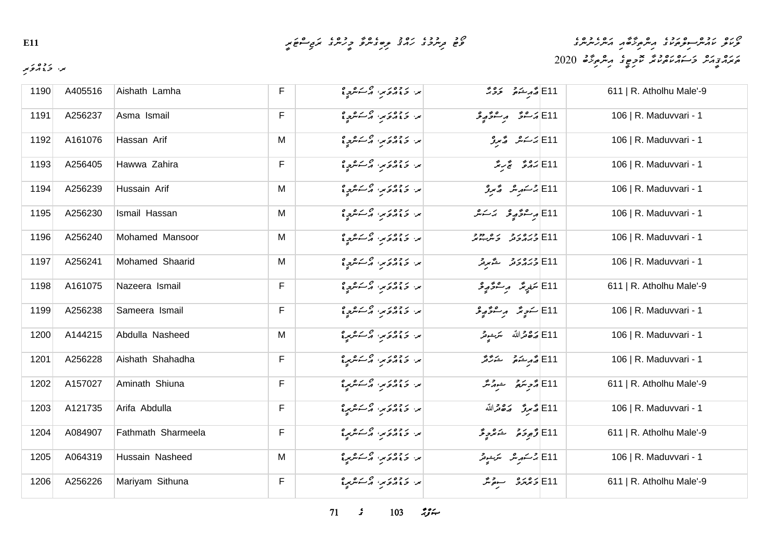*sCw7q7s5w7m< o<n9nOoAw7o< sCq;mAwBoEw7q<m; wBm;vB* م من المسجد المسجد المسجد المسجد المسجد العام 2020<br>مجم*د المسجد المسجد المستجد المسجد المسجد المسجد المسجد المسجد المسجد المسجد المسجد المسجد المسجد المسجد المسجد* 

Ξ

Ξ

| 1190 | A405516 | Aishath Lamha      | F | بر دور من من                     | E11 م <i>ەمبىنى خۇن</i> گ               | 611   R. Atholhu Male'-9 |
|------|---------|--------------------|---|----------------------------------|-----------------------------------------|--------------------------|
| 1191 | A256237 | Asma Ismail        | F | أأراد والمتحمر والمستقرح والمحمد | E11  رَسْعَ مِسْعَمَ رِوِعْ             | 106   R. Maduvvari - 1   |
| 1192 | A161076 | Hassan Arif        | Μ | برا كالمؤترا المسكر والمعار      | E11   پرسٹر گھیرو<br> -                 | 106   R. Maduvvari - 1   |
| 1193 | A256405 | Hawwa Zahira       | F | برا كالمؤتر المركب المركبة       | E11 كەم تەرىخ                           | 106   R. Maduvvari - 1   |
| 1194 | A256239 | Hussain Arif       | M | برا كالمؤتر المسكرية             | E11 پر شہر شہر تھیں<br>ا                | 106   R. Maduvvari - 1   |
| 1195 | A256230 | Ismail Hassan      | M | برا كالمؤترا المسكرونا           | E11 <sub>م</sub> رىئۇ مەكتەر            | 106   R. Maduvvari - 1   |
| 1196 | A256240 | Mohamed Mansoor    | M | برا كالمؤبرا المكونا             | E11 دېم ده ده ده موجود                  | 106   R. Maduvvari - 1   |
| 1197 | A256241 | Mohamed Shaarid    | M | برا كالمؤترا المسكرونا           | E11 <i>وُبَرُوْدَوْ</i> شَعْمِيْر       | 106   R. Maduvvari - 1   |
| 1198 | A161075 | Nazeera Ismail     | F | برا كالمؤترا المسكرونا           | E11 سَنبِر بَمَّ بِرِ مُتَحَرِّدٍ وَ    | 611   R. Atholhu Male'-9 |
| 1199 | A256238 | Sameera Ismail     | F | برا كالمؤترا المسكرونا           | E11 سَوِيرٌ پرسْوَمِيوْ                 | 106   R. Maduvvari - 1   |
| 1200 | A144215 | Abdulla Nasheed    | M | برا كالمؤتمرا المسكوري           | E11 كەھەراللە س <i>رى</i> دى <i>رى</i>  | 106   R. Maduvvari - 1   |
| 1201 | A256228 | Aishath Shahadha   | F | من تروه در مرکب می در د          | E11 مَ <i>ذْہِ حَذَیْرٌ</i> مُحَدَّثَرٌ | 106   R. Maduvvari - 1   |
| 1202 | A157027 | Aminath Shiuna     | F | برا المعادة والمستقرية           | E11 أَمُّ حِرْمَتْهُمْ مُسْتِمَرْمَتْرُ | 611   R. Atholhu Male'-9 |
| 1203 | A121735 | Arifa Abdulla      | F | برا كالمؤتمر المسكر المريدة      | E11 صَّمِيوَ صَدَّدَ اللّه              | 106   R. Maduvvari - 1   |
| 1204 | A084907 | Fathmath Sharmeela | F | برا ودور وكالمستر                | E11 <i>وَّجِوَدَة</i> شَعْرَوٍ وَّ      | 611   R. Atholhu Male'-9 |
| 1205 | A064319 | Hussain Nasheed    | M | ىن ئەمەھىر، كەسكىرىدە            | E11 بُرْسَمبِ بْرُ سَرَسْبِيْرُ         | 106   R. Maduvvari - 1   |
| 1206 | A256226 | Mariyam Sithuna    | F |                                  | E11 دېروزو سوړنگر                       | 611   R. Atholhu Male'-9 |

 $71$  *s*  $103$  *z***<sub>3</sub>**  $\frac{2}{3}$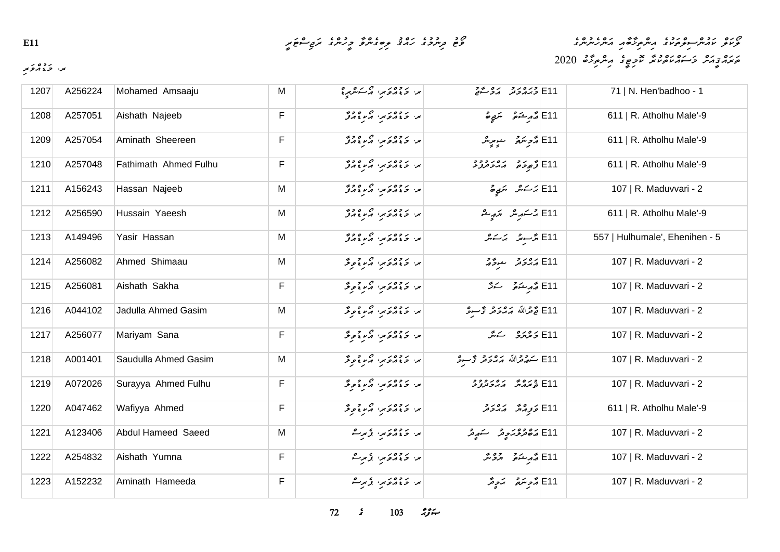*sCw7q7s5w7m< o<n9nOoAw7o< sCq;mAwBoEw7q<m; wBm;vB 2020*<br>*په پوهر وسوړ پاره ولايت موسي اوسر پر شمېر شه* 

| - - - -<br>بر، و ۽ موبر |         |  |  |  |  |  |  |
|-------------------------|---------|--|--|--|--|--|--|
| 1207                    | A256224 |  |  |  |  |  |  |

| 1207 | A256224 | Mohamed Amsaaju           | M           | برا كالمؤتمرا المسكريولا           | E11 دېرونر پروشو                                                                                                       | 71   N. Hen'badhoo - 1         |
|------|---------|---------------------------|-------------|------------------------------------|------------------------------------------------------------------------------------------------------------------------|--------------------------------|
| 1208 | A257051 | Aishath Najeeb            | $\mathsf F$ | ת בזמפתי העזמר                     | E11 مَگْرِسْتَوْمُ - سَرْجٍ صُحْ                                                                                       | 611   R. Atholhu Male'-9       |
| 1209 | A257054 | Aminath Sheereen          | $\mathsf F$ | 3000000000000                      | E11 مَرْحِ سَمَعَ مَصْبِرِيْتَر                                                                                        | 611   R. Atholhu Male'-9       |
| 1210 | A257048 | Fathimath Ahmed Fulhu     | $\mathsf F$ | תי צגות באי היו היה בי             | E11 زُب <i>وِدَه • • • • • • •</i>                                                                                     | 611   R. Atholhu Male'-9       |
| 1211 | A156243 | Hassan Najeeb             | M           |                                    | E11   يَرْسَدُّ مَرْبِ <sub>وِ</sub> صَحْ                                                                              | 107   R. Maduvvari - 2         |
| 1212 | A256590 | Hussain Yaeesh            | M           |                                    | E11 برسمبر شہر میں مقدم کر میں مقدم ا                                                                                  | 611   R. Atholhu Male'-9       |
| 1213 | A149496 | Yasir Hassan              | M           |                                    | E11 پڑے پر برے میں<br>ا                                                                                                | 557   Hulhumale', Ehenihen - 5 |
| 1214 | A256082 | Ahmed Shimaau             | M           | بر دوه در کاروژ                    | E11 كەبرى كىمى ئىس ئىس ئىس ئىس كەنتىك ئىس كەنتىك ئىس كەنتىك بىر ئىستان ئىستان ئىستان ئىستان ئىستان ئىستان ئىس<br>مەنبە | 107   R. Maduvvari - 2         |
| 1215 | A256081 | Aishath Sakha             | F           | برا وَءُمُوَسِ مَرْاءُوشَ          | E11 م <i>ەرىشى ئى</i> ر                                                                                                | 107   R. Maduvvari - 2         |
| 1216 | A044102 | Jadulla Ahmed Gasim       | M           | برا كالمقرار المرافق فر            | E11 يَحْتَراللّه بِرَبْرَتِيْرِ تَجْ--وْ                                                                               | 107   R. Maduvvari - 2         |
| 1217 | A256077 | Mariyam Sana              | $\mathsf F$ | برا وَءُمُوَسِ مَرْاءُوتَرَ        | E11 كەندىر <i>ە</i> سەند                                                                                               | 107   R. Maduvvari - 2         |
| 1218 | A001401 | Saudulla Ahmed Gasim      | M           | برا وَءُمُوَسٍ مِنْ وَلَوْ وَلَوْ  | E11 كەمچە ئەللە ئەبرىكى ئۇسۇ                                                                                           | 107   R. Maduvvari - 2         |
| 1219 | A072026 | Surayya Ahmed Fulhu       | $\mathsf F$ | ىن ئەدەمىر، ئەربەھ ئ               | E11 في <i>تره بير مرد و و و</i>                                                                                        | 107   R. Maduvvari - 2         |
| 1220 | A047462 | Wafiyya Ahmed             | $\mathsf F$ | برا وَءُمُوَسِ مَنْ وَمِنْ وَمَحْ  | E11 <sub>ح</sub> وړېژ پروژنو                                                                                           | 611   R. Atholhu Male'-9       |
| 1221 | A123406 | <b>Abdul Hameed Saeed</b> | M           | برا ووه درا وبرت                   | E11 كەھەردىرى سەرىر                                                                                                    | 107   R. Maduvvari - 2         |
| 1222 | A254832 | Aishath Yumna             | $\mathsf F$ | برا ووه در المجابر المحافظ المحافظ | E11 ۾ م شمتھ مرحمد                                                                                                     | 107   R. Maduvvari - 2         |
| 1223 | A152232 | Aminath Hameeda           | F           | برا كالمؤتمرا لمحيرك               | E11 أ <i>مَّ وِسَعْهُ ب</i> َحِيقَ <i>ّ</i>                                                                            | 107   R. Maduvvari - 2         |

*72 s* 103 *if*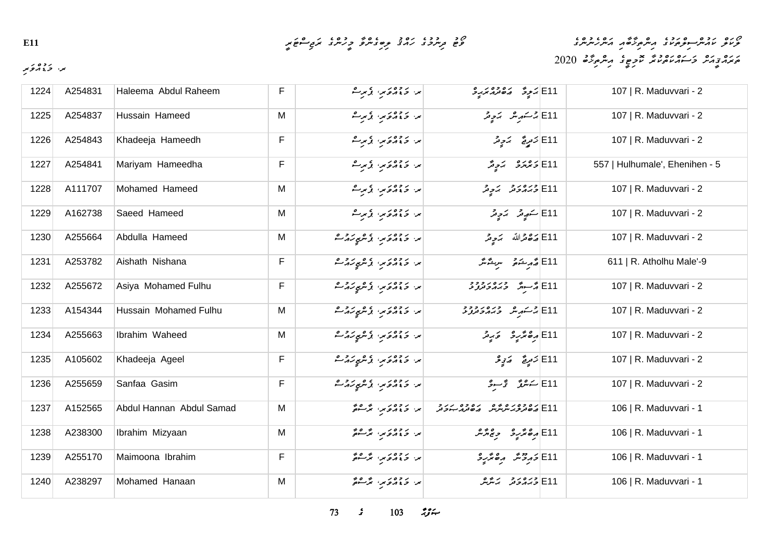*sCw7q7s5w7m< o<n9nOoAw7o< sCq;mAwBoEw7q<m; wBm;vB* م من المسجد المسجد المسجد المسجد المسجد العام 2020<br>مسجد المسجد المسجد المسجد المسجد المسجد المسجد المسجد المسجد ال

| 1224 | A254831 | Haleema Abdul Raheem     | F           | برا ودوريرا وبرت                                                                                   | E11   يَرْمِرَّ           يَرْهُ وَرْدَ بَرَبِرْدَ | 107   R. Maduvvari - 2         |
|------|---------|--------------------------|-------------|----------------------------------------------------------------------------------------------------|----------------------------------------------------|--------------------------------|
| 1225 | A254837 | Hussain Hameed           | M           | أما أوده ومراجح مرت                                                                                | E11 پرڪوپٽر ڪ <sub>چ</sub> وٽر                     | 107   R. Maduvvari - 2         |
| 1226 | A254843 | Khadeeja Hameedh         | F           | أأترا ودورس وترس                                                                                   | E11  كَمْرِيحٌ = يَرْجِعْرُ                        | 107   R. Maduvvari - 2         |
| 1227 | A254841 | Mariyam Hameedha         | $\mathsf F$ | برا ووه دي ويرت                                                                                    | E11 كەبىر بىر بىر بىر ئىل                          | 557   Hulhumale', Ehenihen - 5 |
| 1228 | A111707 | Mohamed Hameed           | М           | برا كالمركوب وبرب                                                                                  | E11 دېرورو برې                                     | 107   R. Maduvvari - 2         |
| 1229 | A162738 | Saeed Hameed             | M           | أما أكالمكافر المحامر والمراجح                                                                     | E11 ڪ <i>وپ</i> ٽر پر <i>و</i> پٽر                 | 107   R. Maduvvari - 2         |
| 1230 | A255664 | Abdulla Hameed           | M           | پر دوري وگري دره                                                                                   | E11 مَەھىراللە   ئەجەتر                            | 107   R. Maduvvari - 2         |
| 1231 | A253782 | Aishath Nishana          | F           | بر دوه بر ومرد و م                                                                                 | E11 مُدْمِرْ مِنْدَهُ مِنْ مِنْدَمَّر              | 611   R. Atholhu Male'-9       |
| 1232 | A255672 | Asiya Mohamed Fulhu      | F           | ماء دومريا وتكرير وقاع                                                                             | E11 تەسىن ئەرەردىرى<br>E11 ق                       | 107   R. Maduvvari - 2         |
| 1233 | A154344 | Hussain Mohamed Fulhu    | M           | ما المحدود المحمد والمحمد المحمد والمحمد المحمد والمحمد والمحمد والمحمد والمحمد والمحمد والمحمد وا | E11 پر شهر مرکز و دور<br>E11 پر شهر مرکز و مرکز د  | 107   R. Maduvvari - 2         |
| 1234 | A255663 | Ibrahim Waheed           | M           | من كالمؤكد والمستور والمحمد والمستقر                                                               | E11 <sub>مر</sub> ھ <i>مُرْرِیْ ۔ وَ ب</i> ِیٹر    | 107   R. Maduvvari - 2         |
| 1235 | A105602 | Khadeeja Ageel           | F           | برا كالمؤتمرا ومريح رماط                                                                           | E11  كَمَرِجٌ = مَدَّوِجٌ                          | 107   R. Maduvvari - 2         |
| 1236 | A255659 | Sanfaa Gasim             | $\mathsf F$ | أمرا والمؤمر المراكب والمحالية                                                                     | E11 سَتَمَرَّزُ تَحْسَنُّ                          | 107   R. Maduvvari - 2         |
| 1237 | A152565 | Abdul Hannan Abdul Samad | M           | پر او ده د بر اور ده پی                                                                            | E11 کەھەرمەم مەر ئەھەرمەدە بەر د                   | 106   R. Maduvvari - 1         |
| 1238 | A238300 | Ibrahim Mizyaan          | M           | بر کے موبر، بڑے گھ                                                                                 | E11 مەھرىرى جىم ئىر                                | 106   R. Maduvvari - 1         |
| 1239 | A255170 | Maimoona Ibrahim         | F           | بر دوه در پژستم                                                                                    | E11 <sub>حَم</sub> وتِسٌ مِرْمَعُرِ وَ             | 106   R. Maduvvari - 1         |
| 1240 | A238297 | Mohamed Hanaan           | M           | بر دوه در پژستم                                                                                    | E11 <i>ڈیز پروٹ</i> ر کریٹر کر                     | 106   R. Maduvvari - 1         |

 $73$  *s*  $\qquad$  103  $23$   $\qquad$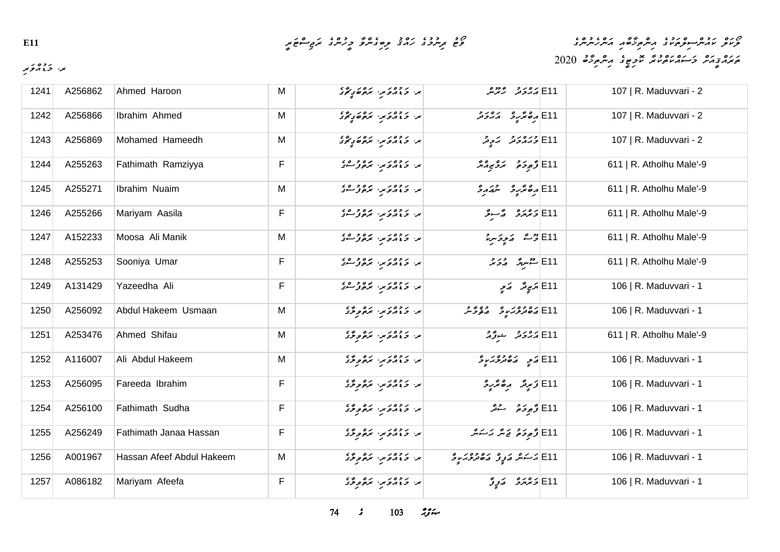*sCw7q7s5w7m< o<n9nOoAw7o< sCq;mAwBoEw7q<m; wBm;vB* م من المرة المرة المرة المرجع المرجع في المركبة 2020<br>مجم*د المريض المربوط المربع المرجع في المراجع المركبة* 

| 1241 | A256862 | Ahmed Haroon              | M           | <b>بر: كالمؤتر: ترەھۈكۈ</b> ى | E11 كەبرى بىر ئەيزىتر                                       | 107   R. Maduvvari - 2   |
|------|---------|---------------------------|-------------|-------------------------------|-------------------------------------------------------------|--------------------------|
| 1242 | A256866 | Ibrahim Ahmed             | M           | س كەدەس سەھ كەلگە             | E11 <sub>مو</sub> ھ پژر پر پر دیگر                          | 107   R. Maduvvari - 2   |
| 1243 | A256869 | Mohamed Hameedh           | M           | س کے دوس مرکز دی              | E11 <i>\$222 كرون</i> د                                     | 107   R. Maduvvari - 2   |
| 1244 | A255263 | Fathimath Ramziyya        | F           | برا كالمكافر بالملح والمحافظ  | E11 ۇ <sub>ج</sub> وخۇ ئىگەم <i>مەش</i>                     | 611   R. Atholhu Male'-9 |
| 1245 | A255271 | Ibrahim Nuaim             | M           | بن كەجەم بىر بەر دە ئ         | E11 مەھ <i>مگىر ئىشمى</i> ر ئى                              | 611   R. Atholhu Male'-9 |
| 1246 | A255266 | Mariyam Aasila            | $\mathsf F$ | بن كەجەم بىر بەر دە ئ         | E11 دېمەر ئەسىرىگە                                          | 611   R. Atholhu Male'-9 |
| 1247 | A152233 | Moosa Ali Manik           | M           | بن كروه در بره و و ه ع        | E11 جي په <sub>مک</sub> رچ مربر                             | 611   R. Atholhu Male'-9 |
| 1248 | A255253 | Sooniya Umar              | F           | بر دوه در ده د وه د           | E11 شهر دی که                                               | 611   R. Atholhu Male'-9 |
| 1249 | A131429 | Yazeedha Ali              | F           | س کے مقرر موقعہ دی            | E11   مَرِيمٌ     مَرِي                                     | 106   R. Maduvvari - 1   |
| 1250 | A256092 | Abdul Hakeem Usmaan       | M           | بر كالمروم برە دە             | E11 كەھەر <i>جەم بىر ھەم جەم</i> ر                          | 106   R. Maduvvari - 1   |
| 1251 | A253476 | Ahmed Shifau              | M           | بر كالمعصر بمقوم فرد          | E11 كەبرى كى ئىس ئەرىجە چ                                   | 611   R. Atholhu Male'-9 |
| 1252 | A116007 | Ali Abdul Hakeem          | M           | برا ودور بره ود               | E11 كەبىر بەھە <i>تەۋەكى</i> رۇ                             | 106   R. Maduvvari - 1   |
| 1253 | A256095 | Fareeda Ibrahim           | F           | بر كالمعصر بمقوم فرد          | E11 كۆيرىگە مەھەردى E                                       | 106   R. Maduvvari - 1   |
| 1254 | A256100 | Fathimath Sudha           | F           | بر كالمعصر بمقوم فرد          | E11 ۇ <sub>ج</sub> وڭر شى <i>گ</i> ە                        | 106   R. Maduvvari - 1   |
| 1255 | A256249 | Fathimath Janaa Hassan    | F           | بر كالمعصر بمقوم فرد          | E11 ۇ <sub>ج</sub> وڭمۇ ق <sup>ى</sup> ر ئەسەر              | 106   R. Maduvvari - 1   |
| 1256 | A001967 | Hassan Afeef Abdul Hakeem | M           | بر دوه در نده و د ،           | E11 برَسَسٌ <sub>مَرُ</sub> رٍوْ بِرَهُ <i>وَدُوبَرِ وَ</i> | 106   R. Maduvvari - 1   |
| 1257 | A086182 | Mariyam Afeefa            | F           | برا ودور بره ود               | E11 5 ير <i>ىرى خەرى</i> ئ                                  | 106   R. Maduvvari - 1   |

 $74$  *s*  $103$   $23$   $...$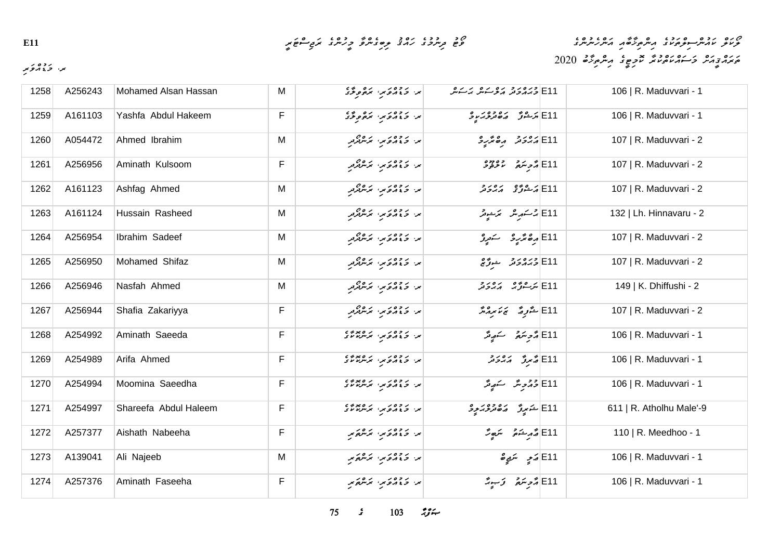*sCw7q7s5w7m< o<n9nOoAw7o< sCq;mAwBoEw7q<m; wBm;vB* م من المرة المرة المرة المرجع المرجع في المركبة 2020<br>مجم*د المريض المربوط المربع المرجع في المراجع المركبة* 

|            | , , , , |  |
|------------|---------|--|
| ىر. جەمۇبر |         |  |
| ╭          |         |  |

| 1258 | A256243 | Mohamed Alsan Hassan  | M           | بر كەندەس ئەھمەت                                                                                              | E11 <i>ويروون ړي شره برخپ</i> ر                 | 106   R. Maduvvari - 1   |
|------|---------|-----------------------|-------------|---------------------------------------------------------------------------------------------------------------|-------------------------------------------------|--------------------------|
| 1259 | A161103 | Yashfa Abdul Hakeem   | F           | بر دوه در بره وی                                                                                              | E11 يزيندۇ ھەمز <i>ور ب</i> ور                  | 106   R. Maduvvari - 1   |
| 1260 | A054472 | Ahmed Ibrahim         | M           | أمرا كالمركوب المراكزهر                                                                                       | E11 رورو م <i>ەشرى</i> ۋ                        | 107   R. Maduvvari - 2   |
| 1261 | A256956 | Aminath Kulsoom       | F           | أأمرا كالمروض المرسمة للمرض                                                                                   | E11 أَمَّ مِسَمَّدٍ مَعْرَفُودُ                 | 107   R. Maduvvari - 2   |
| 1262 | A161123 | Ashfag Ahmed          | M           | بر ووه در برده و                                                                                              | E11 كەشۇر قىرىمى ئەر                            | 107   R. Maduvvari - 2   |
| 1263 | A161124 | Hussain Rasheed       | M           | بر و وه د بره وه د                                                                                            | E11 بر <i>کمبر بل مرکبو</i> تر                  | 132   Lh. Hinnavaru - 2  |
| 1264 | A256954 | Ibrahim Sadeef        | M           | أأمرا كالارومي المراكزهير                                                                                     | E11 مەھەر بۇ سەمبەر E                           | 107   R. Maduvvari - 2   |
| 1265 | A256950 | Mohamed Shifaz        | M           | أمرا وكالمركوب المراكزهر                                                                                      | E11 <i>وټرو دو</i> شو <i>ژ</i> ي                | 107   R. Maduvvari - 2   |
| 1266 | A256946 | Nasfah Ahmed          | M           | أأمرا كالمروض المرسمة للمرض                                                                                   | E11 يتر ش <i>وژ بر مرد د</i> ر                  | 149   K. Dhiffushi - 2   |
| 1267 | A256944 | Shafia Zakariyya      | F           | بر و وه د بره وه د                                                                                            | E11 شَورةً نَمَّ مَدِيرَةً.                     | 107   R. Maduvvari - 2   |
| 1268 | A254992 | Aminath Saeeda        | $\mathsf F$ | س كروه رسم بره بروي                                                                                           | E11 مَّ حِسَمَّة مَسَمَّدِيَّتَهُ               | 106   R. Maduvvari - 1   |
| 1269 | A254989 | Arifa Ahmed           | F           | من كروه در مركب بر در در در در بر در بر در بر در بر در بر در بر در بر در بر در بر در بر در بر دارد بر در بر د | E11 مەمرۇ مەردىر                                | 106   R. Maduvvari - 1   |
| 1270 | A254994 | Moomina Saeedha       | F           | بر وود برهنده                                                                                                 | E11 دُمُرُوبِمُ سَمرِمُّ                        | 106   R. Maduvvari - 1   |
| 1271 | A254997 | Shareefa Abdul Haleem | $\mathsf F$ | بر كالمروه بر كالمحدود                                                                                        | E11 خىمىرت <i>ە مەھەرى بەرە</i>                 | 611   R. Atholhu Male'-9 |
| 1272 | A257377 | Aishath Nabeeha       | F           | برا وده من برسي                                                                                               | E11 مەم شىم ئىس ئىر                             | 110   R. Meedhoo - 1     |
| 1273 | A139041 | Ali Najeeb            | M           | المنا كالمروه مراكبه المرسومي                                                                                 |                                                 | 106   R. Maduvvari - 1   |
| 1274 | A257376 | Aminath Faseeha       | F           | من كالمؤمن مكلفكم                                                                                             | E11 ا <i>مَّ دِسَمْہ ن</i> َ سِب <sup>ر</sup> ً | 106   R. Maduvvari - 1   |

 $75$  *s*  $103$   $23$   $\rightarrow$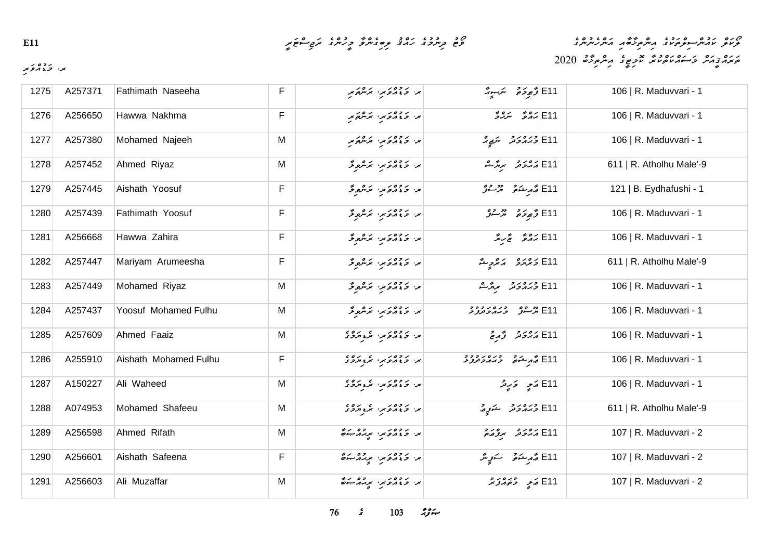*sCw7q7s5w7m< o<n9nOoAw7o< sCq;mAwBoEw7q<m; wBm;vB* م من المرة المرة المرة المرجع المرجع في المركبة 2020<br>مجم*د المريض المربوط المربع المرجع في المراجع المركبة* 

|                     | , , , , |  |
|---------------------|---------|--|
| ىر. جەم <i>و</i> ىر |         |  |
| ╭                   |         |  |

| 1275 | A257371 | Fathimath Naseeha     | $\mathsf F$ | أأترا المتحادثوني المراكبين                                                                                                                                                                                                    | E11 وَّجِوحَةُ مَسَبِيدٌ                        | 106   R. Maduvvari - 1   |
|------|---------|-----------------------|-------------|--------------------------------------------------------------------------------------------------------------------------------------------------------------------------------------------------------------------------------|-------------------------------------------------|--------------------------|
| 1276 | A256650 | Hawwa Nakhma          | $\mathsf F$ | المنا كالمرومين المرسمومي                                                                                                                                                                                                      | E11 يَرْدُوَّ سَرَدْرَّ                         | 106   R. Maduvvari - 1   |
| 1277 | A257380 | Mohamed Najeeh        | M           | أأس المحتمد والمحافظ المحافظ المحرجين                                                                                                                                                                                          | E11 <i>وَبَرْہُ وَبِرْ</i> سَم <i>َع</i> ٍ بُرُ | 106   R. Maduvvari - 1   |
| 1278 | A257452 | Ahmed Riyaz           | M           | ىن ئەدەم بىر ئەشھەتى                                                                                                                                                                                                           | E11 كەبرى كىمى بىر ئىستىگىنىشى بىر              | 611   R. Atholhu Male'-9 |
| 1279 | A257445 | Aishath Yoosuf        | F           | بر دوه در برگرونگر                                                                                                                                                                                                             | E11 <sub>م</sub> ُمْ مِشْمَعْ مِنْ مِنْ وَهِ    | 121   B. Eydhafushi - 1  |
| 1280 | A257439 | Fathimath Yoosuf      | $\mathsf F$ | ىن ئەدەكىر، ئەشھۇ                                                                                                                                                                                                              | E11 رُ <sub>ّج</sub> وحو مركسورٌ                | 106   R. Maduvvari - 1   |
| 1281 | A256668 | Hawwa Zahira          | F           | أما أوجود المتحفظ المحمد                                                                                                                                                                                                       | E11 بَرْدُوَّ تَجْرِبْرُ                        | 106   R. Maduvvari - 1   |
| 1282 | A257447 | Mariyam Arumeesha     | F           | ىن ئەمەھىر، ئەسھەتى                                                                                                                                                                                                            | E11 <i>وَبُرْمَرْ وَبُرْدِ</i> يْتُمْ           | 611   R. Atholhu Male'-9 |
| 1283 | A257449 | Mohamed Riyaz         | M           | ىن ئەمەھىر، ئەسھەتى                                                                                                                                                                                                            | E11 <i>2222 برو</i> گ                           | 106   R. Maduvvari - 1   |
| 1284 | A257437 | Yoosuf Mohamed Fulhu  | M           | أأما المتحفظ وكالمتحفظ والمحدد والمحافظ والمحرج والمحرج والمحرج والمحرج والمحرج والمحرج والمحرج والمحرج والمحرج والمحرج والمحرج والمحرج والمحرج والمحرج والمحرج والمحرج والمحرج والمحرج والمحرج والمحرج والمحرج والمحرج والمحر | E11 پژستو ورود ود                               | 106   R. Maduvvari - 1   |
| 1285 | A257609 | Ahmed Faaiz           | M           | برا ودور المعجمة والمرواة                                                                                                                                                                                                      | E11 كەش <sup>ى</sup> رىتى ئۇمەتى                | 106   R. Maduvvari - 1   |
| 1286 | A255910 | Aishath Mohamed Fulhu | $\mathsf F$ | بر كالمروه كالمحموم بروا                                                                                                                                                                                                       | E11 مُقْرِسْتَمْتُو بِمَسْرَوْتَرُوْتَرَ        | 106   R. Maduvvari - 1   |
| 1287 | A150227 | Ali Waheed            | M           | برا و ده در بر دره د                                                                                                                                                                                                           | E11 کھ پہ تھر تھر تھ                            | 106   R. Maduvvari - 1   |
| 1288 | A074953 | Mohamed Shafeeu       | M           | برا و ده در بر دره د                                                                                                                                                                                                           | E11  <i>وَبَرُوْجُوْ سَوَرٍ وَ</i>              | 611   R. Atholhu Male'-9 |
| 1289 | A256598 | Ahmed Rifath          | M           | من كروه د مركز و در كرد.<br>من كروه كرومبر مركز برگر                                                                                                                                                                           | E11 كەبرى تەرىخ مىر <i>ومى</i>                  | 107   R. Maduvvari - 2   |
| 1290 | A256601 | Aishath Safeena       | $\mathsf F$ | $\sim 2.2$                                                                                                                                                                                                                     | E11 ۾ مرڪبر ڪوپيگر                              | 107   R. Maduvvari - 2   |
| 1291 | A256603 | Ali Muzaffar          | M           | من كودە دىم مەركە بولىدى.<br>مەن كولاھى مەركە بولىدى                                                                                                                                                                           | E11 كەمچە ئەمەتەتمە                             | 107   R. Maduvvari - 2   |

 $76$  *s*  $103$  *z***<sub>f</sub>** $\div$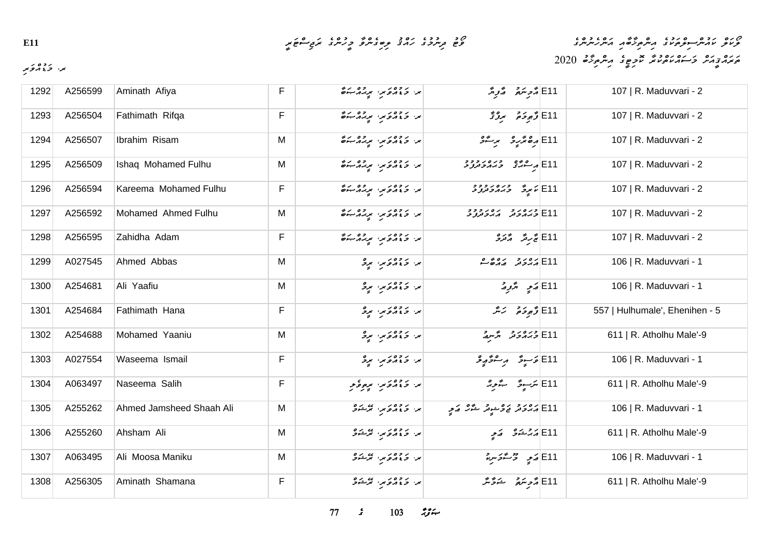*sCw7q7s5w7m< o<n9nOoAw7o< sCq;mAwBoEw7q<m; wBm;vB* م من المسجد المسجد المسجد المسجد المسجد العام 2020<br>مسجد المسجد المسجد المسجد المسجد المسجد المسجد المسجد المسجد ال

| 1292 | A256599 | Aminath Afiya            | F | ىر: ئەلەھ <i>ىې بېرىم بەھ</i>                                                                                                                                                                                                    | E11 مَّ حِ سَمَّة _ مَّ تِرْمَّ                                                                               | 107   R. Maduvvari - 2         |
|------|---------|--------------------------|---|----------------------------------------------------------------------------------------------------------------------------------------------------------------------------------------------------------------------------------|---------------------------------------------------------------------------------------------------------------|--------------------------------|
| 1293 | A256504 | Fathimath Rifqa          | F | بر ووه در وو ده.<br>بر ووروس بردر ده                                                                                                                                                                                             | E11 وَّجِوَدَةُ مَمِرْدَةً                                                                                    | 107   R. Maduvvari - 2         |
| 1294 | A256507 | Ibrahim Risam            | M | بن و دور به برده ب                                                                                                                                                                                                               | E11 مەھەر بەر مەرسىمى                                                                                         | 107   R. Maduvvari - 2         |
| 1295 | A256509 | Ishaq Mohamed Fulhu      | M | من كروه در در در در در كردند كردند كردند كردند كردند كردند كردند كردند كردند كردند كردند كردند كردند كردند كرد<br>مراجع كردند كردند كردند كردند كردند كردند كردند كردند كردند كردند كردند كردند كردند كردند كردند كردند كردند كر | E11 ره پيچ م دره د دود                                                                                        | 107   R. Maduvvari - 2         |
| 1296 | A256594 | Kareema Mohamed Fulhu    | F |                                                                                                                                                                                                                                  | E11 <i>مَبِردٌ وَبَرْوُوَوَو</i> َر                                                                           | 107   R. Maduvvari - 2         |
| 1297 | A256592 | Mohamed Ahmed Fulhu      | M | من كروه در مركز در در كردند                                                                                                                                                                                                      | E11 در در در درود                                                                                             | 107   R. Maduvvari - 2         |
| 1298 | A256595 | Zahidha Adam             | F | بر کروه در ده ده.<br>بر کروه بر ده شخص                                                                                                                                                                                           | E11 تج برمَدُ – مُرْمَدُوُ                                                                                    | 107   R. Maduvvari - 2         |
| 1299 | A027545 | Ahmed Abbas              | M | بر روه د برو                                                                                                                                                                                                                     | $2522225$ E11                                                                                                 | 106   R. Maduvvari - 1         |
| 1300 | A254681 | Ali Yaafiu               | M | بن تروه تورا بور                                                                                                                                                                                                                 | E11 کړ <i>و</i> گر <i>و</i> گ                                                                                 | 106   R. Maduvvari - 1         |
| 1301 | A254684 | Fathimath Hana           | F | بن تروه من برو                                                                                                                                                                                                                   | E11 <i>وُجِ دَمَّة</i> رَتَّرَ                                                                                | 557   Hulhumale', Ehenihen - 5 |
| 1302 | A254688 | Mohamed Yaaniu           | M | بر کے دوبر، برو                                                                                                                                                                                                                  | E11 دېرونه گرسمه                                                                                              | 611   R. Atholhu Male'-9       |
| 1303 | A027554 | Waseema Ismail           | F | بن تروه من برو                                                                                                                                                                                                                   | E11 <sub>كۈ</sub> مىدۇ ب <sub>ە</sub> ر شۇرپۇ                                                                 | 106   R. Maduvvari - 1         |
| 1304 | A063497 | Naseema Salih            | F | بر دوه بر بروون                                                                                                                                                                                                                  | E11 سَرَسِرَةً سِتَعْرِبْتُ                                                                                   | 611   R. Atholhu Male'-9       |
| 1305 | A255262 | Ahmed Jamsheed Shaah Ali | M | أمرا كالملحص تكرشون                                                                                                                                                                                                              | E11 كەبرى كى ئاھ بىر كى كىچە كىچە بىر كىلىن كىلىن كىلىن كىلىن كىلىن كىلىن كىلىن كىلىن كىلىن كىلىن كىلىن كىلىن | 106   R. Maduvvari - 1         |
| 1306 | A255260 | Ahsham Ali               | M | بر کا دور په عامده                                                                                                                                                                                                               | E11 كەشقەق كەمچە                                                                                              | 611   R. Atholhu Male'-9       |
| 1307 | A063495 | Ali Moosa Maniku         | M | بر دوه د په ده و                                                                                                                                                                                                                 | E11  <sub>ه</sub> َ پِهِ حَمْدَ سِرْءُ                                                                        | 106   R. Maduvvari - 1         |
| 1308 | A256305 | Aminath Shamana          | F | بر کا دور په عامده                                                                                                                                                                                                               | E11 أُمُّ حِسَنَةً مُسَوَّسً                                                                                  | 611   R. Atholhu Male'-9       |

*77 sC 103 nNw?mS*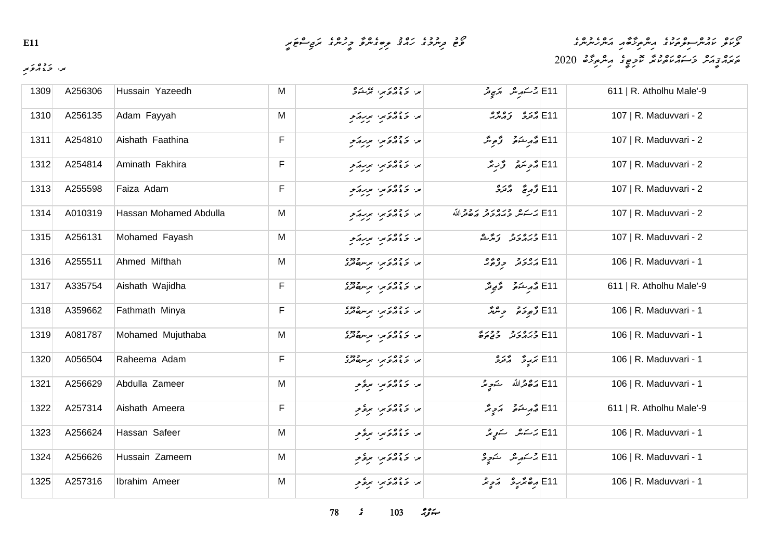*sCw7q7s5w7m< o<n9nOoAw7o< sCq;mAwBoEw7q<m; wBm;vB* م من المرة المرة المرة المرجع المرجع في المركبة 2020<br>مجم*د المريض المربوط المربع المرجع في المراجع المركبة* 

| ر د ه ر     |  |
|-------------|--|
| بر. כے موتر |  |
| ╭           |  |

| 1309 | A256306 | Hussain Yazeedh        | M           | أين كالمحاومين المراشوق                   | E11 پر شہر شر <sub>سی م</sub> ر              | 611   R. Atholhu Male'-9 |
|------|---------|------------------------|-------------|-------------------------------------------|----------------------------------------------|--------------------------|
| 1310 | A256135 | Adam Fayyah            | M           | بر دوه در بررد و                          | E11 پژنره ژه پژه                             | 107   R. Maduvvari - 2   |
| 1311 | A254810 | Aishath Faathina       | $\mathsf F$ | برا ووه در بررد و                         | E11 مَگْرِسْتَعْفَى قَرْمِتْنَ               | 107   R. Maduvvari - 2   |
| 1312 | A254814 | Aminath Fakhira        | F           | برا ودور برردو                            | E11 مَّ مِسَعَ كَرْبِتَرُ                    | 107   R. Maduvvari - 2   |
| 1313 | A255598 | Faiza Adam             | F           | بر دوه در بررد و                          | E11 وَمِعَ مَمَعْر                           | 107   R. Maduvvari - 2   |
| 1314 | A010319 | Hassan Mohamed Abdulla | M           | بر دوه در بررد و                          | E11 بَرَسَة وَبِرَوْرَة رَحْقُواللّه         | 107   R. Maduvvari - 2   |
| 1315 | A256131 | Mohamed Fayash         | M           | بر ووه در بررد و                          | E11 دېرونو زېژىشە                            | 107   R. Maduvvari - 2   |
| 1316 | A255511 | Ahmed Mifthah          | M           | بر وور برسهور                             | E11 كەردى بورگەر                             | 106   R. Maduvvari - 1   |
| 1317 | A335754 | Aishath Wajidha        | F           | بر کروه در دوره                           | E11 مَگْرِسْتَمْ وَگُومِرَّدُ                | 611   R. Atholhu Male'-9 |
| 1318 | A359662 | Fathmath Minya         | $\mathsf F$ | بر دوه د برسه ده                          | E11 زُ <sub>جو</sub> رَيْ <sub>حب</sub> سْرٌ | 106   R. Maduvvari - 1   |
| 1319 | A081787 | Mohamed Mujuthaba      | M           | بر کروه در دوده<br>بر کروه کروبر، مرس هرد | E11 دره د دوره<br>E11 در درد د ده ه          | 106   R. Maduvvari - 1   |
| 1320 | A056504 | Raheema Adam           | F           | بر کروه در دوه                            | E11] يَرْرِدُّ - مُرَّمَرُدُ                 | 106   R. Maduvvari - 1   |
| 1321 | A256629 | Abdulla Zameer         | M           | برا ودوى برة و                            | E11 مَەھْتَراللە شىموتتر                     | 106   R. Maduvvari - 1   |
| 1322 | A257314 | Aishath Ameera         | F           | برا ودوه بروو                             | E11 مەم شىقى مەج ئىگە                        | 611   R. Atholhu Male'-9 |
| 1323 | A256624 | Hassan Safeer          | M           | برا ودومرا برة و                          | E11   پرستدش ست <i>ویت</i> ر                 | 106   R. Maduvvari - 1   |
| 1324 | A256626 | Hussain Zameem         | M           | برا ودوم برؤو                             | E11 پڑے پہلا سکوچی                           | 106   R. Maduvvari - 1   |
| 1325 | A257316 | Ibrahim Ameer          | M           | برا ودوري برؤو                            | E11 <sub>مر</sub> ھ پڑر بھ مکارچ کر          | 106   R. Maduvvari - 1   |

 $78$  *s*  $\cancel{003}$  *n***<sub>y</sub>** $\cancel{0.}$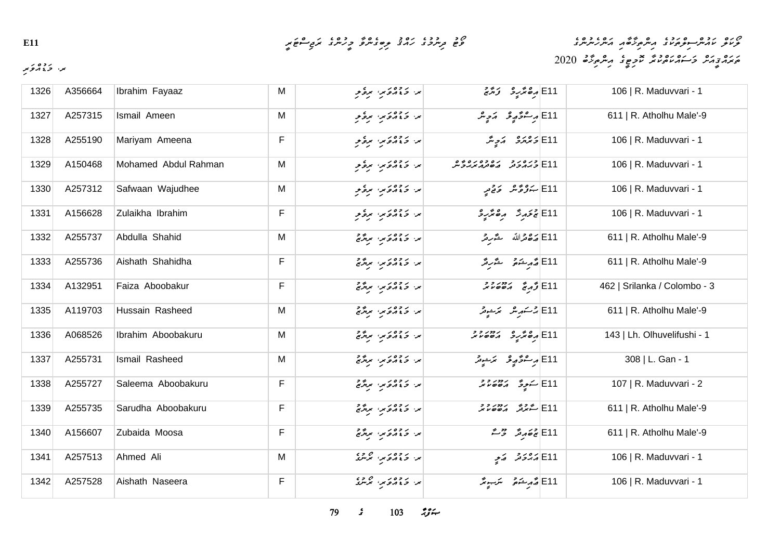*sCw7q7s5w7m< o<n9nOoAw7o< sCq;mAwBoEw7q<m; wBm;vB* م من المرة المرة المرة المرجع المرجع في المركبة 2020<br>مجم*د المريض المربوط المربع المرجع في المراجع المركبة* 

| 1326 | A356664 | Ibrahim Fayaaz       | M           | برا و؟وه تمرا بروتو              | E11 <sub>مر</sub> ھ پڑر بھ تو پڑ ج                  | 106   R. Maduvvari - 1       |
|------|---------|----------------------|-------------|----------------------------------|-----------------------------------------------------|------------------------------|
| 1327 | A257315 | Ismail Ameen         | M           | برا ودوى برونو                   | E11  <sub>و</sub> رے <i>ڈ<sub>ھی</sub>و کی چ</i> یں | 611   R. Atholhu Male'-9     |
| 1328 | A255190 | Mariyam Ameena       | $\mathsf F$ | برا ودوى برؤو                    | E11  <i>5 بُرْيَرْ \$مَ بِ</i> يَرَ                 | 106   R. Maduvvari - 1       |
| 1329 | A150468 | Mohamed Abdul Rahman | M           | بر دوه در برگو                   | E11 دره در مره ده ده ده و                           | 106   R. Maduvvari - 1       |
| 1330 | A257312 | Safwaan Wajudhee     | M           | برا وده و برو و                  | E11 س <i>زوڤ شهر وق</i> ير                          | 106   R. Maduvvari - 1       |
| 1331 | A156628 | Zulaikha Ibrahim     | $\mathsf F$ | برا ودوى برؤو                    | E11 تح تحمد بحريد من تحريب في السيادة<br>السياسي    | 106   R. Maduvvari - 1       |
| 1332 | A255737 | Abdulla Shahid       | M           | بر: 23 مرکز برامری               | E11 مَەھىراللە مەمەرىتر                             | 611   R. Atholhu Male'-9     |
| 1333 | A255736 | Aishath Shahidha     | $\mathsf F$ | بر و و ده سرگرم                  | E11 مَدْمِرْ مَدَمْرِ مَدْمِرْ مَدْ                 | 611   R. Atholhu Male'-9     |
| 1334 | A132951 | Faiza Aboobakur      | $\mathsf F$ | بر و و ده سرگرم                  | E11 زُرِجَ     رُهُ صَدَّرَ                         | 462   Srilanka / Colombo - 3 |
| 1335 | A119703 | Hussain Rasheed      | M           | بر و و ده سرگرم                  | E11 بُرْسَمبِ بْكَرْ مِيْرِ مِرْ                    | 611   R. Atholhu Male'-9     |
| 1336 | A068526 | Ibrahim Aboobakuru   | M           | بر و و ده سرگرم                  | E11 رەئزىر مەمەم                                    | 143   Lh. Olhuvelifushi - 1  |
| 1337 | A255731 | Ismail Rasheed       | M           | بر ووه د برود                    | E11 م <sub>ە</sub> ستىۋەر تىم بىرىنىدۇر             | 308   L. Gan - 1             |
| 1338 | A255727 | Saleema Aboobakuru   | $\mathsf F$ | بر دوه د برود                    | E11 سَوِرَ مُصْحَمَّدَ                              | 107   R. Maduvvari - 2       |
| 1339 | A255735 | Sarudha Aboobakuru   | F           | بر: 32 أرومبر، براريخ            | $77777$ مُعرِّرٌ 49000                              | 611   R. Atholhu Male'-9     |
| 1340 | A156607 | Zubaida Moosa        | $\mathsf F$ | بمزا تروه مراسم براسم            | $23$ مَهْمِعَهُ $511$                               | 611   R. Atholhu Male'-9     |
| 1341 | A257513 | Ahmed Ali            | M           | بر دوه د ه ده                    | E11  كەبۇرى كەيچ                                    | 106   R. Maduvvari - 1       |
| 1342 | A257528 | Aishath Naseera      | F           | بر دوه در ده.<br>بر و و دوبر برس | E11 مەم ھەم ئىشىدىگە                                | 106   R. Maduvvari - 1       |

*79 s* 103 *i*<sub>s</sub> $\rightarrow$ </sub>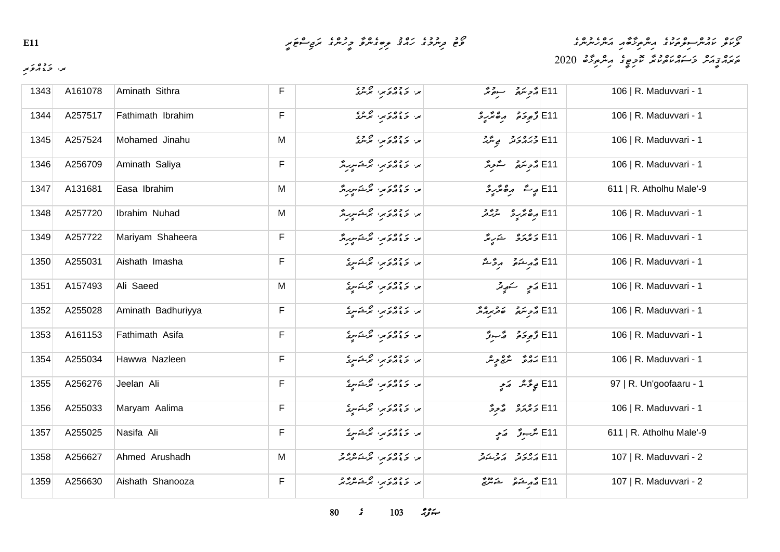*sCw7q7s5w7m< o<n9nOoAw7o< sCq;mAwBoEw7q<m; wBm;vB* م من المرة المرة المرة المرجع المرجع في المركبة 2020<br>مجم*د المريض المربوط المربع المرجع في المراجع المركبة* 

| ر د ه ر     |  |
|-------------|--|
| بر. כے موتر |  |
| ◢           |  |

| 1343 | A161078 | Aminath Sithra     | $\mathsf F$ | بر دوه در ه ده                                                                                       | E11 مُرْحِبَتَهُمْ مُسِبِقَمُّهُ             | 106   R. Maduvvari - 1   |
|------|---------|--------------------|-------------|------------------------------------------------------------------------------------------------------|----------------------------------------------|--------------------------|
| 1344 | A257517 | Fathimath Ibrahim  | F           | بر دوه در ده ده                                                                                      | E11 تُرجوحَمُ مِنْ مُحْرَرِ حَ               | 106   R. Maduvvari - 1   |
| 1345 | A257524 | Mohamed Jinahu     | M           | بر دوه در ده ده                                                                                      | E11 وَبَرُوْدَتْرَ   مِي شَرْرُ              | 106   R. Maduvvari - 1   |
| 1346 | A256709 | Aminath Saliya     | F           | أمن كالمرومين الكرامكر الكرامل                                                                       | E11 مُ مِ سَمْعِ مُصَبِّحَةً                 | 106   R. Maduvvari - 1   |
| 1347 | A131681 | Easa Ibrahim       | M           | من كالمروم المحمد المستمر المر                                                                       | E11 <sub>جو</sub> ت مەھمەر 2                 | 611   R. Atholhu Male'-9 |
| 1348 | A257720 | Ibrahim Nuhad      | M           | من كالمروم المركب المركبة                                                                            | E11 م <i>وھ مُرْرِدْ</i> مُر <i>تَّ</i> مَّر | 106   R. Maduvvari - 1   |
| 1349 | A257722 | Mariyam Shaheera   | F           | المن المروه والمحمد المحمد المحمد المحمد المراكب                                                     | E11  <i>وَجْهَزَةْ</i> َ حَدِيثَرَ           | 106   R. Maduvvari - 1   |
| 1350 | A255031 | Aishath Imasha     | F           | أمرا وكالمكافير المحر والمورد                                                                        | E11 مَّ مِشَمَّ مِرَّسَّ                     | 106   R. Maduvvari - 1   |
| 1351 | A157493 | Ali Saeed          | M           | بر ووه د چينې                                                                                        | E11 کھ سے مقبر تھ                            | 106   R. Maduvvari - 1   |
| 1352 | A255028 | Aminath Badhuriyya | F           | أمرا وكالمكافير المحمد المحمد والمحمد                                                                | E11 أَدَّحِ سَمَعَ صَفَرْ مِرْدَةً.          | 106   R. Maduvvari - 1   |
| 1353 | A161153 | Fathimath Asifa    | F           | أمرا وكالمؤمرا الرحكورى                                                                              | E11 زَّەپرىق شەسىرد                          | 106   R. Maduvvari - 1   |
| 1354 | A255034 | Hawwa Nazleen      | F           | س كالمرومين الراشكوري                                                                                | E11 <i>بَدْهُ \$ مَ</i> يْحِ مِسْ            | 106   R. Maduvvari - 1   |
| 1355 | A256276 | Jeelan Ali         | F           | أمرا وكالمكافير المحمد المحمد والمحمد                                                                | E11 <sub>مج</sub> وگر کی پر                  | 97   R. Un'goofaaru - 1  |
| 1356 | A255033 | Maryam Aalima      | F           | أمرا وكالمكافير المحمد المحمد والمحمد                                                                | E11 كانترنزنى المجموعة                       | 106   R. Maduvvari - 1   |
| 1357 | A255025 | Nasifa Ali         | F           | أمرا كالمركومي الركشوري                                                                              | E11 مُتَرْسِوتٌ     رَمِ                     | 611   R. Atholhu Male'-9 |
| 1358 | A256627 | Ahmed Arushadh     | M           | بر دور محمد بدود                                                                                     | E11 كەبروتى كەيمەشكى                         | 107   R. Maduvvari - 2   |
| 1359 | A256630 | Aishath Shanooza   | F           | بمزا كروه من المحمد المحمد المحمد المحمد المحمد المحمد المحمد المحمد المحمد المحمد المحمد المحمد الم | E11 مُدمِشَعْرِ شَمَعَتْنِ مَحْ              | 107   R. Maduvvari - 2   |

 $80$  *s*  $103$  *n***<sub>y</sub>** $\sim$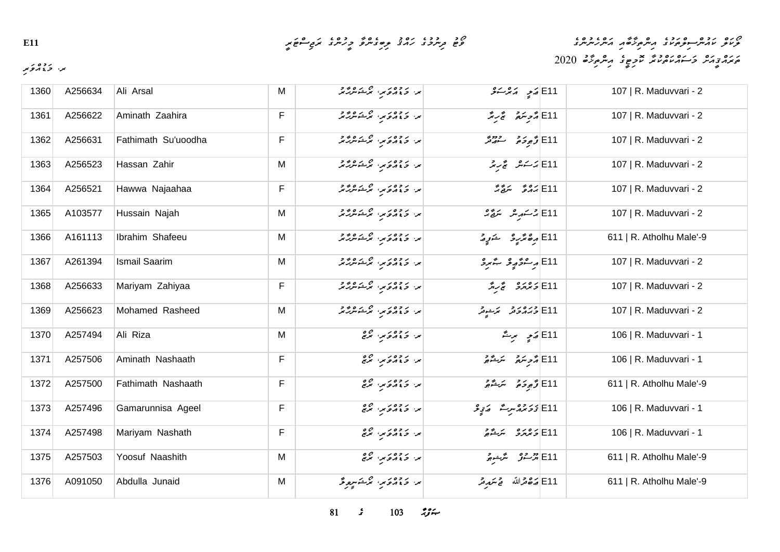*sCw7q7s5w7m< o<n9nOoAw7o< sCq;mAwBoEw7q<m; wBm;vB* م من المرة المرة المرة المرجع المرجع في المركبة 2020<br>مجم*د المريض المربوط المربع المرجع في المراجع المركبة* 

| 1360 | A256634 | Ali Arsal            | M            | برا كالمؤتمرا للمشكل المراجر                                                                         | E11 <i>ڇَجِ - پَرُسُکُو</i>                             | 107   R. Maduvvari - 2   |
|------|---------|----------------------|--------------|------------------------------------------------------------------------------------------------------|---------------------------------------------------------|--------------------------|
| 1361 | A256622 | Aminath Zaahira      | $\mathsf F$  | بمزا كروه من المركب المركب المركب                                                                    | E11 مَّ صِنعَهُ تَجَنَّبَتَّهُ                          | 107   R. Maduvvari - 2   |
| 1362 | A256631 | Fathimath Su'uoodha  | $\mathsf F$  | برا وده در محمد المرد و در و                                                                         | E11 وَجوحَمَ صَفَرَ مَنْ                                | 107   R. Maduvvari - 2   |
| 1363 | A256523 | Hassan Zahir         | M            | بر ووه بر عام دولار                                                                                  | E11   پرسترس مج پر پژ                                   | 107   R. Maduvvari - 2   |
| 1364 | A256521 | Hawwa Najaahaa       | $\mathsf{F}$ | برا وده در محمد المرد و در و                                                                         | E11 يَرْدُوَّ سَمَّةَ بَرْ                              | 107   R. Maduvvari - 2   |
| 1365 | A103577 | Hussain Najah        | M            | برا وده در محمد المحدد و المحمد                                                                      | E11 پرڪرپر گرف <i>ي پ</i>                               | 107   R. Maduvvari - 2   |
| 1366 | A161113 | Ibrahim Shafeeu      | M            | بر ووه مرکب و دو                                                                                     | E11 <sub>م</sub> ەمگەر ئىستى <i>مى</i> ئى               | 611   R. Atholhu Male'-9 |
| 1367 | A261394 | <b>Ismail Saarim</b> | M            | بر ارده در محمد شکر در در                                                                            | E11 <sub>م</sub> رشۇم <sub>و</sub> تۇ س <sup>ې</sup> رو | 107   R. Maduvvari - 2   |
| 1368 | A256633 | Mariyam Zahiyaa      | F            | برا ووه بر ورود                                                                                      | E11 كەبىر بىر تەرى <i>گە</i>                            | 107   R. Maduvvari - 2   |
| 1369 | A256623 | Mohamed Rasheed      | M            | برا كالمحكم كالمحمد المحمد المحمد المحمد المحمد المحمد المحمد المحمد المحمد المحمد المحمد المحمد الم | E11] وَبَرْدُوَتْرَ - بَرَسْءِتْرَ                      | 107   R. Maduvvari - 2   |
| 1370 | A257494 | Ali Riza             | M            | برا وده در مرج                                                                                       | E11  کرم پرگ                                            | 106   R. Maduvvari - 1   |
| 1371 | A257506 | Aminath Nashaath     | $\mathsf F$  | بر کے حرکت کرنے                                                                                      | E11 مُّ حِسَمٌ مَنْ مَمْ مِحَمَّةٍ                      | 106   R. Maduvvari - 1   |
| 1372 | A257500 | Fathimath Nashaath   | F            | بر ووه ده می                                                                                         | E11 تُرجوحَمُ سَرَسْتَهُمُ                              | 611   R. Atholhu Male'-9 |
| 1373 | A257496 | Gamarunnisa Ageel    | F            | بمزا تروه مرد من من                                                                                  | E11 تزىر <i>برە بىرىگە بى</i> رت <sub>ى</sub> بى        | 106   R. Maduvvari - 1   |
| 1374 | A257498 | Mariyam Nashath      | $\mathsf F$  | بر کے حرکت کرنے                                                                                      | E11 كەندىرى بىر ئىگە تە                                 | 106   R. Maduvvari - 1   |
| 1375 | A257503 | Yoosuf Naashith      | M            | بر دور ده.                                                                                           | E11 تركيو مگرېندون <sub>د</sub>                         | 611   R. Atholhu Male'-9 |
| 1376 | A091050 | Abdulla Junaid       | M            | ىن كەلم كەككىرى كۈنكەتلىرى گ                                                                         | E11 كَەھەراللە ق <sub>ە</sub> سَمەتر                    | 611   R. Atholhu Male'-9 |

*o8m=w<qFm> .8*

 $81$  *s*  $103$  *n***<sub>y</sub>**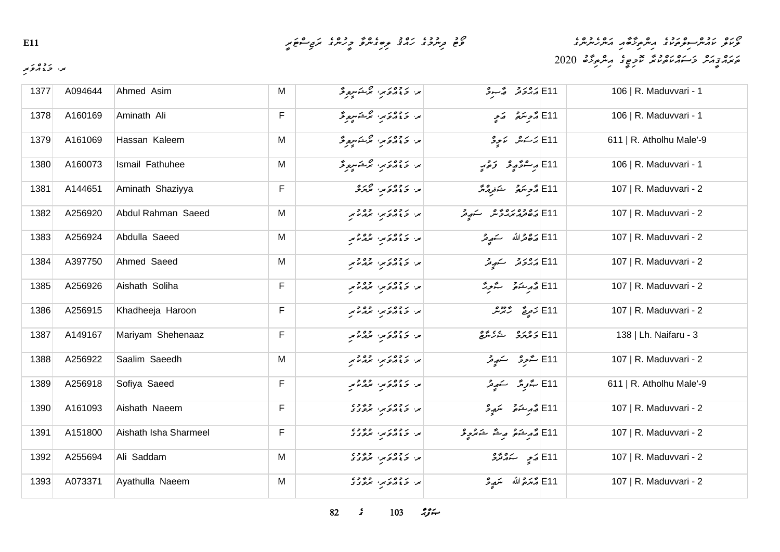*sCw7q7s5w7m< o<n9nOoAw7o< sCq;mAwBoEw7q<m; wBm;vB* م من المرة المرة المرة المرجع المرجع في المركبة 2020<br>مجم*د المريض المربوط المربع المرجع في المراجع المركبة* 

| 1377 | A094644 | Ahmed Asim            | M            | أين وَءُمُوَيْنِ يُرْجُنِسِوِيْ                                                                           | E11 كەبرى قەسىرى                                     | 106   R. Maduvvari - 1   |
|------|---------|-----------------------|--------------|-----------------------------------------------------------------------------------------------------------|------------------------------------------------------|--------------------------|
| 1378 | A160169 | Aminath Ali           | F            | أما كالمكافر من المراكب المحدود                                                                           | E11 مُرْحِسَمُ مَعِ                                  | 106   R. Maduvvari - 1   |
| 1379 | A161069 | Hassan Kaleem         | M            | أما كالمكافر المحمد المحمد المحمد والمحمد والمحمد والمحمد والمحمد والمحمد والمحمد والمحمد والمحمد والمحمد | E11   پرسٹر کے موق                                   | 611   R. Atholhu Male'-9 |
| 1380 | A160073 | Ismail Fathuhee       | M            | أما كالمكافر من المراكب المحدود                                                                           | E11 <sub>م</sub> رشۇ <sub>م</sub> و ئۇم <sub>ۇ</sub> | 106   R. Maduvvari - 1   |
| 1381 | A144651 | Aminath Shaziyya      | $\mathsf{F}$ | بر دوه دره مرده                                                                                           | E11 أَمَّ حِ سَمَّ مَسْتَفْرِ مِمَّةً                | 107   R. Maduvvari - 2   |
| 1382 | A256920 | Abdul Rahman Saeed    | M            | بر دوه روه دوه                                                                                            | E11 كەھىر <i>مەمەد ۋە</i> ر سەر قر                   | 107   R. Maduvvari - 2   |
| 1383 | A256924 | Abdulla Saeed         | M            | بر د ده در ده د ده د                                                                                      | E11 مَەھْتَراللە س <i>ەمەت</i> ر                     | 107   R. Maduvvari - 2   |
| 1384 | A397750 | Ahmed Saeed           | M            | بر د ده د ده د ده د .<br>بر د د وروس برونام                                                               | E11 كەيرى كەر سىكەن بىر                              | 107   R. Maduvvari - 2   |
| 1385 | A256926 | Aishath Soliha        | F            | ر دوه در دود در در در محمد موسیقی به این است.<br>در این از در در محمد موسیقی                              | E11 مَّ مِشَمَّ سَمَّعِ بَدَّ                        | 107   R. Maduvvari - 2   |
| 1386 | A256915 | Khadheeja Haroon      | $\mathsf F$  | x: 2024 x001                                                                                              | E11] زَمِيعٌ ۔ رَّجْرُسٌ                             | 107   R. Maduvvari - 2   |
| 1387 | A149167 | Mariyam Shehenaaz     | F            | بر كودوس بروديد                                                                                           | E11 كەنگەر ھەر ئىي ئايدىن ئى                         | 138   Lh. Naifaru - 3    |
| 1388 | A256922 | Saalim Saeedh         | M            | ر د ده د ده د د د د                                                                                       | E11 گروڈ ک <i>ے پ</i> وٹر                            | 107   R. Maduvvari - 2   |
| 1389 | A256918 | Sofiya Saeed          | F            | بن كروه در مرد مور                                                                                        | E11 بەتىرەتە سى <i>مەم</i> تە                        | 611   R. Atholhu Male'-9 |
| 1390 | A161093 | Aishath Naeem         | F            | بر د وه د بروی د د                                                                                        | E11 مَگْرِسْتَمْ مَنْ سَمْدِهْ                       | 107   R. Maduvvari - 2   |
| 1391 | A151800 | Aishath Isha Sharmeel | $\mathsf F$  | بر د وه د به د و د و ع<br>بر از حرج ایران مربوری                                                          | E11 مُرمِشَمُ مِثْمَ شَمْرُوِثَر                     | 107   R. Maduvvari - 2   |
| 1392 | A255694 | Ali Saddam            | M            | بر د وه د به د و د و ع<br>بر از حرج ه هر مربو و ی                                                         | E11 <sub>ه</sub> رم جمهور د                          | 107   R. Maduvvari - 2   |
| 1393 | A073371 | Ayathulla Naeem       | M            | بر د وه د به د و د و ع<br>بر از حرج هر هر بر بر و بر د                                                    | E11 مُرْمَّرِهِ اللَّهُ     سَمِيرَ مُ               | 107   R. Maduvvari - 2   |

*o8m=w<qFm> .8*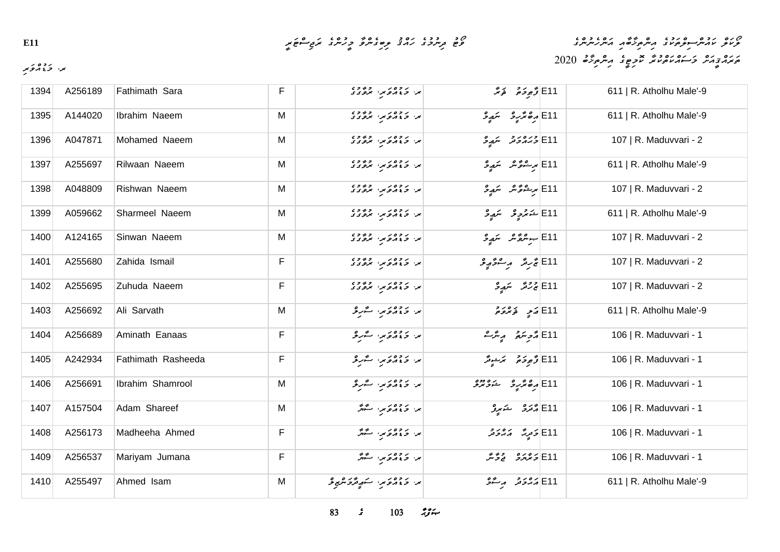*sCw7q7s5w7m< o<n9nOoAw7o< sCq;mAwBoEw7q<m; wBm;vB* م من المرة المرة المرة المرجع المرجع في المركبة 2020<br>مجم*د المريض المربوط المربع المرجع في المراجع المركبة* 

| 1394 | A256189 | Fathimath Sara     | $\mathsf{F}$ | بر کوه ده در دود ده                                    | E11 رُّجِرَة فَقَرَّدَ                                         | 611   R. Atholhu Male'-9 |
|------|---------|--------------------|--------------|--------------------------------------------------------|----------------------------------------------------------------|--------------------------|
| 1395 | A144020 | Ibrahim Naeem      | M            | بر د وه د به د و د و ع<br>بر از حرج ایران مربوری       | E11 م <i>وڭ ئۈرى سىر</i> بى                                    | 611   R. Atholhu Male'-9 |
| 1396 | A047871 | Mohamed Naeem      | M            | بر د وه د به د و د و ع<br>بر از حرج ه هر مربو و ی      | E11 ديرونر سَمب <sup>و</sup>                                   | 107   R. Maduvvari - 2   |
| 1397 | A255697 | Rilwaan Naeem      | M            | بر دوه در دوده<br>بر و ډه وبرا برون                    | E11 مرشۇش ش <sub>ھي</sub> ۇ                                    | 611   R. Atholhu Male'-9 |
| 1398 | A048809 | Rishwan Naeem      | M            | بر د وه د به د و د و د<br>بو : مرج و هر بو بر بر و د و | E11 برڪو <i>گر سَم</i> ِ وُ                                    | 107   R. Maduvvari - 2   |
| 1399 | A059662 | Sharmeel Naeem     | M            | بر د وه د به د و د و ع<br>بر از حرج ایران مربوری       | E11 ڪمگ <sub>جو</sub> ثر س <i>َم</i> وڻ                        | 611   R. Atholhu Male'-9 |
| 1400 | A124165 | Sinwan Naeem       | M            | بر د وه د به د و د و ع<br>بر از حرج ایران مربوری       | E11 سو <i>شرة شه</i> ر محمد السرائعي الس                       | 107   R. Maduvvari - 2   |
| 1401 | A255680 | Zahida Ismail      | F            | بر د وه د بروی د د و                                   | E11 تج رِمَّز بِرِ مُعَ رِمِوْ و                               | 107   R. Maduvvari - 2   |
| 1402 | A255695 | Zuhuda Naeem       | $\mathsf F$  | بر د وه د به د و د و د<br>بو : مرج و هر بو بر بر و د و | E11 ىى 3 شەرى                                                  | 107   R. Maduvvari - 2   |
| 1403 | A256692 | Ali Sarvath        | M            | بر دوه در شرو                                          | E11 <i>ڇَجِ ڏُمُروَءُ</i>                                      | 611   R. Atholhu Male'-9 |
| 1404 | A256689 | Aminath Eanaas     | $\mathsf F$  | بر دوه در شرو                                          | E11 مُرْحِبِّرَة فَسَرَبَّتْهُ الْمُسَرِّبَةُ الْمُسَرِّبَةُ ا | 106   R. Maduvvari - 1   |
| 1405 | A242934 | Fathimath Rasheeda | F            | بر دوه در شرو                                          | E11 وَّجِرِيَّ مَمْ سُرِيْتَر                                  | 106   R. Maduvvari - 1   |
| 1406 | A256691 | Ibrahim Shamrool   | M            | بر دوه در شرو                                          | E11 مەھەر بۇ ھەدىمە دە                                         | 106   R. Maduvvari - 1   |
| 1407 | A157504 | Adam Shareef       | M            | بن ودەم بن ئىگە                                        | E11 يُرْتَرَدُ - شَمَعِرُوْ                                    | 106   R. Maduvvari - 1   |
| 1408 | A256173 | Madheeha Ahmed     | F            | بر دوه در شهر                                          | E11 ك <sup>و</sup> ميدًا كەندى تەر                             | 106   R. Maduvvari - 1   |
| 1409 | A256537 | Mariyam Jumana     | $\mathsf F$  | بن ودەم بن ئىگە                                        | E11 كەبىر بىر قانۇنىگە                                         | 106   R. Maduvvari - 1   |
| 1410 | A255497 | Ahmed Isam         | M            | ىن ئەمەكەر، سەر ئەركىرى ئ                              | E11 كەبۇبۇقر ب <sub>ە</sub> ستۇنى                              | 611   R. Atholhu Male'-9 |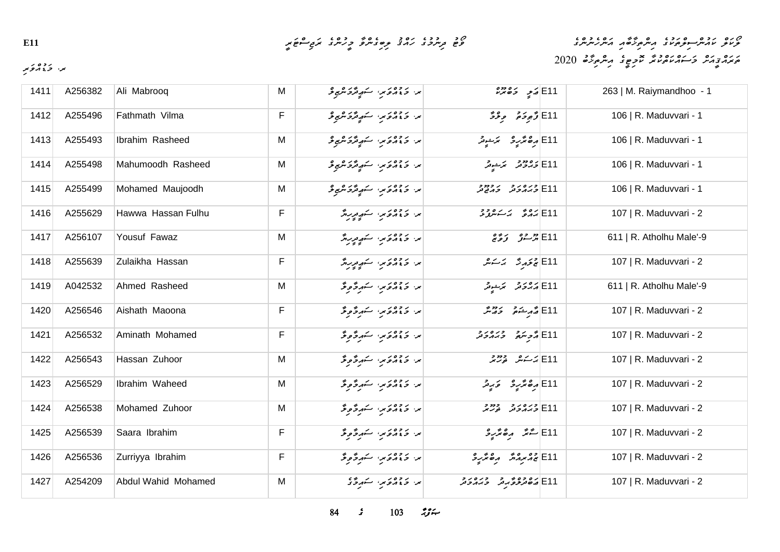*sCw7q7s5w7m< o<n9nOoAw7o< sCq;mAwBoEw7q<m; wBm;vB* م من المرة المرة المرة المرجع المرجع في المركبة 2020<br>مجم*د المريض المربوط المربع المرجع في المراجع المركبة* 

| 1411 | A256382 | Ali Mabrooq         | M            | أمرا والمروكين التكرير وكريم والمحمد                                                                            | E11 كەمچە بەھەمدىنا                   | 263   M. Raiymandhoo - 1 |
|------|---------|---------------------|--------------|-----------------------------------------------------------------------------------------------------------------|---------------------------------------|--------------------------|
| 1412 | A255496 | Fathmath Vilma      | F            | أمن الازده كار والمراكز والكرامج المحر                                                                          | E11 تَ <i>وْجِوَة</i> وِعْرَّ         | 106   R. Maduvvari - 1   |
| 1413 | A255493 | Ibrahim Rasheed     | M            | أمن المتحدة وكالمحمد المتحدد المراجع المحرج والمحرج والمحرج والمحرج والمحرج والمحرجة والمحرجة والمحرجة والمحرجة | E11 م <i>وڭ ئۇر</i> ۇ سىم ئىرىشى قىر  | 106   R. Maduvvari - 1   |
| 1414 | A255498 | Mahumoodh Rasheed   | M            | پر او دوم پر اسکار مگرد شرح ک                                                                                   | E11 <i>وَرُوُدُوْ پَرَجُونَ</i> رُ    | 106   R. Maduvvari - 1   |
| 1415 | A255499 | Mohamed Maujoodh    | M            | أمن المتحدة وكالمحمد المتحدد المراجع المحرج والمحرج والمحرج والمحرج والمحرج والمحرجة والمحرجة والمحرجة والمحرجة | E11 وبره در و دورو                    | 106   R. Maduvvari - 1   |
| 1416 | A255629 | Hawwa Hassan Fulhu  | F            | ىن ئەمەكەت سەرىرىد                                                                                              | E11 يَهْرُوَ بَرَسْتَعْتَدَتْرَ       | 107   R. Maduvvari - 2   |
| 1417 | A256107 | Yousuf Fawaz        | M            | بر كەن كەن سەر بەر بەر                                                                                          | E11 تېرىشۇ ئە <i>ۋى</i>               | 611   R. Atholhu Male'-9 |
| 1418 | A255639 | Zulaikha Hassan     | $\mathsf F$  | أمن وده ود مسكر ورد                                                                                             | E11] بچ تژ <sub>می</sub> رنت - بر شکس | 107   R. Maduvvari - 2   |
| 1419 | A042532 | Ahmed Rasheed       | M            | أمرا وكالمروكير السكهر وحوثى                                                                                    | E11 كەرگە كىم كىم كىلىنىش تىر         | 611   R. Atholhu Male'-9 |
| 1420 | A256546 | Aishath Maoona      | $\mathsf F$  | ىن ئەمەھىر، سىھەدھەتى                                                                                           | E11 مَّ مِشَعْرِ حَمَّدٌ مَّ          | 107   R. Maduvvari - 2   |
| 1421 | A256532 | Aminath Mohamed     | $\mathsf{F}$ | أمرا وكالمروكير السكهر وحوثى                                                                                    | E11 جُعِ سَمَعَ صَحَبَ جَمَعَ صَحَبَ  | 107   R. Maduvvari - 2   |
| 1422 | A256543 | Hassan Zuhoor       | M            | أما وَءَارُوَمِ، سَهْرِوَّوِدَ                                                                                  | E11 بزشکر پورنز                       | 107   R. Maduvvari - 2   |
| 1423 | A256529 | Ibrahim Waheed      | M            | ىن ئەمەھىر، سىھەدھەتى                                                                                           | E11 رەممەر ئەرىمە                     | 107   R. Maduvvari - 2   |
| 1424 | A256538 | Mohamed Zuhoor      | M            | ىن ئەجەمى سەرگەنگە                                                                                              | E11 وبرەرو بەدە ب                     | 107   R. Maduvvari - 2   |
| 1425 | A256539 | Saara Ibrahim       | F            | أين وَءُمُوَيْنِ الْتَمْرُوُوِدُ                                                                                | E11 گەنگە بەھ ئ <sup>ې</sup> رىۋ      | 107   R. Maduvvari - 2   |
| 1426 | A256536 | Zurriyya Ibrahim    | F            | پر دوه دوس سکه دومو                                                                                             | E11 يومبرورش مرگ مركز بر              | 107   R. Maduvvari - 2   |
| 1427 | A254209 | Abdul Wahid Mohamed | M            | ر 33 مۇم، سەردى                                                                                                 | E11 كەھەر <i>ۋە بەر جەم</i> رە بەر    | 107   R. Maduvvari - 2   |

*84 sC 103 nNw?mS*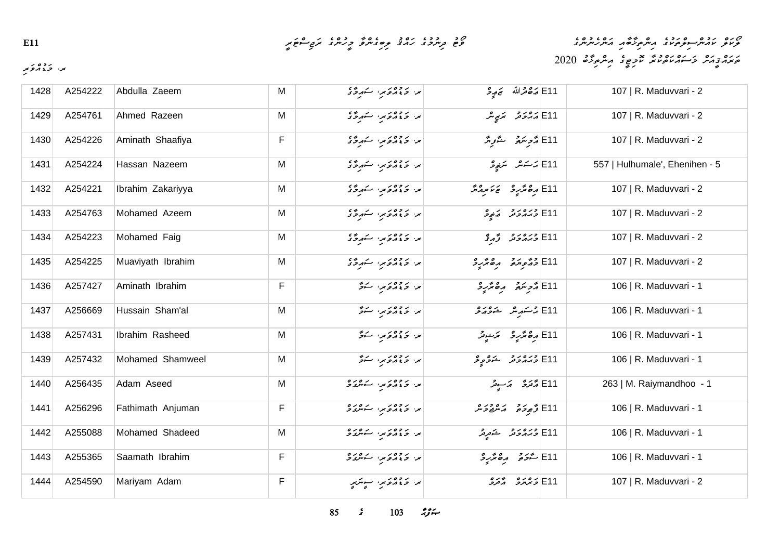*sCw7q7s5w7m< o<n9nOoAw7o< sCq;mAwBoEw7q<m; wBm;vB* م من المرة المرة المرة المرجع المرجع في المركبة 2020<br>مجم*د المريض المربوط المربع المرجع في المراجع المركبة* 

| 1428 | A254222 | Abdulla Zaeem     | M           | برا ودودي سكروى                     | E11 مَەھىراللە   ىم م <sub>ە</sub> ر               | 107   R. Maduvvari - 2         |
|------|---------|-------------------|-------------|-------------------------------------|----------------------------------------------------|--------------------------------|
| 1429 | A254761 | Ahmed Razeen      | M           | بن وَءُهُوَبِيَ سُهُودٌ وَ          | E11   پر برگ تر <sub>ی</sub> بر                    | 107   R. Maduvvari - 2         |
| 1430 | A254226 | Aminath Shaafiya  | F           | برا ودودي سكروى                     | E11 مُرْحِسَمُ شَوْرِ مُرَّ                        | 107   R. Maduvvari - 2         |
| 1431 | A254224 | Hassan Nazeem     | M           | برا ودوري سكروى                     | E11   يَرْسَسْ سَ <sub>جُو</sub> دُ                | 557   Hulhumale', Ehenihen - 5 |
| 1432 | A254221 | Ibrahim Zakariyya | M           | برا ودودي سكروى                     | E11 مەھەر بىرى ئەسىم ئىرىدىگە                      | 107   R. Maduvvari - 2         |
| 1433 | A254763 | Mohamed Azeem     | M           | برا وَءُ أَوْمَ بِهِ السَّارِ وَ وَ | E11  <i>وُبَرُوُوَ</i> تَر كَمَن <sub>ْهُ</sub> وْ | 107   R. Maduvvari - 2         |
| 1434 | A254223 | Mohamed Faig      | M           | برا ودودي سكروى                     | E11 <i>\$222 گە</i> تى                             | 107   R. Maduvvari - 2         |
| 1435 | A254225 | Muaviyath Ibrahim | M           | ىن ئەدەرىپ سەردى                    | E11 <i>جُهُّوِيهُ وَهُمُّدِ</i> دُّ                | 107   R. Maduvvari - 2         |
| 1436 | A257427 | Aminath Ibrahim   | F           | برا ووه دي سکڻ                      | E11 مُتَّحِسَمُ مِنْ مِثْرِيْتِ                    | 106   R. Maduvvari - 1         |
| 1437 | A256669 | Hussain Sham'al   | M           | برا وده در به در                    | E11 پرستمبر شر <i>ون</i> دی                        | 106   R. Maduvvari - 1         |
| 1438 | A257431 | Ibrahim Rasheed   | M           | برا وده در برگ                      | E11 مەھەرىرى سىمئىدىر                              | 106   R. Maduvvari - 1         |
| 1439 | A257432 | Mohamed Shamweel  | M           | بن بروه در برگ                      | E11 <i>\$نەۋەتى خۇم</i> ۇ                          | 106   R. Maduvvari - 1         |
| 1440 | A256435 | Adam Aseed        | M           | برا ودور سكس وده                    | E11 مُرْمَرْدَ - مَرْسِرْمْر                       | 263   M. Raiymandhoo - 1       |
| 1441 | A256296 | Fathimath Anjuman | F           | بر كالمروم سكيرو                    | E11 ۇ <sub>ج</sub> وڭ مەشھۇمىر                     | 106   R. Maduvvari - 1         |
| 1442 | A255088 | Mohamed Shadeed   | M           | بر كالمروم سكيرو                    | E11  <i>وټرو څو شوږمر</i>                          | 106   R. Maduvvari - 1         |
| 1443 | A255365 | Saamath Ibrahim   | F           | برا ودور سكس وده                    | E11 سُمْحَة مِنْ مُحْرِجْ                          | 106   R. Maduvvari - 1         |
| 1444 | A254590 | Mariyam Adam      | $\mathsf F$ | برا ودور المستمير                   | E11 كەبىر بەر بەر بەر ئەندى                        | 107   R. Maduvvari - 2         |

*85 sC 103 nNw?mS*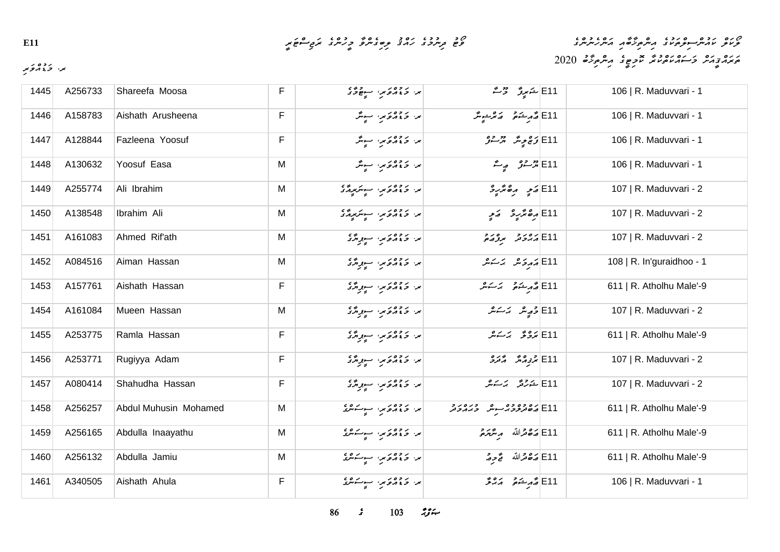*sCw7q7s5w7m< o<n9nOoAw7o< sCq;mAwBoEw7q<m; wBm;vB* م من المرة المرة المرة المرجع المرجع في المركبة 2020<br>مجم*د المريض المربوط المربع المرجع في المراجع المركبة* 

| ر د ه ر    |  |
|------------|--|
| ىر. جەمۇبر |  |
|            |  |

| 1445 | A256733 | Shareefa Moosa        | $\mathsf F$ |                         | E11 ڪمپرڙ ٿڙ                                                                                                    | 106   R. Maduvvari - 1    |
|------|---------|-----------------------|-------------|-------------------------|-----------------------------------------------------------------------------------------------------------------|---------------------------|
| 1446 | A158783 | Aishath Arusheena     | F           | بر دوه در سوش           | E11 مەم ھۇم مەمرىسى مىشى ئىستىر                                                                                 | 106   R. Maduvvari - 1    |
| 1447 | A128844 | Fazleena Yoosuf       | F           | بر دوه در سوش           | E11 زېږمبر په پېښو                                                                                              | 106   R. Maduvvari - 1    |
| 1448 | A130632 | Yoosuf Easa           | M           | أين المروه و من المسورش | E11 پوڪري <sub>ھي</sub> ت                                                                                       | 106   R. Maduvvari - 1    |
| 1449 | A255774 | Ali Ibrahim           | M           | من كالمؤكد سوسكيران     | E11 <sub>ه</sub> ُ مِه پُرِ و                                                                                   | 107   R. Maduvvari - 2    |
| 1450 | A138548 | Ibrahim Ali           | M           | من كالمؤتمر المستعرمى   | E11 <sub>م</sub> ەممەر تەم                                                                                      | 107   R. Maduvvari - 2    |
| 1451 | A161083 | Ahmed Rif'ath         | M           | بر دوه در سودره         | E11 كەبرى تەرىپى ئەرەپىيە ئىراپ                                                                                 | 107   R. Maduvvari - 2    |
| 1452 | A084516 | Aiman Hassan          | M           | بر دوه در به ده         | E11 كەرى بىر بىر ئىسكەنلەر بىر ئاس                                                                              | 108   R. In'guraidhoo - 1 |
| 1453 | A157761 | Aishath Hassan        | F           | بر و دور سورت           | E11 مۇمەيسۇم ئەسكىلىر                                                                                           | 611   R. Atholhu Male'-9  |
| 1454 | A161084 | Mueen Hassan          | M           | بر دوه در سودره         | E11 <sub>ج</sub> ې پر ټر ټر پر                                                                                  | 107   R. Maduvvari - 2    |
| 1455 | A253775 | Ramla Hassan          | F           | بر ووه د سودره          | E11 يَرُوْنَ - يَرْسَ <sup>م</sup> ُرُ                                                                          | 611   R. Atholhu Male'-9  |
| 1456 | A253771 | Rugiyya Adam          | F           | بر كالمؤتمر سورتمى      | E11 برت <sub>و</sub> م بھر محمد الحرم الحرم الحرم الحرم الحرم الحرم الحرم الحرم الحرم الحرم الحرم الحرم الحرم ا | 107   R. Maduvvari - 2    |
| 1457 | A080414 | Shahudha Hassan       | F           | بر دوه در به ده         | E11] حَدَثَرٌ – رَسَ <sup>م</sup> بٌ                                                                            | 107   R. Maduvvari - 2    |
| 1458 | A256257 | Abdul Muhusin Mohamed | M           | پر کروه کار کرده میلادی | E11 رەمەدەم بەر مەدەم دەرم                                                                                      | 611   R. Atholhu Male'-9  |
| 1459 | A256165 | Abdulla Inaayathu     | M           | بر دوه در سوستمبر       | E11 مَەھىراللە م <i>ې</i> تر <i>ىمى</i>                                                                         | 611   R. Atholhu Male'-9  |
| 1460 | A256132 | Abdulla Jamiu         | ${\sf M}$   | من كالمركب المساحيل     | E11 رَحْمَدُاللَّهُ تَحْمَّ حَمَّ                                                                               | 611   R. Atholhu Male'-9  |
| 1461 | A340505 | Aishath Ahula         | F           | برا كالمؤتمرا سوسكسى    | E11 م <i>ۇم ھۇم مەنى</i> مىتى<br>E11                                                                            | 106   R. Maduvvari - 1    |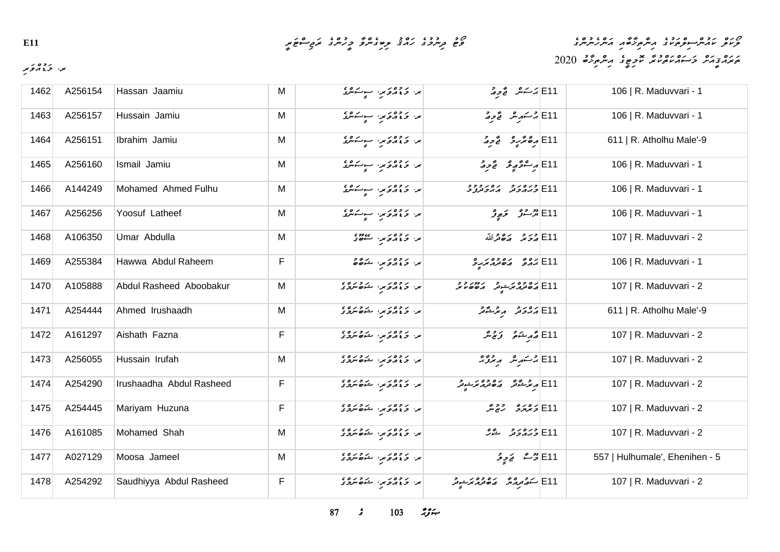*sCw7q7s5w7m< o<n9nOoAw7o< sCq;mAwBoEw7q<m; wBm;vB* م من المرة المرة المرة المرجع المرجع في المركبة 2020<br>مجم*د المريض المربوط المربع المرجع في المراجع المركبة* 

| 1462 | A256154 | Hassan Jaamiu            | M | ىر. ئۇقمۇس سوسكىلىكى                                                                                           | E11   پرسکس قمحور <sup>2</sup>                | 106   R. Maduvvari - 1         |
|------|---------|--------------------------|---|----------------------------------------------------------------------------------------------------------------|-----------------------------------------------|--------------------------------|
| 1463 | A256157 | Hussain Jamiu            | M | بر دوه در سوستمبر                                                                                              | E11 بڑے پر شی تھے <i>ج</i> ھ                  | 106   R. Maduvvari - 1         |
| 1464 | A256151 | Ibrahim Jamiu            | M | برا ودوري سوسكروه                                                                                              | E11 مەھمگىيى قى قى                            | 611   R. Atholhu Male'-9       |
| 1465 | A256160 | Ismail Jamiu             | M | بر دوه در سوستر                                                                                                | E11 <sub>م</sub> رشۇم <sub>ۇ</sub> ئىم قىم قى | 106   R. Maduvvari - 1         |
| 1466 | A144249 | Mohamed Ahmed Fulhu      | M | بر دوه در سوستر                                                                                                | E11 در دره در دود                             | 106   R. Maduvvari - 1         |
| 1467 | A256256 | Yoosuf Latheef           | M | من كالمكامل المساحيل                                                                                           | E11 پژگر تح <i>مو</i> ژ                       | 106   R. Maduvvari - 1         |
| 1468 | A106350 | Umar Abdulla             | M | ני כשמפיני המחשבי                                                                                              | E11 رُتَّرَ بَرَ صَوْمَرْاللَّه               | 107   R. Maduvvari - 2         |
| 1469 | A255384 | Hawwa Abdul Raheem       | F | بر دوه د شخص                                                                                                   | E11 ג'וב השינו <i>ה</i> יב                    | 106   R. Maduvvari - 1         |
| 1470 | A105888 | Abdul Rasheed Aboobakur  | M | بر ده دره دره عدد در                                                                                           | E11 גە دە برىدىس مەھەرىم                      | 107   R. Maduvvari - 2         |
| 1471 | A254444 | Ahmed Irushaadh          | M | بر دوه د شوه سروه                                                                                              | E11 كەبرى بىر بەير شەرقەتر                    | 611   R. Atholhu Male'-9       |
| 1472 | A161297 | Aishath Fazna            | F | بر وودير، ڪوشرور                                                                                               | E11 پژم شکھی تونج مگر                         | 107   R. Maduvvari - 2         |
| 1473 | A256055 | Hussain Irufah           | M | بر ووه دي شوه سرور                                                                                             | E11 برسمبر شهر برویز بر                       | 107   R. Maduvvari - 2         |
| 1474 | A254290 | Irushaadha Abdul Rasheed | F | بر دەرب شەھىرود                                                                                                | E11 م <i>ېرشگونگر ماده ده مرسوم</i> ر         | 107   R. Maduvvari - 2         |
| 1475 | A254445 | Mariyam Huzuna           | F | بر دوه در دوه دوه                                                                                              | E11 كەمەر بىر ئەتمەنگە                        | 107   R. Maduvvari - 2         |
| 1476 | A161085 | Mohamed Shah             | M | بر دوه در دوه دوه                                                                                              | E11 وَبَرْدُوَتْرَ شَرْرُ                     | 107   R. Maduvvari - 2         |
| 1477 | A027129 | Moosa Jameel             | M | برا وده دره دره داده                                                                                           | E11] جُرْحَہ ن <sub>َے حی</sub> وْ            | 557   Hulhumale', Ehenihen - 5 |
| 1478 | A254292 | Saudhiyya Abdul Rasheed  | F | بر دوه ر دوره دوره دارد کار دارد کار در دارد کار در دارد کار در دارد کار دارد کار دارد کار دارد کار دارد کار د |                                               | 107   R. Maduvvari - 2         |

*o8m=w<qFm> .8*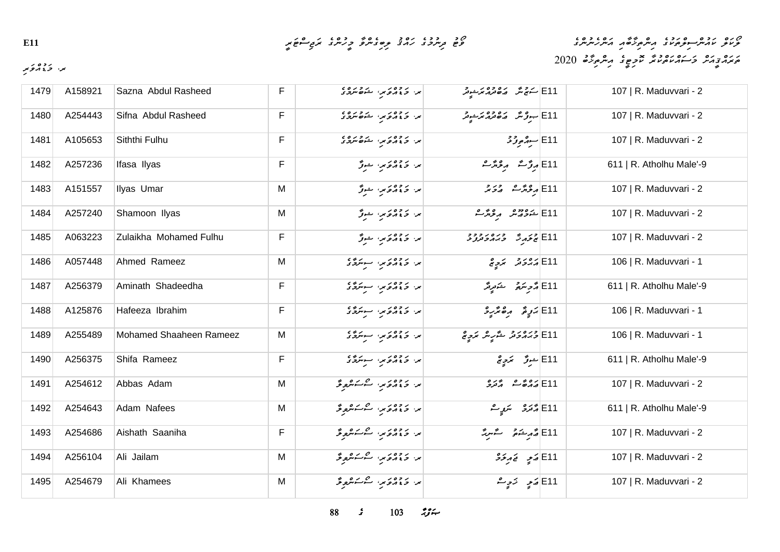*sCw7q7s5w7m< o<n9nOoAw7o< sCq;mAwBoEw7q<m; wBm;vB* م من المرة المرة المرة المرجع المرجع في المركبة 2020<br>مجم*د المريض المربوط المربع المرجع في المراجع المركبة* 

|             | ر د ه ر |  |
|-------------|---------|--|
| بر. כے موتر |         |  |
| ╭           |         |  |

| 1479 | A158921 | Sazna Abdul Rasheed     | $\mathsf F$ | بر كالمؤتمر كالمحامل               | E11 سەچ مىش ب <sub>ە ئ</sub> ەھ <i>تەرەر بىز</i> ىئىيەتر                                                          | 107   R. Maduvvari - 2   |
|------|---------|-------------------------|-------------|------------------------------------|-------------------------------------------------------------------------------------------------------------------|--------------------------|
| 1480 | A254443 | Sifna Abdul Rasheed     | $\mathsf F$ | بر دوه د شوه سروه                  | E11 سوژىتر   مەھەرمەعبىدە                                                                                         | 107   R. Maduvvari - 2   |
| 1481 | A105653 | Siththi Fulhu           | $\mathsf F$ | بر دوه ر<br>بر و د روبر، شوه سرو د | E11 سوچرموترنز                                                                                                    | 107   R. Maduvvari - 2   |
| 1482 | A257236 | Ifasa Ilyas             | F           | ىن ئەدەمى، خول                     | E11 مرزٌ شه مرثورٌ شه                                                                                             | 611   R. Atholhu Male'-9 |
| 1483 | A151557 | Ilyas Umar              | M           | ىن ئەدەمى» جىق                     | E11 <sub>م</sub> وټر شرحه                                                                                         | 107   R. Maduvvari - 2   |
| 1484 | A257240 | Shamoon Ilyas           | M           | ىن ئەدەمى، خول                     | E11 شۇچ مۇيۇب                                                                                                     | 107   R. Maduvvari - 2   |
| 1485 | A063223 | Zulaikha Mohamed Fulhu  | F           | ىن ئەدەمى، خول                     | E11 تحقيق في محمد المعدوم                                                                                         | 107   R. Maduvvari - 2   |
| 1486 | A057448 | Ahmed Rameez            | M           | بر. و وه در سوسرو و                | E11   دَرُدَ دَرْ سَرَمِ جَ                                                                                       | 106   R. Maduvvari - 1   |
| 1487 | A256379 | Aminath Shadeedha       | F           | برا و دور به سوسرو و               | E11 ۾ً <i>جِ سَمَعَ</i> شَمَ <i>ّبِيمَّ</i>                                                                       | 611   R. Atholhu Male'-9 |
| 1488 | A125876 | Hafeeza Ibrahim         | $\mathsf F$ | بر ووه د سوروه                     | E11 بَرَرٍ بِمَ " رِصْتَرِ وُ                                                                                     | 106   R. Maduvvari - 1   |
| 1489 | A255489 | Mohamed Shaaheen Rameez | M           | بر ووه د سوروه                     | E11  وُبَرُوكومْ حُدَّرٍ مَّرْ مَرْدٍ ثَمَّ                                                                       | 106   R. Maduvvari - 1   |
| 1490 | A256375 | Shifa Rameez            | F           | برا و ده در سوسرو و                | E11 حورٌ - مَرَ <sub>حٍ</sub> جُ                                                                                  | 611   R. Atholhu Male'-9 |
| 1491 | A254612 | Abbas Adam              | M           | ىر. ئەمەكەر، سەسەھرىگە             | $2, 2, 2, 2, 2, 2$ E11                                                                                            | 107   R. Maduvvari - 2   |
| 1492 | A254643 | Adam Nafees             | M           | ىر. ئەمەھىر، سىستىشھۇ              | E11 مُمْترڤ سَم <i>دٍ</i> ہے                                                                                      | 611   R. Atholhu Male'-9 |
| 1493 | A254686 | Aishath Saaniha         | $\mathsf F$ | ىن ئەمەمى، سىرسىھىدىگە             | E11 مُدِينَة مُسْتَدِينَ                                                                                          | 107   R. Maduvvari - 2   |
| 1494 | A256104 | Ali Jailam              | M           | ىر. ئەمەكەر، سەسەھرىگە             | E11 كەير تەرى <i>خ</i> ى                                                                                          | 107   R. Maduvvari - 2   |
| 1495 | A254679 | Ali Khamees             | M           | ىن ئەدەرىپ سەسكىرى ئى              | E11 کی تی تیم میں میں میں کا کام کرنا ہے۔<br>میں میں میں میں میں میں میں میں کامیاب کے میں کامیاب کے میں ان کے می | 107   R. Maduvvari - 2   |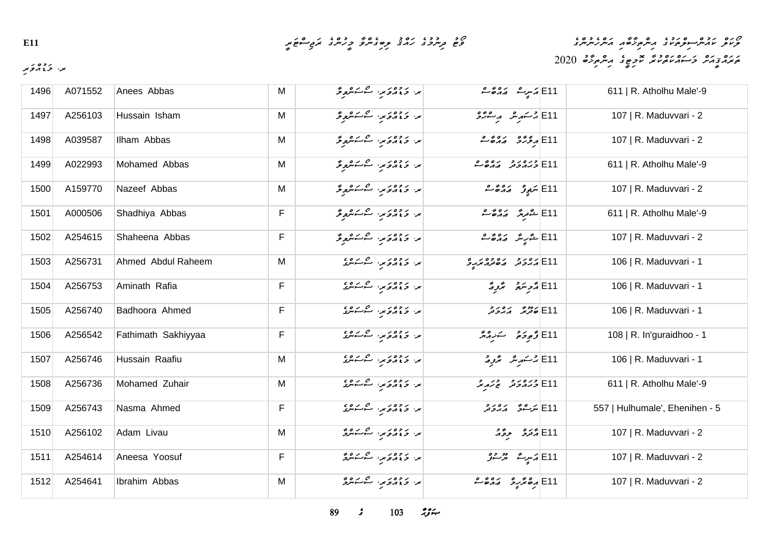*sCw7q7s5w7m< o<n9nOoAw7o< sCq;mAwBoEw7q<m; wBm;vB* م من المرة المرة المرة المرجع المرجع في المركبة 2020<br>مجم*د المريض المربوط المربع المرجع في المراجع المركبة* 

| 1496 | A071552 | Anees Abbas         | M           | ىن ئەمەكەر، سەسكىرى ئ  | E11 كەبىرىشە كە <i>مگەنتى</i> گە            | 611   R. Atholhu Male'-9       |
|------|---------|---------------------|-------------|------------------------|---------------------------------------------|--------------------------------|
| 1497 | A256103 | Hussain Isham       | M           | ى دوەرى ھەتبىرى        | E11 برستهرین پرسٹر <i>گ</i> ی               | 107   R. Maduvvari - 2         |
| 1498 | A039587 | Ilham Abbas         | M           | ى ئەدەرى سىر سىر ئىر   | $2222$ $-222$ $-11$                         | 107   R. Maduvvari - 2         |
| 1499 | A022993 | Mohamed Abbas       | M           | ىن ئەدەمىر، سىرسىر ئىر | 2801                                        | 611   R. Atholhu Male'-9       |
| 1500 | A159770 | Nazeef Abbas        | M           | بر دوه رگ کره و        | E11 سَمْرٍ وَ صَدَرَّةٌ مِسْتَ              | 107   R. Maduvvari - 2         |
| 1501 | A000506 | Shadhiya Abbas      | $\mathsf F$ | بر دوه کرده و          | E11 شَعْرِ مَرَّدَّةٌ صَدَّمَتْ             | 611   R. Atholhu Male'-9       |
| 1502 | A254615 | Shaheena Abbas      | F           | ى ئەدەمى ھەسكىرى ئە    | E11 ڪُرپنگ <i>مَدُهُ ڪُ</i>                 | 107   R. Maduvvari - 2         |
| 1503 | A256731 | Ahmed Abdul Raheem  | M           | برا ودور المحمده       | E11 ג' <i>ביני הסינה בי</i> ב               | 106   R. Maduvvari - 1         |
| 1504 | A256753 | Aminath Rafia       | F           | بر دوه رسم مشروع       | E11 مَّ حِسَمَۃ مَّ مَرْدِمَّهُ             | 106   R. Maduvvari - 1         |
| 1505 | A256740 | Badhoora Ahmed      | $\mathsf F$ | برا كالمؤير الكركامي   | E11 كەنتىر كەردىتە                          | 106   R. Maduvvari - 1         |
| 1506 | A256542 | Fathimath Sakhiyyaa | F           | بر دوه رسم محمده ع     | E11 ۇ <sub>جو</sub> رَمْ سَن <i>ِ</i> رْمَّ | 108   R. In'guraidhoo - 1      |
| 1507 | A256746 | Hussain Raafiu      | M           | بر. ئەمەمى، شەسىر      | E11 پرسکو سر مگرو پر                        | 106   R. Maduvvari - 1         |
| 1508 | A256736 | Mohamed Zuhair      | M           | بر دوه رسم محمده ع     | E11 <i>\$ بروونز بي ت</i> ه بر              | 611   R. Atholhu Male'-9       |
| 1509 | A256743 | Nasma Ahmed         | F           | برا ودور كالمشروع      | E11 سَرَسْوَنَ مَدَوَنِرَ                   | 557   Hulhumale', Ehenihen - 5 |
| 1510 | A256102 | Adam Livau          | M           | برا ودور المكرور       | E11 مُرترد و مُحمَّدُ                       | 107   R. Maduvvari - 2         |
| 1511 | A254614 | Aneesa Yoosuf       | F           | برا ودور المحدود       | E11 کە سرپەم مەرجىق<br>E11                  | 107   R. Maduvvari - 2         |
| 1512 | A254641 | Ibrahim Abbas       | M           | ر دوه رسم موره و       | 282222                                      | 107   R. Maduvvari - 2         |

*89 sC 103 nNw?mS*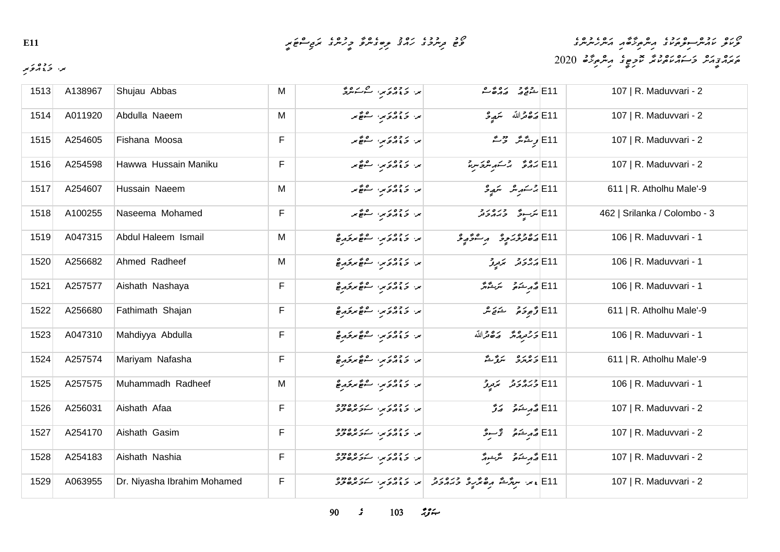*sCw7q7s5w7m< o<n9nOoAw7o< sCq;mAwBoEw7q<m; wBm;vB* م من المرة المرة المرة المرجع المرجع في المركبة 2020<br>مجم*د المريض المربوط المربع المرجع في المراجع المركبة* 

|            | - 0 > - |  |
|------------|---------|--|
| ىر. جەمۇبر |         |  |
| ◢          |         |  |

| 1513 | A138967 | Shujau Abbas                | M           | برا ودوبرا كالمكافرة                   | $2522$ $252$ $-11$                               | 107   R. Maduvvari - 2       |
|------|---------|-----------------------------|-------------|----------------------------------------|--------------------------------------------------|------------------------------|
| 1514 | A011920 | Abdulla Naeem               | M           | بر كودوس مقصر                          | E11 بَرْحْدِّاللَّهُ     سَمِرِحْ                | 107   R. Maduvvari - 2       |
| 1515 | A254605 | Fishana Moosa               | F           | بر دوه در مقیم                         | E11 وِیشمَدُ حَرْثَہُ                            | 107   R. Maduvvari - 2       |
| 1516 | A254598 | Hawwa Hussain Maniku        | F           | بر كودور من مشكل                       | E11   يَدْرُقُ بِرْسَوْرِ سْرَرْ سِرْرَ          | 107   R. Maduvvari - 2       |
| 1517 | A254607 | Hussain Naeem               | M           | بر دوه در مقص                          | E11 پر <i>کمبر بل سکھ</i> ی تھ                   | 611   R. Atholhu Male'-9     |
| 1518 | A100255 | Naseema Mohamed             | $\mathsf F$ | بر دوه در مقص                          | E11 مَرَسِوتٌ وَبَرَوْدَتَر                      | 462   Srilanka / Colombo - 3 |
| 1519 | A047315 | Abdul Haleem Ismail         | M           | من والمومن المتفهومة                   | E11 رَەرْوْرَىرِوْ بِ سُتَّ دِيْر                | 106   R. Maduvvari - 1       |
| 1520 | A256682 | Ahmed Radheef               | M           | من والمحدوم المتفجع ومحمدة             | E11 كەنزى كىرىمى تەرىخى ئىر                      | 106   R. Maduvvari - 1       |
| 1521 | A257577 | Aishath Nashaya             | $\mathsf F$ | من كودوم المستقى مركز مرقع             | E11 مَ <i>ذہِ حَذَہِ</i> سَرَحْتَہُ              | 106   R. Maduvvari - 1       |
| 1522 | A256680 | Fathimath Shajan            | F           | من والموكب المتفهر فها                 | E11 تَ <i>وْجِرْحَمْ</i> شَوَيْرَ مَنْ           | 611   R. Atholhu Male'-9     |
| 1523 | A047310 | Mahdiyya Abdulla            | $\mathsf F$ | من والموكوب المتفهوم والمحمد           | E11 ترتوپر <i>هگ خ</i> گهرالله                   | 106   R. Maduvvari - 1       |
| 1524 | A257574 | Mariyam Nafasha             | F           | من والمرومين المتفهر فرمره             | E11] وَيُرْبَرُوْ - سَمَّرْشَّ                   | 611   R. Atholhu Male'-9     |
| 1525 | A257575 | Muhammadh Radheef           | M           | من والمروس المقمرورة                   | E11 وُبَرُدُونَرُ بَرَمَزِيْرُ                   | 106   R. Maduvvari - 1       |
| 1526 | A256031 | Aishath Afaa                | F           |                                        | E11 م <i>ەم شەقىھەتى</i> تە                      | 107   R. Maduvvari - 2       |
| 1527 | A254170 | Aishath Gasim               | F           | ת ציבות הגם המשת                       | E11 مَگْرِسْتَمْ تَحْسِرْتَرْ                    | 107   R. Maduvvari - 2       |
| 1528 | A254183 | Aishath Nashia              | F           | بر دوه در دوه دوه<br>بر و ده وس سوس دو | E11 مَگْرِمِشَہُ مِگْرَشِد <i>ِمُ</i> ّ          | 107   R. Maduvvari - 2       |
| 1529 | A063955 | Dr. Niyasha Ibrahim Mohamed | F           |                                        | /E11 مر سرگش مره گرده ورود و بر دوه بر مده مورده | 107   R. Maduvvari - 2       |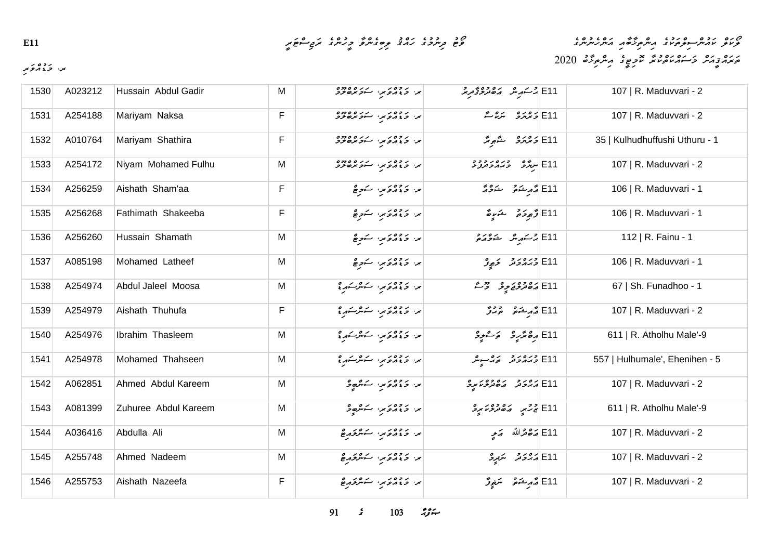*sCw7q7s5w7m< o<n9nOoAw7o< sCq;mAwBoEw7q<m; wBm;vB* م من المرة المرة المرة المرجع المرجع في المركبة 2020<br>مجم*د المريض المربوط المربع المرجع في المراجع المركبة* 

|                     | ر د ه ر |  |
|---------------------|---------|--|
| ىر. جەم <i>و بر</i> |         |  |
| ◢                   |         |  |

| 1530 | A023212 | Hussain Abdul Gadir  | M           | بر دەرىر، سىرىرە دەە                                                                                          | E11 پرڪبريش پره <i>وه</i> وڙمبريز              | 107   R. Maduvvari - 2         |
|------|---------|----------------------|-------------|---------------------------------------------------------------------------------------------------------------|------------------------------------------------|--------------------------------|
| 1531 | A254188 | Mariyam Naksa        | F           | ת כשנת הייתו במסיכה<br>תי כשנת מי הכמסיכה                                                                     | E11 كەندىرى بىرە شەر                           | 107   R. Maduvvari - 2         |
| 1532 | A010764 | Mariyam Shathira     | F           |                                                                                                               | E11 دېمەر ئەھمەتمە                             | 35   Kulhudhuffushi Uthuru - 1 |
| 1533 | A254172 | Niyam Mohamed Fulhu  | M           |                                                                                                               | E11 سرگری و پروژورو                            | 107   R. Maduvvari - 2         |
| 1534 | A256259 | Aishath Sham'aa      | F           | برا وه دوس سکوه                                                                                               | E11 مُرمِشَمُ شَرَ <i>دُهُ</i>                 | 106   R. Maduvvari - 1         |
| 1535 | A256268 | Fathimath Shakeeba   | $\mathsf F$ | برا وه در بانوع                                                                                               | E11 تَ <i>وجوح</i> ق حَمَدٍ صَّ                | 106   R. Maduvvari - 1         |
| 1536 | A256260 | Hussain Shamath      | M           | برا وه دوم سکوه                                                                                               | E11 پرڪيريش ڪ <i>وهي</i> و                     | 112   R. Fainu - 1             |
| 1537 | A085198 | Mohamed Latheef      | M           | برا وه در بانوع                                                                                               | E11 <i>وَبَرْدُوَ</i> تَرَ تَحْبِهِ وَْ        | 106   R. Maduvvari - 1         |
| 1538 | A254974 | Abdul Jaleel Moosa   | M           | أمرا ويهروني التكريم والمردع                                                                                  | E11 رَەمْرُوْمَ بِر <sup>و</sup> تْرْتْمُ      | 67   Sh. Funadhoo - 1          |
| 1539 | A254979 | Aishath Thuhufa      | $\mathsf F$ | برا ودەرىر، سەركىدە                                                                                           | E11 مەم ھەرىم ئىقى قىرىم                       | 107   R. Maduvvari - 2         |
| 1540 | A254976 | Ibrahim Thasleem     | M           | برا وده د کار کرده کرده                                                                                       | E11 رەئزىرو مۇسورۇ                             | 611   R. Atholhu Male'-9       |
| 1541 | A254978 | Mohamed Thahseen     | M           | برا ودومرا كالركارة                                                                                           | E11 <i>32825 وب</i> رسومبر                     | 557   Hulhumale', Ehenihen - 5 |
| 1542 | A062851 | Ahmed Abdul Kareem   | M           | من كروه من سكيم من كروه و                                                                                     | E11 كەبرونى كەھەر <i>ون ب</i> رو               | 107   R. Maduvvari - 2         |
| 1543 | A081399 | Zuhuree Abdul Kareem | M           | من كروه من سكرها و المحمد المحمد المحمد المحدد المحدد المحدد المحمد المحمد المحمد المحمد المحمد المحمد المحمد | E11 ىج <sup>2</sup> ىپە بەھ <i>تەۋە ئەب</i> رۇ | 611   R. Atholhu Male'-9       |
| 1544 | A036416 | Abdulla Ali          | M           | من كالمؤمن كالركوم                                                                                            | E11 رَصْحْرَاللَّهُ     رَحِ                   | 107   R. Maduvvari - 2         |
| 1545 | A255748 | Ahmed Nadeem         | M           | من والملاحمة المستشرقها                                                                                       | E11 كەندى كىر سىرىدى.                          | 107   R. Maduvvari - 2         |
| 1546 | A255753 | Aishath Nazeefa      | F           | برا ودووبرا كالرورة                                                                                           | E11 مُەرشەم سَن <sub>ج</sub> ورً               | 107   R. Maduvvari - 2         |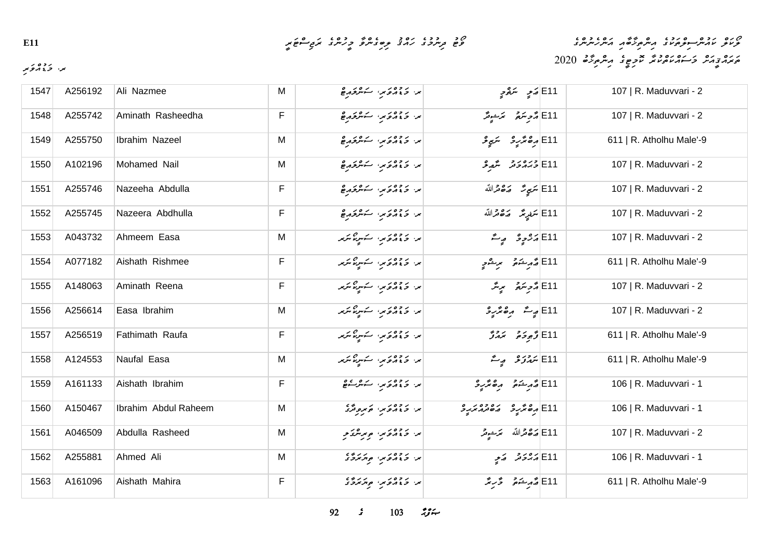*sCw7q7s5w7m< o<n9nOoAw7o< sCq;mAwBoEw7q<m; wBm;vB* م من المرة المرة المرة المرجع المرجع في المركبة 2020<br>مجم*د المريض المربوط المربع المرجع في المراجع المركبة* 

| 1547 | A256192 | Ali Nazmee           | M | برا ودوويرا كالرورة                   | E11 <i>ڇپ سگو</i> ڇ                          | 107   R. Maduvvari - 2   |
|------|---------|----------------------|---|---------------------------------------|----------------------------------------------|--------------------------|
| 1548 | A255742 | Aminath Rasheedha    | F | من والمرومين كالمركزة                 | E11 مُرْحِ سَرَةٍ مَرْسُوشَ                  | 107   R. Maduvvari - 2   |
| 1549 | A255750 | Ibrahim Nazeel       | M | من كالمروم المستركز                   | E11 م <i>وڭ مگرى ئىمبى</i> ئى                | 611   R. Atholhu Male'-9 |
| 1550 | A102196 | Mohamed Nail         | M | من كالمكافر من المستركز المحمد المحمد | E11 <i>32323</i> سَمَع <i>ِ</i> عَ           | 107   R. Maduvvari - 2   |
| 1551 | A255746 | Nazeeha Abdulla      | F | من كالمؤمن كالركرة                    | E11 سَرِج مَ صَرَّاللَّه                     | 107   R. Maduvvari - 2   |
| 1552 | A255745 | Nazeera Abdhulla     | F | من كالمؤمن كالركرة                    | E11 سَمْدِيَّر صَدَّة اللَّه                 | 107   R. Maduvvari - 2   |
| 1553 | A043732 | Ahmeem Easa          | M | برا كالمكافرين الكسرة لكرير           | E11 کرژ <sub>مو</sub> ژ کاب                  | 107   R. Maduvvari - 2   |
| 1554 | A077182 | Aishath Rishmee      | F | من كالمكافر من كامير مكانتر من        | E11 مَگْرِسْتَمْ مِنْ مِنْ وِ                | 611   R. Atholhu Male'-9 |
| 1555 | A148063 | Aminath Reena        | F | من كالمكافر من كامير مكانتر من        | E11 مُ <i>جِسَعْهِ</i> م <sub>َ</sub> مِتَّر | 107   R. Maduvvari - 2   |
| 1556 | A256614 | Easa Ibrahim         | M | أمرا وكالمركوب الكاسر مكرمر           | E11 <sub>م</sub> ِتَ م <i>ەممَرى</i> 3       | 107   R. Maduvvari - 2   |
| 1557 | A256519 | Fathimath Raufa      | F | من كروه در سكسره مكرم                 | E11 زُ <sub>ّج</sub> ودَ م <i>وَ مَدَوْ</i>  | 611   R. Atholhu Male'-9 |
| 1558 | A124553 | Naufal Easa          | M | من كالمكافر من كامير مكانتر من        | E11 سَمَرْزَءٌ پِ شَ                         | 611   R. Atholhu Male'-9 |
| 1559 | A161133 | Aishath Ibrahim      | F | برا كالمكامل الكامل المحافظ           | E11 مُدمِسْمَعُ دِھْتَرِ وُ                  | 106   R. Maduvvari - 1   |
| 1560 | A150467 | Ibrahim Abdul Raheem | M | المرا كالمركوب كالمروش                | E11 رەئزىر مەمەر بىرى                        | 106   R. Maduvvari - 1   |
| 1561 | A046509 | Abdulla Rasheed      | M | برا ويهوي وبرمند                      |                                              | 107   R. Maduvvari - 2   |
| 1562 | A255881 | Ahmed Ali            | M |                                       | E11 كەبۇر <i>5 كەي</i>                       | 106   R. Maduvvari - 1   |
| 1563 | A161096 | Aishath Mahira       | F | بر كالمروم به كرده                    | E11 مَگْرِسْتَمْ وَكُرِيْتَر                 | 611   R. Atholhu Male'-9 |

*92 sC 103 nNw?mS*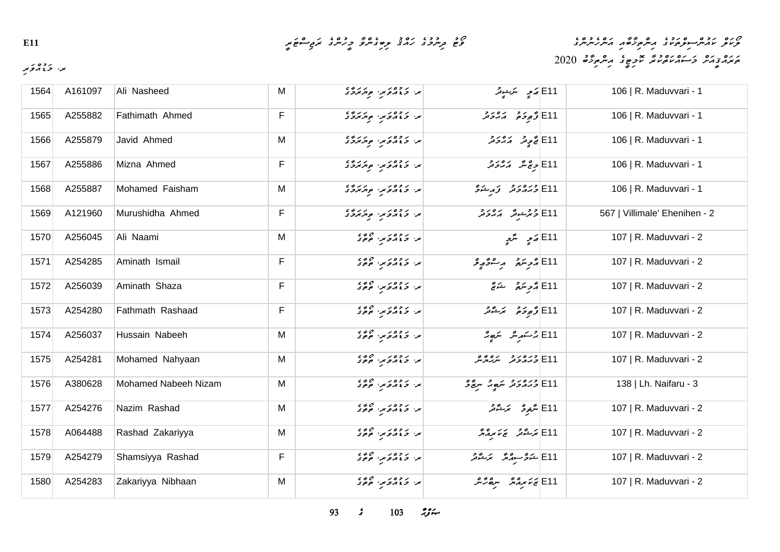*sCw7q7s5w7m< o<n9nOoAw7o< sCq;mAwBoEw7q<m; wBm;vB* م من المرة المرة المرة المرجع المرجع في المركبة 2020<br>مجم*د المريض المربوط المربع المرجع في المراجع المركبة* 

| , , , ,             |  |
|---------------------|--|
| ىر. جەم <i>و</i> ىر |  |
| ◢                   |  |

| 1564 | A161097 | Ali Nasheed          | M | بر كالمروس والمروي                                                                                                                                                                                                                                                                                                              | E11 کی پر سر میر ش <sub>ر</sub> متر     | 106   R. Maduvvari - 1        |
|------|---------|----------------------|---|---------------------------------------------------------------------------------------------------------------------------------------------------------------------------------------------------------------------------------------------------------------------------------------------------------------------------------|-----------------------------------------|-------------------------------|
| 1565 | A255882 | Fathimath Ahmed      | F | بر كالمروم به كرده                                                                                                                                                                                                                                                                                                              | E11 وَّجِوحَ حَمَّدَ مَدَّوَمَّرَ       | 106   R. Maduvvari - 1        |
| 1566 | A255879 | Javid Ahmed          | M | بر كالمروم والمروء                                                                                                                                                                                                                                                                                                              |                                         | 106   R. Maduvvari - 1        |
| 1567 | A255886 | Mizna Ahmed          | F | بر دوه در ده ورده                                                                                                                                                                                                                                                                                                               | E11 ج8 پھر <i>مرکو</i> تر               | 106   R. Maduvvari - 1        |
| 1568 | A255887 | Mohamed Faisham      | M | بر و ده در ده و در ده                                                                                                                                                                                                                                                                                                           | E11 وَيَرْدُوَيْرَ وَمِشَرَدْ           | 106   R. Maduvvari - 1        |
| 1569 | A121960 | Murushidha Ahmed     | F | بر كالمروم والمروء                                                                                                                                                                                                                                                                                                              | E11 د بر شوتر که پروتر                  | 567   Villimale' Ehenihen - 2 |
| 1570 | A256045 | Ali Naami            | M | بر دوه د هود.<br>بر و د رومر، مود د                                                                                                                                                                                                                                                                                             | E11  رَمٍ سَمَّتٍ                       | 107   R. Maduvvari - 2        |
| 1571 | A254285 | Aminath Ismail       | F | $\begin{array}{cc} 0.40 & 0.200 \\ 0.40 & 0.400 \\ 0.60 & 0.400 \\ \end{array}$                                                                                                                                                                                                                                                 | E11 مَّ حِسَمَة _ مِــْ وَّ مِهْ وَ مِ  | 107   R. Maduvvari - 2        |
| 1572 | A256039 | Aminath Shaza        | F | $\begin{array}{cc} 0.40 & 0.200 \\ 0.40 & 0.400 \\ 0.400 & 0.400 \\ \end{array}$                                                                                                                                                                                                                                                | E11 مُرْحِسَمُ شَمَّ                    | 107   R. Maduvvari - 2        |
| 1573 | A254280 | Fathmath Rashaad     | F | $\begin{array}{cc} 0.40 & 0.200 \\ 0.40 & 0.400 \\ 0.60 & 0.400 \\ \end{array}$                                                                                                                                                                                                                                                 | E11 وَّجِرِيَّ مَمْ سُمَّسْ             | 107   R. Maduvvari - 2        |
| 1574 | A256037 | Hussain Nabeeh       | M | $\begin{array}{cc} 0.40 & 0.200 \\ 0.40 & 0.400 \\ 0.60 & 0.400 \\ \end{array}$                                                                                                                                                                                                                                                 | E11 بر <i>کے مربٹ مترج ب</i>            | 107   R. Maduvvari - 2        |
| 1575 | A254281 | Mohamed Nahyaan      | M | $\begin{array}{cc} 0 & 0 & 0 & 0 \\ 0 & 0 & 0 & 0 \\ 0 & 0 & 0 & 0 \\ 0 & 0 & 0 & 0 \\ 0 & 0 & 0 & 0 \\ 0 & 0 & 0 & 0 \\ 0 & 0 & 0 & 0 \\ 0 & 0 & 0 & 0 \\ 0 & 0 & 0 & 0 \\ 0 & 0 & 0 & 0 \\ 0 & 0 & 0 & 0 \\ 0 & 0 & 0 & 0 \\ 0 & 0 & 0 & 0 & 0 \\ 0 & 0 & 0 & 0 & 0 \\ 0 & 0 & 0 & 0 & 0 \\ 0 & 0 & 0 & 0 & 0 \\ 0 & 0 & 0 &$ | E11 دېږونه تره په په ک                  | 107   R. Maduvvari - 2        |
| 1576 | A380628 | Mohamed Nabeeh Nizam | M | $\begin{array}{cc} 0.40 & 0.200 \\ 0.40 & 0.400 \\ 0.60 & 0.400 \\ \end{array}$                                                                                                                                                                                                                                                 | E11 درورو مرَوِرْ مرحمَّ ت              | 138   Lh. Naifaru - 3         |
| 1577 | A254276 | Nazim Rashad         | M | $\begin{array}{cc} 0.40 & 0.200 \\ 0.40 & 0.400 \\ 0.60 & 0.400 \\ \end{array}$                                                                                                                                                                                                                                                 | E11 مَّهْرِ مَرْشَمَّ                   | 107   R. Maduvvari - 2        |
| 1578 | A064488 | Rashad Zakariyya     | M | $\begin{array}{cc} 0 & 0 & 0 & 0 \\ 0 & 0 & 0 & 0 \\ 0 & 0 & 0 & 0 \\ 0 & 0 & 0 & 0 \\ 0 & 0 & 0 & 0 \\ 0 & 0 & 0 & 0 \\ 0 & 0 & 0 & 0 \\ 0 & 0 & 0 & 0 \\ 0 & 0 & 0 & 0 \\ 0 & 0 & 0 & 0 \\ 0 & 0 & 0 & 0 \\ 0 & 0 & 0 & 0 \\ 0 & 0 & 0 & 0 & 0 \\ 0 & 0 & 0 & 0 & 0 \\ 0 & 0 & 0 & 0 & 0 \\ 0 & 0 & 0 & 0 & 0 \\ 0 & 0 & 0 &$ | E11 مَرْ مَشْعَقْر سَمْ مَ مَعرفَهُ مَّ | 107   R. Maduvvari - 2        |
| 1579 | A254279 | Shamsiyya Rashad     | F |                                                                                                                                                                                                                                                                                                                                 | E11 خۇر <i>مەمەمەت بىر</i> خەم          | 107   R. Maduvvari - 2        |
| 1580 | A254283 | Zakariyya Nibhaan    | M | بر دوه در ۱۶۶۵<br>بر و ۱۶۶۶ و مود                                                                                                                                                                                                                                                                                               | E11 تەنىر مەش سەھەم بىر                 | 107   R. Maduvvari - 2        |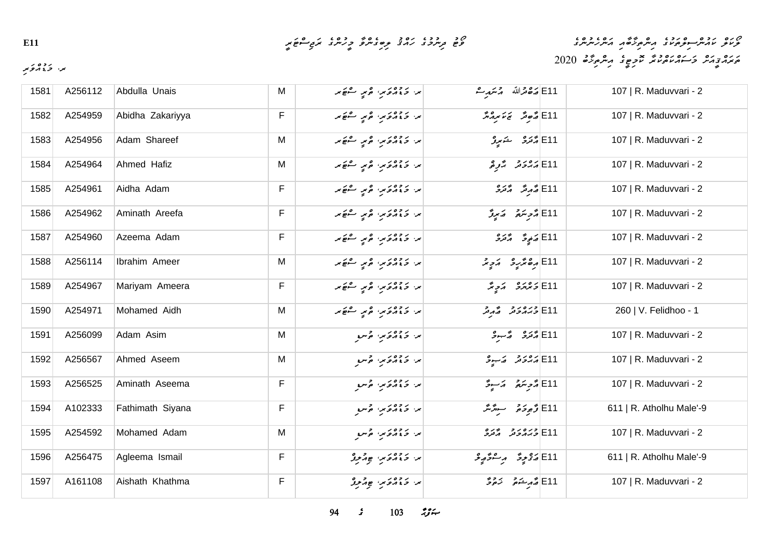*sCw7q7s5w7m< o<n9nOoAw7o< sCq;mAwBoEw7q<m; wBm;vB* م من المسجد المسجد المسجد المسجد المسجد العام 2020<br>مسجد المسجد المسجد المسجد المسجد المسجد المسجد المسجد المسجد ال

| 1581 | A256112 | Abdulla Unais    | M | $\mathcal{L} \circ \mathcal{L} \circ \mathcal{L} \circ \mathcal{L} \circ \mathcal{L} \circ \mathcal{L} \circ \mathcal{L} \circ \mathcal{L} \circ \mathcal{L} \circ \mathcal{L} \circ \mathcal{L} \circ \mathcal{L} \circ \mathcal{L} \circ \mathcal{L} \circ \mathcal{L} \circ \mathcal{L} \circ \mathcal{L} \circ \mathcal{L} \circ \mathcal{L} \circ \mathcal{L} \circ \mathcal{L} \circ \mathcal{L} \circ \mathcal{L} \circ \mathcal{L} \circ \mathcal{L} \circ \mathcal{L} \circ \mathcal{L} \circ \mathcal{$ | E11 كەھەرللە ك <i>ەنتىد</i> ى              | 107   R. Maduvvari - 2   |
|------|---------|------------------|---|-------------------------------------------------------------------------------------------------------------------------------------------------------------------------------------------------------------------------------------------------------------------------------------------------------------------------------------------------------------------------------------------------------------------------------------------------------------------------------------------------------------------|--------------------------------------------|--------------------------|
| 1582 | A254959 | Abidha Zakariyya | F | المراكبين والمحافظ والمنتص                                                                                                                                                                                                                                                                                                                                                                                                                                                                                        | E11 أَرَّصِيْنَ بِمَ مَعِيدَةً             | 107   R. Maduvvari - 2   |
| 1583 | A254956 | Adam Shareef     | M | المراكبين والمحافظ والمنتص                                                                                                                                                                                                                                                                                                                                                                                                                                                                                        | E11 پژتر <sub>گ</sub> ش <sub>ک</sub> برو   | 107   R. Maduvvari - 2   |
| 1584 | A254964 | Ahmed Hafiz      | M | المن وعادوس أوس سعي                                                                                                                                                                                                                                                                                                                                                                                                                                                                                               | E11 كەندى قىم بۇر ئى                       | 107   R. Maduvvari - 2   |
| 1585 | A254961 | Aidha Adam       | F | برا وكالمؤترا أوبر المنظمر                                                                                                                                                                                                                                                                                                                                                                                                                                                                                        | E11 مُجم <i>دة مُعَرَّة</i>                | 107   R. Maduvvari - 2   |
| 1586 | A254962 | Aminath Areefa   | F | برا ودووس وبر سكاير                                                                                                                                                                                                                                                                                                                                                                                                                                                                                               | E11 مُرْحِسَمُ مَهْرِزٌ                    | 107   R. Maduvvari - 2   |
| 1587 | A254960 | Azeema Adam      | F | المراكبين والمحافظ والمنتص                                                                                                                                                                                                                                                                                                                                                                                                                                                                                        | E11 كەن <sub>ج</sub> ۇ گ <sup>ى</sup> رگە  | 107   R. Maduvvari - 2   |
| 1588 | A256114 | Ibrahim Ameer    | M | المن والمروكين المحامر المستقصر                                                                                                                                                                                                                                                                                                                                                                                                                                                                                   | E11 مەھمىر بىر مەمەمىر<br>E11              | 107   R. Maduvvari - 2   |
| 1589 | A254967 | Mariyam Ameera   | F | المن والمروكين المحمي المنطق                                                                                                                                                                                                                                                                                                                                                                                                                                                                                      | E11 كانترنىڭ مەرىپىگە                      | 107   R. Maduvvari - 2   |
| 1590 | A254971 | Mohamed Aidh     | M | المن المحدود والمحامل المحامل المحامل                                                                                                                                                                                                                                                                                                                                                                                                                                                                             | E11 دېرونه گه د ک                          | 260   V. Felidhoo - 1    |
| 1591 | A256099 | Adam Asim        | M | بر دوه در وسع                                                                                                                                                                                                                                                                                                                                                                                                                                                                                                     | E11 يۇترى ھەسىدى                           | 107   R. Maduvvari - 2   |
| 1592 | A256567 | Ahmed Aseem      | M | أمن المرودة ومن المحاسن                                                                                                                                                                                                                                                                                                                                                                                                                                                                                           | E11 <i>ټرې</i> پېژند کارېدنو               | 107   R. Maduvvari - 2   |
| 1593 | A256525 | Aminath Aseema   | F | بر دوه در وسع                                                                                                                                                                                                                                                                                                                                                                                                                                                                                                     | E11 مُ مِسَعْدِ مَ سَبِعَّ                 | 107   R. Maduvvari - 2   |
| 1594 | A102333 | Fathimath Siyana | F | بر دوه در وسع                                                                                                                                                                                                                                                                                                                                                                                                                                                                                                     | E11 ۇ <sub>جو</sub> رَمْ سِي <i>رْ</i> ىئر | 611   R. Atholhu Male'-9 |
| 1595 | A254592 | Mohamed Adam     | M | بر دوه در قرس                                                                                                                                                                                                                                                                                                                                                                                                                                                                                                     | E11 وبروتو محموده                          | 107   R. Maduvvari - 2   |
| 1596 | A256475 | Agleema Ismail   | F | ر و دور و دور                                                                                                                                                                                                                                                                                                                                                                                                                                                                                                     | E11  پَرْءُ مِيعًا مِسْتَرَّمِيعًا         | 611   R. Atholhu Male'-9 |
| 1597 | A161108 | Aishath Khathma  | F | بر وووري جدود                                                                                                                                                                                                                                                                                                                                                                                                                                                                                                     | E11 مەم شىم ئىمۇ                           | 107   R. Maduvvari - 2   |

*94 sC 103 nNw?mS*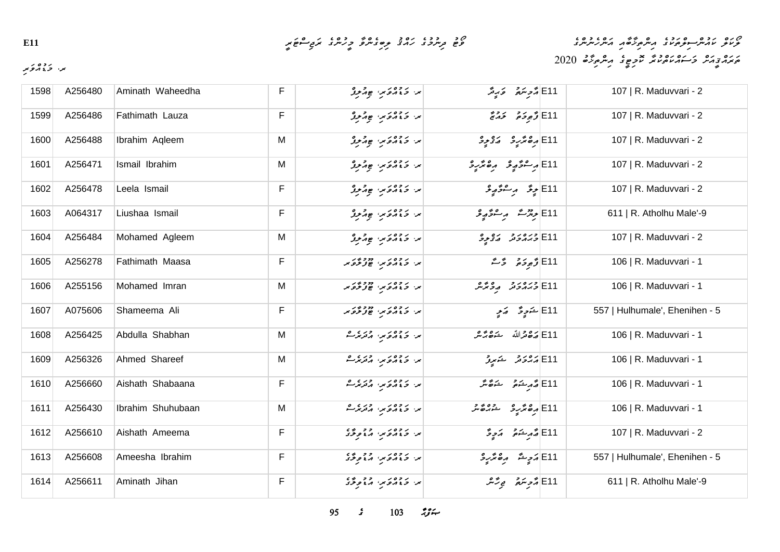*sCw7q7s5w7m< o<n9nOoAw7o< sCq;mAwBoEw7q<m; wBm;vB* م من المرة المرة المرة المرجع المرجع في المركبة 2020<br>مجم*د المريض المربوط المربع المرجع في المراجع المركبة* 

| ر د ه ر            |  |
|--------------------|--|
| ىر. جەم <i>جىر</i> |  |
| ◢                  |  |

| 1598 | A256480 | Aminath Waheedha  | $\mathsf F$  | من كودوم ومردو                      | E11 مَّ <i>جِ</i> سَمَّة – حَ بِيتَر           | 107   R. Maduvvari - 2         |
|------|---------|-------------------|--------------|-------------------------------------|------------------------------------------------|--------------------------------|
| 1599 | A256486 | Fathimath Lauza   | $\mathsf F$  | بر وودي جديد                        | E11 وَّجِرَدَةٌ تَحَدَّجُ                      | 107   R. Maduvvari - 2         |
| 1600 | A256488 | Ibrahim Aqleem    | M            | من ودوم والمور                      | E11 بر <i>ەنگەر 3 مۇم</i> ۇر                   | 107   R. Maduvvari - 2         |
| 1601 | A256471 | Ismail Ibrahim    | M            | بر دوه در جد دو                     | E11 <sub>م</sub> رشۇ <sub>م</sub> و مۇمۇرۇ     | 107   R. Maduvvari - 2         |
| 1602 | A256478 | Leela Ismail      | F            | بر كودوس جد كرو                     | E11 مِرَدَ - مِرْجُورِ وَ                      | 107   R. Maduvvari - 2         |
| 1603 | A064317 | Liushaa Ismail    | $\mathsf F$  | من والأوصر، جامعة                   | E11 مِيْرْسَمُ بِ مِسْتَوَبِيْتِهِ             | 611   R. Atholhu Male'-9       |
| 1604 | A256484 | Mohamed Agleem    | M            | من كروه من جامعة                    | E11 <i>\$نەۋەتى ھاۋى</i> ۋ                     | 107   R. Maduvvari - 2         |
| 1605 | A256278 | Fathimath Maasa   | F            |                                     | E11 تَ <i>وْجِوَةْ</i> قَرْسَةُ                | 106   R. Maduvvari - 1         |
| 1606 | A255156 | Mohamed Imran     | M            |                                     | E11 <i>جەنەدى م</i> وترىتر                     | 106   R. Maduvvari - 1         |
| 1607 | A075606 | Shameema Ali      | $\mathsf F$  | بر دوه در دوربر<br>بر کارگرم کارگرف | E11 شَرِرَة - رَمِ                             | 557   Hulhumale', Ehenihen - 5 |
| 1608 | A256425 | Abdulla Shabhan   | M            | س كروه رسمي، المحر للمريض           | E11 مَرْحْمَّرْاللَّهُ شَهْرَتْ مَرْ           | 106   R. Maduvvari - 1         |
| 1609 | A256326 | Ahmed Shareef     | M            | س كالمروم المركز والمحمد            | E11 كەردى ھەمبەتى                              | 106   R. Maduvvari - 1         |
| 1610 | A256660 | Aishath Shabaana  | $\mathsf F$  | برا ودور ودروت                      | E11 يُرْمِسْنَمْ شَوَصْتُر                     | 106   R. Maduvvari - 1         |
| 1611 | A256430 | Ibrahim Shuhubaan | M            | برا و ده در در در در د              | E11 بر <i>ەنگەر قىشقىتى</i>                    | 106   R. Maduvvari - 1         |
| 1612 | A256610 | Aishath Ameema    | $\mathsf{F}$ | بر کے حکومت کر دی گھری              | E11 مَگْرِسْتَمْ کَرْدِ وَ                     | 107   R. Maduvvari - 2         |
| 1613 | A256608 | Ameesha Ibrahim   | $\mathsf F$  | برا و ده در در در در در کار         | E11 رَ <sub>حِ</sub> ثَہٗ ر <i>ِ مِیْرِ دُ</i> | 557   Hulhumale', Ehenihen - 5 |
| 1614 | A256611 | Aminath Jihan     | F            | بر· 1995 مر، مقوم د                 | E11 أُمُّحِ سَمَّةً مِنْ مُحَمَّد              | 611   R. Atholhu Male'-9       |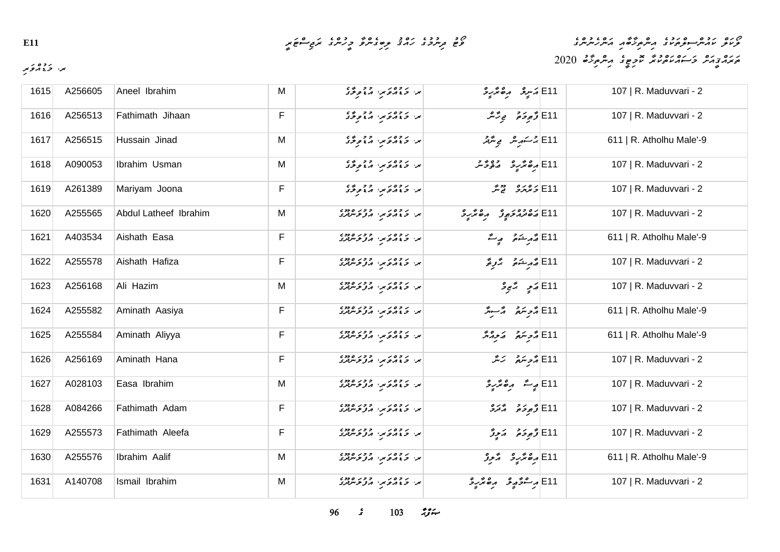*sCw7q7s5w7m< o<n9nOoAw7o< sCq;mAwBoEw7q<m; wBm;vB* م من المرة المرة المرة المرجع المرجع في المركبة 2020<br>مجم*د المريض المربوط المربع المرجع في المراجع المركبة* 

|             | ر د ه ر |  |
|-------------|---------|--|
| بر. כے موتر |         |  |
| ╭           |         |  |

| 1615 | A256605 | Aneel Ibrahim         | M           | بر دوه در دو وی                               | E11  رَسِرْدُ رِصْمَرِ دِ                     | 107   R. Maduvvari - 2   |
|------|---------|-----------------------|-------------|-----------------------------------------------|-----------------------------------------------|--------------------------|
| 1616 | A256513 | Fathimath Jihaan      | F           | بر دوه رود وي                                 | E11 وَج <i>وح</i> مو ب <sub>و</sub> رَّسْ     | 107   R. Maduvvari - 2   |
| 1617 | A256515 | Hussain Jinad         | M           | بر دوه در دو وه                               | E11 پُرڪمبر هي سگھر<br>                       | 611   R. Atholhu Male'-9 |
| 1618 | A090053 | Ibrahim Usman         | M           | بر دوه در دو وه                               | E11 رەئزىرو مۇۋىتر                            | 107   R. Maduvvari - 2   |
| 1619 | A261389 | Mariyam Joona         | F           | برا و ده در از در در د                        | E11 كەبەر قەتتر                               | 107   R. Maduvvari - 2   |
| 1620 | A255565 | Abdul Latheef Ibrahim | M           | بر دوه بر دور ودوه<br>بر و ده و بر ارز وسربرد | E11 בֿבּינגל <sub>ּ 195</sub> 0 مِقْدَرِ 3    | 107   R. Maduvvari - 2   |
| 1621 | A403534 | Aishath Easa          | F           | بر کروه پر وروده<br>بر کروهری مرکز سربرد      | E11 مەم شىقى ھېرىشە                           | 611   R. Atholhu Male'-9 |
| 1622 | A255578 | Aishath Hafiza        | F           | بر کروه کرد ور دوره<br>بر کروهری مرکز سربرد   | E11 <sub>م</sub> ُم <i>رِحْمَۃ بُرُوِخَ</i> ّ | 107   R. Maduvvari - 2   |
| 1623 | A256168 | Ali Hazim             | M           | برا المروه بر المروج وده وده                  | E11 کړې لمنځي و                               | 107   R. Maduvvari - 2   |
| 1624 | A255582 | Aminath Aasiya        | F           | بر کروه در دوره دود.<br>بر گروهای مرکز سربرد  | E11 مُّجِسَعَةً مُّ مَسِيَّر                  | 611   R. Atholhu Male'-9 |
| 1625 | A255584 | Aminath Aliyya        | $\mathsf F$ | برا المروه المروج ودوه وده                    | E11 أُمَّ جِسَعَةٍ مَجْمَعَتَهُ               | 611   R. Atholhu Male'-9 |
| 1626 | A256169 | Aminath Hana          | F           | بر کروه پر وروده<br>بر کروهری مرکز سربرد      | E11 أ <i>مَّ وِسَعْهُ</i> كَسَّرَ             | 107   R. Maduvvari - 2   |
| 1627 | A028103 | Easa Ibrahim          | M           | بر کروه کرد ور دوره<br>بر کروهری مرکز سربرد   | E11 <sub>م</sub> چىدىكى مەھەتگە پەنتى<br>     | 107   R. Maduvvari - 2   |
| 1628 | A084266 | Fathimath Adam        | F           | بر دوه بر دوبر ۵۶۵<br>بر و ډه وېر مرکز سربرو  | E11 وَّجِوَدَةٌ مَجْتَرَةٌ                    | 107   R. Maduvvari - 2   |
| 1629 | A255573 | Fathimath Aleefa      | F           | بر کروه در دوره دود.<br>بر گروهای مرکز سربرد  | E11 وَّجِوَدَةٌ مَرْمِرَّ                     | 107   R. Maduvvari - 2   |
| 1630 | A255576 | Ibrahim Aalif         | M           | برا كالمروم المتحافظ ودا                      | E11 <sub>م</sub> ەنگەر ئەرە                   | 611   R. Atholhu Male'-9 |
| 1631 | A140708 | Ismail Ibrahim        | M           | بر کے حکوم کے وقت محمد کر                     | E11 <sub>م</sub> رشۇم ئۇ مەھ <i>مگرى</i> ۋ    | 107   R. Maduvvari - 2   |

 $96$  *s*  $103$  *z*  $\frac{6}{5}$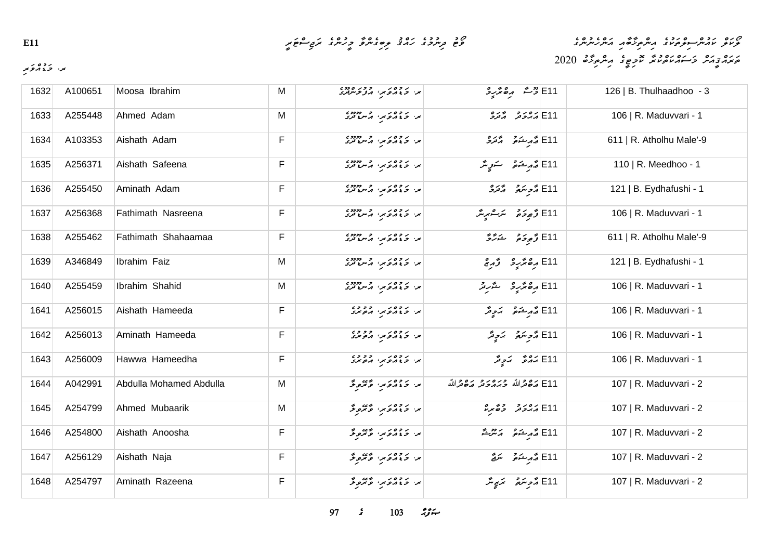*sCw7q7s5w7m< o<n9nOoAw7o< sCq;mAwBoEw7q<m; wBm;vB* م من المرة المرة المرة المرجع المرجع في المركبة 2020<br>مجم*د المريض المربوط المربع المرجع في المراجع المركبة* 

| 1632 | A100651 | Moosa Ibrahim           | M | بر کرده در دوره دور<br>بر کرده کرد مرکز سربرد | E11 جي شه پڻ ميڪريڪ                                      | 126   B. Thulhaadhoo - 3 |
|------|---------|-------------------------|---|-----------------------------------------------|----------------------------------------------------------|--------------------------|
| 1633 | A255448 | Ahmed Adam              | M | بر دوه ر دوده                                 | E11 كەردى ھەرە                                           | 106   R. Maduvvari - 1   |
| 1634 | A103353 | Aishath Adam            | F | بر دوه ر دوده.<br>بر و ده وبر اړس تر          | E11 مَگرِ مِسْتَمَّة مَرْتَزَّة الله                     | 611   R. Atholhu Male'-9 |
| 1635 | A256371 | Aishath Safeena         | F | بر دوه را دوده.<br>بر و ده و برا مرسومر       | E11 ۾ مرڪو سندي مگر                                      | 110   R. Meedhoo - 1     |
| 1636 | A255450 | Aminath Adam            | F | بر دوه را دوده.<br>بر و ده و برا مرسومر       | E11 مَّ مِسَمَّد مَسَرَّد                                | 121   B. Eydhafushi - 1  |
| 1637 | A256368 | Fathimath Nasreena      | F | بر دوه را دوده.<br>بر و ده و برا مرسومر       | E11 ۇ <sub>ج</sub> وڭ <sub>ۇ</sub> شرىشمېرىتر            | 106   R. Maduvvari - 1   |
| 1638 | A255462 | Fathimath Shahaamaa     | F | بر دوه ر دوده.<br>بر و ده وبر اړس تر          | E11 <i>وَّجِ حَقَّ</i> شَمَرَّدً                         | 611   R. Atholhu Male'-9 |
| 1639 | A346849 | Ibrahim Faiz            | M | بر دوه ر دوده.<br>بر و ده وبر اړس تر          | E11 مەھەر ئۇم ق                                          | 121   B. Eydhafushi - 1  |
| 1640 | A255459 | Ibrahim Shahid          | M | بر دوه در دوده                                | E11 مەھەر بۇ ھەرىر                                       | 106   R. Maduvvari - 1   |
| 1641 | A256015 | Aishath Hameeda         | F | بر کے دور دورہ                                | E11 مَگْرِسْتَمْ کَرِوَتَر                               | 106   R. Maduvvari - 1   |
| 1642 | A256013 | Aminath Hameeda         | F | بن كروه بر دود ده.<br>بن كالموتر، موترد       | E11 مَّ حِ سَمَّة – سَرِ مَّدَ                           | 106   R. Maduvvari - 1   |
| 1643 | A256009 | Hawwa Hameedha          | F | بر د وه بر د و و و ع<br>بر ان حرفه هر و مرکزی | E11 <i>ټرو تو</i> تر                                     | 106   R. Maduvvari - 1   |
| 1644 | A042991 | Abdulla Mohamed Abdulla | M | أأما أوده والمحمد والمتحرم ومحمد والمحرج      | E11 مَرْحْمَّرْاللَّهُ تَحْبَدُهُ حَدَّ مَرْحْمَدْاللَّه | 107   R. Maduvvari - 2   |
| 1645 | A254799 | Ahmed Mubaarik          | M | ىن ئەدەم ئەرگەنى ئە                           | E11 رَبَّرْدَتَرَ وَصَّبِرَتَّ                           | 107   R. Maduvvari - 2   |
| 1646 | A254800 | Aishath Anoosha         | F | برا ووه دار المصري                            | E11 <sub>م</sub> َّ مِ شَوَّ مَ مَرْشَدُّ                | 107   R. Maduvvari - 2   |
| 1647 | A256129 | Aishath Naja            | F | ىن ئەدەم ئەترەت                               | E11 مَدْمِرْ يَسْمَعُ مِنْ مَدَّةِ مِنْ                  | 107   R. Maduvvari - 2   |
| 1648 | A254797 | Aminath Razeena         | F | ىن ئەدەم ئەترەت                               | E11 أ <i>مز ج</i> ر متعرض متزم بي متر                    | 107   R. Maduvvari - 2   |

*97 sC 103 nNw?mS*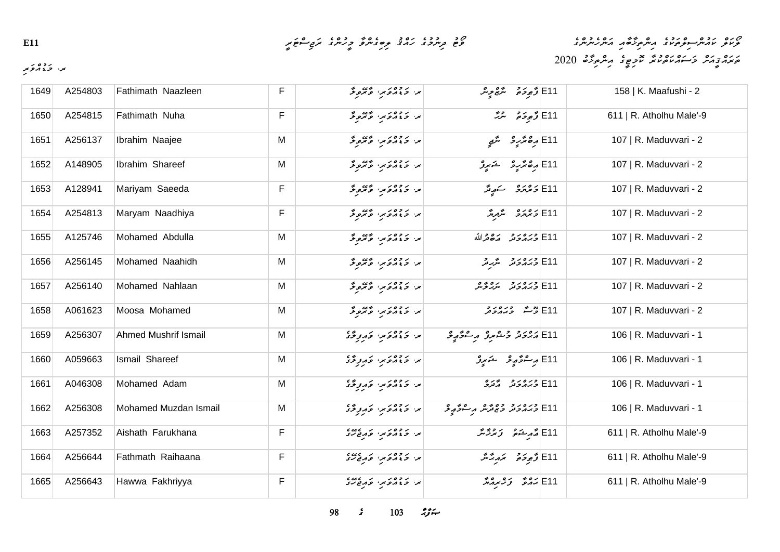*sCw7q7s5w7m< o<n9nOoAw7o< sCq;mAwBoEw7q<m; wBm;vB* م من المرة المرة المرة المرجع المرجع في المركبة 2020<br>مجم*د المريض المربوط المربع المرجع في المراجع المركبة* 

|            | ر د ه ر |  |
|------------|---------|--|
| ىر. جەمۇبر |         |  |
| ╭          |         |  |

| 1649 | A254803 | Fathimath Naazleen          | $\mathsf F$ | ىن ئەدەم ئەترەت                                                                                      | E11 أَوَّجِوحَةُ مَسَّمَّعٍ مِسَّر                       | 158   K. Maafushi - 2    |
|------|---------|-----------------------------|-------------|------------------------------------------------------------------------------------------------------|----------------------------------------------------------|--------------------------|
| 1650 | A254815 | Fathimath Nuha              | F           | ىن ئەدەم ئەنگەنىچە ئە                                                                                | E11 <i>وُّجِ دَمُ</i> مِنْ مِنْ                          | 611   R. Atholhu Male'-9 |
| 1651 | A256137 | Ibrahim Naajee              | M           | ىن ئەدەم ئەنگەنىچە ئە                                                                                | E11 م <i>وڭ تربى</i> مىتمى <i>ي</i>                      | 107   R. Maduvvari - 2   |
| 1652 | A148905 | Ibrahim Shareef             | M           | بر دوه در کارگاه و گروگر                                                                             | E11 مەھەر بۇ ھەمرۇ                                       | 107   R. Maduvvari - 2   |
| 1653 | A128941 | Mariyam Saeeda              | $\mathsf F$ | أأرا وكالمروس وتروقر                                                                                 | E11 كەبىر بىر سىر ئىر                                    | 107   R. Maduvvari - 2   |
| 1654 | A254813 | Maryam Naadhiya             | $\mathsf F$ | ىن ئەدەم ئەنگەنىچە ئە                                                                                | E11 كەبىر بىر سى <i>رى</i> گە                            | 107   R. Maduvvari - 2   |
| 1655 | A125746 | Mohamed Abdulla             | M           | برا ووديرا المحقوقى                                                                                  |                                                          | 107   R. Maduvvari - 2   |
| 1656 | A256145 | Mohamed Naahidh             | M           | بر دوه در کار کار کار د                                                                              | E11 <i>وُبَرُوُدُو مُرَبِّرٍ</i>                         | 107   R. Maduvvari - 2   |
| 1657 | A256140 | Mohamed Nahlaan             | M           | أأرا وكالمروس وتروقر                                                                                 | E11 دېرورو پروونکر                                       | 107   R. Maduvvari - 2   |
| 1658 | A061623 | Moosa Mohamed               | M           | أين الحروم والمحتور المحتفظ المحرج وتحريج                                                            | E11 تۇشقە <i>مەندەن</i> د                                | 107   R. Maduvvari - 2   |
| 1659 | A256307 | <b>Ahmed Mushrif Ismail</b> | M           | ر 33 مۇم ئەرىرى                                                                                      | E11 גלבת כיבית, גייפֿקיב                                 | 106   R. Maduvvari - 1   |
| 1660 | A059663 | Ismail Shareef              | M           | أين ويهمونين ومرورتى                                                                                 | E11 م سىمۇمەتتى سىمبور                                   | 106   R. Maduvvari - 1   |
| 1661 | A046308 | Mohamed Adam                | M           | أأرا والملحص والمروق                                                                                 | E11 وَبَرْدُوَنْزِ مُرْتَزِوْ                            | 106   R. Maduvvari - 1   |
| 1662 | A256308 | Mohamed Muzdan Ismail       | M           | برا او وه در و او د و د د و د د                                                                      | E11 دره دو وه ده در موگهر و                              | 106   R. Maduvvari - 1   |
| 1663 | A257352 | Aishath Farukhana           | $\mathsf F$ | بر ووه در عده عدد                                                                                    | E11 <sub>م</sub> َّ <i>م</i> ُ مِسْتَعْمَى وَمَرْدَّمَّد | 611   R. Atholhu Male'-9 |
| 1664 | A256644 | Fathmath Raihaana           | $\mathsf F$ | بر ووه د ورومر                                                                                       | E11 ۇ <sub>ج</sub> ورۇ ئىرى <i>مى</i> ر                  | 611   R. Atholhu Male'-9 |
| 1665 | A256643 | Hawwa Fakhriyya             | F           | بر كالمعامل بن كالمحمد بن المحمد بن المحمد المحمد المحمد المحمد المحمد المحمد المحمد المحمد المحمد ا | E11 بَرْدُوَّ كَرْ <sup>ر</sup> ْمَد <i>ْ</i> دَّ        | 611   R. Atholhu Male'-9 |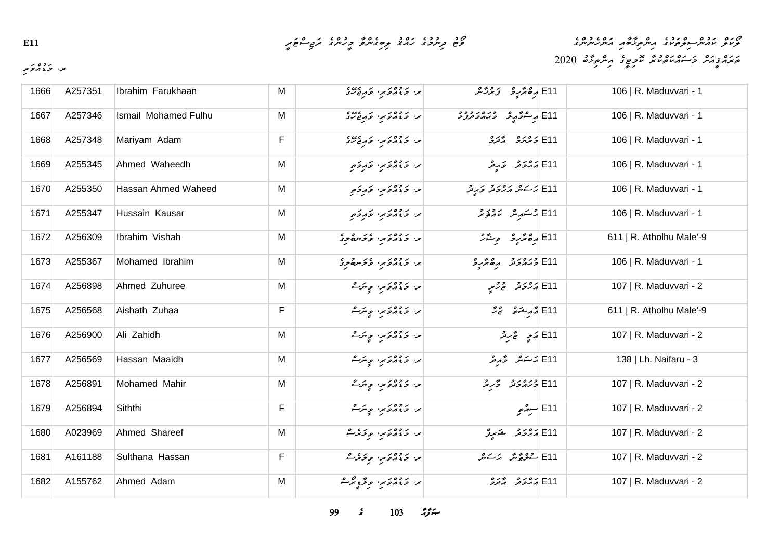*sCw7q7s5w7m< o<n9nOoAw7o< sCq;mAwBoEw7q<m; wBm;vB* م من المرة المرة المرة المرجع المرجع في المركبة 2020<br>مجم*د المريض المربوط المربع المرجع في المراجع المركبة* 

| 1666 | A257351 | Ibrahim Farukhaan          | M           | بر كەدەر بەر ئەيرە         | E11 مەھەرىپى ئەترىشىتى                             | 106   R. Maduvvari - 1   |
|------|---------|----------------------------|-------------|----------------------------|----------------------------------------------------|--------------------------|
| 1667 | A257346 | Ismail Mohamed Fulhu       | M           | بر كالمروه من كالمراجع برى | E11 <sub>م</sub> ر <i>مۇھەبى جەمەدەرى</i><br>E11 م | 106   R. Maduvvari - 1   |
| 1668 | A257348 | Mariyam Adam               | $\mathsf F$ | بر دوه در ده در            | E11 وَبَرْبَرَوْ بِرُوْدِ                          | 106   R. Maduvvari - 1   |
| 1669 | A255345 | Ahmed Waheedh              | M           | برا وكالمؤس ومروم          | E11 كەبۇر <i>قىرى</i> تى                           | 106   R. Maduvvari - 1   |
| 1670 | A255350 | <b>Hassan Ahmed Waheed</b> | M           | برا وكالمؤمرا ومروضي       | E11   يَرْسَسْ مَ <i>مْدُوَنْ وَبِ</i> يْرَ        | 106   R. Maduvvari - 1   |
| 1671 | A255347 | Hussain Kausar             | M           | برا وكالمؤمرا ومروضي       | E11 برسىمبەر ئەم ئۇنىر                             | 106   R. Maduvvari - 1   |
| 1672 | A256309 | Ibrahim Vishah             | M           | برا ودوي وكالمعالجة        | E11 م <i>وڭ ئۆر</i> ئويىتى قىلىمىتى بىر            | 611   R. Atholhu Male'-9 |
| 1673 | A255367 | Mohamed Ibrahim            | M           | بن ويموي وكمسهور           | E11 دبره در مقتربة                                 | 106   R. Maduvvari - 1   |
| 1674 | A256898 | Ahmed Zuhuree              | M           | بر دوه در و ترگ            | E11 كەبۇبۇقرا ئ <sub>ە</sub> رىمىيە                | 107   R. Maduvvari - 2   |
| 1675 | A256568 | Aishath Zuhaa              | $\mathsf F$ | بر دوه در و شرک            | E11 مَگْرِسْتَمْ فَمْ تَحْرُ                       | 611   R. Atholhu Male'-9 |
| 1676 | A256900 | Ali Zahidh                 | M           | بر دوه در و شرک            | E11 کھ پچ گھري تھ                                  | 107   R. Maduvvari - 2   |
| 1677 | A256569 | Hassan Maaidh              | M           | برا ووه در پرگ             | E11  زشکر گہر تھر                                  | 138   Lh. Naifaru - 3    |
| 1678 | A256891 | Mohamed Mahir              | M           | بر دوه در و شرک            | E11 <i>وَبَهُمْ وَبِيْرٍ</i>                       | 107   R. Maduvvari - 2   |
| 1679 | A256894 | Siththi                    | $\mathsf F$ | بن كالمروب ويكرك           | E11 سورمو                                          | 107   R. Maduvvari - 2   |
| 1680 | A023969 | Ahmed Shareef              | M           | برا ودوديرا وترترك         | E11 كەردى ئىسى ئىسى بىر                            | 107   R. Maduvvari - 2   |
| 1681 | A161188 | Sulthana Hassan            | $\mathsf F$ | برا وكالمقرئ وترتره        | E11 كەنۋەت ئەسەند                                  | 107   R. Maduvvari - 2   |
| 1682 | A155762 | Ahmed Adam                 | M           | برا 13 مۇم، يۇقچىمى        | E11 كەبرى قىر كەندى                                | 107   R. Maduvvari - 2   |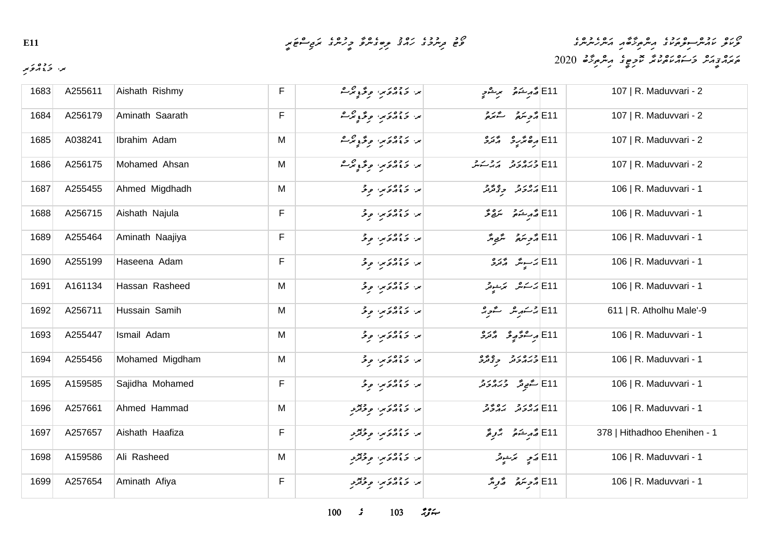*sCw7q7s5w7m< o<n9nOoAw7o< sCq;mAwBoEw7q<m; wBm;vB* م من المرة المرة المرة المرجع المرجع في المركبة 2020<br>مجم*د المريض المربوط المربع المرجع في المراجع المركبة* 

| 1683 | A255611 | Aishath Rishmy  | $\mathsf{F}$ | ىر. ئەنەۋىر، مەئۇپرىگ      | E11 مَگْرِسْتَمْ مِرْشُورِ                                                                                     | 107   R. Maduvvari - 2       |
|------|---------|-----------------|--------------|----------------------------|----------------------------------------------------------------------------------------------------------------|------------------------------|
| 1684 | A256179 | Aminath Saarath | F            | برا ودور وقرمه             | E11 مُ <i>جِي مَعْ مِيْ مُعَ</i>                                                                               | 107   R. Maduvvari - 2       |
| 1685 | A038241 | Ibrahim Adam    | M            | بر دوه رو و د کار د ک      | E11 م <i>ِ هُ مُرُرِدْ مُ</i> مَرُدُ                                                                           | 107   R. Maduvvari - 2       |
| 1686 | A256175 | Mohamed Ahsan   | M            | برا ودوديرا وقروش          | E11 در دور در برندگ                                                                                            | 107   R. Maduvvari - 2       |
| 1687 | A255455 | Ahmed Migdhadh  | M            | برا ودوه برا وقر           | E11 كەردى ئەرەپىتى بىرلىقىدىن ئىستان ئىستان ئىستان ئىستان ئىستان ئىستان ئىستان ئىستان ئىستان ئىستان ئىستان ئىس | 106   R. Maduvvari - 1       |
| 1688 | A256715 | Aishath Najula  | $\mathsf F$  | بر: وَءُدُوَسٍ؛ وِقْرَ     | E11 مَگْرِسْتَمْ مِنْ مَتَّبَعْ مِّ                                                                            | 106   R. Maduvvari - 1       |
| 1689 | A255464 | Aminath Naajiya | F            | برا ودوى وتح               | E11 مَّ مِسَعَ مَّ مِعَ                                                                                        | 106   R. Maduvvari - 1       |
| 1690 | A255199 | Haseena Adam    | $\mathsf F$  | بر روه دي وتح              | E11 كەسپەنتىر م <i>ەتت</i> رى                                                                                  | 106   R. Maduvvari - 1       |
| 1691 | A161134 | Hassan Rasheed  | M            | بر روه در وتح              | E11 پرسکار کرجومر<br>س                                                                                         | 106   R. Maduvvari - 1       |
| 1692 | A256711 | Hussain Samih   | M            | برا ودوه برا وقر           | E11 پرڪبرين ڪ <sub>جو</sub> بر                                                                                 | 611   R. Atholhu Male'-9     |
| 1693 | A255447 | Ismail Adam     | M            | بر: وَءُارُوَسٍ؛ وِقْ      | E11 <sub>م</sub> رےد <i>و <sub>م</sub>وٹر</i> محمد محمد اللہ کا محمد اللہ کے ا                                 | 106   R. Maduvvari - 1       |
| 1694 | A255456 | Mohamed Migdham | M            | برا ودوى وتح               | E11  <i>وټرونوتو وی وگ</i> و                                                                                   | 106   R. Maduvvari - 1       |
| 1695 | A159585 | Sajidha Mohamed | $\mathsf{F}$ | بر روه دي وتح              | E11 سَمَّعٍ <i>مَّذْ دَيَرُودَ</i> رُ                                                                          | 106   R. Maduvvari - 1       |
| 1696 | A257661 | Ahmed Hammad    | M            | برا وكالمرة بولولو المراجع | E11 كەبرى بەر بەر ئەر                                                                                          | 106   R. Maduvvari - 1       |
| 1697 | A257657 | Aishath Haafiza | $\mathsf{F}$ | بر دوه در ویو              | E11 مەم شىقى گەرگە                                                                                             | 378   Hithadhoo Ehenihen - 1 |
| 1698 | A159586 | Ali Rasheed     | M            | بر دوه در ویو              | E11 کھ پر مگر میں پر محمد اللہ جات                                                                             | 106   R. Maduvvari - 1       |
| 1699 | A257654 | Aminath Afiya   | F            | بر ووه در ويو              | E11 مَّ حِسَمَة مَّ مِرْمَّ                                                                                    | 106   R. Maduvvari - 1       |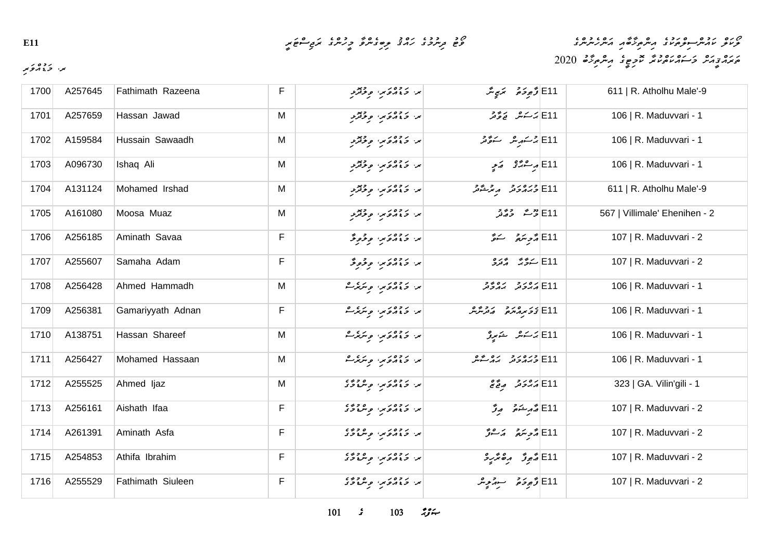*sCw7q7s5w7m< o<n9nOoAw7o< sCq;mAwBoEw7q<m; wBm;vB* م من المرة المرة المرة المرجع المرجع في المركبة 2020<br>مجم*د المريض المربوط المربع المرجع في المراجع المركبة* 

| , , , ,             |  |
|---------------------|--|
| ىر. جەم <i>و</i> ىر |  |
| ◢                   |  |

| 1700 | A257645 | Fathimath Razeena | $\mathsf F$  | بر کی دور و ویژو                     | E11 ۇ <sub>جو</sub> رَمْ م <sub>ىم</sub> مەر | 611   R. Atholhu Male'-9      |
|------|---------|-------------------|--------------|--------------------------------------|----------------------------------------------|-------------------------------|
| 1701 | A257659 | Hassan Jawad      | M            | بر دوه در ويور                       | E11 پزشکر ہے گھ                              | 106   R. Maduvvari - 1        |
| 1702 | A159584 | Hussain Sawaadh   | M            | بر کی دور ویرو                       | E11 پرستمبر شرکت میں تحقید<br>ساح            | 106   R. Maduvvari - 1        |
| 1703 | A096730 | Ishaq Ali         | M            | بر دوه در ورد                        | E11 پر <i>شرچی پی</i> چ                      | 106   R. Maduvvari - 1        |
| 1704 | A131124 | Mohamed Irshad    | M            | بر دوه در وید                        | E11 <i>وبروبو به پرشت</i> ور                 | 611   R. Atholhu Male'-9      |
| 1705 | A161080 | Moosa Muaz        | $\mathsf{M}$ | برا وه دره ويور                      | E11 حَمَّةُ مَعْ                             | 567   Villimale' Ehenihen - 2 |
| 1706 | A256185 | Aminath Savaa     | F            | بر دوه در وقوق                       | E11 أُمُّ حِسَمَةٌ سَعَرَّ                   | 107   R. Maduvvari - 2        |
| 1707 | A255607 | Samaha Adam       | F            | برا وَءُمُوَسٍ وِوُوِدٌ              | E11 كەنى ئەتەر                               | 107   R. Maduvvari - 2        |
| 1708 | A256428 | Ahmed Hammadh     | M            | أين والمحمدة وأحدثه والكرام والمراكب | E11 كەبروتى بەيرە تەر                        | 106   R. Maduvvari - 1        |
| 1709 | A256381 | Gamariyyath Adnan | F            | أين والمحمدة وأحدثه والكرام والمراكب | E11 تۈ <i>تۈپرەترە مەترىترىتر</i>            | 106   R. Maduvvari - 1        |
| 1710 | A138751 | Hassan Shareef    | M            | برا وَءُمُوَسٍ وِسَرَمْتُ            | E11 پرسترش حق <i>مبرو</i>                    | 106   R. Maduvvari - 1        |
| 1711 | A256427 | Mohamed Hassaan   | M            | أين والمحمدة والمحمد والكريث         | E11 دېزه ده بره شر                           | 106   R. Maduvvari - 1        |
| 1712 | A255525 | Ahmed ljaz        | M            | بر کے دور ، ویک دی                   | E11 كەندى ھەقىمى                             | 323   GA. Vilin'gili - 1      |
| 1713 | A256161 | Aishath Ifaa      | F            | بر دوه در و ۱۶۶۶                     | E11 مُەمِسْمَعْ مِتَرَ                       | 107   R. Maduvvari - 2        |
| 1714 | A261391 | Aminath Asfa      | F            | بر دوه ر ورود                        | E11 مَّ حِسَمَة مَ مَسْرَقَّ                 | 107   R. Maduvvari - 2        |
| 1715 | A254853 | Athifa Ibrahim    | F            | بر دوه ر ودوه                        | E11 مَّ مِوتَر مِرْحَمَّدِ وَ                | 107   R. Maduvvari - 2        |
| 1716 | A255529 | Fathimath Siuleen | F            | برا ويهوي ويكون                      | E11  <i>وُهِ دَهْ</i> سِهْ مِهْ مِهْ         | 107   R. Maduvvari - 2        |

 $101$  *s*  $103$  *if*<sub>s</sub>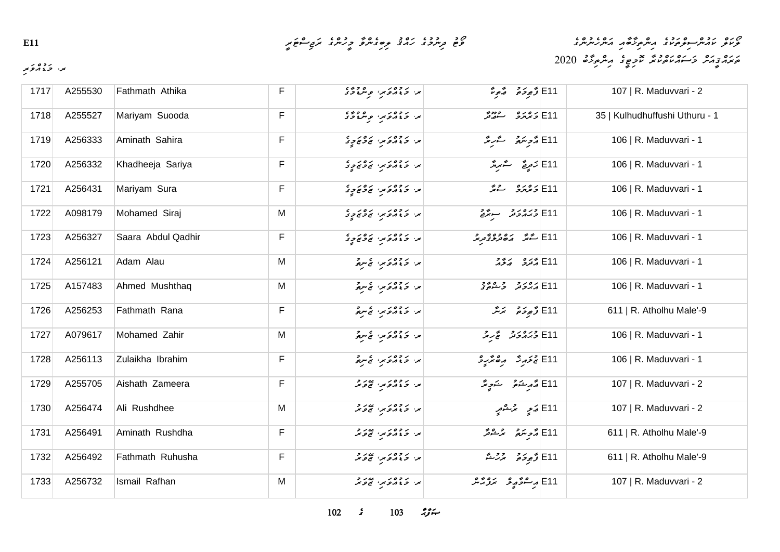*sCw7q7s5w7m< o<n9nOoAw7o< sCq;mAwBoEw7q<m; wBm;vB* م من المرة المرة المرة المرجع المرجع في المركبة 2020<br>مجم*د المريض المربوط المربع المرجع في المراجع المركبة* 

| ر د ه ر     |  |
|-------------|--|
| بر. כے موتر |  |
| ╭           |  |

| 1717 | A255530 | Fathmath Athika    | $\mathsf{F}$ | بر كالمحوض وشائرى                     | E11 زَّجِرْدَةُ صَّعِرَةُ                               | 107   R. Maduvvari - 2         |
|------|---------|--------------------|--------------|---------------------------------------|---------------------------------------------------------|--------------------------------|
| 1718 | A255527 | Mariyam Suooda     | F            | بر دوه د وروه                         | E11 كەندىر ھەمدىتر                                      | 35   Kulhudhuffushi Uthuru - 1 |
| 1719 | A256333 | Aminath Sahira     | $\mathsf F$  | x 2360x 36300                         | E11 مُرْحِبَهُ مُسْتَبِيَّر                             | 106   R. Maduvvari - 1         |
| 1720 | A256332 | Khadheeja Sariya   | F            | المن كالمروم الملح والمحاج والمحمد    | E11 كَتْمِيعٌ مُسْتَمَمِيرٌ                             | 106   R. Maduvvari - 1         |
| 1721 | A256431 | Mariyam Sura       | $\mathsf F$  | من كروه من كروم كالحاج                | E11 كەبەر ئەرىپە                                        | 106   R. Maduvvari - 1         |
| 1722 | A098179 | Mohamed Siraj      | M            | x = 2007 > 2007                       | E11 <i>وَبَرُوْدَوْ</i> سِجَيْنَج                       | 106   R. Maduvvari - 1         |
| 1723 | A256327 | Saara Abdul Qadhir | F            | من كروه دم كوكور كا                   | E11 شتر مەھىرى تەرىر                                    | 106   R. Maduvvari - 1         |
| 1724 | A256121 | Adam Alau          | M            | بر وورب ع سره                         | E11 پژتر <i>ی پروُ</i> پر                               | 106   R. Maduvvari - 1         |
| 1725 | A157483 | Ahmed Mushthaq     | M            | بر دوه در نامه                        | E11 كەبروتر كەش <i>ەۋ</i> ر                             | 106   R. Maduvvari - 1         |
| 1726 | A256253 | Fathmath Rana      | $\mathsf F$  | بر وووير، محسن                        | E11 <i>ؤوخو م</i> َرَمَّر                               | 611   R. Atholhu Male'-9       |
| 1727 | A079617 | Mohamed Zahir      | M            | من كروه دم من مح سرچ                  | E11 <i>وَبَرُوْدَوْ</i> گَرِيْرُ                        | 106   R. Maduvvari - 1         |
| 1728 | A256113 | Zulaikha Ibrahim   | F            | بر وووير، محسن                        | E11 ك <sup>ې</sup> رترنته پر <i>پيڅرن</i> ي و           | 106   R. Maduvvari - 1         |
| 1729 | A255705 | Aishath Zameera    | $\mathsf F$  | بر دوه ر به به دو                     | E11 مُدمِشَعْرِ سَوِيمٌ                                 | 107   R. Maduvvari - 2         |
| 1730 | A256474 | Ali Rushdhee       | M            | بر ده در سرد.<br>بر و دروس می د بر    | E11 کی پر میگرمی <sub>س</sub>                           | 107   R. Maduvvari - 2         |
| 1731 | A256491 | Aminath Rushdha    | $\mathsf F$  | بر دوه ر به دو                        | E11 مُرْحِ سَمْرٍ مُحْسَنُ مَّد                         | 611   R. Atholhu Male'-9       |
| 1732 | A256492 | Fathmath Ruhusha   | $\mathsf F$  | بر ده در سرد.<br>بر تروه و بر سی و بر | E11 تَ <i>وْجِوَةْ بِرْرْ</i> تْدَ                      | 611   R. Atholhu Male'-9       |
| 1733 | A256732 | Ismail Rafhan      | M            | بر ووه بر برد و                       | E11  <sub>م</sub> رےد <i>ۇ<sub>م</sub>ىۋە ئەۋ</i> تەنگر | 107   R. Maduvvari - 2         |

 $102$  *s*  $103$  *n***<sub>s</sub>**  $\frac{2}{3}$